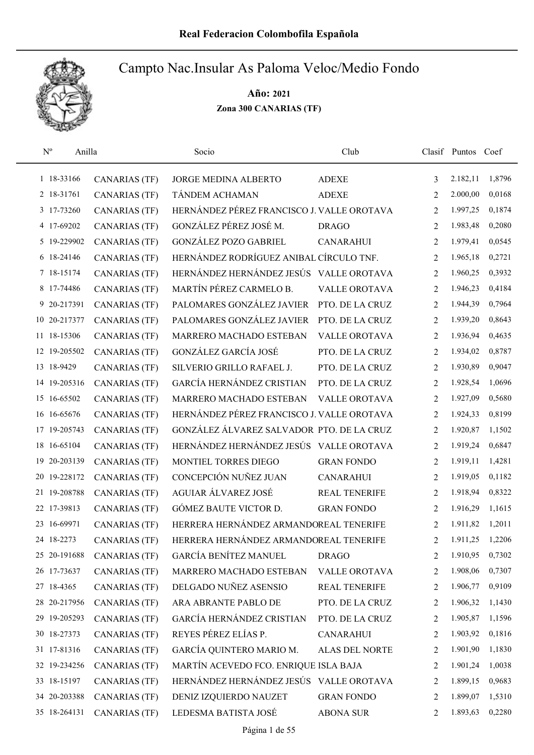

| $\mathbf{N}^{\text{o}}$<br>Anilla |                      | Socio                                      | Club                 |                | Clasif Puntos | Coef   |
|-----------------------------------|----------------------|--------------------------------------------|----------------------|----------------|---------------|--------|
| 1 18-33166                        | <b>CANARIAS (TF)</b> | JORGE MEDINA ALBERTO                       | <b>ADEXE</b>         | 3              | 2.182,11      | 1,8796 |
| 2 18-31761                        | CANARIAS (TF)        | TÁNDEM ACHAMAN                             | <b>ADEXE</b>         | 2              | 2.000,00      | 0,0168 |
| 3 17-73260                        | <b>CANARIAS (TF)</b> | HERNÁNDEZ PÉREZ FRANCISCO J. VALLE OROTAVA |                      | 2              | 1.997,25      | 0,1874 |
| 4 17-69202                        | CANARIAS (TF)        | GONZÁLEZ PÉREZ JOSÉ M.                     | <b>DRAGO</b>         | 2              | 1.983,48      | 0,2080 |
| 5 19-229902                       | CANARIAS (TF)        | <b>GONZÁLEZ POZO GABRIEL</b>               | <b>CANARAHUI</b>     | 2              | 1.979,41      | 0,0545 |
| 6 18-24146                        | <b>CANARIAS (TF)</b> | HERNÁNDEZ RODRÍGUEZ ANIBAL CÍRCULO TNF.    |                      | $\overline{2}$ | 1.965,18      | 0,2721 |
| 7 18-15174                        | <b>CANARIAS (TF)</b> | HERNÁNDEZ HERNÁNDEZ JESÚS                  | <b>VALLE OROTAVA</b> | 2              | 1.960,25      | 0,3932 |
| 8 17-74486                        | <b>CANARIAS (TF)</b> | MARTÍN PÉREZ CARMELO B.                    | <b>VALLE OROTAVA</b> | 2              | 1.946,23      | 0,4184 |
| 9 20-217391                       | CANARIAS (TF)        | PALOMARES GONZÁLEZ JAVIER                  | PTO. DE LA CRUZ      | 2              | 1.944,39      | 0,7964 |
| 10 20-217377                      | <b>CANARIAS (TF)</b> | PALOMARES GONZÁLEZ JAVIER                  | PTO. DE LA CRUZ      | 2              | 1.939,20      | 0,8643 |
| 11 18-15306                       | <b>CANARIAS (TF)</b> | MARRERO MACHADO ESTEBAN                    | <b>VALLE OROTAVA</b> | 2              | 1.936,94      | 0,4635 |
| 12 19-205502                      | <b>CANARIAS (TF)</b> | GONZÁLEZ GARCÍA JOSÉ                       | PTO. DE LA CRUZ      | 2              | 1.934,02      | 0,8787 |
| 13 18-9429                        | <b>CANARIAS (TF)</b> | SILVERIO GRILLO RAFAEL J.                  | PTO. DE LA CRUZ      | 2              | 1.930,89      | 0,9047 |
| 14 19-205316                      | CANARIAS (TF)        | GARCÍA HERNÁNDEZ CRISTIAN                  | PTO. DE LA CRUZ      | 2              | 1.928,54      | 1,0696 |
| 15 16-65502                       | <b>CANARIAS (TF)</b> | MARRERO MACHADO ESTEBAN                    | VALLE OROTAVA        | 2              | 1.927,09      | 0,5680 |
| 16 16 - 65 676                    | <b>CANARIAS (TF)</b> | HERNÁNDEZ PÉREZ FRANCISCO J. VALLE OROTAVA |                      | 2              | 1.924,33      | 0,8199 |
| 17 19-205743                      | CANARIAS (TF)        | GONZÁLEZ ÁLVAREZ SALVADOR PTO. DE LA CRUZ  |                      | 2              | 1.920,87      | 1,1502 |
| 16-65104<br>18                    | <b>CANARIAS (TF)</b> | HERNÁNDEZ HERNÁNDEZ JESÚS VALLE OROTAVA    |                      | 2              | 1.919,24      | 0,6847 |
| 20-203139<br>19                   | <b>CANARIAS (TF)</b> | MONTIEL TORRES DIEGO                       | <b>GRAN FONDO</b>    | 2              | 1.919,11      | 1,4281 |
| 20 19-228172                      | <b>CANARIAS (TF)</b> | CONCEPCIÓN NUÑEZ JUAN                      | <b>CANARAHUI</b>     | 2              | 1.919,05      | 0,1182 |
| 21 19-208788                      | CANARIAS (TF)        | AGUIAR ÁLVAREZ JOSÉ                        | <b>REAL TENERIFE</b> | 2              | 1.918,94      | 0,8322 |
| 22 17-39813                       | <b>CANARIAS (TF)</b> | GÓMEZ BAUTE VICTOR D.                      | <b>GRAN FONDO</b>    | 2              | 1.916,29      | 1,1615 |
| 16-69971<br>23                    | <b>CANARIAS (TF)</b> | HERRERA HERNÁNDEZ ARMANDOREAL TENERIFE     |                      | 2              | 1.911,82      | 1,2011 |
| 24 18-2273                        | <b>CANARIAS (TF)</b> | HERRERA HERNÁNDEZ ARMANDOREAL TENERIFE     |                      | 2              | 1.911,25      | 1,2206 |
| 25 20-191688                      | <b>CANARIAS (TF)</b> | <b>GARCÍA BENÍTEZ MANUEL</b>               | <b>DRAGO</b>         | 2              | 1.910,95      | 0,7302 |
| 26 17-73637                       | <b>CANARIAS (TF)</b> | MARRERO MACHADO ESTEBAN                    | VALLE OROTAVA        | 2              | 1.908,06      | 0,7307 |
| 27 18-4365                        | CANARIAS (TF)        | DELGADO NUÑEZ ASENSIO                      | <b>REAL TENERIFE</b> | 2              | 1.906,77      | 0,9109 |
| 28 20-217956                      | CANARIAS (TF)        | ARA ABRANTE PABLO DE                       | PTO. DE LA CRUZ      | 2              | 1.906,32      | 1,1430 |
| 29 19-205293                      | <b>CANARIAS (TF)</b> | GARCÍA HERNÁNDEZ CRISTIAN                  | PTO. DE LA CRUZ      | 2              | 1.905,87      | 1,1596 |
| 30 18-27373                       | <b>CANARIAS (TF)</b> | REYES PÉREZ ELÍAS P.                       | <b>CANARAHUI</b>     | 2              | 1.903,92      | 0,1816 |
| 31 17-81316                       | <b>CANARIAS (TF)</b> | GARCÍA QUINTERO MARIO M.                   | ALAS DEL NORTE       | 2              | 1.901,90      | 1,1830 |
| 32 19-234256                      | <b>CANARIAS (TF)</b> | MARTÍN ACEVEDO FCO. ENRIQUE ISLA BAJA      |                      | 2              | 1.901,24      | 1,0038 |
| 33 18-15197                       | <b>CANARIAS (TF)</b> | HERNÁNDEZ HERNÁNDEZ JESÚS                  | VALLE OROTAVA        | 2              | 1.899,15      | 0,9683 |
| 34 20-203388                      | CANARIAS (TF)        | DENIZ IZQUIERDO NAUZET                     | <b>GRAN FONDO</b>    | 2              | 1.899,07      | 1,5310 |
| 35 18-264131                      | <b>CANARIAS (TF)</b> | LEDESMA BATISTA JOSÉ                       | <b>ABONA SUR</b>     | 2              | 1.893,63      | 0,2280 |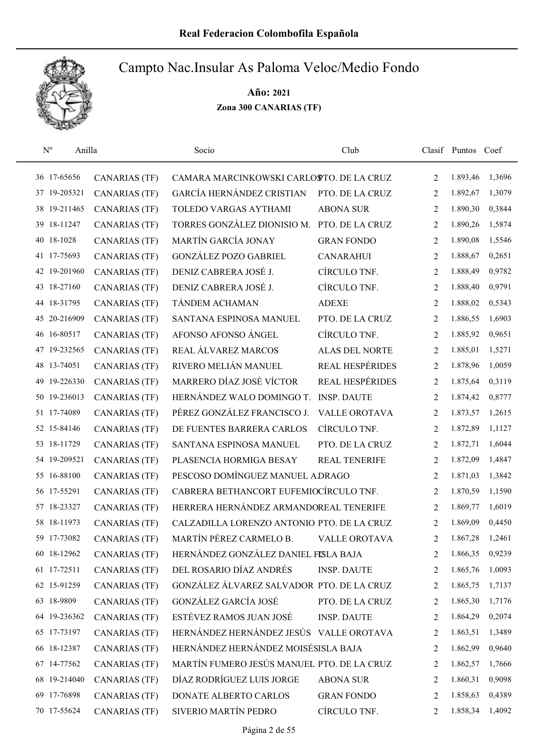

| $N^{o}$         | Anilla               | Socio                                      | Club                   |                | Clasif Puntos Coef |        |
|-----------------|----------------------|--------------------------------------------|------------------------|----------------|--------------------|--------|
| 36 17-65656     | <b>CANARIAS (TF)</b> | CAMARA MARCINKOWSKI CARLOSTO. DE LA CRUZ   |                        | 2              | 1.893,46           | 1,3696 |
| 19-205321<br>37 | <b>CANARIAS (TF)</b> | GARCÍA HERNÁNDEZ CRISTIAN                  | PTO. DE LA CRUZ        | 2              | 1.892,67           | 1,3079 |
| 19-211465<br>38 | <b>CANARIAS (TF)</b> | TOLEDO VARGAS AYTHAMI                      | <b>ABONA SUR</b>       | 2              | 1.890,30           | 0,3844 |
| 18-11247<br>39  | <b>CANARIAS (TF)</b> | TORRES GONZÁLEZ DIONISIO M.                | PTO. DE LA CRUZ        | 2              | 1.890,26           | 1,5874 |
| 18-1028<br>40   | <b>CANARIAS (TF)</b> | MARTÍN GARCÍA JONAY                        | <b>GRAN FONDO</b>      | 2              | 1.890,08           | 1,5546 |
| 41 17-75693     | <b>CANARIAS (TF)</b> | <b>GONZÁLEZ POZO GABRIEL</b>               | <b>CANARAHUI</b>       | 2              | 1.888,67           | 0,2651 |
| 42 19-201960    | <b>CANARIAS (TF)</b> | DENIZ CABRERA JOSÉ J.                      | CÍRCULO TNF.           | $\overline{2}$ | 1.888,49           | 0,9782 |
| 18-27160<br>43  | <b>CANARIAS (TF)</b> | DENIZ CABRERA JOSÉ J.                      | CÍRCULO TNF.           | 2              | 1.888,40           | 0,9791 |
| 44 18-31795     | <b>CANARIAS (TF)</b> | TÁNDEM ACHAMAN                             | <b>ADEXE</b>           | 2              | 1.888,02           | 0,5343 |
| 20-216909<br>45 | <b>CANARIAS (TF)</b> | SANTANA ESPINOSA MANUEL                    | PTO. DE LA CRUZ        | 2              | 1.886,55           | 1,6903 |
| 46 16-80517     | <b>CANARIAS (TF)</b> | AFONSO AFONSO ÁNGEL                        | CÍRCULO TNF.           | $\overline{2}$ | 1.885,92           | 0,9651 |
| 19-232565       | <b>CANARIAS (TF)</b> | REAL ÁLVAREZ MARCOS                        | <b>ALAS DEL NORTE</b>  | 2              | 1.885,01           | 1,5271 |
| 48 13-74051     | <b>CANARIAS (TF)</b> | RIVERO MELIÁN MANUEL                       | <b>REAL HESPÉRIDES</b> | 2              | 1.878,96           | 1,0059 |
| 19-226330<br>49 | <b>CANARIAS (TF)</b> | MARRERO DÍAZ JOSÉ VÍCTOR                   | REAL HESPÉRIDES        | 2              | 1.875,64           | 0,3119 |
| 50 19-236013    | <b>CANARIAS (TF)</b> | HERNÁNDEZ WALO DOMINGO T.                  | <b>INSP. DAUTE</b>     | 2              | 1.874,42           | 0,8777 |
| 51 17-74089     | <b>CANARIAS (TF)</b> | PÉREZ GONZÁLEZ FRANCISCO J.                | <b>VALLE OROTAVA</b>   | 2              | 1.873,57           | 1,2615 |
| 52 15-84146     | <b>CANARIAS (TF)</b> | DE FUENTES BARRERA CARLOS                  | CÍRCULO TNF.           | 2              | 1.872,89           | 1,1127 |
| 18-11729<br>53  | <b>CANARIAS (TF)</b> | SANTANA ESPINOSA MANUEL                    | PTO. DE LA CRUZ        | 2              | 1.872,71           | 1,6044 |
| 54 19-209521    | <b>CANARIAS (TF)</b> | PLASENCIA HORMIGA BESAY                    | <b>REAL TENERIFE</b>   | 2              | 1.872,09           | 1,4847 |
| 16-88100<br>55  | <b>CANARIAS (TF)</b> | PESCOSO DOMÍNGUEZ MANUEL ADRAGO            |                        | 2              | 1.871,03           | 1,3842 |
| 56 17-55291     | <b>CANARIAS (TF)</b> | CABRERA BETHANCORT EUFEMIOCÍRCULO TNF.     |                        | $\overline{2}$ | 1.870,59           | 1,1590 |
| 57 18-23327     | <b>CANARIAS (TF)</b> | HERRERA HERNÁNDEZ ARMANDOREAL TENERIFE     |                        | 2              | 1.869,77           | 1,6019 |
| 18-11973<br>58  | <b>CANARIAS (TF)</b> | CALZADILLA LORENZO ANTONIO PTO. DE LA CRUZ |                        | 2              | 1.869,09           | 0,4450 |
| 59 17-73082     | <b>CANARIAS (TF)</b> | MARTÍN PÉREZ CARMELO B.                    | VALLE OROTAVA          | $\overline{2}$ | 1.867,28           | 1,2461 |
| 60 18-12962     | <b>CANARIAS (TF)</b> | HERNÁNDEZ GONZÁLEZ DANIEL FISLA BAJA       |                        | 2              | 1.866,35           | 0,9239 |
| 61 17-72511     | <b>CANARIAS (TF)</b> | DEL ROSARIO DÍAZ ANDRÉS                    | <b>INSP. DAUTE</b>     | 2              | 1.865,76           | 1,0093 |
| 62 15-91259     | <b>CANARIAS (TF)</b> | GONZÁLEZ ÁLVAREZ SALVADOR PTO. DE LA CRUZ  |                        | 2              | 1.865,75           | 1,7137 |
| 63 18-9809      | <b>CANARIAS (TF)</b> | GONZÁLEZ GARCÍA JOSÉ                       | PTO. DE LA CRUZ        | 2              | 1.865,30           | 1,7176 |
| 64 19-236362    | <b>CANARIAS (TF)</b> | ESTÉVEZ RAMOS JUAN JOSÉ                    | <b>INSP. DAUTE</b>     | 2              | 1.864,29           | 0,2074 |
| 65 17-73197     | <b>CANARIAS (TF)</b> | HERNÁNDEZ HERNÁNDEZ JESÚS VALLE OROTAVA    |                        | 2              | 1.863,51           | 1,3489 |
| 66 18-12387     | <b>CANARIAS (TF)</b> | HERNÁNDEZ HERNÁNDEZ MOISÉSISLA BAJA        |                        | 2              | 1.862,99           | 0,9640 |
| 67 14-77562     | <b>CANARIAS (TF)</b> | MARTÍN FUMERO JESÚS MANUEL PTO. DE LA CRUZ |                        | 2              | 1.862,57           | 1,7666 |
| 68 19-214040    | <b>CANARIAS (TF)</b> | DÍAZ RODRÍGUEZ LUIS JORGE                  | <b>ABONA SUR</b>       | 2              | 1.860,31           | 0,9098 |
| 69 17-76898     | <b>CANARIAS (TF)</b> | DONATE ALBERTO CARLOS                      | <b>GRAN FONDO</b>      | 2              | 1.858,63           | 0,4389 |
| 70 17-55624     | <b>CANARIAS (TF)</b> | SIVERIO MARTÍN PEDRO                       | CÍRCULO TNF.           | 2              | 1.858,34           | 1,4092 |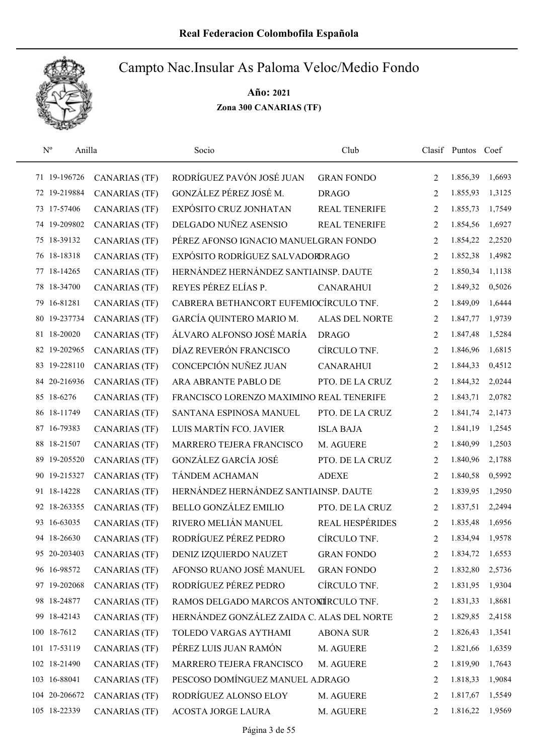

|    | $N^{o}$<br>Anilla |                      | Socio                                      | Club                  |                | Clasif Puntos Coef |        |
|----|-------------------|----------------------|--------------------------------------------|-----------------------|----------------|--------------------|--------|
|    | 71 19-196726      | <b>CANARIAS (TF)</b> | RODRÍGUEZ PAVÓN JOSÉ JUAN                  | <b>GRAN FONDO</b>     | 2              | 1.856,39           | 1,6693 |
|    | 72 19-219884      | <b>CANARIAS (TF)</b> | GONZÁLEZ PÉREZ JOSÉ M.                     | <b>DRAGO</b>          | 2              | 1.855,93           | 1,3125 |
|    | 73 17-57406       | <b>CANARIAS (TF)</b> | EXPÓSITO CRUZ JONHATAN                     | <b>REAL TENERIFE</b>  | 2              | 1.855,73           | 1,7549 |
|    | 74 19-209802      | <b>CANARIAS (TF)</b> | DELGADO NUÑEZ ASENSIO                      | REAL TENERIFE         | $\overline{2}$ | 1.854,56           | 1,6927 |
| 75 | 18-39132          | <b>CANARIAS (TF)</b> | PÉREZ AFONSO IGNACIO MANUELGRAN FONDO      |                       | 2              | 1.854,22           | 2,2520 |
| 76 | 18-18318          | <b>CANARIAS (TF)</b> | EXPÓSITO RODRÍGUEZ SALVADORDRAGO           |                       | 2              | 1.852,38           | 1,4982 |
| 77 | 18-14265          | <b>CANARIAS (TF)</b> | HERNÁNDEZ HERNÁNDEZ SANTIAINSP. DAUTE      |                       | 2              | 1.850,34           | 1,1138 |
| 78 | 18-34700          | <b>CANARIAS (TF)</b> | REYES PÉREZ ELÍAS P.                       | <b>CANARAHUI</b>      | $\overline{2}$ | 1.849,32           | 0,5026 |
|    | 79 16-81281       | <b>CANARIAS (TF)</b> | CABRERA BETHANCORT EUFEMIOCÍRCULO TNF.     |                       | 2              | 1.849,09           | 1,6444 |
|    | 80 19-237734      | <b>CANARIAS (TF)</b> | GARCÍA QUINTERO MARIO M.                   | <b>ALAS DEL NORTE</b> | $\overline{2}$ | 1.847,77           | 1,9739 |
|    | 81 18-20020       | <b>CANARIAS (TF)</b> | ÁLVARO ALFONSO JOSÉ MARÍA                  | <b>DRAGO</b>          | 2              | 1.847,48           | 1,5284 |
| 82 | 19-202965         | <b>CANARIAS (TF)</b> | DÍAZ REVERÓN FRANCISCO                     | CÍRCULO TNF.          | 2              | 1.846,96           | 1,6815 |
|    | 83 19-228110      | <b>CANARIAS (TF)</b> | CONCEPCIÓN NUÑEZ JUAN                      | <b>CANARAHUI</b>      | 2              | 1.844,33           | 0,4512 |
| 84 | 20-216936         | <b>CANARIAS (TF)</b> | ARA ABRANTE PABLO DE                       | PTO. DE LA CRUZ       | 2              | 1.844,32           | 2,0244 |
|    | 85 18-6276        | CANARIAS (TF)        | FRANCISCO LORENZO MAXIMINO REAL TENERIFE   |                       | 2              | 1.843,71           | 2,0782 |
| 86 | 18-11749          | <b>CANARIAS (TF)</b> | SANTANA ESPINOSA MANUEL                    | PTO. DE LA CRUZ       | $\overline{2}$ | 1.841,74           | 2,1473 |
| 87 | 16-79383          | <b>CANARIAS (TF)</b> | LUIS MARTÍN FCO. JAVIER                    | <b>ISLA BAJA</b>      | 2              | 1.841,19           | 1,2545 |
| 88 | 18-21507          | <b>CANARIAS (TF)</b> | MARRERO TEJERA FRANCISCO                   | M. AGUERE             | $\overline{2}$ | 1.840,99           | 1,2503 |
| 89 | 19-205520         | <b>CANARIAS (TF)</b> | GONZÁLEZ GARCÍA JOSÉ                       | PTO. DE LA CRUZ       | 2              | 1.840,96           | 2,1788 |
| 90 | 19-215327         | CANARIAS (TF)        | TÁNDEM ACHAMAN                             | <b>ADEXE</b>          | $\overline{2}$ | 1.840,58           | 0,5992 |
|    | 91 18-14228       | <b>CANARIAS (TF)</b> | HERNÁNDEZ HERNÁNDEZ SANTIAINSP. DAUTE      |                       | $\overline{2}$ | 1.839,95           | 1,2950 |
|    | 92 18-263355      | <b>CANARIAS (TF)</b> | <b>BELLO GONZÁLEZ EMILIO</b>               | PTO. DE LA CRUZ       | 2              | 1.837,51           | 2,2494 |
| 93 | 16-63035          | <b>CANARIAS (TF)</b> | RIVERO MELIÁN MANUEL                       | REAL HESPÉRIDES       | 2              | 1.835,48           | 1,6956 |
|    | 94 18-26630       | <b>CANARIAS (TF)</b> | RODRÍGUEZ PÉREZ PEDRO                      | CÍRCULO TNF.          | 2              | 1.834,94           | 1,9578 |
|    | 95 20-203403      | <b>CANARIAS (TF)</b> | DENIZ IZQUIERDO NAUZET                     | <b>GRAN FONDO</b>     | 2              | 1.834,72           | 1,6553 |
|    | 96 16-98572       | <b>CANARIAS (TF)</b> | AFONSO RUANO JOSÉ MANUEL                   | <b>GRAN FONDO</b>     | 2              | 1.832,80           | 2,5736 |
|    | 97 19-202068      | CANARIAS (TF)        | RODRÍGUEZ PÉREZ PEDRO                      | CÍRCULO TNF.          | 2              | 1.831,95           | 1,9304 |
|    | 98 18-24877       | <b>CANARIAS (TF)</b> | RAMOS DELGADO MARCOS ANTONÍRCULO TNF.      |                       | 2              | 1.831,33           | 1,8681 |
|    | 99 18-42143       | <b>CANARIAS (TF)</b> | HERNÁNDEZ GONZÁLEZ ZAIDA C. ALAS DEL NORTE |                       | 2              | 1.829,85           | 2,4158 |
|    | 100 18-7612       | <b>CANARIAS (TF)</b> | TOLEDO VARGAS AYTHAMI                      | <b>ABONA SUR</b>      | 2              | 1.826,43           | 1,3541 |
|    | 101 17-53119      | <b>CANARIAS (TF)</b> | PÉREZ LUIS JUAN RAMÓN                      | M. AGUERE             | 2              | 1.821,66           | 1,6359 |
|    | 102 18-21490      | CANARIAS (TF)        | MARRERO TEJERA FRANCISCO                   | M. AGUERE             | 2              | 1.819,90           | 1,7643 |
|    | 103 16-88041      | <b>CANARIAS (TF)</b> | PESCOSO DOMÍNGUEZ MANUEL A.DRAGO           |                       | 2              | 1.818,33           | 1,9084 |
|    | 104 20-206672     | CANARIAS (TF)        | RODRÍGUEZ ALONSO ELOY                      | M. AGUERE             | 2              | 1.817,67           | 1,5549 |
|    | 105 18-22339      | <b>CANARIAS (TF)</b> | ACOSTA JORGE LAURA                         | M. AGUERE             | 2              | 1.816,22           | 1,9569 |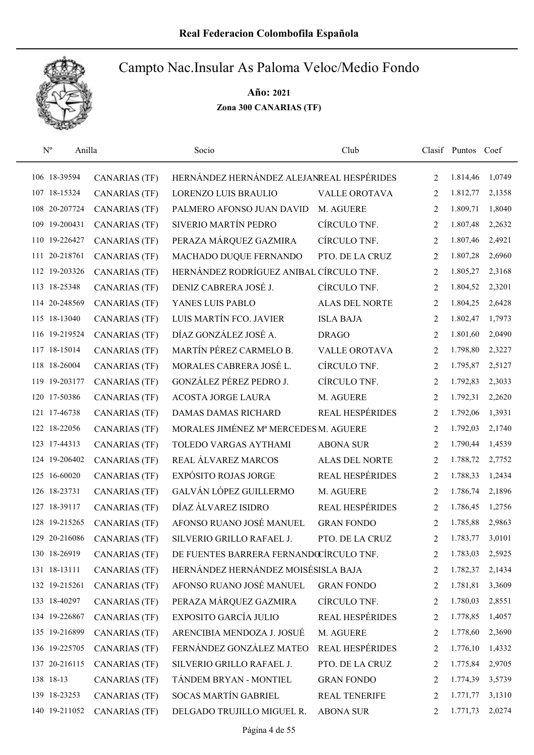

| $N^{o}$<br>Anilla |                      | Socio                                     | Club                   |                | Clasif Puntos Coef |        |
|-------------------|----------------------|-------------------------------------------|------------------------|----------------|--------------------|--------|
| 106 18-39594      | <b>CANARIAS (TF)</b> | HERNÁNDEZ HERNÁNDEZ ALEJANREAL HESPÉRIDES |                        | 2              | 1.814,46           | 1,0749 |
| 107 18-15324      | <b>CANARIAS (TF)</b> | <b>LORENZO LUIS BRAULIO</b>               | <b>VALLE OROTAVA</b>   | 2              | 1.812,77           | 2,1358 |
| 108 20-207724     | <b>CANARIAS (TF)</b> | PALMERO AFONSO JUAN DAVID                 | M. AGUERE              | 2              | 1.809,71           | 1,8040 |
| 109 19-200431     | <b>CANARIAS (TF)</b> | SIVERIO MARTÍN PEDRO                      | CÍRCULO TNF.           | 2              | 1.807,48           | 2,2632 |
| 110 19-226427     | <b>CANARIAS (TF)</b> | PERAZA MÁRQUEZ GAZMIRA                    | CÍRCULO TNF.           | 2              | 1.807,46           | 2,4921 |
| 111 20-218761     | <b>CANARIAS (TF)</b> | MACHADO DUQUE FERNANDO                    | PTO. DE LA CRUZ        | 2              | 1.807,28           | 2,6960 |
| 112 19-203326     | <b>CANARIAS (TF)</b> | HERNÁNDEZ RODRÍGUEZ ANIBAL CÍRCULO TNF.   |                        | 2              | 1.805,27           | 2,3168 |
| 113 18-25348      | <b>CANARIAS (TF)</b> | DENIZ CABRERA JOSÉ J.                     | CÍRCULO TNF.           | 2              | 1.804,52           | 2,3201 |
| 114 20-248569     | <b>CANARIAS (TF)</b> | YANES LUIS PABLO                          | <b>ALAS DEL NORTE</b>  | 2              | 1.804,25           | 2,6428 |
| 115 18-13040      | <b>CANARIAS (TF)</b> | LUIS MARTÍN FCO. JAVIER                   | <b>ISLA BAJA</b>       | 2              | 1.802,47           | 1,7973 |
| 116 19-219524     | CANARIAS (TF)        | DÍAZ GONZÁLEZ JOSÉ A.                     | <b>DRAGO</b>           | 2              | 1.801,60           | 2,0490 |
| 117 18-15014      | <b>CANARIAS (TF)</b> | MARTÍN PÉREZ CARMELO B.                   | <b>VALLE OROTAVA</b>   | 2              | 1.798,80           | 2,3227 |
| 118 18-26004      | <b>CANARIAS (TF)</b> | MORALES CABRERA JOSÉ L.                   | CÍRCULO TNF.           | 2              | 1.795,87           | 2,5127 |
| 119 19-203177     | <b>CANARIAS (TF)</b> | GONZÁLEZ PÉREZ PEDRO J.                   | CÍRCULO TNF.           | $\overline{2}$ | 1.792,83           | 2,3033 |
| 120 17-50386      | <b>CANARIAS (TF)</b> | <b>ACOSTA JORGE LAURA</b>                 | M. AGUERE              | $\overline{c}$ | 1.792,31           | 2,2620 |
| 121 17-46738      | <b>CANARIAS (TF)</b> | DAMAS DAMAS RICHARD                       | <b>REAL HESPÉRIDES</b> | 2              | 1.792,06           | 1,3931 |
| 122 18-22056      | <b>CANARIAS (TF)</b> | MORALES JIMÉNEZ Mª MERCEDES M. AGUERE     |                        | 2              | 1.792,03           | 2,1740 |
| 123 17-44313      | <b>CANARIAS (TF)</b> | TOLEDO VARGAS AYTHAMI                     | <b>ABONA SUR</b>       | 2              | 1.790,44           | 1,4539 |
| 124 19-206402     | <b>CANARIAS (TF)</b> | REAL ÁLVAREZ MARCOS                       | <b>ALAS DEL NORTE</b>  | 2              | 1.788,72           | 2,7752 |
| 125 16-60020      | <b>CANARIAS (TF)</b> | <b>EXPÓSITO ROJAS JORGE</b>               | REAL HESPÉRIDES        | 2              | 1.788,33           | 1,2434 |
| 126 18-23731      | <b>CANARIAS (TF)</b> | GALVÁN LÓPEZ GUILLERMO                    | M. AGUERE              | 2              | 1.786,74           | 2,1896 |
| 127 18-39117      | <b>CANARIAS (TF)</b> | DÍAZ ÁLVAREZ ISIDRO                       | <b>REAL HESPÉRIDES</b> | 2              | 1.786,45           | 1,2756 |
| 128 19-215265     | <b>CANARIAS (TF)</b> | AFONSO RUANO JOSÉ MANUEL                  | <b>GRAN FONDO</b>      | 2              | 1.785,88           | 2,9863 |
| 129 20-216086     | <b>CANARIAS (TF)</b> | SILVERIO GRILLO RAFAEL J.                 | PTO. DE LA CRUZ        | $\overline{2}$ | 1.783,77           | 3,0101 |
| 130 18-26919      | <b>CANARIAS (TF)</b> | DE FUENTES BARRERA FERNANDOCÍRCULO TNF.   |                        | 2              | 1.783,03           | 2,5925 |
| 131 18-13111      | <b>CANARIAS (TF)</b> | HERNÁNDEZ HERNÁNDEZ MOISÉSISLA BAJA       |                        | 2              | 1.782,37           | 2,1434 |
| 132 19-215261     | CANARIAS (TF)        | AFONSO RUANO JOSÉ MANUEL                  | <b>GRAN FONDO</b>      | 2              | 1.781,81           | 3,3609 |
| 133 18-40297      | <b>CANARIAS (TF)</b> | PERAZA MÁRQUEZ GAZMIRA                    | CÍRCULO TNF.           | 2              | 1.780,03           | 2,8551 |
| 134 19-226867     | <b>CANARIAS (TF)</b> | EXPOSITO GARCÍA JULIO                     | <b>REAL HESPÉRIDES</b> | 2              | 1.778,85           | 1,4057 |
| 135 19-216899     | <b>CANARIAS (TF)</b> | ARENCIBIA MENDOZA J. JOSUÉ                | M. AGUERE              | 2              | 1.778,60           | 2,3690 |
| 136 19-225705     | <b>CANARIAS (TF)</b> | FERNÁNDEZ GONZÁLEZ MATEO                  | <b>REAL HESPÉRIDES</b> | 2              | 1.776,10           | 1,4332 |
| 137 20-216115     | <b>CANARIAS (TF)</b> | SILVERIO GRILLO RAFAEL J.                 | PTO. DE LA CRUZ        | 2              | 1.775,84           | 2,9705 |
| 138 18-13         | <b>CANARIAS (TF)</b> | TÁNDEM BRYAN - MONTIEL                    | <b>GRAN FONDO</b>      | 2              | 1.774,39           | 3,5739 |
| 139 18-23253      | <b>CANARIAS (TF)</b> | <b>SOCAS MARTÍN GABRIEL</b>               | REAL TENERIFE          | 2              | 1.771,77           | 3,1310 |
| 140 19-211052     | <b>CANARIAS (TF)</b> | DELGADO TRUJILLO MIGUEL R.                | <b>ABONA SUR</b>       | 2              | 1.771,73           | 2,0274 |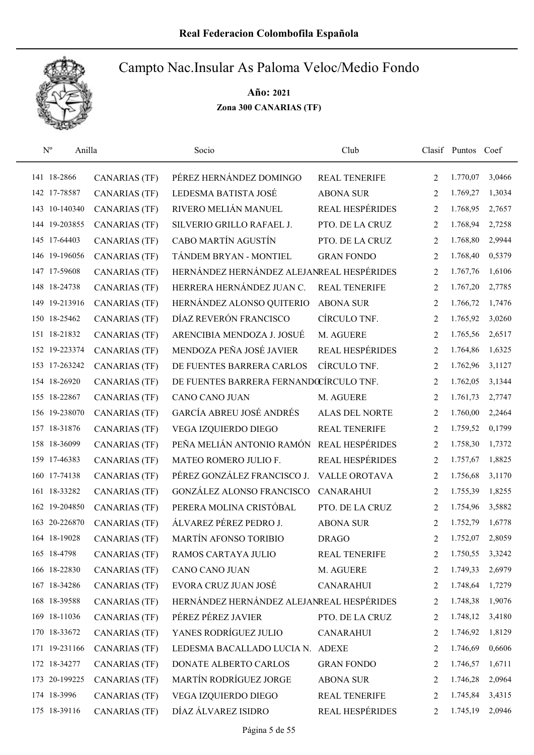

| $N^{o}$<br>Anilla |                      | Socio                                     | Club                   |   | Clasif Puntos Coef |        |
|-------------------|----------------------|-------------------------------------------|------------------------|---|--------------------|--------|
| 141 18-2866       | <b>CANARIAS (TF)</b> | PÉREZ HERNÁNDEZ DOMINGO                   | <b>REAL TENERIFE</b>   | 2 | 1.770,07           | 3,0466 |
| 142 17-78587      | <b>CANARIAS (TF)</b> | LEDESMA BATISTA JOSÉ                      | <b>ABONA SUR</b>       | 2 | 1.769,27           | 1,3034 |
| 143 10-140340     | <b>CANARIAS (TF)</b> | RIVERO MELIÁN MANUEL                      | <b>REAL HESPÉRIDES</b> | 2 | 1.768,95           | 2,7657 |
| 144 19-203855     | <b>CANARIAS (TF)</b> | SILVERIO GRILLO RAFAEL J.                 | PTO. DE LA CRUZ        | 2 | 1.768,94           | 2,7258 |
| 145 17-64403      | <b>CANARIAS (TF)</b> | CABO MARTÍN AGUSTÍN                       | PTO. DE LA CRUZ        | 2 | 1.768,80           | 2,9944 |
| 146 19-196056     | <b>CANARIAS (TF)</b> | TÁNDEM BRYAN - MONTIEL                    | <b>GRAN FONDO</b>      | 2 | 1.768,40           | 0,5379 |
| 147 17-59608      | <b>CANARIAS (TF)</b> | HERNÁNDEZ HERNÁNDEZ ALEJANREAL HESPÉRIDES |                        | 2 | 1.767,76           | 1,6106 |
| 148 18-24738      | <b>CANARIAS (TF)</b> | HERRERA HERNÁNDEZ JUAN C.                 | <b>REAL TENERIFE</b>   | 2 | 1.767,20           | 2,7785 |
| 149 19-213916     | <b>CANARIAS (TF)</b> | HERNÁNDEZ ALONSO QUITERIO                 | <b>ABONA SUR</b>       | 2 | 1.766,72           | 1,7476 |
| 150 18-25462      | <b>CANARIAS (TF)</b> | DÍAZ REVERÓN FRANCISCO                    | CÍRCULO TNF.           | 2 | 1.765,92           | 3,0260 |
| 151 18-21832      | <b>CANARIAS (TF)</b> | ARENCIBIA MENDOZA J. JOSUÉ                | M. AGUERE              | 2 | 1.765,56           | 2,6517 |
| 152 19-223374     | <b>CANARIAS (TF)</b> | MENDOZA PEÑA JOSÉ JAVIER                  | REAL HESPÉRIDES        | 2 | 1.764,86           | 1,6325 |
| 153 17-263242     | <b>CANARIAS (TF)</b> | DE FUENTES BARRERA CARLOS                 | CÍRCULO TNF.           | 2 | 1.762,96           | 3,1127 |
| 154 18-26920      | <b>CANARIAS (TF)</b> | DE FUENTES BARRERA FERNANDOCÍRCULO TNF.   |                        | 2 | 1.762,05           | 3,1344 |
| 155 18-22867      | <b>CANARIAS (TF)</b> | CANO CANO JUAN                            | M. AGUERE              | 2 | 1.761,73           | 2,7747 |
| 156 19-238070     | <b>CANARIAS (TF)</b> | GARCÍA ABREU JOSÉ ANDRÉS                  | <b>ALAS DEL NORTE</b>  | 2 | 1.760,00           | 2,2464 |
| 157 18-31876      | <b>CANARIAS (TF)</b> | VEGA IZQUIERDO DIEGO                      | <b>REAL TENERIFE</b>   | 2 | 1.759,52           | 0,1799 |
| 158 18-36099      | <b>CANARIAS (TF)</b> | PEÑA MELIÁN ANTONIO RAMÓN                 | <b>REAL HESPÉRIDES</b> | 2 | 1.758,30           | 1,7372 |
| 159 17-46383      | <b>CANARIAS (TF)</b> | MATEO ROMERO JULIO F.                     | <b>REAL HESPÉRIDES</b> | 2 | 1.757,67           | 1,8825 |
| 160 17-74138      | <b>CANARIAS (TF)</b> | PÉREZ GONZÁLEZ FRANCISCO J.               | <b>VALLE OROTAVA</b>   | 2 | 1.756,68           | 3,1170 |
| 161 18-33282      | <b>CANARIAS (TF)</b> | <b>GONZÁLEZ ALONSO FRANCISCO</b>          | <b>CANARAHUI</b>       | 2 | 1.755,39           | 1,8255 |
| 162 19-204850     | <b>CANARIAS (TF)</b> | PERERA MOLINA CRISTÓBAL                   | PTO. DE LA CRUZ        | 2 | 1.754,96           | 3,5882 |
| 163 20-226870     | <b>CANARIAS (TF)</b> | ÁLVAREZ PÉREZ PEDRO J.                    | <b>ABONA SUR</b>       | 2 | 1.752,79           | 1,6778 |
| 164 18-19028      | <b>CANARIAS (TF)</b> | MARTÍN AFONSO TORIBIO                     | <b>DRAGO</b>           | 2 | 1.752,07           | 2,8059 |
| 165 18-4798       | <b>CANARIAS (TF)</b> | RAMOS CARTAYA JULIO                       | <b>REAL TENERIFE</b>   | 2 | 1.750,55           | 3,3242 |
| 166 18-22830      | <b>CANARIAS (TF)</b> | CANO CANO JUAN                            | M. AGUERE              | 2 | 1.749,33           | 2,6979 |
| 167 18-34286      | <b>CANARIAS (TF)</b> | EVORA CRUZ JUAN JOSÉ                      | <b>CANARAHUI</b>       | 2 | 1.748,64           | 1,7279 |
| 168 18-39588      | <b>CANARIAS (TF)</b> | HERNÁNDEZ HERNÁNDEZ ALEJANREAL HESPÉRIDES |                        | 2 | 1.748,38           | 1,9076 |
| 169 18-11036      | <b>CANARIAS (TF)</b> | PÉREZ PÉREZ JAVIER                        | PTO. DE LA CRUZ        | 2 | 1.748,12           | 3,4180 |
| 170 18-33672      | <b>CANARIAS (TF)</b> | YANES RODRÍGUEZ JULIO                     | <b>CANARAHUI</b>       | 2 | 1.746,92           | 1,8129 |
| 171 19-231166     | <b>CANARIAS (TF)</b> | LEDESMA BACALLADO LUCIA N. ADEXE          |                        | 2 | 1.746,69           | 0,6606 |
| 172 18-34277      | <b>CANARIAS (TF)</b> | DONATE ALBERTO CARLOS                     | <b>GRAN FONDO</b>      | 2 | 1.746,57           | 1,6711 |
| 173 20-199225     | <b>CANARIAS (TF)</b> | MARTÍN RODRÍGUEZ JORGE                    | <b>ABONA SUR</b>       | 2 | 1.746,28           | 2,0964 |
| 174 18-3996       | <b>CANARIAS (TF)</b> | VEGA IZQUIERDO DIEGO                      | REAL TENERIFE          | 2 | 1.745,84           | 3,4315 |
| 175 18-39116      | <b>CANARIAS (TF)</b> | DÍAZ ÁLVAREZ ISIDRO                       | REAL HESPÉRIDES        | 2 | 1.745,19           | 2,0946 |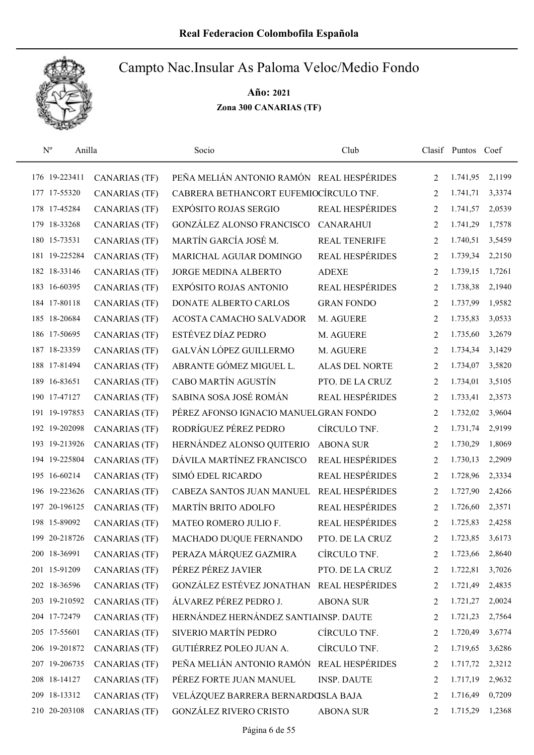

| $\mathbf{N}^{\text{o}}$<br>Anilla |                      | Socio                                     | Club                   |                | Clasif Puntos Coef |        |
|-----------------------------------|----------------------|-------------------------------------------|------------------------|----------------|--------------------|--------|
| 176 19-223411                     | <b>CANARIAS (TF)</b> | PEÑA MELIÁN ANTONIO RAMÓN REAL HESPÉRIDES |                        | $\overline{2}$ | 1.741,95           | 2,1199 |
| 177 17-55320                      | CANARIAS (TF)        | CABRERA BETHANCORT EUFEMIOCÍRCULO TNF.    |                        | 2              | 1.741,71           | 3,3374 |
| 178 17-45284                      | <b>CANARIAS (TF)</b> | <b>EXPÓSITO ROJAS SERGIO</b>              | <b>REAL HESPÉRIDES</b> | 2              | 1.741,57           | 2,0539 |
| 179 18-33268                      | <b>CANARIAS (TF)</b> | <b>GONZÁLEZ ALONSO FRANCISCO</b>          | <b>CANARAHUI</b>       | 2              | 1.741,29           | 1,7578 |
| 180 15-73531                      | <b>CANARIAS (TF)</b> | MARTÍN GARCÍA JOSÉ M.                     | <b>REAL TENERIFE</b>   | 2              | 1.740,51           | 3,5459 |
| 181 19-225284                     | <b>CANARIAS (TF)</b> | MARICHAL AGUIAR DOMINGO                   | <b>REAL HESPÉRIDES</b> | 2              | 1.739,34           | 2,2150 |
| 182 18-33146                      | <b>CANARIAS (TF)</b> | JORGE MEDINA ALBERTO                      | <b>ADEXE</b>           | 2              | 1.739,15           | 1,7261 |
| 183 16-60395                      | <b>CANARIAS (TF)</b> | EXPÓSITO ROJAS ANTONIO                    | REAL HESPÉRIDES        | 2              | 1.738,38           | 2,1940 |
| 184 17-80118                      | <b>CANARIAS (TF)</b> | DONATE ALBERTO CARLOS                     | <b>GRAN FONDO</b>      | 2              | 1.737,99           | 1,9582 |
| 185 18-20684                      | <b>CANARIAS (TF)</b> | ACOSTA CAMACHO SALVADOR                   | M. AGUERE              | 2              | 1.735,83           | 3,0533 |
| 186 17-50695                      | <b>CANARIAS (TF)</b> | ESTÉVEZ DÍAZ PEDRO                        | M. AGUERE              | 2              | 1.735,60           | 3,2679 |
| 187 18-23359                      | <b>CANARIAS (TF)</b> | GALVÁN LÓPEZ GUILLERMO                    | M. AGUERE              | 2              | 1.734,34           | 3,1429 |
| 188 17-81494                      | <b>CANARIAS (TF)</b> | ABRANTE GÓMEZ MIGUEL L.                   | <b>ALAS DEL NORTE</b>  | 2              | 1.734,07           | 3,5820 |
| 189 16-83651                      | <b>CANARIAS (TF)</b> | CABO MARTÍN AGUSTÍN                       | PTO. DE LA CRUZ        | 2              | 1.734,01           | 3,5105 |
| 190 17-47127                      | CANARIAS (TF)        | SABINA SOSA JOSÉ ROMÁN                    | REAL HESPÉRIDES        | 2              | 1.733,41           | 2,3573 |
| 191 19-197853                     | <b>CANARIAS (TF)</b> | PÉREZ AFONSO IGNACIO MANUELGRAN FONDO     |                        | 2              | 1.732,02           | 3,9604 |
| 192 19-202098                     | <b>CANARIAS (TF)</b> | RODRÍGUEZ PÉREZ PEDRO                     | CÍRCULO TNF.           | 2              | 1.731,74           | 2,9199 |
| 193 19-213926                     | <b>CANARIAS (TF)</b> | HERNÁNDEZ ALONSO QUITERIO                 | <b>ABONA SUR</b>       | 2              | 1.730,29           | 1,8069 |
| 194 19-225804                     | <b>CANARIAS (TF)</b> | DÁVILA MARTÍNEZ FRANCISCO                 | <b>REAL HESPÉRIDES</b> | 2              | 1.730,13           | 2,2909 |
| 195 16-60214                      | <b>CANARIAS (TF)</b> | SIMÓ EDEL RICARDO                         | <b>REAL HESPÉRIDES</b> | 2              | 1.728,96           | 2,3334 |
| 196 19-223626                     | <b>CANARIAS (TF)</b> | CABEZA SANTOS JUAN MANUEL                 | <b>REAL HESPÉRIDES</b> | 2              | 1.727,90           | 2,4266 |
| 197 20-196125                     | <b>CANARIAS (TF)</b> | MARTÍN BRITO ADOLFO                       | REAL HESPÉRIDES        | 2              | 1.726,60           | 2,3571 |
| 198 15-89092                      | <b>CANARIAS (TF)</b> | MATEO ROMERO JULIO F.                     | REAL HESPÉRIDES        | 2              | 1.725,83           | 2,4258 |
| 199 20-218726                     | <b>CANARIAS (TF)</b> | MACHADO DUQUE FERNANDO                    | PTO. DE LA CRUZ        | 2              | 1.723,85           | 3,6173 |
| 200 18-36991                      | <b>CANARIAS (TF)</b> | PERAZA MÁRQUEZ GAZMIRA                    | CÍRCULO TNF.           | 2              | 1.723,66           | 2,8640 |
| 201 15-91209                      | CANARIAS (TF)        | PÉREZ PÉREZ JAVIER                        | PTO. DE LA CRUZ        | 2              | 1.722,81           | 3,7026 |
| 202 18-36596                      | <b>CANARIAS (TF)</b> | GONZÁLEZ ESTÉVEZ JONATHAN                 | <b>REAL HESPÉRIDES</b> | 2              | 1.721,49           | 2,4835 |
| 203 19-210592                     | <b>CANARIAS (TF)</b> | ÁLVAREZ PÉREZ PEDRO J.                    | <b>ABONA SUR</b>       | 2              | 1.721,27           | 2,0024 |
| 204 17-72479                      | CANARIAS (TF)        | HERNÁNDEZ HERNÁNDEZ SANTIAINSP. DAUTE     |                        | 2              | 1.721,23           | 2,7564 |
| 205 17-55601                      | <b>CANARIAS (TF)</b> | SIVERIO MARTÍN PEDRO                      | CÍRCULO TNF.           | 2              | 1.720,49           | 3,6774 |
| 206 19-201872                     | <b>CANARIAS (TF)</b> | GUTIÉRREZ POLEO JUAN A.                   | CÍRCULO TNF.           | 2              | 1.719,65           | 3,6286 |
| 207 19-206735                     | <b>CANARIAS (TF)</b> | PEÑA MELIÁN ANTONIO RAMÓN                 | REAL HESPÉRIDES        | 2              | 1.717,72           | 2,3212 |
| 208 18-14127                      | <b>CANARIAS (TF)</b> | PÉREZ FORTE JUAN MANUEL                   | <b>INSP. DAUTE</b>     | 2              | 1.717,19           | 2,9632 |
| 209 18-13312                      | <b>CANARIAS (TF)</b> | VELÁZQUEZ BARRERA BERNARDOSLA BAJA        |                        | 2              | 1.716,49           | 0,7209 |
| 210 20-203108                     | <b>CANARIAS (TF)</b> | <b>GONZÁLEZ RIVERO CRISTO</b>             | <b>ABONA SUR</b>       | 2              | 1.715,29           | 1,2368 |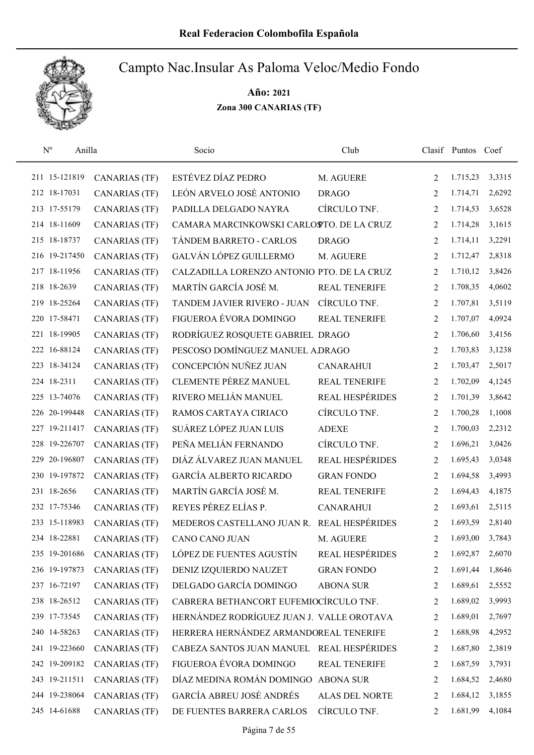

| $N^{o}$<br>Anilla |                      | Socio                                      | Club                   |                | Clasif Puntos Coef |        |
|-------------------|----------------------|--------------------------------------------|------------------------|----------------|--------------------|--------|
| 211 15-121819     | <b>CANARIAS (TF)</b> | ESTÉVEZ DÍAZ PEDRO                         | M. AGUERE              | 2              | 1.715,23           | 3,3315 |
| 212 18-17031      | <b>CANARIAS (TF)</b> | LEÓN ARVELO JOSÉ ANTONIO                   | <b>DRAGO</b>           | $\overline{2}$ | 1.714,71           | 2,6292 |
| 213 17-55179      | <b>CANARIAS (TF)</b> | PADILLA DELGADO NAYRA                      | CÍRCULO TNF.           | 2              | 1.714,53           | 3,6528 |
| 214 18-11609      | <b>CANARIAS (TF)</b> | CAMARA MARCINKOWSKI CARLOSTO. DE LA CRUZ   |                        | 2              | 1.714,28           | 3,1615 |
| 215 18-18737      | <b>CANARIAS (TF)</b> | TÁNDEM BARRETO - CARLOS                    | <b>DRAGO</b>           | 2              | 1.714,11           | 3,2291 |
| 216 19-217450     | <b>CANARIAS (TF)</b> | GALVÁN LÓPEZ GUILLERMO                     | M. AGUERE              | 2              | 1.712,47           | 2,8318 |
| 217 18-11956      | <b>CANARIAS (TF)</b> | CALZADILLA LORENZO ANTONIO PTO. DE LA CRUZ |                        | 2              | 1.710,12           | 3,8426 |
| 218 18-2639       | <b>CANARIAS (TF)</b> | MARTÍN GARCÍA JOSÉ M.                      | <b>REAL TENERIFE</b>   | 2              | 1.708,35           | 4,0602 |
| 219 18-25264      | <b>CANARIAS (TF)</b> | TANDEM JAVIER RIVERO - JUAN                | CÍRCULO TNF.           | 2              | 1.707,81           | 3,5119 |
| 220 17-58471      | <b>CANARIAS (TF)</b> | FIGUEROA ÉVORA DOMINGO                     | <b>REAL TENERIFE</b>   | 2              | 1.707,07           | 4,0924 |
| 221 18-19905      | <b>CANARIAS (TF)</b> | RODRÍGUEZ ROSQUETE GABRIEL DRAGO           |                        | 2              | 1.706,60           | 3,4156 |
| 222 16-88124      | <b>CANARIAS (TF)</b> | PESCOSO DOMÍNGUEZ MANUEL A DRAGO           |                        | 2              | 1.703,83           | 3,1238 |
| 223 18-34124      | <b>CANARIAS (TF)</b> | CONCEPCIÓN NUÑEZ JUAN                      | <b>CANARAHUI</b>       | $\overline{2}$ | 1.703,47           | 2,5017 |
| 224 18-2311       | <b>CANARIAS (TF)</b> | <b>CLEMENTE PÉREZ MANUEL</b>               | REAL TENERIFE          | 2              | 1.702,09           | 4,1245 |
| 225 13-74076      | <b>CANARIAS (TF)</b> | RIVERO MELIÁN MANUEL                       | <b>REAL HESPÉRIDES</b> | $\overline{2}$ | 1.701,39           | 3,8642 |
| 226 20-199448     | <b>CANARIAS (TF)</b> | RAMOS CARTAYA CIRIACO                      | CÍRCULO TNF.           | 2              | 1.700,28           | 1,1008 |
| 227 19-211417     | <b>CANARIAS (TF)</b> | SUÁREZ LÓPEZ JUAN LUIS                     | <b>ADEXE</b>           | 2              | 1.700,03           | 2,2312 |
| 228 19-226707     | <b>CANARIAS (TF)</b> | PEÑA MELIÁN FERNANDO                       | CÍRCULO TNF.           | 2              | 1.696,21           | 3,0426 |
| 229 20-196807     | <b>CANARIAS (TF)</b> | DIÁZ ÁLVAREZ JUAN MANUEL                   | <b>REAL HESPÉRIDES</b> | 2              | 1.695,43           | 3,0348 |
| 230 19-197872     | <b>CANARIAS (TF)</b> | <b>GARCÍA ALBERTO RICARDO</b>              | <b>GRAN FONDO</b>      | 2              | 1.694,58           | 3,4993 |
| 231 18-2656       | <b>CANARIAS (TF)</b> | MARTÍN GARCÍA JOSÉ M.                      | <b>REAL TENERIFE</b>   | 2              | 1.694,43           | 4,1875 |
| 232 17-75346      | <b>CANARIAS (TF)</b> | REYES PÉREZ ELÍAS P.                       | <b>CANARAHUI</b>       | 2              | 1.693,61           | 2,5115 |
| 233 15-118983     | <b>CANARIAS (TF)</b> | MEDEROS CASTELLANO JUAN R.                 | <b>REAL HESPÉRIDES</b> | 2              | 1.693,59           | 2,8140 |
| 234 18-22881      | <b>CANARIAS (TF)</b> | <b>CANO CANO JUAN</b>                      | M. AGUERE              | $\overline{2}$ | 1.693,00           | 3,7843 |
| 235 19-201686     | <b>CANARIAS (TF)</b> | LÓPEZ DE FUENTES AGUSTÍN                   | <b>REAL HESPÉRIDES</b> | 2              | 1.692,87           | 2,6070 |
| 236 19-197873     | <b>CANARIAS (TF)</b> | DENIZ IZQUIERDO NAUZET                     | <b>GRAN FONDO</b>      | 2              | 1.691,44           | 1,8646 |
| 237 16-72197      | <b>CANARIAS (TF)</b> | DELGADO GARCÍA DOMINGO                     | <b>ABONA SUR</b>       | 2              | 1.689,61           | 2,5552 |
| 238 18-26512      | <b>CANARIAS (TF)</b> | CABRERA BETHANCORT EUFEMIOCÍRCULO TNF.     |                        | 2              | 1.689,02           | 3,9993 |
| 239 17-73545      | <b>CANARIAS (TF)</b> | HERNÁNDEZ RODRÍGUEZ JUAN J. VALLE OROTAVA  |                        | 2              | 1.689,01           | 2,7697 |
| 240 14-58263      | <b>CANARIAS (TF)</b> | HERRERA HERNÁNDEZ ARMANDOREAL TENERIFE     |                        | 2              | 1.688,98           | 4,2952 |
| 241 19-223660     | <b>CANARIAS (TF)</b> | CABEZA SANTOS JUAN MANUEL REAL HESPÉRIDES  |                        | 2              | 1.687,80           | 2,3819 |
| 242 19-209182     | <b>CANARIAS (TF)</b> | FIGUEROA ÉVORA DOMINGO                     | <b>REAL TENERIFE</b>   | 2              | 1.687,59           | 3,7931 |
| 243 19-211511     | <b>CANARIAS (TF)</b> | DÍAZ MEDINA ROMÁN DOMINGO                  | <b>ABONA SUR</b>       | 2              | 1.684,52           | 2,4680 |
| 244 19-238064     | <b>CANARIAS (TF)</b> | GARCÍA ABREU JOSÉ ANDRÉS                   | ALAS DEL NORTE         | 2              | 1.684,12           | 3,1855 |
| 245 14-61688      | <b>CANARIAS (TF)</b> | DE FUENTES BARRERA CARLOS                  | CÍRCULO TNF.           | 2              | 1.681,99           | 4,1084 |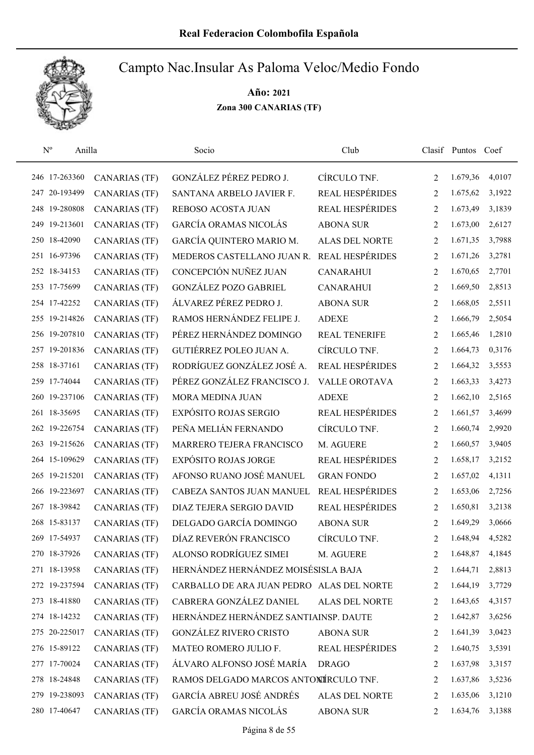

| $\mathbf{N}^{\text{o}}$<br>Anilla |                      | Socio                                     | Club                   |                | Clasif Puntos | Coef   |
|-----------------------------------|----------------------|-------------------------------------------|------------------------|----------------|---------------|--------|
| 246 17-263360                     | <b>CANARIAS (TF)</b> | GONZÁLEZ PÉREZ PEDRO J.                   | CÍRCULO TNF.           | 2              | 1.679,36      | 4,0107 |
| 247 20-193499                     | <b>CANARIAS (TF)</b> | SANTANA ARBELO JAVIER F.                  | <b>REAL HESPÉRIDES</b> | 2              | 1.675,62      | 3,1922 |
| 248 19-280808                     | <b>CANARIAS (TF)</b> | REBOSO ACOSTA JUAN                        | REAL HESPÉRIDES        | 2              | 1.673,49      | 3,1839 |
| 249 19-213601                     | <b>CANARIAS (TF)</b> | <b>GARCÍA ORAMAS NICOLÁS</b>              | <b>ABONA SUR</b>       | 2              | 1.673,00      | 2,6127 |
| 250 18-42090                      | <b>CANARIAS (TF)</b> | GARCÍA QUINTERO MARIO M.                  | <b>ALAS DEL NORTE</b>  | 2              | 1.671,35      | 3,7988 |
| 251 16-97396                      | <b>CANARIAS (TF)</b> | MEDEROS CASTELLANO JUAN R.                | REAL HESPÉRIDES        | 2              | 1.671,26      | 3,2781 |
| 252 18-34153                      | <b>CANARIAS (TF)</b> | CONCEPCIÓN NUÑEZ JUAN                     | <b>CANARAHUI</b>       | 2              | 1.670,65      | 2,7701 |
| 253 17-75699                      | <b>CANARIAS (TF)</b> | <b>GONZÁLEZ POZO GABRIEL</b>              | <b>CANARAHUI</b>       | 2              | 1.669,50      | 2,8513 |
| 254 17-42252                      | <b>CANARIAS (TF)</b> | ÁLVAREZ PÉREZ PEDRO J.                    | <b>ABONA SUR</b>       | 2              | 1.668,05      | 2,5511 |
| 255 19-214826                     | <b>CANARIAS (TF)</b> | RAMOS HERNÁNDEZ FELIPE J.                 | <b>ADEXE</b>           | 2              | 1.666,79      | 2,5054 |
| 256 19-207810                     | <b>CANARIAS (TF)</b> | PÉREZ HERNÁNDEZ DOMINGO                   | <b>REAL TENERIFE</b>   | 2              | 1.665,46      | 1,2810 |
| 257 19-201836                     | <b>CANARIAS (TF)</b> | GUTIÉRREZ POLEO JUAN A.                   | CÍRCULO TNF.           | 2              | 1.664,73      | 0,3176 |
| 258 18-37161                      | <b>CANARIAS (TF)</b> | RODRÍGUEZ GONZÁLEZ JOSÉ A.                | REAL HESPÉRIDES        | 2              | 1.664,32      | 3,5553 |
| 259 17-74044                      | <b>CANARIAS (TF)</b> | PÉREZ GONZÁLEZ FRANCISCO J.               | <b>VALLE OROTAVA</b>   | 2              | 1.663,33      | 3,4273 |
| 260 19-237106                     | <b>CANARIAS (TF)</b> | MORA MEDINA JUAN                          | <b>ADEXE</b>           | $\overline{2}$ | 1.662,10      | 2,5165 |
| 261 18-35695                      | <b>CANARIAS (TF)</b> | EXPÓSITO ROJAS SERGIO                     | REAL HESPÉRIDES        | 2              | 1.661,57      | 3,4699 |
| 262 19-226754                     | <b>CANARIAS (TF)</b> | PEÑA MELIÁN FERNANDO                      | CÍRCULO TNF.           | 2              | 1.660,74      | 2,9920 |
| 263 19-215626                     | <b>CANARIAS (TF)</b> | MARRERO TEJERA FRANCISCO                  | M. AGUERE              | 2              | 1.660,57      | 3,9405 |
| 264 15-109629                     | <b>CANARIAS (TF)</b> | <b>EXPÓSITO ROJAS JORGE</b>               | REAL HESPÉRIDES        | 2              | 1.658,17      | 3,2152 |
| 265 19-215201                     | <b>CANARIAS (TF)</b> | AFONSO RUANO JOSÉ MANUEL                  | <b>GRAN FONDO</b>      | 2              | 1.657,02      | 4,1311 |
| 266 19-223697                     | <b>CANARIAS (TF)</b> | CABEZA SANTOS JUAN MANUEL                 | <b>REAL HESPÉRIDES</b> | 2              | 1.653,06      | 2,7256 |
| 267 18-39842                      | <b>CANARIAS (TF)</b> | DIAZ TEJERA SERGIO DAVID                  | REAL HESPÉRIDES        | 2              | 1.650,81      | 3,2138 |
| 268 15-83137                      | <b>CANARIAS (TF)</b> | DELGADO GARCÍA DOMINGO                    | <b>ABONA SUR</b>       | 2              | 1.649,29      | 3,0666 |
| 269 17-54937                      | <b>CANARIAS (TF)</b> | DÍAZ REVERÓN FRANCISCO                    | CÍRCULO TNF.           | $\overline{2}$ | 1.648,94      | 4,5282 |
| 270 18-37926                      | <b>CANARIAS (TF)</b> | ALONSO RODRÍGUEZ SIMEI                    | M. AGUERE              | 2              | 1.648,87      | 4,1845 |
| 271 18-13958                      | <b>CANARIAS (TF)</b> | HERNÁNDEZ HERNÁNDEZ MOISÉSISLA BAJA       |                        | 2              | 1.644,71      | 2,8813 |
| 272 19-237594                     | CANARIAS (TF)        | CARBALLO DE ARA JUAN PEDRO ALAS DEL NORTE |                        | 2              | 1.644,19      | 3,7729 |
| 273 18-41880                      | <b>CANARIAS (TF)</b> | CABRERA GONZÁLEZ DANIEL                   | ALAS DEL NORTE         | 2              | 1.643,65      | 4,3157 |
| 274 18-14232                      | <b>CANARIAS (TF)</b> | HERNÁNDEZ HERNÁNDEZ SANTIAINSP. DAUTE     |                        | 2              | 1.642,87      | 3,6256 |
| 275 20-225017                     | <b>CANARIAS (TF)</b> | <b>GONZÁLEZ RIVERO CRISTO</b>             | <b>ABONA SUR</b>       | 2              | 1.641,39      | 3,0423 |
| 276 15-89122                      | <b>CANARIAS (TF)</b> | MATEO ROMERO JULIO F.                     | REAL HESPÉRIDES        | 2              | 1.640,75      | 3,5391 |
| 277 17-70024                      | <b>CANARIAS (TF)</b> | ÁLVARO ALFONSO JOSÉ MARÍA                 | <b>DRAGO</b>           | 2              | 1.637,98      | 3,3157 |
| 278 18-24848                      | <b>CANARIAS (TF)</b> | RAMOS DELGADO MARCOS ANTONÍRCULO TNF.     |                        | 2              | 1.637,86      | 3,5236 |
| 279 19-238093                     | <b>CANARIAS (TF)</b> | GARCÍA ABREU JOSÉ ANDRÉS                  | ALAS DEL NORTE         | 2              | 1.635,06      | 3,1210 |
| 280 17-40647                      | <b>CANARIAS (TF)</b> | GARCÍA ORAMAS NICOLÁS                     | <b>ABONA SUR</b>       | 2              | 1.634,76      | 3,1388 |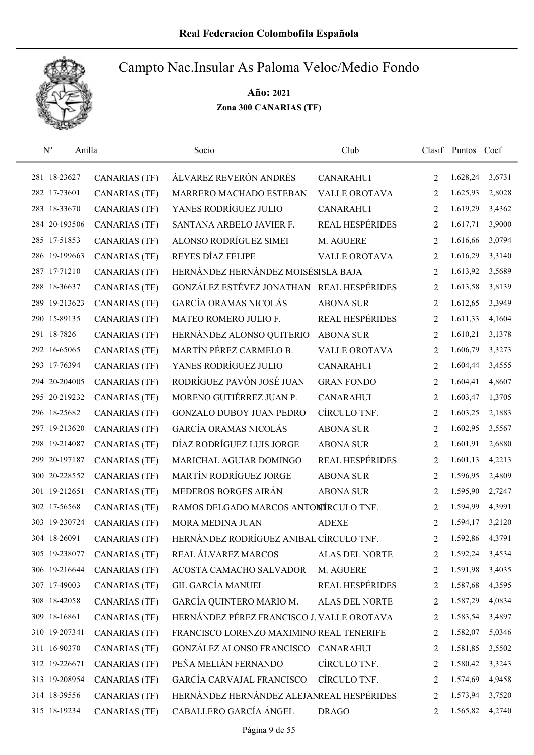

| $\mathbf{N}^{\text{o}}$<br>Anilla |                      | Socio                                      | Club                   |                | Clasif Puntos Coef |        |
|-----------------------------------|----------------------|--------------------------------------------|------------------------|----------------|--------------------|--------|
| 281 18-23627                      | <b>CANARIAS (TF)</b> | ÁLVAREZ REVERÓN ANDRÉS                     | <b>CANARAHUI</b>       | 2              | 1.628,24           | 3,6731 |
| 282 17-73601                      | <b>CANARIAS (TF)</b> | MARRERO MACHADO ESTEBAN                    | <b>VALLE OROTAVA</b>   | 2              | 1.625,93           | 2,8028 |
| 283 18-33670                      | <b>CANARIAS (TF)</b> | YANES RODRÍGUEZ JULIO                      | <b>CANARAHUI</b>       | 2              | 1.619,29           | 3,4362 |
| 284 20-193506                     | <b>CANARIAS</b> (TF) | SANTANA ARBELO JAVIER F.                   | <b>REAL HESPÉRIDES</b> | 2              | 1.617,71           | 3,9000 |
| 285 17-51853                      | <b>CANARIAS (TF)</b> | ALONSO RODRÍGUEZ SIMEI                     | M. AGUERE              | 2              | 1.616,66           | 3,0794 |
| 286 19-199663                     | <b>CANARIAS (TF)</b> | REYES DÍAZ FELIPE                          | <b>VALLE OROTAVA</b>   | 2              | 1.616,29           | 3,3140 |
| 287 17-71210                      | <b>CANARIAS (TF)</b> | HERNÁNDEZ HERNÁNDEZ MOISÉSISLA BAJA        |                        | 2              | 1.613,92           | 3,5689 |
| 288 18-36637                      | <b>CANARIAS (TF)</b> | GONZÁLEZ ESTÉVEZ JONATHAN                  | <b>REAL HESPÉRIDES</b> | 2              | 1.613,58           | 3,8139 |
| 289 19-213623                     | <b>CANARIAS (TF)</b> | GARCÍA ORAMAS NICOLÁS                      | <b>ABONA SUR</b>       | 2              | 1.612,65           | 3,3949 |
| 290 15-89135                      | <b>CANARIAS (TF)</b> | MATEO ROMERO JULIO F.                      | REAL HESPÉRIDES        | 2              | 1.611,33           | 4,1604 |
| 291 18-7826                       | <b>CANARIAS (TF)</b> | HERNÁNDEZ ALONSO QUITERIO                  | <b>ABONA SUR</b>       | 2              | 1.610,21           | 3,1378 |
| 292 16-65065                      | <b>CANARIAS (TF)</b> | MARTÍN PÉREZ CARMELO B.                    | <b>VALLE OROTAVA</b>   | 2              | 1.606,79           | 3,3273 |
| 293 17-76394                      | <b>CANARIAS (TF)</b> | YANES RODRÍGUEZ JULIO                      | <b>CANARAHUI</b>       | 2              | 1.604,44           | 3,4555 |
| 294 20-204005                     | <b>CANARIAS (TF)</b> | RODRÍGUEZ PAVÓN JOSÉ JUAN                  | <b>GRAN FONDO</b>      | 2              | 1.604,41           | 4,8607 |
| 295 20-219232                     | <b>CANARIAS (TF)</b> | MORENO GUTIÉRREZ JUAN P.                   | <b>CANARAHUI</b>       | 2              | 1.603,47           | 1,3705 |
| 296 18-25682                      | <b>CANARIAS (TF)</b> | <b>GONZALO DUBOY JUAN PEDRO</b>            | CÍRCULO TNF.           | 2              | 1.603,25           | 2,1883 |
| 297 19-213620                     | <b>CANARIAS (TF)</b> | GARCÍA ORAMAS NICOLÁS                      | <b>ABONA SUR</b>       | 2              | 1.602,95           | 3,5567 |
| 298 19-214087                     | <b>CANARIAS (TF)</b> | DÍAZ RODRÍGUEZ LUIS JORGE                  | <b>ABONA SUR</b>       | 2              | 1.601,91           | 2,6880 |
| 299 20-197187                     | <b>CANARIAS (TF)</b> | MARICHAL AGUIAR DOMINGO                    | <b>REAL HESPÉRIDES</b> | 2              | 1.601,13           | 4,2213 |
| 300 20-228552                     | <b>CANARIAS (TF)</b> | MARTÍN RODRÍGUEZ JORGE                     | <b>ABONA SUR</b>       | 2              | 1.596,95           | 2,4809 |
| 301 19-212651                     | <b>CANARIAS (TF)</b> | MEDEROS BORGES AIRÁN                       | <b>ABONA SUR</b>       | 2              | 1.595,90           | 2,7247 |
| 302 17-56568                      | <b>CANARIAS (TF)</b> | RAMOS DELGADO MARCOS ANTONÍRCULO TNF.      |                        | 2              | 1.594,99           | 4,3991 |
| 303 19-230724                     | <b>CANARIAS (TF)</b> | MORA MEDINA JUAN                           | <b>ADEXE</b>           | 2              | 1.594,17           | 3,2120 |
| 304 18-26091                      | <b>CANARIAS (TF)</b> | HERNÁNDEZ RODRÍGUEZ ANIBAL CÍRCULO TNF.    |                        | $\overline{2}$ | 1.592,86           | 4,3791 |
| 305 19-238077                     | <b>CANARIAS (TF)</b> | REAL ÁLVAREZ MARCOS                        | ALAS DEL NORTE         | 2              | 1.592,24           | 3,4534 |
| 306 19-216644                     | <b>CANARIAS (TF)</b> | ACOSTA CAMACHO SALVADOR                    | M. AGUERE              | 2              | 1.591,98           | 3,4035 |
| 307 17-49003                      | <b>CANARIAS (TF)</b> | <b>GIL GARCÍA MANUEL</b>                   | <b>REAL HESPÉRIDES</b> | 2              | 1.587,68           | 4,3595 |
| 308 18-42058                      | <b>CANARIAS (TF)</b> | GARCÍA QUINTERO MARIO M.                   | <b>ALAS DEL NORTE</b>  | 2              | 1.587,29           | 4,0834 |
| 309 18-16861                      | <b>CANARIAS (TF)</b> | HERNÁNDEZ PÉREZ FRANCISCO J. VALLE OROTAVA |                        | 2              | 1.583,54           | 3,4897 |
| 310 19-207341                     | <b>CANARIAS (TF)</b> | FRANCISCO LORENZO MAXIMINO REAL TENERIFE   |                        | 2              | 1.582,07           | 5,0346 |
| 311 16-90370                      | <b>CANARIAS (TF)</b> | GONZÁLEZ ALONSO FRANCISCO                  | <b>CANARAHUI</b>       | 2              | 1.581,85           | 3,5502 |
| 312 19-226671                     | <b>CANARIAS (TF)</b> | PEÑA MELIÁN FERNANDO                       | CÍRCULO TNF.           | 2              | 1.580,42           | 3,3243 |
| 313 19-208954                     | <b>CANARIAS (TF)</b> | <b>GARCÍA CARVAJAL FRANCISCO</b>           | CÍRCULO TNF.           | 2              | 1.574,69           | 4,9458 |
| 314 18-39556                      | <b>CANARIAS (TF)</b> | HERNÁNDEZ HERNÁNDEZ ALEJANREAL HESPÉRIDES  |                        | 2              | 1.573,94           | 3,7520 |
| 315 18-19234                      | <b>CANARIAS (TF)</b> | CABALLERO GARCÍA ÁNGEL                     | <b>DRAGO</b>           | 2              | 1.565,82           | 4,2740 |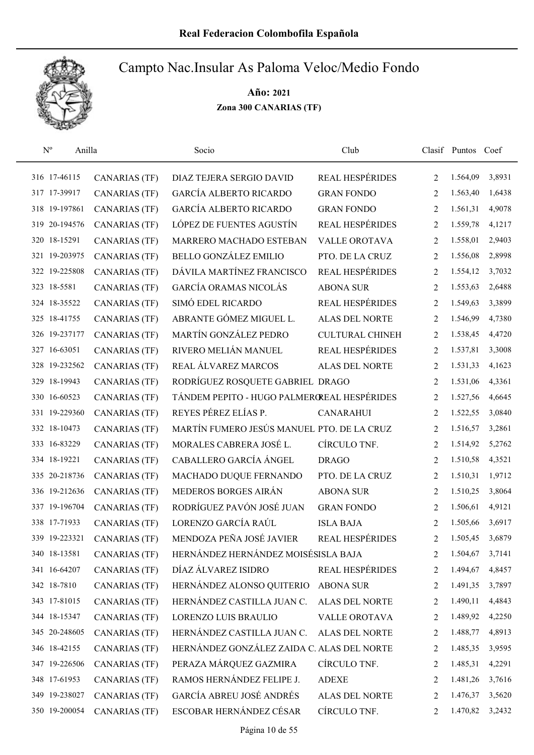

| $\mathbf{N}^{\text{o}}$ | Anilla        |                      | Socio                                       | Club                   |                | Clasif Puntos Coef |        |
|-------------------------|---------------|----------------------|---------------------------------------------|------------------------|----------------|--------------------|--------|
|                         | 316 17-46115  | <b>CANARIAS (TF)</b> | DIAZ TEJERA SERGIO DAVID                    | <b>REAL HESPÉRIDES</b> | $\overline{2}$ | 1.564,09           | 3,8931 |
|                         | 317 17-39917  | <b>CANARIAS (TF)</b> | <b>GARCÍA ALBERTO RICARDO</b>               | <b>GRAN FONDO</b>      | $\overline{2}$ | 1.563,40           | 1,6438 |
|                         | 318 19-197861 | <b>CANARIAS (TF)</b> | <b>GARCÍA ALBERTO RICARDO</b>               | <b>GRAN FONDO</b>      | 2              | 1.561,31           | 4,9078 |
|                         | 319 20-194576 | CANARIAS (TF)        | LÓPEZ DE FUENTES AGUSTÍN                    | <b>REAL HESPÉRIDES</b> | 2              | 1.559,78           | 4,1217 |
|                         | 320 18-15291  | <b>CANARIAS (TF)</b> | MARRERO MACHADO ESTEBAN                     | <b>VALLE OROTAVA</b>   | 2              | 1.558,01           | 2,9403 |
|                         | 321 19-203975 | <b>CANARIAS (TF)</b> | BELLO GONZÁLEZ EMILIO                       | PTO. DE LA CRUZ        | 2              | 1.556,08           | 2,8998 |
|                         | 322 19-225808 | <b>CANARIAS (TF)</b> | DÁVILA MARTÍNEZ FRANCISCO                   | REAL HESPÉRIDES        | 2              | 1.554,12           | 3,7032 |
|                         | 323 18-5581   | <b>CANARIAS (TF)</b> | GARCÍA ORAMAS NICOLÁS                       | <b>ABONA SUR</b>       | 2              | 1.553,63           | 2,6488 |
|                         | 324 18-35522  | <b>CANARIAS (TF)</b> | SIMÓ EDEL RICARDO                           | <b>REAL HESPÉRIDES</b> | 2              | 1.549,63           | 3,3899 |
|                         | 325 18-41755  | <b>CANARIAS (TF)</b> | ABRANTE GÓMEZ MIGUEL L.                     | <b>ALAS DEL NORTE</b>  | 2              | 1.546,99           | 4,7380 |
|                         | 326 19-237177 | <b>CANARIAS (TF)</b> | MARTÍN GONZÁLEZ PEDRO                       | <b>CULTURAL CHINEH</b> | 2              | 1.538,45           | 4,4720 |
|                         | 327 16-63051  | <b>CANARIAS (TF)</b> | RIVERO MELIÁN MANUEL                        | <b>REAL HESPÉRIDES</b> | 2              | 1.537,81           | 3,3008 |
|                         | 328 19-232562 | <b>CANARIAS (TF)</b> | REAL ÁLVAREZ MARCOS                         | <b>ALAS DEL NORTE</b>  | 2              | 1.531,33           | 4,1623 |
|                         | 329 18-19943  | <b>CANARIAS (TF)</b> | RODRÍGUEZ ROSQUETE GABRIEL DRAGO            |                        | 2              | 1.531,06           | 4,3361 |
|                         | 330 16-60523  | <b>CANARIAS (TF)</b> | TÁNDEM PEPITO - HUGO PALMEROREAL HESPÉRIDES |                        | $\overline{2}$ | 1.527,56           | 4,6645 |
|                         | 331 19-229360 | <b>CANARIAS (TF)</b> | REYES PÉREZ ELÍAS P.                        | <b>CANARAHUI</b>       | 2              | 1.522,55           | 3,0840 |
|                         | 332 18-10473  | <b>CANARIAS (TF)</b> | MARTÍN FUMERO JESÚS MANUEL PTO. DE LA CRUZ  |                        | 2              | 1.516,57           | 3,2861 |
|                         | 333 16-83229  | <b>CANARIAS (TF)</b> | MORALES CABRERA JOSÉ L.                     | CÍRCULO TNF.           | 2              | 1.514,92           | 5,2762 |
|                         | 334 18-19221  | <b>CANARIAS (TF)</b> | CABALLERO GARCÍA ÁNGEL                      | <b>DRAGO</b>           | 2              | 1.510,58           | 4,3521 |
|                         | 335 20-218736 | <b>CANARIAS (TF)</b> | MACHADO DUQUE FERNANDO                      | PTO. DE LA CRUZ        | 2              | 1.510,31           | 1,9712 |
|                         | 336 19-212636 | <b>CANARIAS (TF)</b> | MEDEROS BORGES AIRÁN                        | <b>ABONA SUR</b>       | 2              | 1.510,25           | 3,8064 |
|                         | 337 19-196704 | <b>CANARIAS (TF)</b> | RODRÍGUEZ PAVÓN JOSÉ JUAN                   | <b>GRAN FONDO</b>      | 2              | 1.506,61           | 4,9121 |
|                         | 338 17-71933  | <b>CANARIAS (TF)</b> | LORENZO GARCÍA RAÚL                         | <b>ISLA BAJA</b>       | 2              | 1.505,66           | 3,6917 |
|                         | 339 19-223321 | <b>CANARIAS (TF)</b> | MENDOZA PEÑA JOSÉ JAVIER                    | <b>REAL HESPÉRIDES</b> | 2              | 1.505,45           | 3,6879 |
|                         | 340 18-13581  | <b>CANARIAS (TF)</b> | HERNÁNDEZ HERNÁNDEZ MOISÉSISLA BAJA         |                        | 2              | 1.504,67           | 3,7141 |
|                         | 341 16-64207  | <b>CANARIAS (TF)</b> | DÍAZ ÁLVAREZ ISIDRO                         | <b>REAL HESPÉRIDES</b> | 2              | 1.494,67           | 4,8457 |
|                         | 342 18-7810   | <b>CANARIAS (TF)</b> | HERNÁNDEZ ALONSO QUITERIO                   | <b>ABONA SUR</b>       | 2              | 1.491,35           | 3,7897 |
|                         | 343 17-81015  | <b>CANARIAS (TF)</b> | HERNÁNDEZ CASTILLA JUAN C.                  | <b>ALAS DEL NORTE</b>  | 2              | 1.490,11           | 4,4843 |
|                         | 344 18-15347  | <b>CANARIAS (TF)</b> | LORENZO LUIS BRAULIO                        | VALLE OROTAVA          | 2              | 1.489,92           | 4,2250 |
|                         | 345 20-248605 | <b>CANARIAS (TF)</b> | HERNÁNDEZ CASTILLA JUAN C.                  | <b>ALAS DEL NORTE</b>  | 2              | 1.488,77           | 4,8913 |
|                         | 346 18-42155  | <b>CANARIAS (TF)</b> | HERNÁNDEZ GONZÁLEZ ZAIDA C. ALAS DEL NORTE  |                        | 2              | 1.485,35           | 3,9595 |
|                         | 347 19-226506 | <b>CANARIAS (TF)</b> | PERAZA MÁRQUEZ GAZMIRA                      | CÍRCULO TNF.           | 2              | 1.485,31           | 4,2291 |
|                         | 348 17-61953  | <b>CANARIAS (TF)</b> | RAMOS HERNÁNDEZ FELIPE J.                   | <b>ADEXE</b>           | 2              | 1.481,26           | 3,7616 |
|                         | 349 19-238027 | <b>CANARIAS (TF)</b> | GARCÍA ABREU JOSÉ ANDRÉS                    | <b>ALAS DEL NORTE</b>  | 2              | 1.476,37           | 3,5620 |
|                         | 350 19-200054 | <b>CANARIAS (TF)</b> | ESCOBAR HERNÁNDEZ CÉSAR                     | CÍRCULO TNF.           | 2              | 1.470,82           | 3,2432 |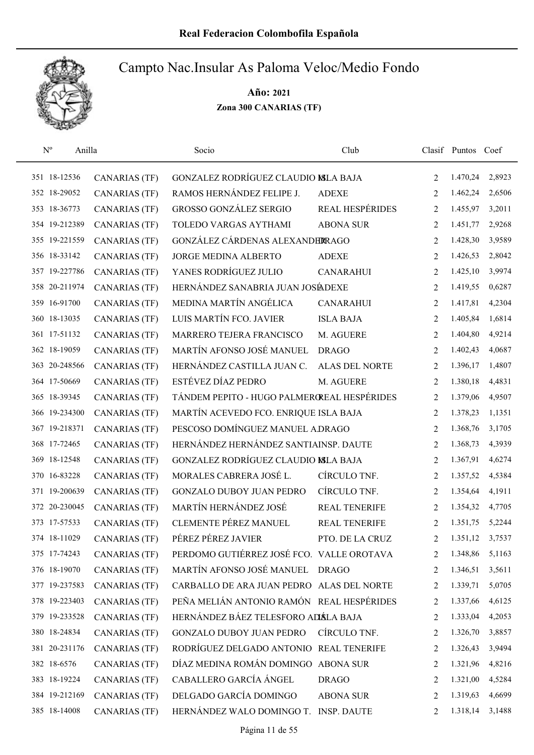

| $N^{o}$      | Anilla        |                      | Socio                                       | Club                 |                | Clasif Puntos Coef |        |
|--------------|---------------|----------------------|---------------------------------------------|----------------------|----------------|--------------------|--------|
| 351 18-12536 |               | <b>CANARIAS (TF)</b> | GONZALEZ RODRÍGUEZ CLAUDIO MLA BAJA         |                      | 2              | 1.470,24           | 2,8923 |
|              | 352 18-29052  | <b>CANARIAS (TF)</b> | RAMOS HERNÁNDEZ FELIPE J.                   | <b>ADEXE</b>         | $\overline{2}$ | 1.462,24           | 2,6506 |
| 353 18-36773 |               | <b>CANARIAS (TF)</b> | GROSSO GONZÁLEZ SERGIO                      | REAL HESPÉRIDES      | 2              | 1.455,97           | 3,2011 |
|              | 354 19-212389 | <b>CANARIAS (TF)</b> | TOLEDO VARGAS AYTHAMI                       | <b>ABONA SUR</b>     | 2              | 1.451,77           | 2,9268 |
|              | 355 19-221559 | <b>CANARIAS (TF)</b> | GONZÁLEZ CÁRDENAS ALEXANDERRAGO             |                      | 2              | 1.428,30           | 3,9589 |
| 356 18-33142 |               | <b>CANARIAS (TF)</b> | JORGE MEDINA ALBERTO                        | <b>ADEXE</b>         | 2              | 1.426,53           | 2,8042 |
|              | 357 19-227786 | <b>CANARIAS (TF)</b> | YANES RODRÍGUEZ JULIO                       | <b>CANARAHUI</b>     | 2              | 1.425,10           | 3,9974 |
|              | 358 20-211974 | <b>CANARIAS (TF)</b> | HERNÁNDEZ SANABRIA JUAN JOSÉADEXE           |                      | 2              | 1.419,55           | 0,6287 |
|              | 359 16-91700  | <b>CANARIAS (TF)</b> | MEDINA MARTÍN ANGÉLICA                      | <b>CANARAHUI</b>     | 2              | 1.417,81           | 4,2304 |
|              | 360 18-13035  | <b>CANARIAS (TF)</b> | LUIS MARTÍN FCO. JAVIER                     | <b>ISLA BAJA</b>     | 2              | 1.405,84           | 1,6814 |
|              | 361 17-51132  | <b>CANARIAS (TF)</b> | MARRERO TEJERA FRANCISCO                    | M. AGUERE            | 2              | 1.404,80           | 4,9214 |
|              | 362 18-19059  | <b>CANARIAS (TF)</b> | MARTÍN AFONSO JOSÉ MANUEL                   | <b>DRAGO</b>         | 2              | 1.402,43           | 4,0687 |
|              | 363 20-248566 | <b>CANARIAS (TF)</b> | HERNÁNDEZ CASTILLA JUAN C.                  | ALAS DEL NORTE       | $\overline{2}$ | 1.396,17           | 1,4807 |
| 364 17-50669 |               | <b>CANARIAS (TF)</b> | ESTÉVEZ DÍAZ PEDRO                          | M. AGUERE            | 2              | 1.380,18           | 4,4831 |
|              | 365 18-39345  | <b>CANARIAS (TF)</b> | TÁNDEM PEPITO - HUGO PALMEROREAL HESPÉRIDES |                      | 2              | 1.379,06           | 4,9507 |
|              | 366 19-234300 | <b>CANARIAS (TF)</b> | MARTÍN ACEVEDO FCO. ENRIQUE ISLA BAJA       |                      | 2              | 1.378,23           | 1,1351 |
|              | 367 19-218371 | <b>CANARIAS (TF)</b> | PESCOSO DOMÍNGUEZ MANUEL A.DRAGO            |                      | 2              | 1.368,76           | 3,1705 |
|              | 368 17-72465  | <b>CANARIAS (TF)</b> | HERNÁNDEZ HERNÁNDEZ SANTIAINSP. DAUTE       |                      | 2              | 1.368,73           | 4,3939 |
|              | 369 18-12548  | <b>CANARIAS (TF)</b> | GONZALEZ RODRÍGUEZ CLAUDIO MLA BAJA         |                      | 2              | 1.367,91           | 4,6274 |
|              | 370 16-83228  | <b>CANARIAS (TF)</b> | MORALES CABRERA JOSÉ L.                     | CÍRCULO TNF.         | 2              | 1.357,52           | 4,5384 |
|              | 371 19-200639 | <b>CANARIAS (TF)</b> | <b>GONZALO DUBOY JUAN PEDRO</b>             | CÍRCULO TNF.         | 2              | 1.354,64           | 4,1911 |
|              | 372 20-230045 | <b>CANARIAS (TF)</b> | MARTÍN HERNÁNDEZ JOSÉ                       | REAL TENERIFE        | 2              | 1.354,32           | 4,7705 |
| 373 17-57533 |               | <b>CANARIAS (TF)</b> | <b>CLEMENTE PÉREZ MANUEL</b>                | <b>REAL TENERIFE</b> | 2              | 1.351,75           | 5,2244 |
| 374 18-11029 |               | <b>CANARIAS (TF)</b> | PÉREZ PÉREZ JAVIER                          | PTO. DE LA CRUZ      | $\overline{2}$ | 1.351,12           | 3,7537 |
| 375 17-74243 |               | <b>CANARIAS (TF)</b> | PERDOMO GUTIÉRREZ JOSÉ FCO. VALLE OROTAVA   |                      | 2              | 1.348,86           | 5,1163 |
|              | 376 18-19070  | <b>CANARIAS (TF)</b> | MARTÍN AFONSO JOSÉ MANUEL DRAGO             |                      | 2              | 1.346,51           | 3,5611 |
|              | 377 19-237583 | CANARIAS (TF)        | CARBALLO DE ARA JUAN PEDRO ALAS DEL NORTE   |                      | 2              | 1.339,71           | 5,0705 |
|              | 378 19-223403 | <b>CANARIAS (TF)</b> | PEÑA MELIÁN ANTONIO RAMÓN REAL HESPÉRIDES   |                      | 2              | 1.337,66           | 4,6125 |
|              | 379 19-233528 | <b>CANARIAS (TF)</b> | HERNÁNDEZ BÁEZ TELESFORO ADÁLA BAJA         |                      | 2              | 1.333,04           | 4,2053 |
|              | 380 18-24834  | <b>CANARIAS (TF)</b> | <b>GONZALO DUBOY JUAN PEDRO</b>             | CÍRCULO TNF.         | 2              | 1.326,70           | 3,8857 |
|              | 381 20-231176 | <b>CANARIAS (TF)</b> | RODRÍGUEZ DELGADO ANTONIO REAL TENERIFE     |                      | 2              | 1.326,43           | 3,9494 |
| 382 18-6576  |               | <b>CANARIAS (TF)</b> | DÍAZ MEDINA ROMÁN DOMINGO ABONA SUR         |                      | 2              | 1.321,96           | 4,8216 |
|              | 383 18-19224  | <b>CANARIAS (TF)</b> | CABALLERO GARCÍA ÁNGEL                      | <b>DRAGO</b>         | 2              | 1.321,00           | 4,5284 |
|              | 384 19-212169 | <b>CANARIAS (TF)</b> | DELGADO GARCÍA DOMINGO                      | <b>ABONA SUR</b>     | 2              | 1.319,63           | 4,6699 |
|              | 385 18-14008  | <b>CANARIAS (TF)</b> | HERNÁNDEZ WALO DOMINGO T. INSP. DAUTE       |                      | 2              | 1.318,14           | 3,1488 |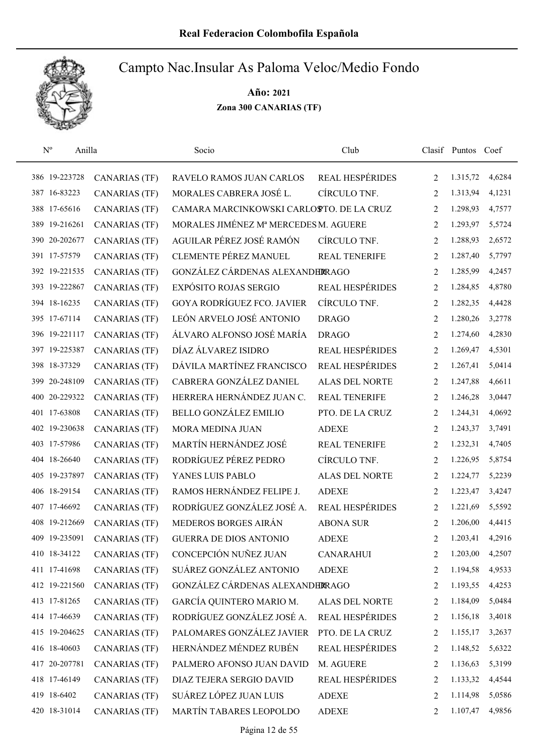

| $\rm N^o$<br>Anilla |                      | Socio                                    | Club                   |                | Clasif Puntos Coef |        |
|---------------------|----------------------|------------------------------------------|------------------------|----------------|--------------------|--------|
| 386 19-223728       | <b>CANARIAS (TF)</b> | RAVELO RAMOS JUAN CARLOS                 | <b>REAL HESPÉRIDES</b> | 2              | 1.315,72           | 4,6284 |
| 387 16-83223        | <b>CANARIAS (TF)</b> | MORALES CABRERA JOSÉ L.                  | CÍRCULO TNF.           | $\overline{2}$ | 1.313,94           | 4,1231 |
| 388 17-65616        | <b>CANARIAS (TF)</b> | CAMARA MARCINKOWSKI CARLOSTO. DE LA CRUZ |                        | 2              | 1.298,93           | 4,7577 |
| 389 19-216261       | <b>CANARIAS (TF)</b> | MORALES JIMÉNEZ Mª MERCEDES M. AGUERE    |                        | 2              | 1.293,97           | 5,5724 |
| 390 20-202677       | <b>CANARIAS (TF)</b> | AGUILAR PÉREZ JOSÉ RAMÓN                 | CÍRCULO TNF.           | 2              | 1.288,93           | 2,6572 |
| 391 17-57579        | <b>CANARIAS (TF)</b> | <b>CLEMENTE PÉREZ MANUEL</b>             | <b>REAL TENERIFE</b>   | 2              | 1.287,40           | 5,7797 |
| 392 19-221535       | <b>CANARIAS (TF)</b> | GONZÁLEZ CÁRDENAS ALEXANDERRAGO          |                        | 2              | 1.285,99           | 4,2457 |
| 393 19-222867       | <b>CANARIAS (TF)</b> | <b>EXPÓSITO ROJAS SERGIO</b>             | <b>REAL HESPÉRIDES</b> | 2              | 1.284,85           | 4,8780 |
| 394 18-16235        | <b>CANARIAS (TF)</b> | <b>GOYA RODRÍGUEZ FCO. JAVIER</b>        | CÍRCULO TNF.           | 2              | 1.282,35           | 4,4428 |
| 395 17-67114        | <b>CANARIAS (TF)</b> | LEÓN ARVELO JOSÉ ANTONIO                 | <b>DRAGO</b>           | 2              | 1.280,26           | 3,2778 |
| 396 19-221117       | <b>CANARIAS (TF)</b> | ÁLVARO ALFONSO JOSÉ MARÍA                | <b>DRAGO</b>           | 2              | 1.274,60           | 4,2830 |
| 397 19-225387       | <b>CANARIAS (TF)</b> | DÍAZ ÁLVAREZ ISIDRO                      | <b>REAL HESPÉRIDES</b> | 2              | 1.269,47           | 4,5301 |
| 398 18-37329        | <b>CANARIAS (TF)</b> | DÁVILA MARTÍNEZ FRANCISCO                | <b>REAL HESPÉRIDES</b> | $\overline{2}$ | 1.267,41           | 5,0414 |
| 399 20-248109       | <b>CANARIAS (TF)</b> | CABRERA GONZÁLEZ DANIEL                  | <b>ALAS DEL NORTE</b>  | 2              | 1.247,88           | 4,6611 |
| 400 20-229322       | <b>CANARIAS (TF)</b> | HERRERA HERNÁNDEZ JUAN C.                | <b>REAL TENERIFE</b>   | $\overline{2}$ | 1.246,28           | 3,0447 |
| 401 17-63808        | <b>CANARIAS (TF)</b> | <b>BELLO GONZÁLEZ EMILIO</b>             | PTO. DE LA CRUZ        | 2              | 1.244,31           | 4,0692 |
| 402 19-230638       | <b>CANARIAS (TF)</b> | MORA MEDINA JUAN                         | <b>ADEXE</b>           | 2              | 1.243,37           | 3,7491 |
| 403 17-57986        | <b>CANARIAS (TF)</b> | MARTÍN HERNÁNDEZ JOSÉ                    | <b>REAL TENERIFE</b>   | 2              | 1.232,31           | 4,7405 |
| 404 18-26640        | <b>CANARIAS (TF)</b> | RODRÍGUEZ PÉREZ PEDRO                    | CÍRCULO TNF.           | 2              | 1.226,95           | 5,8754 |
| 405 19-237897       | <b>CANARIAS (TF)</b> | YANES LUIS PABLO                         | <b>ALAS DEL NORTE</b>  | 2              | 1.224,77           | 5,2239 |
| 406 18-29154        | <b>CANARIAS (TF)</b> | RAMOS HERNÁNDEZ FELIPE J.                | <b>ADEXE</b>           | 2              | 1.223,47           | 3,4247 |
| 407 17-46692        | <b>CANARIAS (TF)</b> | RODRÍGUEZ GONZÁLEZ JOSÉ A.               | <b>REAL HESPÉRIDES</b> | 2              | 1.221,69           | 5,5592 |
| 408 19-212669       | <b>CANARIAS (TF)</b> | MEDEROS BORGES AIRÁN                     | <b>ABONA SUR</b>       | 2              | 1.206,00           | 4,4415 |
| 409 19-235091       | <b>CANARIAS (TF)</b> | <b>GUERRA DE DIOS ANTONIO</b>            | <b>ADEXE</b>           | 2              | 1.203,41           | 4,2916 |
| 410 18-34122        | <b>CANARIAS (TF)</b> | CONCEPCIÓN NUÑEZ JUAN                    | <b>CANARAHUI</b>       | 2              | 1.203,00           | 4,2507 |
| 411 17-41698        | <b>CANARIAS (TF)</b> | SUÁREZ GONZÁLEZ ANTONIO                  | <b>ADEXE</b>           | 2              | 1.194,58           | 4,9533 |
| 412 19-221560       | <b>CANARIAS (TF)</b> | GONZÁLEZ CÁRDENAS ALEXANDERRAGO          |                        | 2              | 1.193,55           | 4,4253 |
| 413 17-81265        | <b>CANARIAS (TF)</b> | GARCÍA QUINTERO MARIO M.                 | ALAS DEL NORTE         | 2              | 1.184,09           | 5,0484 |
| 414 17-46639        | <b>CANARIAS (TF)</b> | RODRÍGUEZ GONZÁLEZ JOSÉ A.               | <b>REAL HESPÉRIDES</b> | 2              | 1.156,18           | 3,4018 |
| 415 19-204625       | <b>CANARIAS (TF)</b> | PALOMARES GONZÁLEZ JAVIER                | PTO. DE LA CRUZ        | 2              | 1.155,17           | 3,2637 |
| 416 18-40603        | <b>CANARIAS (TF)</b> | HERNÁNDEZ MÉNDEZ RUBÉN                   | <b>REAL HESPÉRIDES</b> | 2              | 1.148,52           | 5,6322 |
| 417 20-207781       | <b>CANARIAS (TF)</b> | PALMERO AFONSO JUAN DAVID                | M. AGUERE              | 2              | 1.136,63           | 5,3199 |
| 418 17-46149        | <b>CANARIAS (TF)</b> | DIAZ TEJERA SERGIO DAVID                 | <b>REAL HESPÉRIDES</b> | 2              | 1.133,32           | 4,4544 |
| 419 18-6402         | <b>CANARIAS (TF)</b> | SUÁREZ LÓPEZ JUAN LUIS                   | <b>ADEXE</b>           | 2              | 1.114,98           | 5,0586 |
| 420 18-31014        | <b>CANARIAS (TF)</b> | MARTÍN TABARES LEOPOLDO                  | <b>ADEXE</b>           | 2              | 1.107,47           | 4,9856 |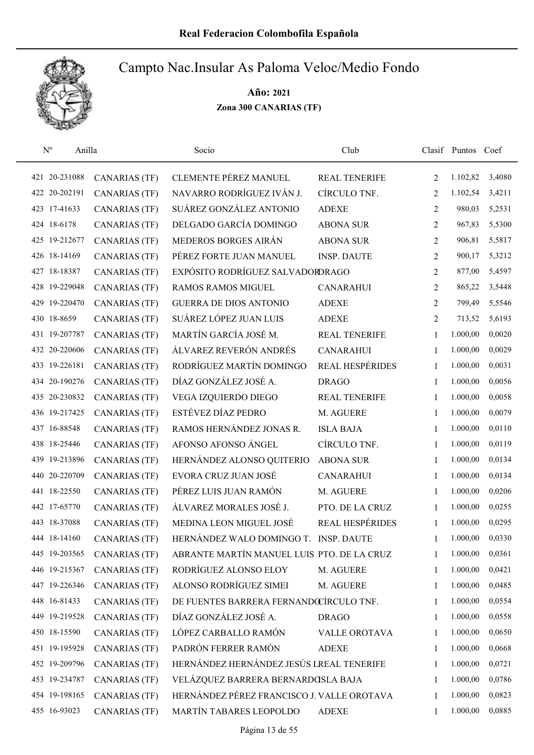

| $N^{\rm o}$<br>Anilla |                      | Socio                                      | Club                   |                | Clasif Puntos Coef |        |
|-----------------------|----------------------|--------------------------------------------|------------------------|----------------|--------------------|--------|
| 421 20-231088         | <b>CANARIAS (TF)</b> | <b>CLEMENTE PÉREZ MANUEL</b>               | <b>REAL TENERIFE</b>   | 2              | 1.102,82           | 3,4080 |
| 422 20-202191         | <b>CANARIAS (TF)</b> | NAVARRO RODRÍGUEZ IVÁN J.                  | CÍRCULO TNF.           | $\overline{2}$ | 1.102,54           | 3,4211 |
| 423 17-41633          | <b>CANARIAS (TF)</b> | SUÁREZ GONZÁLEZ ANTONIO                    | <b>ADEXE</b>           | 2              | 980,03             | 5,2531 |
| 424 18-6178           | <b>CANARIAS (TF)</b> | DELGADO GARCÍA DOMINGO                     | <b>ABONA SUR</b>       | 2              | 967,83             | 5,5300 |
| 425 19-212677         | <b>CANARIAS (TF)</b> | MEDEROS BORGES AIRÁN                       | <b>ABONA SUR</b>       | 2              | 906,81             | 5,5817 |
| 426 18-14169          | <b>CANARIAS (TF)</b> | PÉREZ FORTE JUAN MANUEL                    | <b>INSP. DAUTE</b>     | 2              | 900,17             | 5,3212 |
| 427 18-18387          | <b>CANARIAS (TF)</b> | EXPÓSITO RODRÍGUEZ SALVADORDRAGO           |                        | 2              | 877,00             | 5,4597 |
| 428 19-229048         | <b>CANARIAS (TF)</b> | <b>RAMOS RAMOS MIGUEL</b>                  | <b>CANARAHUI</b>       | 2              | 865,22             | 3,5448 |
| 429 19-220470         | <b>CANARIAS (TF)</b> | <b>GUERRA DE DIOS ANTONIO</b>              | <b>ADEXE</b>           | 2              | 799,49             | 5,5546 |
| 430 18-8659           | <b>CANARIAS (TF)</b> | SUÁREZ LÓPEZ JUAN LUIS                     | <b>ADEXE</b>           | 2              | 713,52             | 5,6193 |
| 431 19-207787         | <b>CANARIAS (TF)</b> | MARTÍN GARCÍA JOSÉ M.                      | <b>REAL TENERIFE</b>   | 1              | 1.000,00           | 0,0020 |
| 432 20-220606         | <b>CANARIAS (TF)</b> | ÁLVAREZ REVERÓN ANDRÉS                     | <b>CANARAHUI</b>       | 1              | 1.000,00           | 0,0029 |
| 433 19-226181         | <b>CANARIAS (TF)</b> | RODRÍGUEZ MARTÍN DOMINGO                   | <b>REAL HESPÉRIDES</b> | 1              | 1.000,00           | 0,0031 |
| 434 20-190276         | <b>CANARIAS (TF)</b> | DÍAZ GONZÁLEZ JOSÉ A.                      | <b>DRAGO</b>           | 1              | 1.000,00           | 0,0056 |
| 435 20-230832         | <b>CANARIAS (TF)</b> | VEGA IZQUIERDO DIEGO                       | <b>REAL TENERIFE</b>   | 1              | 1.000,00           | 0,0058 |
| 436 19-217425         | <b>CANARIAS (TF)</b> | ESTÉVEZ DÍAZ PEDRO                         | M. AGUERE              | 1              | 1.000,00           | 0,0079 |
| 437 16-88548          | <b>CANARIAS (TF)</b> | RAMOS HERNÁNDEZ JONAS R.                   | <b>ISLA BAJA</b>       | $\mathbf{1}$   | 1.000,00           | 0,0110 |
| 438 18-25446          | <b>CANARIAS (TF)</b> | AFONSO AFONSO ÁNGEL                        | CÍRCULO TNF.           | 1              | 1.000,00           | 0,0119 |
| 439 19-213896         | <b>CANARIAS (TF)</b> | HERNÁNDEZ ALONSO QUITERIO                  | <b>ABONA SUR</b>       | $\mathbf{1}$   | 1.000,00           | 0,0134 |
| 440 20-220709         | <b>CANARIAS (TF)</b> | EVORA CRUZ JUAN JOSÉ                       | <b>CANARAHUI</b>       | $\mathbf{1}$   | 1.000,00           | 0,0134 |
| 441 18-22550          | <b>CANARIAS (TF)</b> | PÉREZ LUIS JUAN RAMÓN                      | M. AGUERE              | 1              | 1.000,00           | 0,0206 |
| 442 17-65770          | <b>CANARIAS (TF)</b> | ÁLVAREZ MORALES JOSÉ J.                    | PTO. DE LA CRUZ        | 1              | 1.000,00           | 0,0255 |
| 443 18-37088          | <b>CANARIAS (TF)</b> | MEDINA LEON MIGUEL JOSÉ                    | REAL HESPÉRIDES        | 1              | 1.000,00           | 0,0295 |
| 444 18-14160          | <b>CANARIAS (TF)</b> | HERNÁNDEZ WALO DOMINGO T.                  | <b>INSP. DAUTE</b>     | 1              | 1.000,00           | 0,0330 |
| 445 19-203565         | <b>CANARIAS (TF)</b> | ABRANTE MARTÍN MANUEL LUIS PTO. DE LA CRUZ |                        | 1              | 1.000,00           | 0,0361 |
| 446 19-215367         | <b>CANARIAS (TF)</b> | RODRÍGUEZ ALONSO ELOY                      | M. AGUERE              | 1              | 1.000,00           | 0,0421 |
| 447 19-226346         | CANARIAS (TF)        | ALONSO RODRÍGUEZ SIMEI                     | M. AGUERE              | 1              | 1.000,00           | 0,0485 |
| 448 16-81433          | <b>CANARIAS (TF)</b> | DE FUENTES BARRERA FERNANDOCÍRCULO TNF.    |                        | 1              | 1.000,00           | 0,0554 |
| 449 19-219528         | <b>CANARIAS (TF)</b> | DÍAZ GONZÁLEZ JOSÉ A.                      | <b>DRAGO</b>           | 1              | 1.000,00           | 0,0558 |
| 450 18-15590          | <b>CANARIAS (TF)</b> | LÓPEZ CARBALLO RAMÓN                       | VALLE OROTAVA          | 1              | 1.000,00           | 0,0650 |
| 451 19-195928         | <b>CANARIAS (TF)</b> | PADRÓN FERRER RAMÓN                        | <b>ADEXE</b>           | 1              | 1.000,00           | 0,0668 |
| 452 19-209796         | <b>CANARIAS (TF)</b> | HERNÁNDEZ HERNÁNDEZ JESÚS LREAL TENERIFE   |                        | 1              | 1.000,00           | 0,0721 |
| 453 19-234787         | <b>CANARIAS (TF)</b> | VELÁZQUEZ BARRERA BERNARDOSLA BAJA         |                        | 1              | 1.000,00           | 0,0786 |
| 454 19-198165         | <b>CANARIAS (TF)</b> | HERNÁNDEZ PÉREZ FRANCISCO J. VALLE OROTAVA |                        | 1              | 1.000,00           | 0,0823 |
| 455 16-93023          | <b>CANARIAS (TF)</b> | MARTÍN TABARES LEOPOLDO                    | <b>ADEXE</b>           | 1              | 1.000,00           | 0,0885 |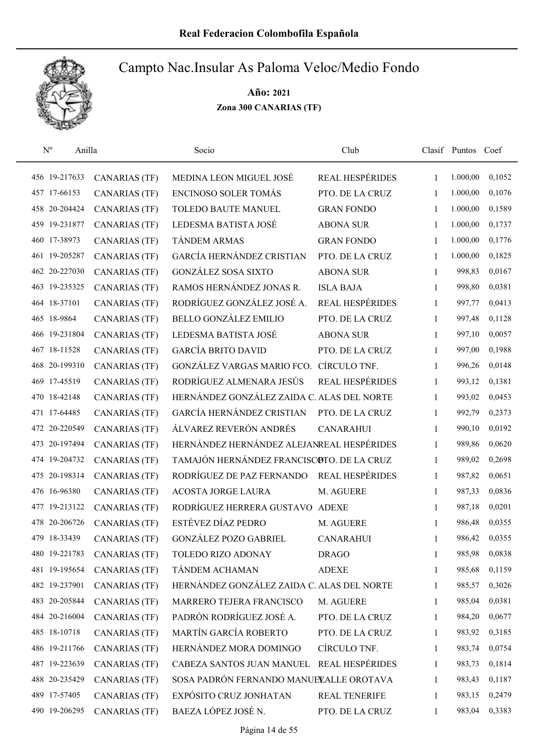

| $\mathbf{N}^{\text{o}}$ | Anilla        |                      | Socio                                      | Club                   |              | Clasif Puntos Coef |        |
|-------------------------|---------------|----------------------|--------------------------------------------|------------------------|--------------|--------------------|--------|
|                         | 456 19-217633 | <b>CANARIAS (TF)</b> | MEDINA LEON MIGUEL JOSÉ                    | <b>REAL HESPÉRIDES</b> | 1            | 1.000,00           | 0,1052 |
|                         | 457 17-66153  | <b>CANARIAS (TF)</b> | ENCINOSO SOLER TOMÁS                       | PTO. DE LA CRUZ        | 1            | 1.000,00           | 0,1076 |
|                         | 458 20-204424 | <b>CANARIAS (TF)</b> | TOLEDO BAUTE MANUEL                        | <b>GRAN FONDO</b>      | 1            | 1.000,00           | 0,1589 |
|                         | 459 19-231877 | <b>CANARIAS (TF)</b> | LEDESMA BATISTA JOSÉ                       | <b>ABONA SUR</b>       | 1            | 1.000,00           | 0,1737 |
|                         | 460 17-38973  | <b>CANARIAS (TF)</b> | TÁNDEM ARMAS                               | <b>GRAN FONDO</b>      | 1            | 1.000,00           | 0,1776 |
|                         | 461 19-205287 | <b>CANARIAS (TF)</b> | GARCÍA HERNÁNDEZ CRISTIAN                  | PTO. DE LA CRUZ        | 1            | 1.000,00           | 0,1825 |
|                         | 462 20-227030 | <b>CANARIAS (TF)</b> | <b>GONZÁLEZ SOSA SIXTO</b>                 | <b>ABONA SUR</b>       | 1            | 998,83             | 0,0167 |
|                         | 463 19-235325 | <b>CANARIAS (TF)</b> | RAMOS HERNÁNDEZ JONAS R.                   | <b>ISLA BAJA</b>       | 1            | 998,80             | 0,0381 |
|                         | 464 18-37101  | <b>CANARIAS (TF)</b> | RODRÍGUEZ GONZÁLEZ JOSÉ A.                 | <b>REAL HESPÉRIDES</b> | 1            | 997,77             | 0,0413 |
|                         | 465 18-9864   | <b>CANARIAS (TF)</b> | <b>BELLO GONZÁLEZ EMILIO</b>               | PTO. DE LA CRUZ        | 1            | 997,48             | 0,1128 |
|                         | 466 19-231804 | <b>CANARIAS (TF)</b> | LEDESMA BATISTA JOSÉ                       | <b>ABONA SUR</b>       | 1            | 997,10             | 0,0057 |
|                         | 467 18-11528  | <b>CANARIAS (TF)</b> | <b>GARCÍA BRITO DAVID</b>                  | PTO. DE LA CRUZ        | 1            | 997,00             | 0,1988 |
|                         | 468 20-199310 | <b>CANARIAS (TF)</b> | GONZÁLEZ VARGAS MARIO FCO.                 | CÍRCULO TNF.           | 1            | 996,26             | 0,0148 |
|                         | 469 17-45519  | <b>CANARIAS (TF)</b> | RODRÍGUEZ ALMENARA JESÚS                   | <b>REAL HESPÉRIDES</b> | 1            | 993,12             | 0,1381 |
|                         | 470 18-42148  | <b>CANARIAS (TF)</b> | HERNÁNDEZ GONZÁLEZ ZAIDA C. ALAS DEL NORTE |                        | 1            | 993,02             | 0,0453 |
|                         | 471 17-64485  | <b>CANARIAS (TF)</b> | GARCÍA HERNÁNDEZ CRISTIAN                  | PTO. DE LA CRUZ        | 1            | 992,79             | 0,2373 |
|                         | 472 20-220549 | <b>CANARIAS (TF)</b> | ÁLVAREZ REVERÓN ANDRÉS                     | <b>CANARAHUI</b>       | 1            | 990,10             | 0,0192 |
|                         | 473 20-197494 | <b>CANARIAS (TF)</b> | HERNÁNDEZ HERNÁNDEZ ALEJANREAL HESPÉRIDES  |                        | $\mathbf{1}$ | 989,86             | 0,0620 |
|                         | 474 19-204732 | <b>CANARIAS (TF)</b> | TAMAJÓN HERNÁNDEZ FRANCISCOTO. DE LA CRUZ  |                        | $\mathbf{1}$ | 989,02             | 0,2698 |
|                         | 475 20-198314 | <b>CANARIAS (TF)</b> | RODRÍGUEZ DE PAZ FERNANDO                  | <b>REAL HESPÉRIDES</b> | 1            | 987,82             | 0,0651 |
|                         | 476 16-96380  | <b>CANARIAS (TF)</b> | <b>ACOSTA JORGE LAURA</b>                  | M. AGUERE              | 1            | 987,33             | 0,0836 |
|                         | 477 19-213122 | <b>CANARIAS (TF)</b> | RODRÍGUEZ HERRERA GUSTAVO ADEXE            |                        | 1            | 987,18             | 0,0201 |
|                         | 478 20-206726 | <b>CANARIAS (TF)</b> | ESTÉVEZ DÍAZ PEDRO                         | M. AGUERE              | 1            | 986,48             | 0,0355 |
|                         | 479 18-33439  | <b>CANARIAS (TF)</b> | <b>GONZÁLEZ POZO GABRIEL</b>               | <b>CANARAHUI</b>       | 1            | 986,42             | 0,0355 |
|                         | 480 19-221783 | <b>CANARIAS (TF)</b> | TOLEDO RIZO ADONAY                         | <b>DRAGO</b>           | 1            | 985,98             | 0,0838 |
|                         | 481 19-195654 | <b>CANARIAS (TF)</b> | TÁNDEM ACHAMAN                             | <b>ADEXE</b>           | 1            | 985,68             | 0,1159 |
|                         | 482 19-237901 | <b>CANARIAS (TF)</b> | HERNÁNDEZ GONZÁLEZ ZAIDA C. ALAS DEL NORTE |                        | 1            | 985,57             | 0,3026 |
|                         | 483 20-205844 | <b>CANARIAS (TF)</b> | MARRERO TEJERA FRANCISCO                   | M. AGUERE              | 1            | 985,04             | 0,0381 |
|                         | 484 20-216004 | <b>CANARIAS (TF)</b> | PADRÓN RODRÍGUEZ JOSÉ A.                   | PTO. DE LA CRUZ        | 1            | 984,20             | 0,0677 |
|                         | 485 18-10718  | <b>CANARIAS (TF)</b> | MARTÍN GARCÍA ROBERTO                      | PTO. DE LA CRUZ        | 1            | 983,92             | 0,3185 |
|                         | 486 19-211766 | <b>CANARIAS (TF)</b> | HERNÁNDEZ MORA DOMINGO                     | CÍRCULO TNF.           | 1            | 983,74             | 0,0754 |
|                         | 487 19-223639 | <b>CANARIAS (TF)</b> | CABEZA SANTOS JUAN MANUEL                  | <b>REAL HESPÉRIDES</b> | 1            | 983,73             | 0,1814 |
|                         | 488 20-235429 | <b>CANARIAS (TF)</b> | SOSA PADRÓN FERNANDO MANUELALLE OROTAVA    |                        | 1            | 983,43             | 0,1187 |
|                         | 489 17-57405  | <b>CANARIAS (TF)</b> | EXPÓSITO CRUZ JONHATAN                     | REAL TENERIFE          | 1            | 983,15             | 0,2479 |
|                         | 490 19-206295 | <b>CANARIAS (TF)</b> | BAEZA LÓPEZ JOSÉ N.                        | PTO. DE LA CRUZ        | 1            | 983,04             | 0,3383 |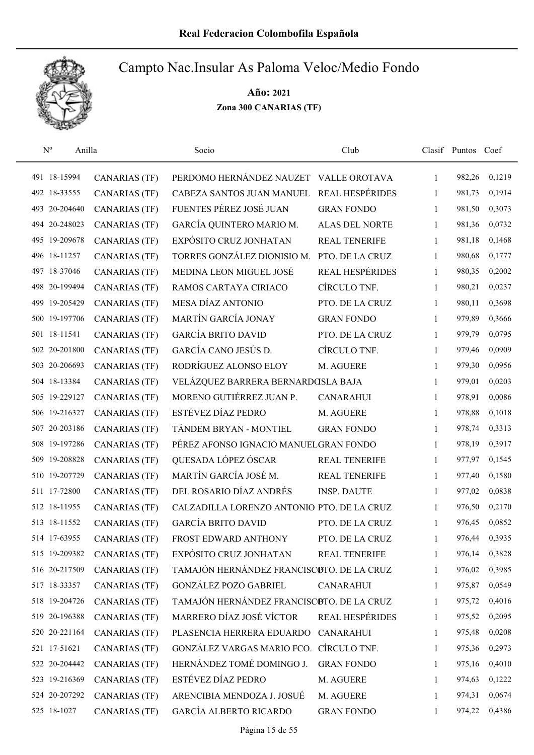

| $N^{o}$<br>Anilla |                      | Socio                                      | Club                   |              | Clasif Puntos Coef |        |
|-------------------|----------------------|--------------------------------------------|------------------------|--------------|--------------------|--------|
| 491 18-15994      | <b>CANARIAS (TF)</b> | PERDOMO HERNÁNDEZ NAUZET VALLE OROTAVA     |                        | 1            | 982,26             | 0,1219 |
| 492 18-33555      | <b>CANARIAS (TF)</b> | CABEZA SANTOS JUAN MANUEL                  | <b>REAL HESPÉRIDES</b> | 1            | 981,73             | 0,1914 |
| 493 20-204640     | <b>CANARIAS (TF)</b> | FUENTES PÉREZ JOSÉ JUAN                    | <b>GRAN FONDO</b>      | 1            | 981,50             | 0,3073 |
| 494 20-248023     | <b>CANARIAS (TF)</b> | GARCÍA QUINTERO MARIO M.                   | <b>ALAS DEL NORTE</b>  | 1            | 981,36             | 0,0732 |
| 495 19-209678     | <b>CANARIAS (TF)</b> | EXPÓSITO CRUZ JONHATAN                     | <b>REAL TENERIFE</b>   | 1            | 981,18             | 0,1468 |
| 496 18-11257      | <b>CANARIAS (TF)</b> | TORRES GONZÁLEZ DIONISIO M.                | PTO. DE LA CRUZ        | 1            | 980,68             | 0,1777 |
| 497 18-37046      | <b>CANARIAS (TF)</b> | MEDINA LEON MIGUEL JOSÉ                    | <b>REAL HESPÉRIDES</b> | $\mathbf{1}$ | 980,35             | 0,2002 |
| 498 20-199494     | <b>CANARIAS (TF)</b> | RAMOS CARTAYA CIRIACO                      | CÍRCULO TNF.           | 1            | 980,21             | 0,0237 |
| 499 19-205429     | <b>CANARIAS (TF)</b> | MESA DÍAZ ANTONIO                          | PTO. DE LA CRUZ        | 1            | 980,11             | 0,3698 |
| 500 19-197706     | <b>CANARIAS (TF)</b> | MARTÍN GARCÍA JONAY                        | <b>GRAN FONDO</b>      | 1            | 979,89             | 0,3666 |
| 501 18-11541      | <b>CANARIAS (TF)</b> | <b>GARCÍA BRITO DAVID</b>                  | PTO. DE LA CRUZ        | 1            | 979,79             | 0,0795 |
| 502 20-201800     | <b>CANARIAS (TF)</b> | GARCÍA CANO JESÚS D.                       | CÍRCULO TNF.           | 1            | 979,46             | 0,0909 |
| 503 20-206693     | <b>CANARIAS (TF)</b> | RODRÍGUEZ ALONSO ELOY                      | M. AGUERE              | 1            | 979,30             | 0,0956 |
| 504 18-13384      | <b>CANARIAS (TF)</b> | VELÁZQUEZ BARRERA BERNARDOSLA BAJA         |                        | 1            | 979,01             | 0,0203 |
| 505 19-229127     | <b>CANARIAS (TF)</b> | MORENO GUTIÉRREZ JUAN P.                   | <b>CANARAHUI</b>       | 1            | 978,91             | 0,0086 |
| 506 19-216327     | <b>CANARIAS (TF)</b> | ESTÉVEZ DÍAZ PEDRO                         | M. AGUERE              | 1            | 978,88             | 0,1018 |
| 507 20-203186     | <b>CANARIAS (TF)</b> | TÁNDEM BRYAN - MONTIEL                     | <b>GRAN FONDO</b>      | 1            | 978,74             | 0,3313 |
| 508 19-197286     | <b>CANARIAS (TF)</b> | PÉREZ AFONSO IGNACIO MANUELGRAN FONDO      |                        | $\mathbf{1}$ | 978,19             | 0,3917 |
| 509 19-208828     | <b>CANARIAS (TF)</b> | QUESADA LÓPEZ ÓSCAR                        | REAL TENERIFE          | 1            | 977,97             | 0,1545 |
| 510 19-207729     | <b>CANARIAS (TF)</b> | MARTÍN GARCÍA JOSÉ M.                      | <b>REAL TENERIFE</b>   | 1            | 977,40             | 0,1580 |
| 511 17-72800      | <b>CANARIAS (TF)</b> | DEL ROSARIO DÍAZ ANDRÉS                    | <b>INSP. DAUTE</b>     | 1            | 977,02             | 0,0838 |
| 512 18-11955      | <b>CANARIAS (TF)</b> | CALZADILLA LORENZO ANTONIO PTO. DE LA CRUZ |                        | 1            | 976,50             | 0,2170 |
| 513 18-11552      | <b>CANARIAS (TF)</b> | <b>GARCÍA BRITO DAVID</b>                  | PTO. DE LA CRUZ        | 1            | 976,45             | 0,0852 |
| 514 17-63955      | <b>CANARIAS (TF)</b> | FROST EDWARD ANTHONY                       | PTO. DE LA CRUZ        | 1            | 976,44             | 0,3935 |
| 515 19-209382     | <b>CANARIAS (TF)</b> | EXPÓSITO CRUZ JONHATAN                     | <b>REAL TENERIFE</b>   | 1            | 976,14             | 0,3828 |
| 516 20-217509     | <b>CANARIAS (TF)</b> | TAMAJÓN HERNÁNDEZ FRANCISCOTO. DE LA CRUZ  |                        | 1            | 976,02             | 0,3985 |
| 517 18-33357      | CANARIAS (TF)        | <b>GONZÁLEZ POZO GABRIEL</b>               | <b>CANARAHUI</b>       | 1            | 975,87             | 0,0549 |
| 518 19-204726     | <b>CANARIAS (TF)</b> | TAMAJÓN HERNÁNDEZ FRANCISCOTO. DE LA CRUZ  |                        | 1            | 975,72             | 0,4016 |
| 519 20-196388     | CANARIAS (TF)        | MARRERO DÍAZ JOSÉ VÍCTOR                   | <b>REAL HESPÉRIDES</b> | 1            | 975,52             | 0,2095 |
| 520 20-221164     | <b>CANARIAS (TF)</b> | PLASENCIA HERRERA EDUARDO                  | <b>CANARAHUI</b>       | 1            | 975,48             | 0,0208 |
| 521 17-51621      | <b>CANARIAS (TF)</b> | GONZÁLEZ VARGAS MARIO FCO.                 | CÍRCULO TNF.           | 1            | 975,36             | 0,2973 |
| 522 20-204442     | <b>CANARIAS (TF)</b> | HERNÁNDEZ TOMÉ DOMINGO J.                  | <b>GRAN FONDO</b>      | 1            | 975,16             | 0,4010 |
| 523 19-216369     | <b>CANARIAS (TF)</b> | ESTÉVEZ DÍAZ PEDRO                         | M. AGUERE              | 1            | 974,63             | 0,1222 |
| 524 20-207292     | CANARIAS (TF)        | ARENCIBIA MENDOZA J. JOSUÉ                 | M. AGUERE              | 1            | 974,31             | 0,0674 |
| 525 18-1027       | <b>CANARIAS (TF)</b> | <b>GARCÍA ALBERTO RICARDO</b>              | <b>GRAN FONDO</b>      | 1            | 974,22             | 0,4386 |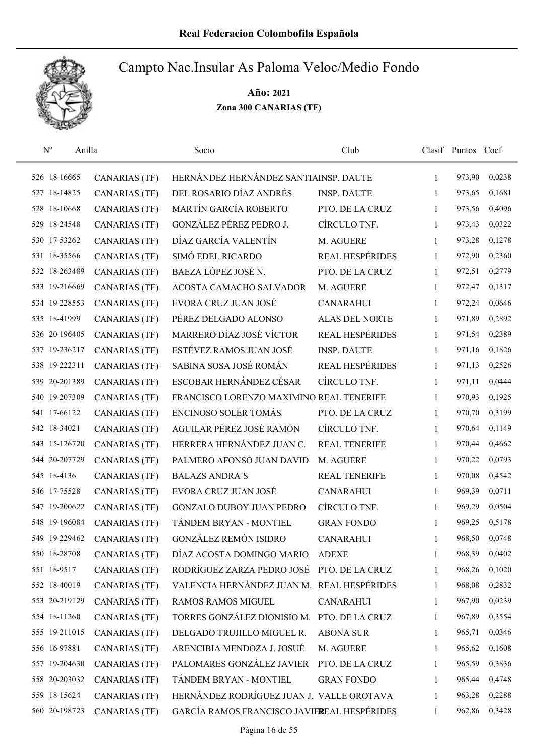

| $N^{o}$<br>Anilla |                      | Socio                                       | Club                   |              | Clasif Puntos Coef |        |
|-------------------|----------------------|---------------------------------------------|------------------------|--------------|--------------------|--------|
| 526 18-16665      | <b>CANARIAS (TF)</b> | HERNÁNDEZ HERNÁNDEZ SANTIAINSP. DAUTE       |                        | $\mathbf{1}$ | 973,90             | 0,0238 |
| 527 18-14825      | <b>CANARIAS (TF)</b> | DEL ROSARIO DÍAZ ANDRÉS                     | <b>INSP. DAUTE</b>     | 1            | 973,65             | 0,1681 |
| 528 18-10668      | <b>CANARIAS (TF)</b> | MARTÍN GARCÍA ROBERTO                       | PTO. DE LA CRUZ        | $\mathbf{1}$ | 973,56             | 0,4096 |
| 529 18-24548      | <b>CANARIAS (TF)</b> | GONZÁLEZ PÉREZ PEDRO J.                     | CÍRCULO TNF.           | $\mathbf{1}$ | 973,43             | 0,0322 |
| 530 17-53262      | <b>CANARIAS (TF)</b> | DÍAZ GARCÍA VALENTÍN                        | M. AGUERE              | 1            | 973,28             | 0,1278 |
| 531 18-35566      | <b>CANARIAS (TF)</b> | SIMÓ EDEL RICARDO                           | <b>REAL HESPÉRIDES</b> | 1            | 972,90             | 0,2360 |
| 532 18-263489     | <b>CANARIAS (TF)</b> | BAEZA LÓPEZ JOSÉ N.                         | PTO. DE LA CRUZ        | 1            | 972,51             | 0,2779 |
| 533 19-216669     | <b>CANARIAS (TF)</b> | ACOSTA CAMACHO SALVADOR                     | M. AGUERE              | 1            | 972,47             | 0,1317 |
| 534 19-228553     | <b>CANARIAS (TF)</b> | EVORA CRUZ JUAN JOSÉ                        | <b>CANARAHUI</b>       | 1            | 972,24             | 0,0646 |
| 535 18-41999      | <b>CANARIAS (TF)</b> | PÉREZ DELGADO ALONSO                        | <b>ALAS DEL NORTE</b>  | 1            | 971,89             | 0,2892 |
| 536 20-196405     | <b>CANARIAS (TF)</b> | MARRERO DÍAZ JOSÉ VÍCTOR                    | <b>REAL HESPÉRIDES</b> | 1            | 971,54             | 0,2389 |
| 537 19-236217     | <b>CANARIAS (TF)</b> | ESTÉVEZ RAMOS JUAN JOSÉ                     | <b>INSP. DAUTE</b>     | 1            | 971,16             | 0,1826 |
| 538 19-222311     | <b>CANARIAS (TF)</b> | SABINA SOSA JOSÉ ROMÁN                      | <b>REAL HESPÉRIDES</b> | 1            | 971,13             | 0,2526 |
| 539 20-201389     | <b>CANARIAS (TF)</b> | ESCOBAR HERNÁNDEZ CÉSAR                     | CÍRCULO TNF.           | 1            | 971,11             | 0,0444 |
| 540 19-207309     | <b>CANARIAS (TF)</b> | FRANCISCO LORENZO MAXIMINO REAL TENERIFE    |                        | 1            | 970,93             | 0,1925 |
| 541 17-66122      | <b>CANARIAS (TF)</b> | <b>ENCINOSO SOLER TOMÁS</b>                 | PTO. DE LA CRUZ        | 1            | 970,70             | 0,3199 |
| 542 18-34021      | <b>CANARIAS (TF)</b> | AGUILAR PÉREZ JOSÉ RAMÓN                    | CÍRCULO TNF.           | 1            | 970,64             | 0,1149 |
| 543 15-126720     | <b>CANARIAS (TF)</b> | HERRERA HERNÁNDEZ JUAN C.                   | <b>REAL TENERIFE</b>   | $\mathbf{1}$ | 970,44             | 0,4662 |
| 544 20-207729     | <b>CANARIAS (TF)</b> | PALMERO AFONSO JUAN DAVID                   | M. AGUERE              | 1            | 970,22             | 0,0793 |
| 545 18-4136       | <b>CANARIAS (TF)</b> | <b>BALAZS ANDRA'S</b>                       | <b>REAL TENERIFE</b>   | 1            | 970,08             | 0,4542 |
| 546 17-75528      | <b>CANARIAS (TF)</b> | EVORA CRUZ JUAN JOSÉ                        | <b>CANARAHUI</b>       | 1            | 969,39             | 0,0711 |
| 547 19-200622     | <b>CANARIAS (TF)</b> | <b>GONZALO DUBOY JUAN PEDRO</b>             | CÍRCULO TNF.           | 1            | 969,29             | 0,0504 |
| 548 19-196084     | <b>CANARIAS (TF)</b> | TÁNDEM BRYAN - MONTIEL                      | <b>GRAN FONDO</b>      | 1            | 969,25             | 0,5178 |
| 549 19-229462     | <b>CANARIAS (TF)</b> | <b>GONZÁLEZ REMÓN ISIDRO</b>                | <b>CANARAHUI</b>       | 1            | 968,50             | 0,0748 |
| 550 18-28708      | <b>CANARIAS (TF)</b> | DÍAZ ACOSTA DOMINGO MARIO                   | <b>ADEXE</b>           | 1            | 968,39             | 0,0402 |
| 551 18-9517       | <b>CANARIAS (TF)</b> | RODRÍGUEZ ZARZA PEDRO JOSÉ                  | PTO. DE LA CRUZ        | 1            | 968,26             | 0,1020 |
| 552 18-40019      | <b>CANARIAS (TF)</b> | VALENCIA HERNÁNDEZ JUAN M. REAL HESPÉRIDES  |                        | 1            | 968,08             | 0,2832 |
| 553 20-219129     | <b>CANARIAS (TF)</b> | <b>RAMOS RAMOS MIGUEL</b>                   | <b>CANARAHUI</b>       | 1            | 967,90             | 0,0239 |
| 554 18-11260      | <b>CANARIAS (TF)</b> | TORRES GONZÁLEZ DIONISIO M.                 | PTO. DE LA CRUZ        | 1            | 967,89             | 0,3554 |
| 555 19-211015     | <b>CANARIAS (TF)</b> | DELGADO TRUJILLO MIGUEL R.                  | <b>ABONA SUR</b>       | 1            | 965,71             | 0,0346 |
| 556 16-97881      | <b>CANARIAS (TF)</b> | ARENCIBIA MENDOZA J. JOSUÉ                  | M. AGUERE              | 1            | 965,62             | 0,1608 |
| 557 19-204630     | <b>CANARIAS (TF)</b> | PALOMARES GONZÁLEZ JAVIER                   | PTO. DE LA CRUZ        | 1            | 965,59             | 0,3836 |
| 558 20-203032     | <b>CANARIAS (TF)</b> | TÁNDEM BRYAN - MONTIEL                      | <b>GRAN FONDO</b>      | 1            | 965,44             | 0,4748 |
| 559 18-15624      | <b>CANARIAS (TF)</b> | HERNÁNDEZ RODRÍGUEZ JUAN J. VALLE OROTAVA   |                        | 1            | 963,28             | 0,2288 |
| 560 20-198723     | <b>CANARIAS (TF)</b> | GARCÍA RAMOS FRANCISCO JAVIEREAL HESPÉRIDES |                        | 1            | 962,86             | 0,3428 |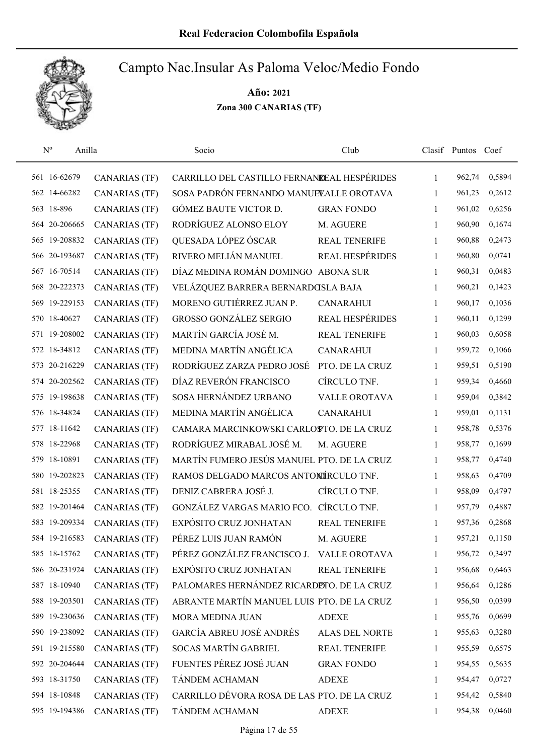

| $\rm N^o$<br>Anilla |                      | Socio                                       | Club                   |              | Clasif Puntos Coef |        |
|---------------------|----------------------|---------------------------------------------|------------------------|--------------|--------------------|--------|
| 561 16-62679        | <b>CANARIAS (TF)</b> | CARRILLO DEL CASTILLO FERNANDEAL HESPÉRIDES |                        | $\mathbf{1}$ | 962,74             | 0,5894 |
| 562 14-66282        | <b>CANARIAS (TF)</b> | SOSA PADRÓN FERNANDO MANUELALLE OROTAVA     |                        | 1            | 961,23             | 0,2612 |
| 563 18-896          | <b>CANARIAS (TF)</b> | GÓMEZ BAUTE VICTOR D.                       | <b>GRAN FONDO</b>      | 1            | 961,02             | 0,6256 |
| 564 20-206665       | CANARIAS (TF)        | RODRÍGUEZ ALONSO ELOY                       | M. AGUERE              | 1            | 960,90             | 0,1674 |
| 565 19-208832       | <b>CANARIAS (TF)</b> | QUESADA LÓPEZ ÓSCAR                         | <b>REAL TENERIFE</b>   | 1            | 960,88             | 0,2473 |
| 566 20-193687       | <b>CANARIAS (TF)</b> | RIVERO MELIÁN MANUEL                        | REAL HESPÉRIDES        | $\mathbf{1}$ | 960,80             | 0,0741 |
| 567 16-70514        | <b>CANARIAS (TF)</b> | DÍAZ MEDINA ROMÁN DOMINGO ABONA SUR         |                        | 1            | 960,31             | 0,0483 |
| 568 20-222373       | <b>CANARIAS (TF)</b> | VELÁZQUEZ BARRERA BERNARDOSLA BAJA          |                        | 1            | 960,21             | 0,1423 |
| 569 19-229153       | <b>CANARIAS (TF)</b> | MORENO GUTIÉRREZ JUAN P.                    | <b>CANARAHUI</b>       | 1            | 960,17             | 0,1036 |
| 570 18-40627        | <b>CANARIAS (TF)</b> | <b>GROSSO GONZÁLEZ SERGIO</b>               | <b>REAL HESPÉRIDES</b> | $\mathbf{1}$ | 960,11             | 0,1299 |
| 571 19-208002       | <b>CANARIAS (TF)</b> | MARTÍN GARCÍA JOSÉ M.                       | <b>REAL TENERIFE</b>   | 1            | 960,03             | 0,6058 |
| 572 18-34812        | <b>CANARIAS (TF)</b> | MEDINA MARTÍN ANGÉLICA                      | <b>CANARAHUI</b>       | 1            | 959,72             | 0,1066 |
| 573 20-216229       | <b>CANARIAS (TF)</b> | RODRÍGUEZ ZARZA PEDRO JOSÉ                  | PTO. DE LA CRUZ        | 1            | 959,51             | 0,5190 |
| 574 20-202562       | <b>CANARIAS (TF)</b> | DÍAZ REVERÓN FRANCISCO                      | CÍRCULO TNF.           | 1            | 959,34             | 0,4660 |
| 575 19-198638       | CANARIAS (TF)        | SOSA HERNÁNDEZ URBANO                       | <b>VALLE OROTAVA</b>   | 1            | 959,04             | 0,3842 |
| 576 18-34824        | <b>CANARIAS (TF)</b> | MEDINA MARTÍN ANGÉLICA                      | <b>CANARAHUI</b>       | 1            | 959,01             | 0,1131 |
| 577 18-11642        | <b>CANARIAS (TF)</b> | CAMARA MARCINKOWSKI CARLOSTO. DE LA CRUZ    |                        | 1            | 958,78             | 0,5376 |
| 578 18-22968        | <b>CANARIAS (TF)</b> | RODRÍGUEZ MIRABAL JOSÉ M.                   | M. AGUERE              | 1            | 958,77             | 0,1699 |
| 579 18-10891        | <b>CANARIAS (TF)</b> | MARTÍN FUMERO JESÚS MANUEL PTO. DE LA CRUZ  |                        | $\mathbf{1}$ | 958,77             | 0,4740 |
| 580 19-202823       | <b>CANARIAS (TF)</b> | RAMOS DELGADO MARCOS ANTONÍRCULO TNF.       |                        | $\mathbf{1}$ | 958,63             | 0,4709 |
| 581 18-25355        | <b>CANARIAS (TF)</b> | DENIZ CABRERA JOSÉ J.                       | CÍRCULO TNF.           | $\mathbf{1}$ | 958,09             | 0,4797 |
| 582 19-201464       | <b>CANARIAS (TF)</b> | GONZÁLEZ VARGAS MARIO FCO.                  | CÍRCULO TNF.           | 1            | 957,79             | 0,4887 |
| 583 19-209334       | <b>CANARIAS (TF)</b> | EXPÓSITO CRUZ JONHATAN                      | <b>REAL TENERIFE</b>   | 1            | 957,36             | 0,2868 |
| 584 19-216583       | <b>CANARIAS (TF)</b> | PÉREZ LUIS JUAN RAMÓN                       | M. AGUERE              | 1            | 957,21             | 0,1150 |
| 585 18-15762        | <b>CANARIAS (TF)</b> | PÉREZ GONZÁLEZ FRANCISCO J. VALLE OROTAVA   |                        | 1            | 956,72             | 0,3497 |
| 586 20-231924       | <b>CANARIAS (TF)</b> | EXPÓSITO CRUZ JONHATAN                      | <b>REAL TENERIFE</b>   | 1            | 956,68             | 0,6463 |
| 587 18-10940        | CANARIAS (TF)        | PALOMARES HERNÁNDEZ RICARDIDTO. DE LA CRUZ  |                        | 1            | 956,64             | 0,1286 |
| 588 19-203501       | CANARIAS (TF)        | ABRANTE MARTÍN MANUEL LUIS PTO. DE LA CRUZ  |                        | 1            | 956,50             | 0,0399 |
| 589 19-230636       | CANARIAS (TF)        | MORA MEDINA JUAN                            | <b>ADEXE</b>           | 1            | 955,76             | 0,0699 |
| 590 19-238092       | <b>CANARIAS (TF)</b> | GARCÍA ABREU JOSÉ ANDRÉS                    | ALAS DEL NORTE         | 1            | 955,63             | 0,3280 |
| 591 19-215580       | <b>CANARIAS (TF)</b> | <b>SOCAS MARTÍN GABRIEL</b>                 | REAL TENERIFE          | $\mathbf{1}$ | 955,59             | 0,6575 |
| 592 20-204644       | CANARIAS (TF)        | FUENTES PÉREZ JOSÉ JUAN                     | <b>GRAN FONDO</b>      | 1            | 954,55             | 0,5635 |
| 593 18-31750        | <b>CANARIAS (TF)</b> | TÁNDEM ACHAMAN                              | <b>ADEXE</b>           | 1            | 954,47             | 0,0727 |
| 594 18-10848        | <b>CANARIAS (TF)</b> | CARRILLO DÉVORA ROSA DE LAS PTO. DE LA CRUZ |                        | 1            | 954,42             | 0,5840 |
| 595 19-194386       | <b>CANARIAS (TF)</b> | TÁNDEM ACHAMAN                              | <b>ADEXE</b>           | $\mathbf{1}$ | 954,38             | 0,0460 |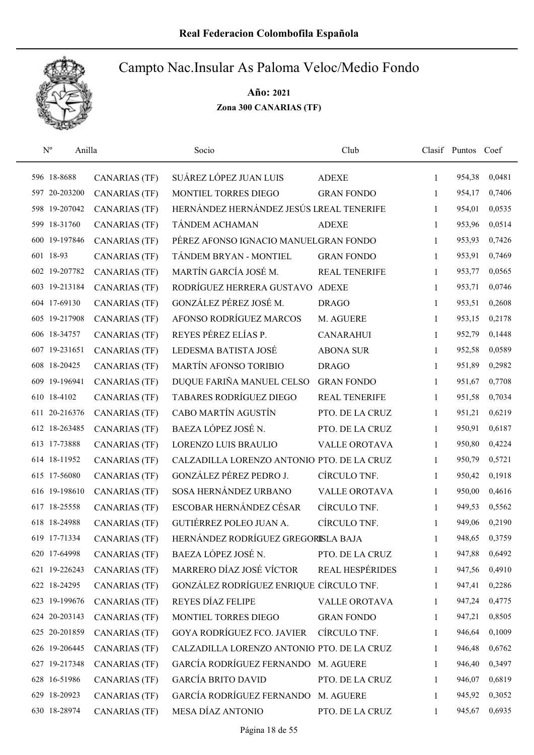

| $N^{o}$<br>Anilla |                      | Socio                                      | Club                   |              | Clasif Puntos Coef |        |
|-------------------|----------------------|--------------------------------------------|------------------------|--------------|--------------------|--------|
| 596 18-8688       | <b>CANARIAS (TF)</b> | SUÁREZ LÓPEZ JUAN LUIS                     | <b>ADEXE</b>           | 1            | 954,38             | 0,0481 |
| 597 20-203200     | <b>CANARIAS (TF)</b> | MONTIEL TORRES DIEGO                       | <b>GRAN FONDO</b>      | 1            | 954,17             | 0,7406 |
| 598 19-207042     | <b>CANARIAS (TF)</b> | HERNÁNDEZ HERNÁNDEZ JESÚS LREAL TENERIFE   |                        | 1            | 954,01             | 0,0535 |
| 599 18-31760      | <b>CANARIAS (TF)</b> | TÁNDEM ACHAMAN                             | <b>ADEXE</b>           | 1            | 953,96             | 0,0514 |
| 600 19-197846     | <b>CANARIAS (TF)</b> | PÉREZ AFONSO IGNACIO MANUELGRAN FONDO      |                        | $\mathbf{1}$ | 953,93             | 0,7426 |
| 601 18-93         | <b>CANARIAS (TF)</b> | TÁNDEM BRYAN - MONTIEL                     | <b>GRAN FONDO</b>      | 1            | 953,91             | 0,7469 |
| 602 19-207782     | <b>CANARIAS (TF)</b> | MARTÍN GARCÍA JOSÉ M.                      | <b>REAL TENERIFE</b>   | 1            | 953,77             | 0,0565 |
| 603 19-213184     | <b>CANARIAS (TF)</b> | RODRÍGUEZ HERRERA GUSTAVO                  | <b>ADEXE</b>           | 1            | 953,71             | 0,0746 |
| 604 17-69130      | <b>CANARIAS (TF)</b> | GONZÁLEZ PÉREZ JOSÉ M.                     | <b>DRAGO</b>           | 1            | 953,51             | 0,2608 |
| 605 19-217908     | <b>CANARIAS (TF)</b> | AFONSO RODRÍGUEZ MARCOS                    | M. AGUERE              | 1            | 953,15             | 0,2178 |
| 606 18-34757      | <b>CANARIAS (TF)</b> | REYES PÉREZ ELÍAS P.                       | <b>CANARAHUI</b>       | 1            | 952,79             | 0,1448 |
| 607 19-231651     | <b>CANARIAS (TF)</b> | LEDESMA BATISTA JOSÉ                       | <b>ABONA SUR</b>       | 1            | 952,58             | 0,0589 |
| 608 18-20425      | <b>CANARIAS (TF)</b> | <b>MARTÍN AFONSO TORIBIO</b>               | <b>DRAGO</b>           | 1            | 951,89             | 0,2982 |
| 609 19-196941     | <b>CANARIAS (TF)</b> | DUQUE FARIÑA MANUEL CELSO                  | <b>GRAN FONDO</b>      | 1            | 951,67             | 0,7708 |
| 610 18-4102       | <b>CANARIAS (TF)</b> | TABARES RODRÍGUEZ DIEGO                    | <b>REAL TENERIFE</b>   | 1            | 951,58             | 0,7034 |
| 611 20-216376     | <b>CANARIAS (TF)</b> | CABO MARTÍN AGUSTÍN                        | PTO. DE LA CRUZ        | 1            | 951,21             | 0,6219 |
| 612 18-263485     | CANARIAS (TF)        | BAEZA LÓPEZ JOSÉ N.                        | PTO. DE LA CRUZ        | 1            | 950,91             | 0,6187 |
| 613 17-73888      | <b>CANARIAS (TF)</b> | LORENZO LUIS BRAULIO                       | VALLE OROTAVA          | 1            | 950,80             | 0,4224 |
| 614 18-11952      | <b>CANARIAS (TF)</b> | CALZADILLA LORENZO ANTONIO PTO. DE LA CRUZ |                        | 1            | 950,79             | 0,5721 |
| 615 17-56080      | <b>CANARIAS (TF)</b> | GONZÁLEZ PÉREZ PEDRO J.                    | CÍRCULO TNF.           | 1            | 950,42             | 0,1918 |
| 616 19-198610     | <b>CANARIAS (TF)</b> | SOSA HERNÁNDEZ URBANO                      | <b>VALLE OROTAVA</b>   | 1            | 950,00             | 0,4616 |
| 617 18-25558      | <b>CANARIAS (TF)</b> | ESCOBAR HERNÁNDEZ CÉSAR                    | CÍRCULO TNF.           | 1            | 949,53             | 0,5562 |
| 618 18-24988      | <b>CANARIAS (TF)</b> | GUTIÉRREZ POLEO JUAN A.                    | CÍRCULO TNF.           | 1            | 949,06             | 0,2190 |
| 619 17-71334      | <b>CANARIAS (TF)</b> | HERNÁNDEZ RODRÍGUEZ GREGORISLA BAJA        |                        | 1            | 948,65             | 0,3759 |
| 620 17-64998      | <b>CANARIAS (TF)</b> | BAEZA LÓPEZ JOSÉ N.                        | PTO. DE LA CRUZ        | 1            | 947,88             | 0,6492 |
| 621 19-226243     | <b>CANARIAS (TF)</b> | MARRERO DÍAZ JOSÉ VÍCTOR                   | <b>REAL HESPÉRIDES</b> | 1            | 947,56             | 0,4910 |
| 622 18-24295      | CANARIAS (TF)        | GONZÁLEZ RODRÍGUEZ ENRIQUE CÍRCULO TNF.    |                        | 1            | 947,41             | 0,2286 |
| 623 19-199676     | <b>CANARIAS (TF)</b> | REYES DÍAZ FELIPE                          | VALLE OROTAVA          | 1            | 947,24             | 0,4775 |
| 624 20-203143     | CANARIAS (TF)        | MONTIEL TORRES DIEGO                       | <b>GRAN FONDO</b>      | 1            | 947,21             | 0,8505 |
| 625 20-201859     | <b>CANARIAS (TF)</b> | <b>GOYA RODRÍGUEZ FCO. JAVIER</b>          | CÍRCULO TNF.           | 1            | 946,64             | 0,1009 |
| 626 19-206445     | <b>CANARIAS (TF)</b> | CALZADILLA LORENZO ANTONIO PTO. DE LA CRUZ |                        | 1            | 946,48             | 0,6762 |
| 627 19-217348     | <b>CANARIAS (TF)</b> | GARCÍA RODRÍGUEZ FERNANDO                  | M. AGUERE              | 1            | 946,40             | 0,3497 |
| 628 16-51986      | <b>CANARIAS (TF)</b> | <b>GARCÍA BRITO DAVID</b>                  | PTO. DE LA CRUZ        | 1            | 946,07             | 0,6819 |
| 629 18-20923      | <b>CANARIAS (TF)</b> | GARCÍA RODRÍGUEZ FERNANDO M. AGUERE        |                        | 1            | 945,92             | 0,3052 |
| 630 18-28974      | <b>CANARIAS (TF)</b> | MESA DÍAZ ANTONIO                          | PTO. DE LA CRUZ        | 1            | 945,67             | 0,6935 |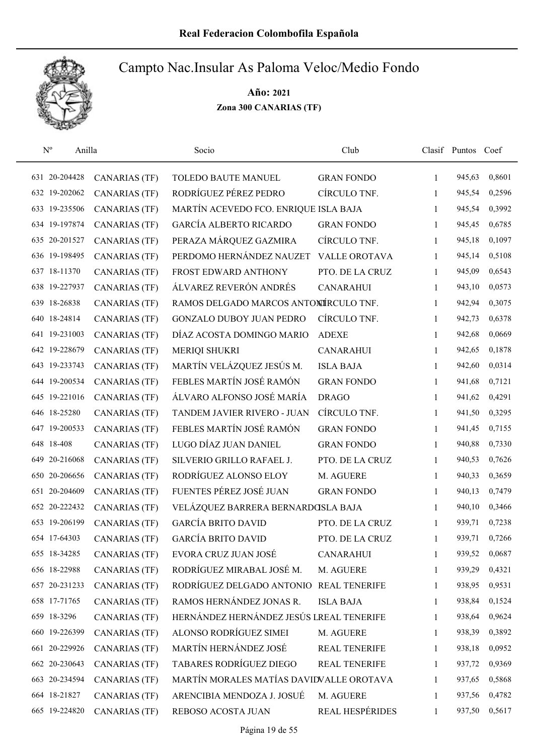

| $N^{o}$<br>Anilla |                      | Socio                                    | Club                 |              | Clasif Puntos Coef |        |
|-------------------|----------------------|------------------------------------------|----------------------|--------------|--------------------|--------|
| 631 20-204428     | <b>CANARIAS (TF)</b> | TOLEDO BAUTE MANUEL                      | <b>GRAN FONDO</b>    | 1            | 945,63             | 0,8601 |
| 632 19-202062     | <b>CANARIAS (TF)</b> | RODRÍGUEZ PÉREZ PEDRO                    | CÍRCULO TNF.         | 1            | 945,54             | 0,2596 |
| 633 19-235506     | <b>CANARIAS (TF)</b> | MARTÍN ACEVEDO FCO. ENRIQUE ISLA BAJA    |                      | $\mathbf{1}$ | 945,54             | 0,3992 |
| 634 19-197874     | <b>CANARIAS (TF)</b> | <b>GARCÍA ALBERTO RICARDO</b>            | <b>GRAN FONDO</b>    | 1            | 945,45             | 0,6785 |
| 635 20-201527     | <b>CANARIAS (TF)</b> | PERAZA MÁRQUEZ GAZMIRA                   | CÍRCULO TNF.         | 1            | 945,18             | 0,1097 |
| 636 19-198495     | <b>CANARIAS (TF)</b> | PERDOMO HERNÁNDEZ NAUZET                 | <b>VALLE OROTAVA</b> | $\mathbf{1}$ | 945,14             | 0,5108 |
| 637 18-11370      | <b>CANARIAS (TF)</b> | FROST EDWARD ANTHONY                     | PTO. DE LA CRUZ      | $\mathbf{1}$ | 945,09             | 0,6543 |
| 638 19-227937     | <b>CANARIAS (TF)</b> | ÁLVAREZ REVERÓN ANDRÉS                   | <b>CANARAHUI</b>     | $\mathbf{1}$ | 943,10             | 0,0573 |
| 639 18-26838      | <b>CANARIAS (TF)</b> | RAMOS DELGADO MARCOS ANTONÍRCULO TNF.    |                      | $\mathbf{1}$ | 942,94             | 0,3075 |
| 640 18-24814      | <b>CANARIAS (TF)</b> | <b>GONZALO DUBOY JUAN PEDRO</b>          | CÍRCULO TNF.         | 1            | 942,73             | 0,6378 |
| 641 19-231003     | <b>CANARIAS (TF)</b> | DÍAZ ACOSTA DOMINGO MARIO                | <b>ADEXE</b>         | 1            | 942,68             | 0,0669 |
| 642 19-228679     | <b>CANARIAS (TF)</b> | <b>MERIQI SHUKRI</b>                     | <b>CANARAHUI</b>     | 1            | 942,65             | 0,1878 |
| 643 19-233743     | <b>CANARIAS (TF)</b> | MARTÍN VELÁZQUEZ JESÚS M.                | <b>ISLA BAJA</b>     | $\mathbf{1}$ | 942,60             | 0,0314 |
| 644 19-200534     | <b>CANARIAS (TF)</b> | FEBLES MARTÍN JOSÉ RAMÓN                 | <b>GRAN FONDO</b>    | 1            | 941,68             | 0,7121 |
| 645 19-221016     | <b>CANARIAS (TF)</b> | ÁLVARO ALFONSO JOSÉ MARÍA                | <b>DRAGO</b>         | $\mathbf{1}$ | 941,62             | 0,4291 |
| 646 18-25280      | <b>CANARIAS (TF)</b> | TANDEM JAVIER RIVERO - JUAN              | CÍRCULO TNF.         | 1            | 941,50             | 0,3295 |
| 647 19-200533     | <b>CANARIAS (TF)</b> | FEBLES MARTÍN JOSÉ RAMÓN                 | <b>GRAN FONDO</b>    | 1            | 941,45             | 0,7155 |
| 648 18-408        | <b>CANARIAS (TF)</b> | LUGO DÍAZ JUAN DANIEL                    | <b>GRAN FONDO</b>    | $\mathbf{1}$ | 940,88             | 0,7330 |
| 649 20-216068     | <b>CANARIAS (TF)</b> | SILVERIO GRILLO RAFAEL J.                | PTO. DE LA CRUZ      | $\mathbf{1}$ | 940,53             | 0,7626 |
| 650 20-206656     | <b>CANARIAS (TF)</b> | RODRÍGUEZ ALONSO ELOY                    | M. AGUERE            | $\mathbf{1}$ | 940,33             | 0,3659 |
| 651 20-204609     | <b>CANARIAS (TF)</b> | FUENTES PÉREZ JOSÉ JUAN                  | <b>GRAN FONDO</b>    | $\mathbf{1}$ | 940,13             | 0,7479 |
| 652 20-222432     | <b>CANARIAS (TF)</b> | VELÁZQUEZ BARRERA BERNARDOSLA BAJA       |                      | 1            | 940,10             | 0,3466 |
| 653 19-206199     | <b>CANARIAS (TF)</b> | <b>GARCÍA BRITO DAVID</b>                | PTO. DE LA CRUZ      | 1            | 939,71             | 0,7238 |
| 654 17-64303      | <b>CANARIAS (TF)</b> | <b>GARCÍA BRITO DAVID</b>                | PTO. DE LA CRUZ      | 1            | 939,71             | 0,7266 |
| 655 18-34285      | <b>CANARIAS (TF)</b> | EVORA CRUZ JUAN JOSÉ                     | <b>CANARAHUI</b>     | 1            | 939,52             | 0,0687 |
| 656 18-22988      | <b>CANARIAS (TF)</b> | RODRÍGUEZ MIRABAL JOSÉ M.                | M. AGUERE            | 1            | 939,29             | 0,4321 |
| 657 20-231233     | <b>CANARIAS (TF)</b> | RODRÍGUEZ DELGADO ANTONIO REAL TENERIFE  |                      | 1            | 938,95             | 0,9531 |
| 658 17-71765      | <b>CANARIAS (TF)</b> | RAMOS HERNÁNDEZ JONAS R.                 | <b>ISLA BAJA</b>     | 1            | 938,84             | 0,1524 |
| 659 18-3296       | <b>CANARIAS (TF)</b> | HERNÁNDEZ HERNÁNDEZ JESÚS LREAL TENERIFE |                      | 1            | 938,64             | 0,9624 |
| 660 19-226399     | <b>CANARIAS (TF)</b> | ALONSO RODRÍGUEZ SIMEI                   | M. AGUERE            | 1            | 938,39             | 0,3892 |
| 661 20-229926     | <b>CANARIAS (TF)</b> | MARTÍN HERNÁNDEZ JOSÉ                    | REAL TENERIFE        | 1            | 938,18             | 0,0952 |
| 662 20-230643     | <b>CANARIAS (TF)</b> | <b>TABARES RODRÍGUEZ DIEGO</b>           | <b>REAL TENERIFE</b> | 1            | 937,72             | 0,9369 |
| 663 20-234594     | <b>CANARIAS (TF)</b> | MARTÍN MORALES MATÍAS DAVIDVALLE OROTAVA |                      | 1            | 937,65             | 0,5868 |
| 664 18-21827      | <b>CANARIAS (TF)</b> | ARENCIBIA MENDOZA J. JOSUÉ               | M. AGUERE            | 1            | 937,56             | 0,4782 |
| 665 19-224820     | <b>CANARIAS (TF)</b> | REBOSO ACOSTA JUAN                       | REAL HESPÉRIDES      | 1            | 937,50             | 0,5617 |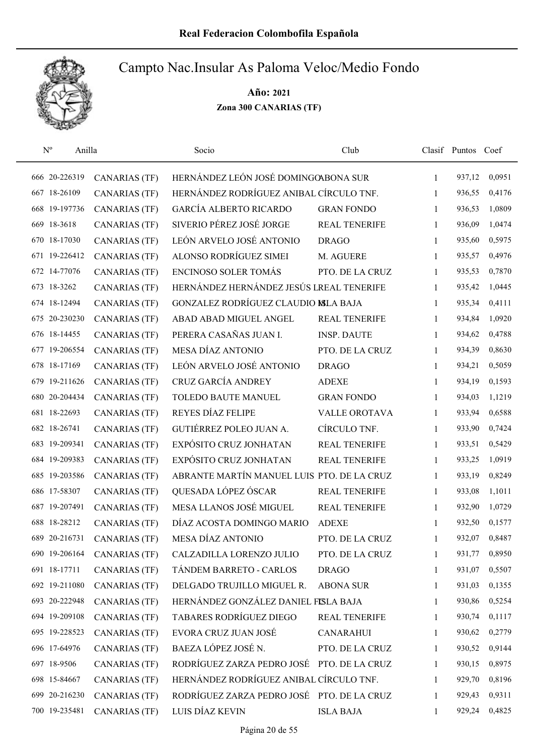

| $N^{o}$<br>Anilla |                      | Socio                                      | Club                 |              | Clasif Puntos Coef |        |
|-------------------|----------------------|--------------------------------------------|----------------------|--------------|--------------------|--------|
| 666 20-226319     | <b>CANARIAS (TF)</b> | HERNÁNDEZ LEÓN JOSÉ DOMINGOABONA SUR       |                      | $\mathbf{1}$ | 937,12             | 0,0951 |
| 667 18-26109      | <b>CANARIAS (TF)</b> | HERNÁNDEZ RODRÍGUEZ ANIBAL CÍRCULO TNF.    |                      | 1            | 936,55             | 0,4176 |
| 668 19-197736     | <b>CANARIAS (TF)</b> | <b>GARCÍA ALBERTO RICARDO</b>              | <b>GRAN FONDO</b>    | 1            | 936,53             | 1,0809 |
| 669 18-3618       | <b>CANARIAS (TF)</b> | SIVERIO PÉREZ JOSÉ JORGE                   | <b>REAL TENERIFE</b> | 1            | 936,09             | 1,0474 |
| 670 18-17030      | <b>CANARIAS (TF)</b> | LEÓN ARVELO JOSÉ ANTONIO                   | <b>DRAGO</b>         | 1            | 935,60             | 0,5975 |
| 671 19-226412     | <b>CANARIAS (TF)</b> | ALONSO RODRÍGUEZ SIMEI                     | M. AGUERE            | 1            | 935,57             | 0,4976 |
| 672 14-77076      | <b>CANARIAS (TF)</b> | ENCINOSO SOLER TOMÁS                       | PTO. DE LA CRUZ      | 1            | 935,53             | 0,7870 |
| 673 18-3262       | <b>CANARIAS (TF)</b> | HERNÁNDEZ HERNÁNDEZ JESÚS LREAL TENERIFE   |                      | 1            | 935,42             | 1,0445 |
| 674 18-12494      | <b>CANARIAS (TF)</b> | GONZALEZ RODRÍGUEZ CLAUDIO MLA BAJA        |                      | 1            | 935,34             | 0,4111 |
| 675 20-230230     | <b>CANARIAS (TF)</b> | ABAD ABAD MIGUEL ANGEL                     | <b>REAL TENERIFE</b> | 1            | 934,84             | 1,0920 |
| 676 18-14455      | <b>CANARIAS (TF)</b> | PERERA CASAÑAS JUAN I.                     | <b>INSP. DAUTE</b>   | 1            | 934,62             | 0,4788 |
| 677 19-206554     | <b>CANARIAS (TF)</b> | MESA DÍAZ ANTONIO                          | PTO. DE LA CRUZ      | 1            | 934,39             | 0,8630 |
| 678 18-17169      | <b>CANARIAS (TF)</b> | LEÓN ARVELO JOSÉ ANTONIO                   | <b>DRAGO</b>         | 1            | 934,21             | 0,5059 |
| 679 19-211626     | <b>CANARIAS (TF)</b> | CRUZ GARCÍA ANDREY                         | <b>ADEXE</b>         | 1            | 934,19             | 0,1593 |
| 680 20-204434     | <b>CANARIAS (TF)</b> | TOLEDO BAUTE MANUEL                        | <b>GRAN FONDO</b>    | 1            | 934,03             | 1,1219 |
| 681 18-22693      | <b>CANARIAS (TF)</b> | REYES DÍAZ FELIPE                          | VALLE OROTAVA        | 1            | 933,94             | 0,6588 |
| 682 18-26741      | <b>CANARIAS (TF)</b> | GUTIÉRREZ POLEO JUAN A.                    | CÍRCULO TNF.         | 1            | 933,90             | 0,7424 |
| 683 19-209341     | <b>CANARIAS (TF)</b> | EXPÓSITO CRUZ JONHATAN                     | <b>REAL TENERIFE</b> | 1            | 933,51             | 0,5429 |
| 684 19-209383     | <b>CANARIAS (TF)</b> | EXPÓSITO CRUZ JONHATAN                     | <b>REAL TENERIFE</b> | 1            | 933,25             | 1,0919 |
| 685 19-203586     | <b>CANARIAS (TF)</b> | ABRANTE MARTÍN MANUEL LUIS PTO. DE LA CRUZ |                      | 1            | 933,19             | 0,8249 |
| 686 17-58307      | <b>CANARIAS (TF)</b> | QUESADA LÓPEZ ÓSCAR                        | <b>REAL TENERIFE</b> | 1            | 933,08             | 1,1011 |
| 687 19-207491     | <b>CANARIAS (TF)</b> | MESA LLANOS JOSÉ MIGUEL                    | <b>REAL TENERIFE</b> | 1            | 932,90             | 1,0729 |
| 688 18-28212      | <b>CANARIAS (TF)</b> | DÍAZ ACOSTA DOMINGO MARIO                  | <b>ADEXE</b>         | 1            | 932,50             | 0,1577 |
| 689 20-216731     | <b>CANARIAS (TF)</b> | <b>MESA DÍAZ ANTONIO</b>                   | PTO. DE LA CRUZ      | 1            | 932,07             | 0,8487 |
| 690 19-206164     | <b>CANARIAS (TF)</b> | CALZADILLA LORENZO JULIO                   | PTO. DE LA CRUZ      | 1            | 931,77             | 0,8950 |
| 691 18-17711      | <b>CANARIAS (TF)</b> | TÁNDEM BARRETO - CARLOS                    | <b>DRAGO</b>         | 1            | 931,07             | 0,5507 |
| 692 19-211080     | CANARIAS (TF)        | DELGADO TRUJILLO MIGUEL R.                 | <b>ABONA SUR</b>     | 1            | 931,03             | 0,1355 |
| 693 20-222948     | <b>CANARIAS (TF)</b> | HERNÁNDEZ GONZÁLEZ DANIEL FISLA BAJA       |                      | 1            | 930,86             | 0,5254 |
| 694 19-209108     | <b>CANARIAS (TF)</b> | <b>TABARES RODRÍGUEZ DIEGO</b>             | REAL TENERIFE        | 1            | 930,74             | 0,1117 |
| 695 19-228523     | <b>CANARIAS (TF)</b> | EVORA CRUZ JUAN JOSÉ                       | <b>CANARAHUI</b>     | 1            | 930,62             | 0,2779 |
| 696 17-64976      | <b>CANARIAS (TF)</b> | BAEZA LÓPEZ JOSÉ N.                        | PTO. DE LA CRUZ      | 1            | 930,52             | 0,9144 |
| 697 18-9506       | <b>CANARIAS (TF)</b> | RODRÍGUEZ ZARZA PEDRO JOSÉ                 | PTO. DE LA CRUZ      | 1            | 930,15             | 0,8975 |
| 698 15-84667      | <b>CANARIAS (TF)</b> | HERNÁNDEZ RODRÍGUEZ ANIBAL CÍRCULO TNF.    |                      | 1            | 929,70             | 0,8196 |
| 699 20-216230     | <b>CANARIAS (TF)</b> | RODRÍGUEZ ZARZA PEDRO JOSÉ PTO. DE LA CRUZ |                      | 1            | 929,43             | 0,9311 |
| 700 19-235481     | <b>CANARIAS (TF)</b> | LUIS DÍAZ KEVIN                            | <b>ISLA BAJA</b>     | 1            | 929,24             | 0,4825 |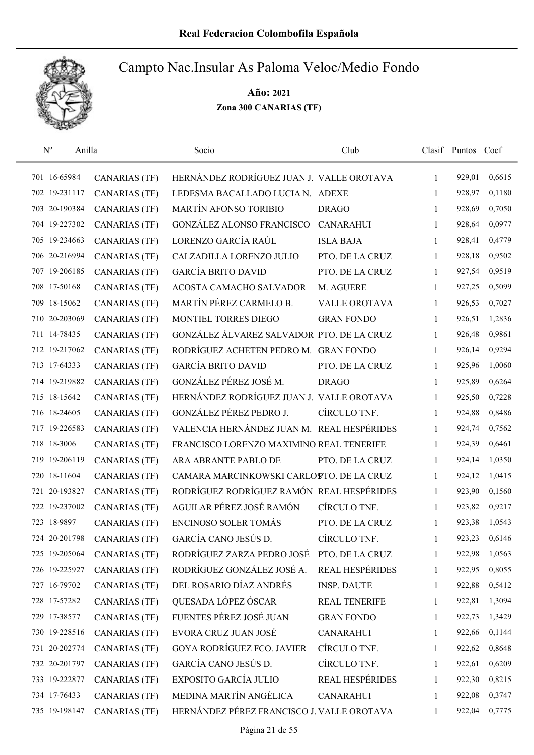

| $N^{o}$       | Anilla               | Socio                                      | Club                 |   | Clasif Puntos Coef |        |
|---------------|----------------------|--------------------------------------------|----------------------|---|--------------------|--------|
| 701 16-65984  | <b>CANARIAS (TF)</b> | HERNÁNDEZ RODRÍGUEZ JUAN J. VALLE OROTAVA  |                      | 1 | 929,01             | 0,6615 |
| 702 19-231117 | <b>CANARIAS (TF)</b> | LEDESMA BACALLADO LUCIA N. ADEXE           |                      | 1 | 928,97             | 0,1180 |
| 703 20-190384 | <b>CANARIAS (TF)</b> | MARTÍN AFONSO TORIBIO                      | <b>DRAGO</b>         | 1 | 928,69             | 0,7050 |
| 704 19-227302 | <b>CANARIAS (TF)</b> | <b>GONZÁLEZ ALONSO FRANCISCO</b>           | <b>CANARAHUI</b>     | 1 | 928,64             | 0,0977 |
| 705 19-234663 | <b>CANARIAS (TF)</b> | LORENZO GARCÍA RAÚL                        | <b>ISLA BAJA</b>     | 1 | 928,41             | 0,4779 |
| 706 20-216994 | <b>CANARIAS (TF)</b> | CALZADILLA LORENZO JULIO                   | PTO. DE LA CRUZ      | 1 | 928,18             | 0,9502 |
| 707 19-206185 | <b>CANARIAS (TF)</b> | <b>GARCÍA BRITO DAVID</b>                  | PTO. DE LA CRUZ      | 1 | 927,54             | 0,9519 |
| 708 17-50168  | <b>CANARIAS (TF)</b> | ACOSTA CAMACHO SALVADOR                    | M. AGUERE            | 1 | 927,25             | 0,5099 |
| 709 18-15062  | <b>CANARIAS (TF)</b> | MARTÍN PÉREZ CARMELO B.                    | <b>VALLE OROTAVA</b> | 1 | 926,53             | 0,7027 |
| 710 20-203069 | <b>CANARIAS (TF)</b> | MONTIEL TORRES DIEGO                       | <b>GRAN FONDO</b>    | 1 | 926,51             | 1,2836 |
| 711 14-78435  | <b>CANARIAS (TF)</b> | GONZÁLEZ ÁLVAREZ SALVADOR PTO. DE LA CRUZ  |                      | 1 | 926,48             | 0,9861 |
| 712 19-217062 | <b>CANARIAS (TF)</b> | RODRÍGUEZ ACHETEN PEDRO M. GRAN FONDO      |                      | 1 | 926,14             | 0,9294 |
| 713 17-64333  | <b>CANARIAS (TF)</b> | <b>GARCÍA BRITO DAVID</b>                  | PTO. DE LA CRUZ      | 1 | 925,96             | 1,0060 |
| 714 19-219882 | <b>CANARIAS (TF)</b> | GONZÁLEZ PÉREZ JOSÉ M.                     | <b>DRAGO</b>         | 1 | 925,89             | 0,6264 |
| 715 18-15642  | <b>CANARIAS (TF)</b> | HERNÁNDEZ RODRÍGUEZ JUAN J. VALLE OROTAVA  |                      | 1 | 925,50             | 0,7228 |
| 716 18-24605  | <b>CANARIAS (TF)</b> | GONZÁLEZ PÉREZ PEDRO J.                    | CÍRCULO TNF.         | 1 | 924,88             | 0,8486 |
| 717 19-226583 | <b>CANARIAS (TF)</b> | VALENCIA HERNÁNDEZ JUAN M. REAL HESPÉRIDES |                      | 1 | 924,74             | 0,7562 |
| 718 18-3006   | <b>CANARIAS (TF)</b> | FRANCISCO LORENZO MAXIMINO REAL TENERIFE   |                      | 1 | 924,39             | 0,6461 |
| 719 19-206119 | <b>CANARIAS (TF)</b> | ARA ABRANTE PABLO DE                       | PTO. DE LA CRUZ      | 1 | 924,14             | 1,0350 |
| 720 18-11604  | <b>CANARIAS (TF)</b> | CAMARA MARCINKOWSKI CARLOSTO. DE LA CRUZ   |                      | 1 | 924,12             | 1,0415 |
| 721 20-193827 | <b>CANARIAS (TF)</b> | RODRÍGUEZ RODRÍGUEZ RAMÓN REAL HESPÉRIDES  |                      | 1 | 923,90             | 0,1560 |
| 722 19-237002 | <b>CANARIAS (TF)</b> | AGUILAR PÉREZ JOSÉ RAMÓN                   | CÍRCULO TNF.         | 1 | 923,82             | 0,9217 |
| 723 18-9897   | <b>CANARIAS (TF)</b> | <b>ENCINOSO SOLER TOMÁS</b>                | PTO. DE LA CRUZ      | 1 | 923,38             | 1,0543 |
| 724 20-201798 | <b>CANARIAS (TF)</b> | GARCÍA CANO JESÚS D.                       | CÍRCULO TNF.         | 1 | 923,23             | 0,6146 |
| 725 19-205064 | <b>CANARIAS (TF)</b> | RODRÍGUEZ ZARZA PEDRO JOSÉ                 | PTO. DE LA CRUZ      | 1 | 922,98             | 1,0563 |
| 726 19-225927 | <b>CANARIAS (TF)</b> | RODRÍGUEZ GONZÁLEZ JOSÉ A.                 | REAL HESPÉRIDES      | 1 | 922,95             | 0,8055 |
| 727 16-79702  | <b>CANARIAS (TF)</b> | DEL ROSARIO DÍAZ ANDRÉS                    | <b>INSP. DAUTE</b>   | 1 | 922,88             | 0,5412 |
| 728 17-57282  | <b>CANARIAS (TF)</b> | QUESADA LÓPEZ ÓSCAR                        | <b>REAL TENERIFE</b> | 1 | 922,81             | 1,3094 |
| 729 17-38577  | <b>CANARIAS (TF)</b> | FUENTES PÉREZ JOSÉ JUAN                    | <b>GRAN FONDO</b>    | 1 | 922,73             | 1,3429 |
| 730 19-228516 | <b>CANARIAS (TF)</b> | EVORA CRUZ JUAN JOSÉ                       | <b>CANARAHUI</b>     | 1 | 922,66             | 0,1144 |
| 731 20-202774 | <b>CANARIAS (TF)</b> | <b>GOYA RODRÍGUEZ FCO. JAVIER</b>          | CÍRCULO TNF.         | 1 | 922,62             | 0,8648 |
| 732 20-201797 | <b>CANARIAS (TF)</b> | GARCÍA CANO JESÚS D.                       | CÍRCULO TNF.         | 1 | 922,61             | 0,6209 |
| 733 19-222877 | <b>CANARIAS (TF)</b> | EXPOSITO GARCÍA JULIO                      | REAL HESPÉRIDES      | 1 | 922,30             | 0,8215 |
| 734 17-76433  | <b>CANARIAS (TF)</b> | MEDINA MARTÍN ANGÉLICA                     | <b>CANARAHUI</b>     | 1 | 922,08             | 0,3747 |
| 735 19-198147 | <b>CANARIAS (TF)</b> | HERNÁNDEZ PÉREZ FRANCISCO J. VALLE OROTAVA |                      | 1 | 922,04             | 0,7775 |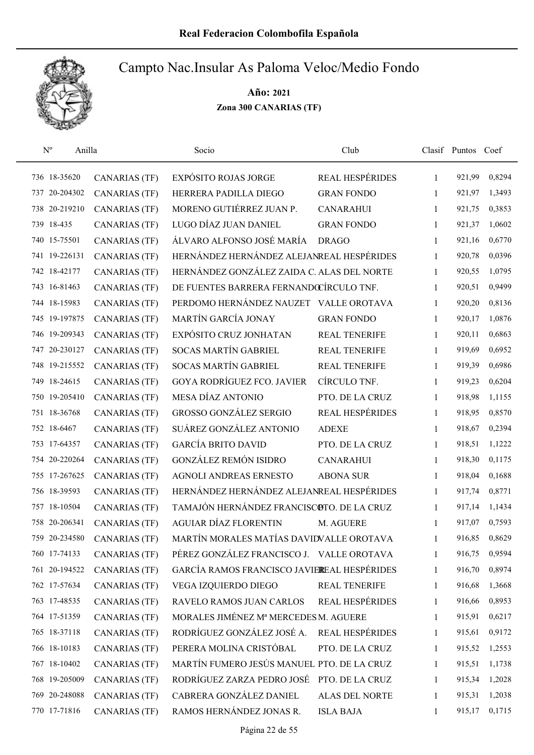

| $N^{o}$<br>Anilla |                      | Socio                                       | Club                   |   | Clasif Puntos Coef |        |
|-------------------|----------------------|---------------------------------------------|------------------------|---|--------------------|--------|
| 736 18-35620      | <b>CANARIAS (TF)</b> | <b>EXPÓSITO ROJAS JORGE</b>                 | REAL HESPÉRIDES        | 1 | 921,99             | 0,8294 |
| 737 20-204302     | <b>CANARIAS (TF)</b> | HERRERA PADILLA DIEGO                       | <b>GRAN FONDO</b>      | 1 | 921,97             | 1,3493 |
| 738 20-219210     | <b>CANARIAS (TF)</b> | MORENO GUTIÉRREZ JUAN P.                    | <b>CANARAHUI</b>       | 1 | 921,75             | 0,3853 |
| 739 18-435        | <b>CANARIAS (TF)</b> | LUGO DÍAZ JUAN DANIEL                       | <b>GRAN FONDO</b>      | 1 | 921,37             | 1,0602 |
| 740 15-75501      | <b>CANARIAS (TF)</b> | ÁLVARO ALFONSO JOSÉ MARÍA                   | <b>DRAGO</b>           | 1 | 921,16             | 0,6770 |
| 741 19-226131     | <b>CANARIAS (TF)</b> | HERNÁNDEZ HERNÁNDEZ ALEJANREAL HESPÉRIDES   |                        | 1 | 920,78             | 0,0396 |
| 742 18-42177      | <b>CANARIAS (TF)</b> | HERNÁNDEZ GONZÁLEZ ZAIDA C. ALAS DEL NORTE  |                        | 1 | 920,55             | 1,0795 |
| 743 16-81463      | <b>CANARIAS (TF)</b> | DE FUENTES BARRERA FERNANDOCÍRCULO TNF.     |                        | 1 | 920,51             | 0,9499 |
| 744 18-15983      | <b>CANARIAS (TF)</b> | PERDOMO HERNÁNDEZ NAUZET VALLE OROTAVA      |                        | 1 | 920,20             | 0,8136 |
| 745 19-197875     | <b>CANARIAS (TF)</b> | MARTÍN GARCÍA JONAY                         | <b>GRAN FONDO</b>      | 1 | 920,17             | 1,0876 |
| 746 19-209343     | <b>CANARIAS (TF)</b> | EXPÓSITO CRUZ JONHATAN                      | REAL TENERIFE          | 1 | 920,11             | 0,6863 |
| 747 20-230127     | <b>CANARIAS (TF)</b> | <b>SOCAS MARTÍN GABRIEL</b>                 | <b>REAL TENERIFE</b>   | 1 | 919,69             | 0,6952 |
| 748 19-215552     | <b>CANARIAS (TF)</b> | <b>SOCAS MARTÍN GABRIEL</b>                 | <b>REAL TENERIFE</b>   | 1 | 919,39             | 0,6986 |
| 749 18-24615      | <b>CANARIAS (TF)</b> | GOYA RODRÍGUEZ FCO. JAVIER                  | CÍRCULO TNF.           | 1 | 919,23             | 0,6204 |
| 750 19-205410     | <b>CANARIAS (TF)</b> | MESA DÍAZ ANTONIO                           | PTO. DE LA CRUZ        | 1 | 918,98             | 1,1155 |
| 751 18-36768      | <b>CANARIAS (TF)</b> | GROSSO GONZÁLEZ SERGIO                      | <b>REAL HESPÉRIDES</b> | 1 | 918,95             | 0,8570 |
| 752 18-6467       | <b>CANARIAS (TF)</b> | SUÁREZ GONZÁLEZ ANTONIO                     | <b>ADEXE</b>           | 1 | 918,67             | 0,2394 |
| 753 17-64357      | <b>CANARIAS (TF)</b> | <b>GARCÍA BRITO DAVID</b>                   | PTO. DE LA CRUZ        | 1 | 918,51             | 1,1222 |
| 754 20-220264     | <b>CANARIAS (TF)</b> | <b>GONZÁLEZ REMÓN ISIDRO</b>                | <b>CANARAHUI</b>       | 1 | 918,30             | 0,1175 |
| 755 17-267625     | <b>CANARIAS (TF)</b> | AGNOLI ANDREAS ERNESTO                      | <b>ABONA SUR</b>       | 1 | 918,04             | 0,1688 |
| 756 18-39593      | <b>CANARIAS (TF)</b> | HERNÁNDEZ HERNÁNDEZ ALEJANREAL HESPÉRIDES   |                        | 1 | 917,74             | 0,8771 |
| 757 18-10504      | <b>CANARIAS (TF)</b> | TAMAJÓN HERNÁNDEZ FRANCISCOTO. DE LA CRUZ   |                        | 1 | 917,14             | 1,1434 |
| 758 20-206341     | <b>CANARIAS (TF)</b> | <b>AGUIAR DÍAZ FLORENTIN</b>                | M. AGUERE              | 1 | 917,07             | 0,7593 |
| 759 20-234580     | <b>CANARIAS (TF)</b> | MARTÍN MORALES MATÍAS DAVIDVALLE OROTAVA    |                        | 1 | 916,85             | 0,8629 |
| 760 17-74133      | <b>CANARIAS (TF)</b> | PÉREZ GONZÁLEZ FRANCISCO J. VALLE OROTAVA   |                        | 1 | 916,75             | 0,9594 |
| 761 20-194522     | <b>CANARIAS (TF)</b> | GARCÍA RAMOS FRANCISCO JAVIEREAL HESPÉRIDES |                        | 1 | 916,70             | 0,8974 |
| 762 17-57634      | <b>CANARIAS (TF)</b> | VEGA IZQUIERDO DIEGO                        | REAL TENERIFE          | 1 | 916,68             | 1,3668 |
| 763 17-48535      | <b>CANARIAS (TF)</b> | RAVELO RAMOS JUAN CARLOS                    | <b>REAL HESPÉRIDES</b> | 1 | 916,66             | 0,8953 |
| 764 17-51359      | <b>CANARIAS (TF)</b> | MORALES JIMÉNEZ Mª MERCEDES M. AGUERE       |                        | 1 | 915,91             | 0,6217 |
| 765 18-37118      | <b>CANARIAS (TF)</b> | RODRÍGUEZ GONZÁLEZ JOSÉ A.                  | <b>REAL HESPÉRIDES</b> | 1 | 915,61             | 0,9172 |
| 766 18-10183      | <b>CANARIAS (TF)</b> | PERERA MOLINA CRISTÓBAL                     | PTO. DE LA CRUZ        | 1 | 915,52             | 1,2553 |
| 767 18-10402      | <b>CANARIAS (TF)</b> | MARTÍN FUMERO JESÚS MANUEL PTO. DE LA CRUZ  |                        | 1 | 915,51             | 1,1738 |
| 768 19-205009     | <b>CANARIAS (TF)</b> | RODRÍGUEZ ZARZA PEDRO JOSÉ                  | PTO. DE LA CRUZ        | 1 | 915,34             | 1,2028 |
| 769 20-248088     | CANARIAS (TF)        | CABRERA GONZÁLEZ DANIEL                     | ALAS DEL NORTE         | 1 | 915,31             | 1,2038 |
| 770 17-71816      | <b>CANARIAS (TF)</b> | RAMOS HERNÁNDEZ JONAS R.                    | <b>ISLA BAJA</b>       | 1 | 915,17             | 0,1715 |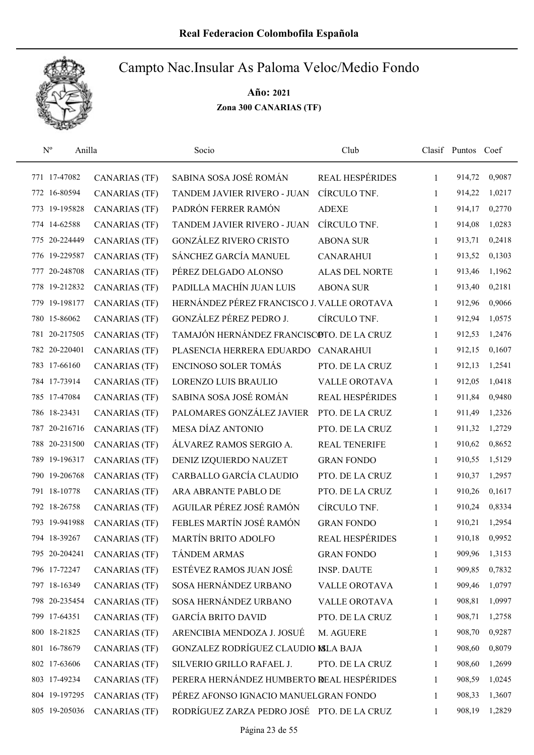

| $N^{o}$<br>Anilla |                      | Socio                                      | Club                   |              | Clasif Puntos Coef |        |
|-------------------|----------------------|--------------------------------------------|------------------------|--------------|--------------------|--------|
| 771 17-47082      | <b>CANARIAS (TF)</b> | SABINA SOSA JOSÉ ROMÁN                     | <b>REAL HESPÉRIDES</b> | 1            | 914,72             | 0,9087 |
| 772 16-80594      | <b>CANARIAS (TF)</b> | TANDEM JAVIER RIVERO - JUAN                | CÍRCULO TNF.           | 1            | 914,22             | 1,0217 |
| 773 19-195828     | <b>CANARIAS (TF)</b> | PADRÓN FERRER RAMÓN                        | <b>ADEXE</b>           | 1            | 914,17             | 0,2770 |
| 774 14-62588      | <b>CANARIAS (TF)</b> | TANDEM JAVIER RIVERO - JUAN                | CÍRCULO TNF.           | 1            | 914,08             | 1,0283 |
| 20-224449<br>775  | <b>CANARIAS (TF)</b> | <b>GONZÁLEZ RIVERO CRISTO</b>              | <b>ABONA SUR</b>       | 1            | 913,71             | 0,2418 |
| 776 19-229587     | <b>CANARIAS (TF)</b> | SÁNCHEZ GARCÍA MANUEL                      | <b>CANARAHUI</b>       | 1            | 913,52             | 0,1303 |
| 20-248708<br>777  | <b>CANARIAS (TF)</b> | PÉREZ DELGADO ALONSO                       | <b>ALAS DEL NORTE</b>  | $\mathbf{1}$ | 913,46             | 1,1962 |
| 778 19-212832     | <b>CANARIAS (TF)</b> | PADILLA MACHÍN JUAN LUIS                   | <b>ABONA SUR</b>       | 1            | 913,40             | 0,2181 |
| 779 19-198177     | <b>CANARIAS (TF)</b> | HERNÁNDEZ PÉREZ FRANCISCO J. VALLE OROTAVA |                        | 1            | 912,96             | 0,9066 |
| 780 15-86062      | <b>CANARIAS (TF)</b> | GONZÁLEZ PÉREZ PEDRO J.                    | CÍRCULO TNF.           | 1            | 912,94             | 1,0575 |
| 781 20-217505     | <b>CANARIAS (TF)</b> | TAMAJÓN HERNÁNDEZ FRANCISCOTO. DE LA CRUZ  |                        | 1            | 912,53             | 1,2476 |
| 782 20-220401     | <b>CANARIAS (TF)</b> | PLASENCIA HERRERA EDUARDO CANARAHUI        |                        | 1            | 912,15             | 0,1607 |
| 783 17-66160      | <b>CANARIAS (TF)</b> | <b>ENCINOSO SOLER TOMÁS</b>                | PTO. DE LA CRUZ        | 1            | 912,13             | 1,2541 |
| 784 17-73914      | <b>CANARIAS (TF)</b> | LORENZO LUIS BRAULIO                       | <b>VALLE OROTAVA</b>   | 1            | 912,05             | 1,0418 |
| 785 17-47084      | <b>CANARIAS (TF)</b> | SABINA SOSA JOSÉ ROMÁN                     | <b>REAL HESPÉRIDES</b> | 1            | 911,84             | 0,9480 |
| 786 18-23431      | <b>CANARIAS (TF)</b> | PALOMARES GONZÁLEZ JAVIER                  | PTO. DE LA CRUZ        | 1            | 911,49             | 1,2326 |
| 787 20-216716     | <b>CANARIAS (TF)</b> | MESA DÍAZ ANTONIO                          | PTO. DE LA CRUZ        | 1            | 911,32             | 1,2729 |
| 788 20-231500     | <b>CANARIAS (TF)</b> | ÁLVAREZ RAMOS SERGIO A.                    | <b>REAL TENERIFE</b>   | 1            | 910,62             | 0,8652 |
| 789 19-196317     | <b>CANARIAS (TF)</b> | DENIZ IZQUIERDO NAUZET                     | <b>GRAN FONDO</b>      | 1            | 910,55             | 1,5129 |
| 790 19-206768     | <b>CANARIAS (TF)</b> | CARBALLO GARCÍA CLAUDIO                    | PTO. DE LA CRUZ        | 1            | 910,37             | 1,2957 |
| 791 18-10778      | <b>CANARIAS (TF)</b> | ARA ABRANTE PABLO DE                       | PTO. DE LA CRUZ        | 1            | 910,26             | 0,1617 |
| 792 18-26758      | <b>CANARIAS (TF)</b> | AGUILAR PÉREZ JOSÉ RAMÓN                   | CÍRCULO TNF.           | 1            | 910,24             | 0,8334 |
| 793 19-941988     | <b>CANARIAS (TF)</b> | FEBLES MARTÍN JOSÉ RAMÓN                   | <b>GRAN FONDO</b>      | 1            | 910,21             | 1,2954 |
| 794 18-39267      | <b>CANARIAS (TF)</b> | MARTÍN BRITO ADOLFO                        | <b>REAL HESPÉRIDES</b> | 1            | 910,18             | 0,9952 |
| 795 20-204241     | <b>CANARIAS (TF)</b> | <b>TÁNDEM ARMAS</b>                        | <b>GRAN FONDO</b>      | 1            | 909,96             | 1,3153 |
| 796 17-72247      | <b>CANARIAS (TF)</b> | ESTÉVEZ RAMOS JUAN JOSÉ                    | <b>INSP. DAUTE</b>     | 1            | 909,85             | 0,7832 |
| 797 18-16349      | CANARIAS (TF)        | SOSA HERNÁNDEZ URBANO                      | VALLE OROTAVA          | 1            | 909,46             | 1,0797 |
| 798 20-235454     | <b>CANARIAS (TF)</b> | SOSA HERNÁNDEZ URBANO                      | VALLE OROTAVA          | $\mathbf{1}$ | 908,81             | 1,0997 |
| 799 17-64351      | <b>CANARIAS (TF)</b> | <b>GARCÍA BRITO DAVID</b>                  | PTO. DE LA CRUZ        | 1            | 908,71             | 1,2758 |
| 800 18-21825      | <b>CANARIAS (TF)</b> | ARENCIBIA MENDOZA J. JOSUÉ                 | M. AGUERE              | 1            | 908,70             | 0,9287 |
| 801 16-78679      | <b>CANARIAS (TF)</b> | GONZALEZ RODRÍGUEZ CLAUDIO MLA BAJA        |                        | 1            | 908,60             | 0,8079 |
| 802 17-63606      | <b>CANARIAS (TF)</b> | SILVERIO GRILLO RAFAEL J.                  | PTO. DE LA CRUZ        | 1            | 908,60             | 1,2699 |
| 803 17-49234      | <b>CANARIAS (TF)</b> | PERERA HERNÁNDEZ HUMBERTO REAL HESPÉRIDES  |                        | 1            | 908,59             | 1,0245 |
| 804 19-197295     | CANARIAS (TF)        | PÉREZ AFONSO IGNACIO MANUELGRAN FONDO      |                        | 1            | 908,33             | 1,3607 |
| 805 19-205036     | <b>CANARIAS (TF)</b> | RODRÍGUEZ ZARZA PEDRO JOSÉ PTO. DE LA CRUZ |                        | 1            | 908,19             | 1,2829 |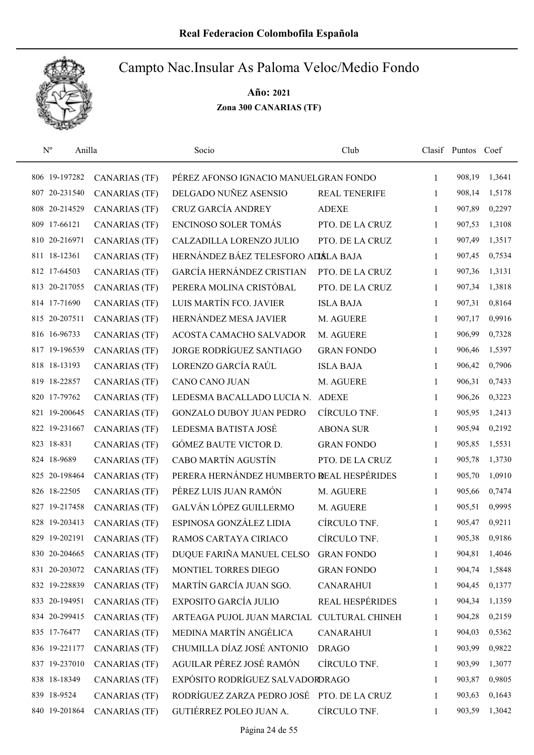

| $N^{o}$<br>Anilla |                      | Socio                                     | Club                   |              | Clasif Puntos Coef |        |
|-------------------|----------------------|-------------------------------------------|------------------------|--------------|--------------------|--------|
| 806 19-197282     | <b>CANARIAS (TF)</b> | PÉREZ AFONSO IGNACIO MANUELGRAN FONDO     |                        | $\mathbf{1}$ | 908,19             | 1,3641 |
| 807 20-231540     | <b>CANARIAS (TF)</b> | DELGADO NUÑEZ ASENSIO                     | <b>REAL TENERIFE</b>   | 1            | 908,14             | 1,5178 |
| 808 20-214529     | <b>CANARIAS (TF)</b> | CRUZ GARCÍA ANDREY                        | <b>ADEXE</b>           | 1            | 907,89             | 0,2297 |
| 809 17-66121      | <b>CANARIAS (TF)</b> | <b>ENCINOSO SOLER TOMÁS</b>               | PTO. DE LA CRUZ        | 1            | 907,53             | 1,3108 |
| 810 20-216971     | <b>CANARIAS (TF)</b> | CALZADILLA LORENZO JULIO                  | PTO. DE LA CRUZ        | $\mathbf{1}$ | 907,49             | 1,3517 |
| 811 18-12361      | <b>CANARIAS (TF)</b> | HERNÁNDEZ BÁEZ TELESFORO ADÁLA BAJA       |                        | 1            | 907,45             | 0,7534 |
| 812 17-64503      | <b>CANARIAS (TF)</b> | GARCÍA HERNÁNDEZ CRISTIAN                 | PTO. DE LA CRUZ        | 1            | 907,36             | 1,3131 |
| 813 20-217055     | <b>CANARIAS (TF)</b> | PERERA MOLINA CRISTÓBAL                   | PTO. DE LA CRUZ        | 1            | 907,34             | 1,3818 |
| 814 17-71690      | <b>CANARIAS (TF)</b> | LUIS MARTÍN FCO. JAVIER                   | <b>ISLA BAJA</b>       | 1            | 907,31             | 0,8164 |
| 815 20-207511     | <b>CANARIAS (TF)</b> | HERNÁNDEZ MESA JAVIER                     | M. AGUERE              | 1            | 907,17             | 0,9916 |
| 816 16-96733      | <b>CANARIAS (TF)</b> | ACOSTA CAMACHO SALVADOR                   | M. AGUERE              | 1            | 906,99             | 0,7328 |
| 817 19-196539     | <b>CANARIAS (TF)</b> | JORGE RODRÍGUEZ SANTIAGO                  | <b>GRAN FONDO</b>      | 1            | 906,46             | 1,5397 |
| 818 18-13193      | <b>CANARIAS (TF)</b> | LORENZO GARCÍA RAÚL                       | <b>ISLA BAJA</b>       | 1            | 906,42             | 0,7906 |
| 819 18-22857      | <b>CANARIAS (TF)</b> | CANO CANO JUAN                            | M. AGUERE              | 1            | 906,31             | 0,7433 |
| 820 17-79762      | <b>CANARIAS (TF)</b> | LEDESMA BACALLADO LUCIA N.                | <b>ADEXE</b>           | 1            | 906,26             | 0,3223 |
| 821 19-200645     | <b>CANARIAS (TF)</b> | <b>GONZALO DUBOY JUAN PEDRO</b>           | CÍRCULO TNF.           | $\mathbf{1}$ | 905,95             | 1,2413 |
| 822 19-231667     | <b>CANARIAS (TF)</b> | LEDESMA BATISTA JOSÉ                      | <b>ABONA SUR</b>       | 1            | 905,94             | 0,2192 |
| 823 18-831        | <b>CANARIAS (TF)</b> | GÓMEZ BAUTE VICTOR D.                     | <b>GRAN FONDO</b>      | $\mathbf{1}$ | 905,85             | 1,5531 |
| 824 18-9689       | <b>CANARIAS (TF)</b> | CABO MARTÍN AGUSTÍN                       | PTO. DE LA CRUZ        | $\mathbf{1}$ | 905,78             | 1,3730 |
| 825 20-198464     | <b>CANARIAS (TF)</b> | PERERA HERNÁNDEZ HUMBERTO REAL HESPÉRIDES |                        | 1            | 905,70             | 1,0910 |
| 826 18-22505      | <b>CANARIAS (TF)</b> | PÉREZ LUIS JUAN RAMÓN                     | M. AGUERE              | 1            | 905,66             | 0,7474 |
| 827 19-217458     | <b>CANARIAS (TF)</b> | GALVÁN LÓPEZ GUILLERMO                    | M. AGUERE              | 1            | 905,51             | 0,9995 |
| 828 19-203413     | <b>CANARIAS (TF)</b> | ESPINOSA GONZÁLEZ LIDIA                   | CÍRCULO TNF.           | 1            | 905,47             | 0,9211 |
| 829 19-202191     | <b>CANARIAS (TF)</b> | RAMOS CARTAYA CIRIACO                     | CÍRCULO TNF.           | 1            | 905,38             | 0,9186 |
| 830 20-204665     | <b>CANARIAS (TF)</b> | DUQUE FARIÑA MANUEL CELSO                 | <b>GRAN FONDO</b>      | 1            | 904,81             | 1,4046 |
| 831 20-203072     | <b>CANARIAS (TF)</b> | MONTIEL TORRES DIEGO                      | <b>GRAN FONDO</b>      | 1            | 904,74             | 1,5848 |
| 832 19-228839     | CANARIAS (TF)        | MARTÍN GARCÍA JUAN SGO.                   | <b>CANARAHUI</b>       | 1            | 904,45             | 0,1377 |
| 833 20-194951     | <b>CANARIAS (TF)</b> | EXPOSITO GARCÍA JULIO                     | <b>REAL HESPÉRIDES</b> | 1            | 904,34             | 1,1359 |
| 834 20-299415     | <b>CANARIAS (TF)</b> | ARTEAGA PUJOL JUAN MARCIAL                | <b>CULTURAL CHINEH</b> | 1            | 904,28             | 0,2159 |
| 835 17-76477      | <b>CANARIAS (TF)</b> | MEDINA MARTÍN ANGÉLICA                    | <b>CANARAHUI</b>       | 1            | 904,03             | 0,5362 |
| 836 19-221177     | <b>CANARIAS (TF)</b> | CHUMILLA DÍAZ JOSÉ ANTONIO                | <b>DRAGO</b>           | 1            | 903,99             | 0,9822 |
| 837 19-237010     | <b>CANARIAS (TF)</b> | AGUILAR PÉREZ JOSÉ RAMÓN                  | CÍRCULO TNF.           | 1            | 903,99             | 1,3077 |
| 838 18-18349      | <b>CANARIAS (TF)</b> | EXPÓSITO RODRÍGUEZ SALVADORDRAGO          |                        | 1            | 903,87             | 0,9805 |
| 839 18-9524       | <b>CANARIAS (TF)</b> | RODRÍGUEZ ZARZA PEDRO JOSÉ                | PTO. DE LA CRUZ        | 1            | 903,63             | 0,1643 |
| 840 19-201864     | <b>CANARIAS (TF)</b> | GUTIÉRREZ POLEO JUAN A.                   | CÍRCULO TNF.           | 1            | 903,59             | 1,3042 |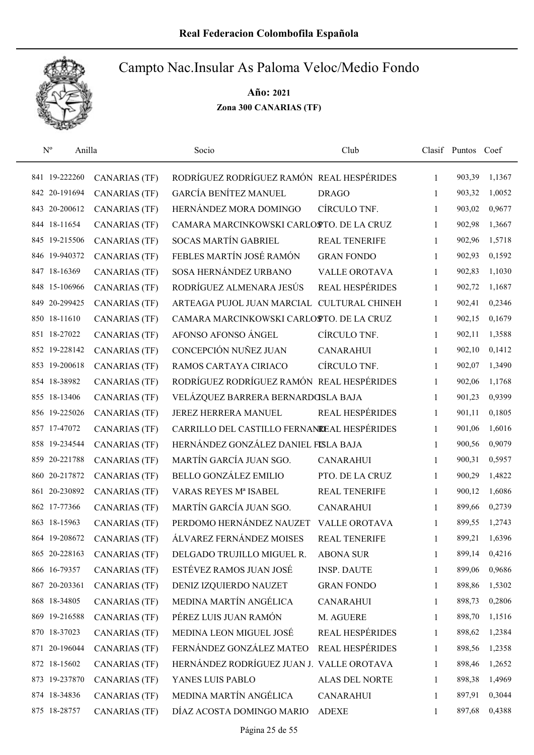

| $N^{o}$<br>Anilla |                      | Socio                                       | Club                   |              | Clasif Puntos Coef |        |
|-------------------|----------------------|---------------------------------------------|------------------------|--------------|--------------------|--------|
| 841 19-222260     | <b>CANARIAS (TF)</b> | RODRÍGUEZ RODRÍGUEZ RAMÓN REAL HESPÉRIDES   |                        | 1            | 903,39             | 1,1367 |
| 842 20-191694     | <b>CANARIAS (TF)</b> | <b>GARCÍA BENÍTEZ MANUEL</b>                | <b>DRAGO</b>           | 1            | 903,32             | 1,0052 |
| 843 20-200612     | <b>CANARIAS (TF)</b> | HERNÁNDEZ MORA DOMINGO                      | CÍRCULO TNF.           | $\mathbf{1}$ | 903,02             | 0,9677 |
| 844 18-11654      | <b>CANARIAS (TF)</b> | CAMARA MARCINKOWSKI CARLOSTO. DE LA CRUZ    |                        | 1            | 902,98             | 1,3667 |
| 845 19-215506     | <b>CANARIAS (TF)</b> | <b>SOCAS MARTÍN GABRIEL</b>                 | <b>REAL TENERIFE</b>   | $\mathbf{1}$ | 902,96             | 1,5718 |
| 846 19-940372     | <b>CANARIAS (TF)</b> | FEBLES MARTÍN JOSÉ RAMÓN                    | <b>GRAN FONDO</b>      | $\mathbf{1}$ | 902,93             | 0,1592 |
| 847 18-16369      | <b>CANARIAS (TF)</b> | SOSA HERNÁNDEZ URBANO                       | <b>VALLE OROTAVA</b>   | $\mathbf{1}$ | 902,83             | 1,1030 |
| 848 15-106966     | <b>CANARIAS (TF)</b> | RODRÍGUEZ ALMENARA JESÚS                    | <b>REAL HESPÉRIDES</b> | $\mathbf{1}$ | 902,72             | 1,1687 |
| 849 20-299425     | <b>CANARIAS (TF)</b> | ARTEAGA PUJOL JUAN MARCIAL CULTURAL CHINEH  |                        | 1            | 902,41             | 0,2346 |
| 850 18-11610      | <b>CANARIAS (TF)</b> | CAMARA MARCINKOWSKI CARLOSTO. DE LA CRUZ    |                        | 1            | 902,15             | 0,1679 |
| 851 18-27022      | <b>CANARIAS (TF)</b> | AFONSO AFONSO ÁNGEL                         | CÍRCULO TNF.           | 1            | 902,11             | 1,3588 |
| 852 19-228142     | <b>CANARIAS (TF)</b> | CONCEPCIÓN NUÑEZ JUAN                       | <b>CANARAHUI</b>       | 1            | 902,10             | 0,1412 |
| 853 19-200618     | <b>CANARIAS (TF)</b> | RAMOS CARTAYA CIRIACO                       | CÍRCULO TNF.           | 1            | 902,07             | 1,3490 |
| 854 18-38982      | <b>CANARIAS (TF)</b> | RODRÍGUEZ RODRÍGUEZ RAMÓN REAL HESPÉRIDES   |                        | 1            | 902,06             | 1,1768 |
| 855 18-13406      | <b>CANARIAS (TF)</b> | VELÁZQUEZ BARRERA BERNARDOSLA BAJA          |                        | 1            | 901,23             | 0,9399 |
| 856 19-225026     | <b>CANARIAS (TF)</b> | JEREZ HERRERA MANUEL                        | <b>REAL HESPÉRIDES</b> | 1            | 901,11             | 0,1805 |
| 857 17-47072      | <b>CANARIAS (TF)</b> | CARRILLO DEL CASTILLO FERNANDEAL HESPÉRIDES |                        | 1            | 901,06             | 1,6016 |
| 858 19-234544     | <b>CANARIAS (TF)</b> | HERNÁNDEZ GONZÁLEZ DANIEL FISLA BAJA        |                        | $\mathbf{1}$ | 900,56             | 0,9079 |
| 859 20-221788     | <b>CANARIAS (TF)</b> | MARTÍN GARCÍA JUAN SGO.                     | <b>CANARAHUI</b>       | 1            | 900,31             | 0,5957 |
| 860 20-217872     | <b>CANARIAS (TF)</b> | <b>BELLO GONZÁLEZ EMILIO</b>                | PTO. DE LA CRUZ        | 1            | 900,29             | 1,4822 |
| 861 20-230892     | <b>CANARIAS (TF)</b> | VARAS REYES Mª ISABEL                       | <b>REAL TENERIFE</b>   | 1            | 900,12             | 1,6086 |
| 862 17-77366      | <b>CANARIAS (TF)</b> | MARTÍN GARCÍA JUAN SGO.                     | <b>CANARAHUI</b>       | 1            | 899,66             | 0,2739 |
| 863 18-15963      | <b>CANARIAS (TF)</b> | PERDOMO HERNÁNDEZ NAUZET                    | <b>VALLE OROTAVA</b>   | 1            | 899,55             | 1,2743 |
| 864 19-208672     | <b>CANARIAS (TF)</b> | ÁLVAREZ FERNÁNDEZ MOISES                    | <b>REAL TENERIFE</b>   | 1            | 899,21             | 1,6396 |
| 865 20-228163     | <b>CANARIAS (TF)</b> | DELGADO TRUJILLO MIGUEL R.                  | <b>ABONA SUR</b>       | 1            | 899,14             | 0,4216 |
| 866 16-79357      | <b>CANARIAS (TF)</b> | ESTÉVEZ RAMOS JUAN JOSÉ                     | <b>INSP. DAUTE</b>     | 1            | 899,06             | 0,9686 |
| 867 20-203361     | <b>CANARIAS (TF)</b> | DENIZ IZQUIERDO NAUZET                      | <b>GRAN FONDO</b>      | 1            | 898,86             | 1,5302 |
| 868 18-34805      | <b>CANARIAS (TF)</b> | MEDINA MARTÍN ANGÉLICA                      | <b>CANARAHUI</b>       | 1            | 898,73             | 0,2806 |
| 869 19-216588     | <b>CANARIAS (TF)</b> | PÉREZ LUIS JUAN RAMÓN                       | M. AGUERE              | 1            | 898,70             | 1,1516 |
| 870 18-37023      | <b>CANARIAS (TF)</b> | MEDINA LEON MIGUEL JOSÉ                     | <b>REAL HESPÉRIDES</b> | 1            | 898,62             | 1,2384 |
| 871 20-196044     | <b>CANARIAS (TF)</b> | FERNÁNDEZ GONZÁLEZ MATEO                    | REAL HESPÉRIDES        | $\mathbf{1}$ | 898,56             | 1,2358 |
| 872 18-15602      | <b>CANARIAS (TF)</b> | HERNÁNDEZ RODRÍGUEZ JUAN J. VALLE OROTAVA   |                        | 1            | 898,46             | 1,2652 |
| 873 19-237870     | <b>CANARIAS (TF)</b> | YANES LUIS PABLO                            | ALAS DEL NORTE         | 1            | 898,38             | 1,4969 |
| 874 18-34836      | <b>CANARIAS (TF)</b> | MEDINA MARTÍN ANGÉLICA                      | <b>CANARAHUI</b>       | 1            | 897,91             | 0,3044 |
| 875 18-28757      | <b>CANARIAS (TF)</b> | DÍAZ ACOSTA DOMINGO MARIO                   | <b>ADEXE</b>           | 1            | 897,68             | 0,4388 |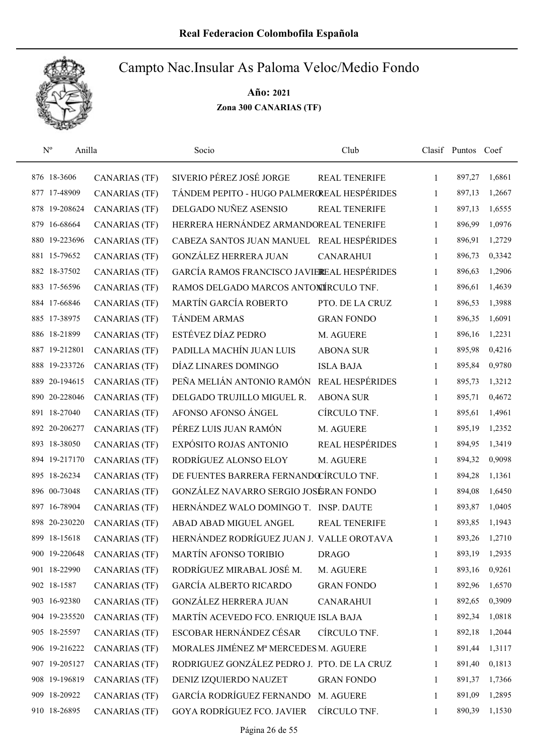

| $N^{o}$       | Anilla               | Socio                                       | Club                   |              | Clasif Puntos Coef |        |
|---------------|----------------------|---------------------------------------------|------------------------|--------------|--------------------|--------|
| 876 18-3606   | <b>CANARIAS (TF)</b> | SIVERIO PÉREZ JOSÉ JORGE                    | <b>REAL TENERIFE</b>   | 1            | 897,27             | 1,6861 |
| 877 17-48909  | <b>CANARIAS (TF)</b> | TÁNDEM PEPITO - HUGO PALMEROREAL HESPÉRIDES |                        | 1            | 897,13             | 1,2667 |
| 878 19-208624 | <b>CANARIAS (TF)</b> | DELGADO NUÑEZ ASENSIO                       | <b>REAL TENERIFE</b>   | 1            | 897,13             | 1,6555 |
| 879 16-68664  | <b>CANARIAS (TF)</b> | HERRERA HERNÁNDEZ ARMANDOREAL TENERIFE      |                        | 1            | 896,99             | 1,0976 |
| 880 19-223696 | <b>CANARIAS (TF)</b> | CABEZA SANTOS JUAN MANUEL REAL HESPÉRIDES   |                        | $\mathbf{1}$ | 896,91             | 1,2729 |
| 881 15-79652  | <b>CANARIAS (TF)</b> | GONZÁLEZ HERRERA JUAN                       | <b>CANARAHUI</b>       | $\mathbf{1}$ | 896,73             | 0,3342 |
| 882 18-37502  | <b>CANARIAS (TF)</b> | GARCÍA RAMOS FRANCISCO JAVIEREAL HESPÉRIDES |                        | $\mathbf{1}$ | 896,63             | 1,2906 |
| 883 17-56596  | <b>CANARIAS (TF)</b> | RAMOS DELGADO MARCOS ANTONÍRCULO TNF.       |                        | 1            | 896,61             | 1,4639 |
| 884 17-66846  | <b>CANARIAS (TF)</b> | MARTÍN GARCÍA ROBERTO                       | PTO. DE LA CRUZ        | $\mathbf{1}$ | 896,53             | 1,3988 |
| 885 17-38975  | <b>CANARIAS (TF)</b> | <b>TÁNDEM ARMAS</b>                         | <b>GRAN FONDO</b>      | 1            | 896,35             | 1,6091 |
| 886 18-21899  | <b>CANARIAS (TF)</b> | ESTÉVEZ DÍAZ PEDRO                          | M. AGUERE              | 1            | 896,16             | 1,2231 |
| 887 19-212801 | <b>CANARIAS (TF)</b> | PADILLA MACHÍN JUAN LUIS                    | <b>ABONA SUR</b>       | 1            | 895,98             | 0,4216 |
| 888 19-233726 | <b>CANARIAS (TF)</b> | DÍAZ LINARES DOMINGO                        | <b>ISLA BAJA</b>       | 1            | 895,84             | 0,9780 |
| 889 20-194615 | <b>CANARIAS (TF)</b> | PEÑA MELIÁN ANTONIO RAMÓN                   | <b>REAL HESPÉRIDES</b> | 1            | 895,73             | 1,3212 |
| 890 20-228046 | CANARIAS (TF)        | DELGADO TRUJILLO MIGUEL R.                  | <b>ABONA SUR</b>       | 1            | 895,71             | 0,4672 |
| 891 18-27040  | <b>CANARIAS (TF)</b> | AFONSO AFONSO ÁNGEL                         | CÍRCULO TNF.           | $\mathbf{1}$ | 895,61             | 1,4961 |
| 892 20-206277 | <b>CANARIAS (TF)</b> | PÉREZ LUIS JUAN RAMÓN                       | M. AGUERE              | 1            | 895,19             | 1,2352 |
| 893 18-38050  | <b>CANARIAS (TF)</b> | EXPÓSITO ROJAS ANTONIO                      | <b>REAL HESPÉRIDES</b> | $\mathbf{1}$ | 894,95             | 1,3419 |
| 894 19-217170 | <b>CANARIAS (TF)</b> | RODRÍGUEZ ALONSO ELOY                       | M. AGUERE              | $\mathbf{1}$ | 894,32             | 0,9098 |
| 895 18-26234  | <b>CANARIAS (TF)</b> | DE FUENTES BARRERA FERNANDŒÍRCULO TNF.      |                        | $\mathbf{1}$ | 894,28             | 1,1361 |
| 896 00-73048  | <b>CANARIAS (TF)</b> | GONZÁLEZ NAVARRO SERGIO JOSÉRAN FONDO       |                        | 1            | 894,08             | 1,6450 |
| 897 16-78904  | <b>CANARIAS (TF)</b> | HERNÁNDEZ WALO DOMINGO T. INSP. DAUTE       |                        | 1            | 893,87             | 1,0405 |
| 898 20-230220 | <b>CANARIAS (TF)</b> | ABAD ABAD MIGUEL ANGEL                      | <b>REAL TENERIFE</b>   | $\mathbf{1}$ | 893,85             | 1,1943 |
| 899 18-15618  | <b>CANARIAS (TF)</b> | HERNÁNDEZ RODRÍGUEZ JUAN J. VALLE OROTAVA   |                        | 1            | 893,26             | 1,2710 |
| 900 19-220648 | <b>CANARIAS (TF)</b> | MARTÍN AFONSO TORIBIO                       | <b>DRAGO</b>           | 1            | 893,19             | 1,2935 |
| 901 18-22990  | <b>CANARIAS (TF)</b> | RODRÍGUEZ MIRABAL JOSÉ M.                   | M. AGUERE              | 1            | 893,16             | 0,9261 |
| 902 18-1587   | CANARIAS (TF)        | <b>GARCÍA ALBERTO RICARDO</b>               | <b>GRAN FONDO</b>      | $\mathbf{1}$ | 892,96             | 1,6570 |
| 903 16-92380  | <b>CANARIAS (TF)</b> | <b>GONZÁLEZ HERRERA JUAN</b>                | <b>CANARAHUI</b>       | 1            | 892,65             | 0,3909 |
| 904 19-235520 | <b>CANARIAS (TF)</b> | MARTÍN ACEVEDO FCO. ENRIQUE ISLA BAJA       |                        | 1            | 892,34             | 1,0818 |
| 905 18-25597  | <b>CANARIAS (TF)</b> | ESCOBAR HERNÁNDEZ CÉSAR                     | CÍRCULO TNF.           | $\mathbf{1}$ | 892,18             | 1,2044 |
| 906 19-216222 | <b>CANARIAS (TF)</b> | MORALES JIMÉNEZ Mª MERCEDES M. AGUERE       |                        | 1            | 891,44             | 1,3117 |
| 907 19-205127 | <b>CANARIAS (TF)</b> | RODRIGUEZ GONZÁLEZ PEDRO J. PTO. DE LA CRUZ |                        | 1            | 891,40             | 0,1813 |
| 908 19-196819 | <b>CANARIAS (TF)</b> | DENIZ IZQUIERDO NAUZET                      | <b>GRAN FONDO</b>      | 1            | 891,37             | 1,7366 |
| 909 18-20922  | <b>CANARIAS (TF)</b> | GARCÍA RODRÍGUEZ FERNANDO                   | M. AGUERE              | 1            | 891,09             | 1,2895 |
| 910 18-26895  | <b>CANARIAS (TF)</b> | GOYA RODRÍGUEZ FCO. JAVIER                  | CÍRCULO TNF.           | 1            | 890,39             | 1,1530 |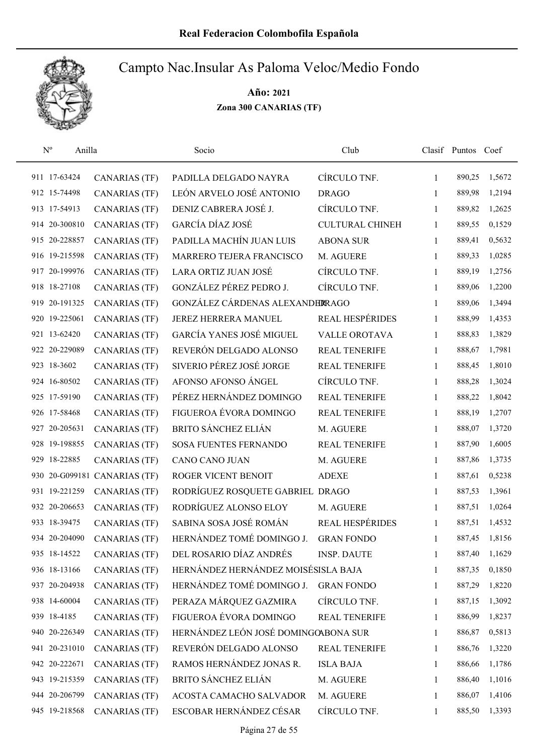

| $\mathbf{N}^{\text{o}}$<br>Anilla |                              | Socio                                | Club                   |              | Clasif Puntos Coef |        |
|-----------------------------------|------------------------------|--------------------------------------|------------------------|--------------|--------------------|--------|
| 911 17-63424                      | <b>CANARIAS (TF)</b>         | PADILLA DELGADO NAYRA                | CÍRCULO TNF.           | $\mathbf{1}$ | 890,25             | 1,5672 |
| 912 15-74498                      | <b>CANARIAS (TF)</b>         | LEÓN ARVELO JOSÉ ANTONIO             | <b>DRAGO</b>           | 1            | 889,98             | 1,2194 |
| 913 17-54913                      | <b>CANARIAS (TF)</b>         | DENIZ CABRERA JOSÉ J.                | CÍRCULO TNF.           | 1            | 889,82             | 1,2625 |
| 914 20-300810                     | <b>CANARIAS (TF)</b>         | GARCÍA DÍAZ JOSÉ                     | <b>CULTURAL CHINEH</b> | 1            | 889,55             | 0,1529 |
| 915 20-228857                     | <b>CANARIAS (TF)</b>         | PADILLA MACHÍN JUAN LUIS             | <b>ABONA SUR</b>       | 1            | 889,41             | 0,5632 |
| 916 19-215598                     | <b>CANARIAS (TF)</b>         | MARRERO TEJERA FRANCISCO             | M. AGUERE              | 1            | 889,33             | 1,0285 |
| 917 20-199976                     | <b>CANARIAS (TF)</b>         | LARA ORTIZ JUAN JOSÉ                 | CÍRCULO TNF.           | 1            | 889,19             | 1,2756 |
| 918 18-27108                      | <b>CANARIAS (TF)</b>         | GONZÁLEZ PÉREZ PEDRO J.              | CÍRCULO TNF.           | 1            | 889,06             | 1,2200 |
| 919 20-191325                     | <b>CANARIAS (TF)</b>         | GONZÁLEZ CÁRDENAS ALEXANDERRAGO      |                        | 1            | 889,06             | 1,3494 |
| 920 19-225061                     | <b>CANARIAS (TF)</b>         | JEREZ HERRERA MANUEL                 | <b>REAL HESPÉRIDES</b> | 1            | 888,99             | 1,4353 |
| 921 13-62420                      | <b>CANARIAS (TF)</b>         | <b>GARCÍA YANES JOSÉ MIGUEL</b>      | <b>VALLE OROTAVA</b>   | 1            | 888,83             | 1,3829 |
| 922 20-229089                     | <b>CANARIAS (TF)</b>         | REVERÓN DELGADO ALONSO               | <b>REAL TENERIFE</b>   | 1            | 888,67             | 1,7981 |
| 923 18-3602                       | <b>CANARIAS (TF)</b>         | SIVERIO PÉREZ JOSÉ JORGE             | <b>REAL TENERIFE</b>   | 1            | 888,45             | 1,8010 |
| 924 16-80502                      | <b>CANARIAS (TF)</b>         | AFONSO AFONSO ÁNGEL                  | CÍRCULO TNF.           | 1            | 888,28             | 1,3024 |
| 925 17-59190                      | <b>CANARIAS (TF)</b>         | PÉREZ HERNÁNDEZ DOMINGO              | REAL TENERIFE          | 1            | 888,22             | 1,8042 |
| 926 17-58468                      | <b>CANARIAS (TF)</b>         | FIGUEROA ÉVORA DOMINGO               | REAL TENERIFE          | 1            | 888,19             | 1,2707 |
| 927 20-205631                     | <b>CANARIAS (TF)</b>         | <b>BRITO SÁNCHEZ ELIÁN</b>           | M. AGUERE              | 1            | 888,07             | 1,3720 |
| 928 19-198855                     | <b>CANARIAS (TF)</b>         | <b>SOSA FUENTES FERNANDO</b>         | <b>REAL TENERIFE</b>   | 1            | 887,90             | 1,6005 |
| 929 18-22885                      | <b>CANARIAS (TF)</b>         | CANO CANO JUAN                       | M. AGUERE              | 1            | 887,86             | 1,3735 |
|                                   | 930 20-G099181 CANARIAS (TF) | ROGER VICENT BENOIT                  | <b>ADEXE</b>           | 1            | 887,61             | 0,5238 |
| 931 19-221259                     | <b>CANARIAS (TF)</b>         | RODRÍGUEZ ROSQUETE GABRIEL DRAGO     |                        | 1            | 887,53             | 1,3961 |
| 932 20-206653                     | <b>CANARIAS (TF)</b>         | RODRÍGUEZ ALONSO ELOY                | M. AGUERE              | 1            | 887,51             | 1,0264 |
| 933 18-39475                      | <b>CANARIAS (TF)</b>         | SABINA SOSA JOSÉ ROMÁN               | <b>REAL HESPÉRIDES</b> | 1            | 887,51             | 1,4532 |
| 934 20-204090                     | <b>CANARIAS (TF)</b>         | HERNÁNDEZ TOMÉ DOMINGO J.            | <b>GRAN FONDO</b>      | 1            | 887,45             | 1,8156 |
| 935 18-14522                      | <b>CANARIAS (TF)</b>         | DEL ROSARIO DÍAZ ANDRÉS              | <b>INSP. DAUTE</b>     | 1            | 887,40             | 1,1629 |
| 936 18-13166                      | <b>CANARIAS (TF)</b>         | HERNÁNDEZ HERNÁNDEZ MOISÉSISLA BAJA  |                        | 1            | 887,35             | 0,1850 |
| 937 20-204938                     | CANARIAS (TF)                | HERNÁNDEZ TOMÉ DOMINGO J.            | <b>GRAN FONDO</b>      | 1            | 887,29             | 1,8220 |
| 938 14-60004                      | <b>CANARIAS (TF)</b>         | PERAZA MÁRQUEZ GAZMIRA               | CÍRCULO TNF.           | 1            | 887,15             | 1,3092 |
| 939 18-4185                       | <b>CANARIAS (TF)</b>         | FIGUEROA ÉVORA DOMINGO               | <b>REAL TENERIFE</b>   | 1            | 886,99             | 1,8237 |
| 940 20-226349                     | <b>CANARIAS (TF)</b>         | HERNÁNDEZ LEÓN JOSÉ DOMINGOABONA SUR |                        | 1            | 886,87             | 0,5813 |
| 941 20-231010                     | <b>CANARIAS (TF)</b>         | REVERÓN DELGADO ALONSO               | <b>REAL TENERIFE</b>   | 1            | 886,76             | 1,3220 |
| 942 20-222671                     | <b>CANARIAS (TF)</b>         | RAMOS HERNÁNDEZ JONAS R.             | <b>ISLA BAJA</b>       | 1            | 886,66             | 1,1786 |
| 943 19-215359                     | <b>CANARIAS (TF)</b>         | <b>BRITO SÁNCHEZ ELIÁN</b>           | M. AGUERE              | 1            | 886,40             | 1,1016 |
| 944 20-206799                     | <b>CANARIAS (TF)</b>         | ACOSTA CAMACHO SALVADOR              | M. AGUERE              | 1            | 886,07             | 1,4106 |
| 945 19-218568                     | <b>CANARIAS (TF)</b>         | ESCOBAR HERNÁNDEZ CÉSAR              | CÍRCULO TNF.           | 1            | 885,50             | 1,3393 |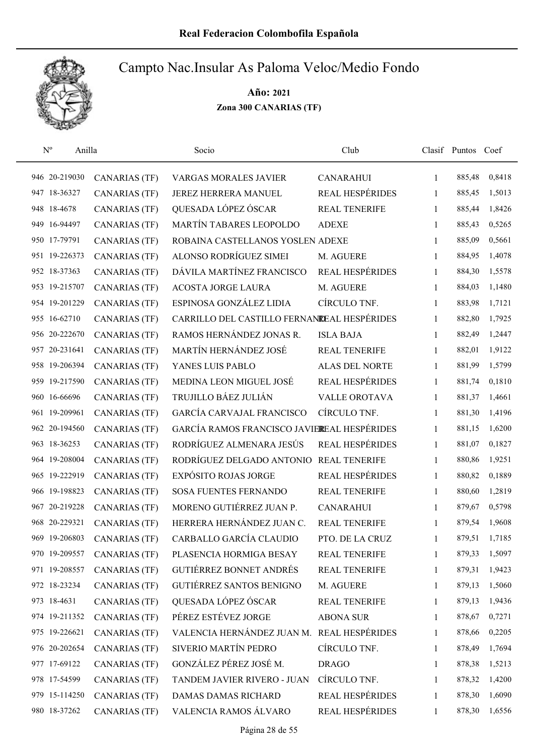

| $N^{o}$<br>Anilla |                      | Socio                                       | Club                   |              | Clasif Puntos Coef |        |
|-------------------|----------------------|---------------------------------------------|------------------------|--------------|--------------------|--------|
| 946 20-219030     | <b>CANARIAS (TF)</b> | <b>VARGAS MORALES JAVIER</b>                | <b>CANARAHUI</b>       | 1            | 885,48             | 0,8418 |
| 947 18-36327      | <b>CANARIAS (TF)</b> | JEREZ HERRERA MANUEL                        | <b>REAL HESPÉRIDES</b> | 1            | 885,45             | 1,5013 |
| 948 18-4678       | <b>CANARIAS (TF)</b> | QUESADA LÓPEZ ÓSCAR                         | <b>REAL TENERIFE</b>   | 1            | 885,44             | 1,8426 |
| 949 16-94497      | <b>CANARIAS (TF)</b> | MARTÍN TABARES LEOPOLDO                     | <b>ADEXE</b>           | 1            | 885,43             | 0,5265 |
| 950 17-79791      | <b>CANARIAS (TF)</b> | ROBAINA CASTELLANOS YOSLEN ADEXE            |                        | 1            | 885,09             | 0,5661 |
| 951 19-226373     | <b>CANARIAS (TF)</b> | ALONSO RODRÍGUEZ SIMEI                      | M. AGUERE              | 1            | 884,95             | 1,4078 |
| 952 18-37363      | <b>CANARIAS (TF)</b> | DÁVILA MARTÍNEZ FRANCISCO                   | <b>REAL HESPÉRIDES</b> | 1            | 884,30             | 1,5578 |
| 953 19-215707     | <b>CANARIAS (TF)</b> | <b>ACOSTA JORGE LAURA</b>                   | M. AGUERE              | 1            | 884,03             | 1,1480 |
| 954 19-201229     | <b>CANARIAS (TF)</b> | ESPINOSA GONZÁLEZ LIDIA                     | CÍRCULO TNF.           | 1            | 883,98             | 1,7121 |
| 955 16-62710      | <b>CANARIAS (TF)</b> | CARRILLO DEL CASTILLO FERNANDEAL HESPÉRIDES |                        | 1            | 882,80             | 1,7925 |
| 956 20-222670     | <b>CANARIAS (TF)</b> | RAMOS HERNÁNDEZ JONAS R.                    | <b>ISLA BAJA</b>       | 1            | 882,49             | 1,2447 |
| 957 20-231641     | <b>CANARIAS (TF)</b> | MARTÍN HERNÁNDEZ JOSÉ                       | <b>REAL TENERIFE</b>   | 1            | 882,01             | 1,9122 |
| 958 19-206394     | <b>CANARIAS (TF)</b> | YANES LUIS PABLO                            | <b>ALAS DEL NORTE</b>  | 1            | 881,99             | 1,5799 |
| 959 19-217590     | <b>CANARIAS (TF)</b> | MEDINA LEON MIGUEL JOSÉ                     | <b>REAL HESPÉRIDES</b> | 1            | 881,74             | 0,1810 |
| 960 16-66696      | <b>CANARIAS (TF)</b> | TRUJILLO BÁEZ JULIÁN                        | <b>VALLE OROTAVA</b>   | 1            | 881,37             | 1,4661 |
| 961 19-209961     | <b>CANARIAS (TF)</b> | <b>GARCÍA CARVAJAL FRANCISCO</b>            | CÍRCULO TNF.           | $\mathbf{1}$ | 881,30             | 1,4196 |
| 962 20-194560     | <b>CANARIAS (TF)</b> | GARCÍA RAMOS FRANCISCO JAVIEREAL HESPÉRIDES |                        | $\mathbf{1}$ | 881,15             | 1,6200 |
| 963 18-36253      | <b>CANARIAS (TF)</b> | RODRÍGUEZ ALMENARA JESÚS                    | <b>REAL HESPÉRIDES</b> | 1            | 881,07             | 0,1827 |
| 964 19-208004     | <b>CANARIAS (TF)</b> | RODRÍGUEZ DELGADO ANTONIO                   | <b>REAL TENERIFE</b>   | 1            | 880,86             | 1,9251 |
| 965 19-222919     | <b>CANARIAS (TF)</b> | <b>EXPÓSITO ROJAS JORGE</b>                 | <b>REAL HESPÉRIDES</b> | 1            | 880,82             | 0,1889 |
| 966 19-198823     | <b>CANARIAS (TF)</b> | <b>SOSA FUENTES FERNANDO</b>                | <b>REAL TENERIFE</b>   | 1            | 880,60             | 1,2819 |
| 967 20-219228     | <b>CANARIAS (TF)</b> | MORENO GUTIÉRREZ JUAN P.                    | <b>CANARAHUI</b>       | 1            | 879,67             | 0,5798 |
| 968 20-229321     | <b>CANARIAS (TF)</b> | HERRERA HERNÁNDEZ JUAN C.                   | <b>REAL TENERIFE</b>   | 1            | 879,54             | 1,9608 |
| 969 19-206803     | <b>CANARIAS (TF)</b> | CARBALLO GARCÍA CLAUDIO                     | PTO. DE LA CRUZ        | 1            | 879,51             | 1,7185 |
| 970 19-209557     | <b>CANARIAS (TF)</b> | PLASENCIA HORMIGA BESAY                     | <b>REAL TENERIFE</b>   | 1            | 879,33             | 1,5097 |
| 971 19-208557     | <b>CANARIAS (TF)</b> | GUTIÉRREZ BONNET ANDRÉS                     | <b>REAL TENERIFE</b>   | 1            | 879,31             | 1,9423 |
| 972 18-23234      | <b>CANARIAS (TF)</b> | <b>GUTIÉRREZ SANTOS BENIGNO</b>             | M. AGUERE              | 1            | 879,13             | 1,5060 |
| 973 18-4631       | <b>CANARIAS (TF)</b> | QUESADA LÓPEZ ÓSCAR                         | <b>REAL TENERIFE</b>   | 1            | 879,13             | 1,9436 |
| 974 19-211352     | <b>CANARIAS (TF)</b> | PÉREZ ESTÉVEZ JORGE                         | <b>ABONA SUR</b>       | 1            | 878,67             | 0,7271 |
| 975 19-226621     | <b>CANARIAS (TF)</b> | VALENCIA HERNÁNDEZ JUAN M. REAL HESPÉRIDES  |                        | 1            | 878,66             | 0,2205 |
| 976 20-202654     | <b>CANARIAS (TF)</b> | SIVERIO MARTÍN PEDRO                        | CÍRCULO TNF.           | 1            | 878,49             | 1,7694 |
| 977 17-69122      | <b>CANARIAS (TF)</b> | GONZÁLEZ PÉREZ JOSÉ M.                      | <b>DRAGO</b>           | 1            | 878,38             | 1,5213 |
| 978 17-54599      | <b>CANARIAS (TF)</b> | TANDEM JAVIER RIVERO - JUAN                 | CÍRCULO TNF.           | 1            | 878,32             | 1,4200 |
| 979 15-114250     | <b>CANARIAS (TF)</b> | DAMAS DAMAS RICHARD                         | REAL HESPÉRIDES        | 1            | 878,30             | 1,6090 |
| 980 18-37262      | <b>CANARIAS (TF)</b> | VALENCIA RAMOS ÁLVARO                       | REAL HESPÉRIDES        | 1            | 878,30             | 1,6556 |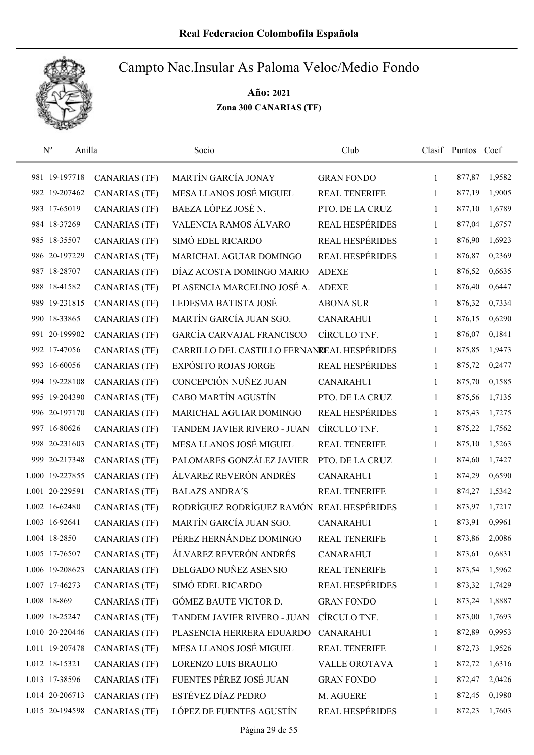

| $\rm N^o$<br>Anilla |                      | Socio                                       | Club                   |   | Clasif Puntos Coef |        |
|---------------------|----------------------|---------------------------------------------|------------------------|---|--------------------|--------|
| 981 19-197718       | <b>CANARIAS (TF)</b> | MARTÍN GARCÍA JONAY                         | <b>GRAN FONDO</b>      | 1 | 877,87             | 1,9582 |
| 982 19-207462       | <b>CANARIAS</b> (TF) | MESA LLANOS JOSÉ MIGUEL                     | <b>REAL TENERIFE</b>   | 1 | 877,19             | 1,9005 |
| 983 17-65019        | <b>CANARIAS (TF)</b> | BAEZA LÓPEZ JOSÉ N.                         | PTO. DE LA CRUZ        | 1 | 877,10             | 1,6789 |
| 984 18-37269        | <b>CANARIAS (TF)</b> | VALENCIA RAMOS ÁLVARO                       | REAL HESPÉRIDES        | 1 | 877,04             | 1,6757 |
| 985 18-35507        | <b>CANARIAS (TF)</b> | SIMÓ EDEL RICARDO                           | REAL HESPÉRIDES        | 1 | 876,90             | 1,6923 |
| 986 20-197229       | <b>CANARIAS (TF)</b> | MARICHAL AGUIAR DOMINGO                     | <b>REAL HESPÉRIDES</b> | 1 | 876,87             | 0,2369 |
| 987 18-28707        | <b>CANARIAS (TF)</b> | DÍAZ ACOSTA DOMINGO MARIO                   | <b>ADEXE</b>           | 1 | 876,52             | 0,6635 |
| 988 18-41582        | <b>CANARIAS (TF)</b> | PLASENCIA MARCELINO JOSÉ A.                 | <b>ADEXE</b>           | 1 | 876,40             | 0,6447 |
| 989 19-231815       | <b>CANARIAS (TF)</b> | LEDESMA BATISTA JOSÉ                        | <b>ABONA SUR</b>       | 1 | 876,32             | 0,7334 |
| 990 18-33865        | <b>CANARIAS (TF)</b> | MARTÍN GARCÍA JUAN SGO.                     | <b>CANARAHUI</b>       | 1 | 876,15             | 0,6290 |
| 991 20-199902       | <b>CANARIAS (TF)</b> | GARCÍA CARVAJAL FRANCISCO                   | CÍRCULO TNF.           | 1 | 876,07             | 0,1841 |
| 992 17-47056        | <b>CANARIAS (TF)</b> | CARRILLO DEL CASTILLO FERNANDEAL HESPÉRIDES |                        | 1 | 875,85             | 1,9473 |
| 993 16-60056        | <b>CANARIAS (TF)</b> | <b>EXPÓSITO ROJAS JORGE</b>                 | REAL HESPÉRIDES        | 1 | 875,72             | 0,2477 |
| 994 19-228108       | <b>CANARIAS (TF)</b> | CONCEPCIÓN NUÑEZ JUAN                       | <b>CANARAHUI</b>       | 1 | 875,70             | 0,1585 |
| 995 19-204390       | <b>CANARIAS (TF)</b> | CABO MARTÍN AGUSTÍN                         | PTO. DE LA CRUZ        | 1 | 875,56             | 1,7135 |
| 996 20-197170       | <b>CANARIAS (TF)</b> | MARICHAL AGUIAR DOMINGO                     | <b>REAL HESPÉRIDES</b> | 1 | 875,43             | 1,7275 |
| 997 16-80626        | <b>CANARIAS (TF)</b> | TANDEM JAVIER RIVERO - JUAN                 | CÍRCULO TNF.           | 1 | 875,22             | 1,7562 |
| 998 20-231603       | <b>CANARIAS (TF)</b> | MESA LLANOS JOSÉ MIGUEL                     | REAL TENERIFE          | 1 | 875,10             | 1,5263 |
| 999 20-217348       | <b>CANARIAS (TF)</b> | PALOMARES GONZÁLEZ JAVIER                   | PTO. DE LA CRUZ        | 1 | 874,60             | 1,7427 |
| 1.000 19-227855     | <b>CANARIAS (TF)</b> | ÁLVAREZ REVERÓN ANDRÉS                      | <b>CANARAHUI</b>       | 1 | 874,29             | 0,6590 |
| 1.001 20-229591     | <b>CANARIAS (TF)</b> | <b>BALAZS ANDRA'S</b>                       | <b>REAL TENERIFE</b>   | 1 | 874,27             | 1,5342 |
| 1.002 16-62480      | <b>CANARIAS (TF)</b> | RODRÍGUEZ RODRÍGUEZ RAMÓN REAL HESPÉRIDES   |                        | 1 | 873,97             | 1,7217 |
| 1.003 16-92641      | <b>CANARIAS (TF)</b> | MARTÍN GARCÍA JUAN SGO.                     | <b>CANARAHUI</b>       | 1 | 873,91             | 0,9961 |
| 1.004 18-2850       | <b>CANARIAS (TF)</b> | PÉREZ HERNÁNDEZ DOMINGO                     | <b>REAL TENERIFE</b>   | 1 | 873,86             | 2,0086 |
| 1.005 17-76507      | <b>CANARIAS (TF)</b> | ÁLVAREZ REVERÓN ANDRÉS                      | <b>CANARAHUI</b>       | 1 | 873,61             | 0,6831 |
| 1.006 19-208623     | <b>CANARIAS</b> (TF) | DELGADO NUÑEZ ASENSIO                       | <b>REAL TENERIFE</b>   | 1 | 873,54             | 1,5962 |
| 1.007 17-46273      | <b>CANARIAS (TF)</b> | SIMÓ EDEL RICARDO                           | <b>REAL HESPÉRIDES</b> | 1 | 873,32             | 1,7429 |
| 1.008 18-869        | <b>CANARIAS (TF)</b> | GÓMEZ BAUTE VICTOR D.                       | <b>GRAN FONDO</b>      | 1 | 873,24             | 1,8887 |
| 1.009 18-25247      | <b>CANARIAS (TF)</b> | TANDEM JAVIER RIVERO - JUAN                 | CÍRCULO TNF.           | 1 | 873,00             | 1,7693 |
| 1.010 20-220446     | <b>CANARIAS (TF)</b> | PLASENCIA HERRERA EDUARDO                   | <b>CANARAHUI</b>       | 1 | 872,89             | 0,9953 |
| 1.011 19-207478     | <b>CANARIAS (TF)</b> | MESA LLANOS JOSÉ MIGUEL                     | <b>REAL TENERIFE</b>   | 1 | 872,73             | 1,9526 |
| 1.012 18-15321      | <b>CANARIAS (TF)</b> | LORENZO LUIS BRAULIO                        | VALLE OROTAVA          | 1 | 872,72             | 1,6316 |
| 1.013 17-38596      | <b>CANARIAS (TF)</b> | FUENTES PÉREZ JOSÉ JUAN                     | <b>GRAN FONDO</b>      | 1 | 872,47             | 2,0426 |
| 1.014 20-206713     | <b>CANARIAS (TF)</b> | ESTÉVEZ DÍAZ PEDRO                          | M. AGUERE              | 1 | 872,45             | 0,1980 |
| 1.015 20-194598     | <b>CANARIAS (TF)</b> | LÓPEZ DE FUENTES AGUSTÍN                    | REAL HESPÉRIDES        | 1 | 872,23             | 1,7603 |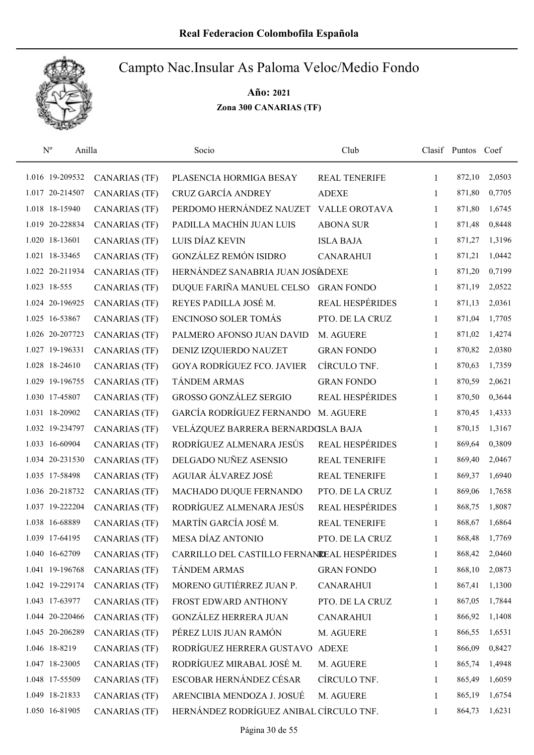

| $\mathrm{N}^{\rm o}$<br>Anilla |                      | Socio                                       | Club                   |              | Clasif Puntos Coef |        |
|--------------------------------|----------------------|---------------------------------------------|------------------------|--------------|--------------------|--------|
| 1.016 19-209532                | <b>CANARIAS (TF)</b> | PLASENCIA HORMIGA BESAY                     | REAL TENERIFE          | 1            | 872,10             | 2,0503 |
| 1.017 20-214507                | <b>CANARIAS (TF)</b> | CRUZ GARCÍA ANDREY                          | <b>ADEXE</b>           | 1            | 871,80             | 0,7705 |
| 1.018 18-15940                 | <b>CANARIAS (TF)</b> | PERDOMO HERNÁNDEZ NAUZET                    | <b>VALLE OROTAVA</b>   | $\mathbf{1}$ | 871,80             | 1,6745 |
| 1.019 20-228834                | <b>CANARIAS (TF)</b> | PADILLA MACHÍN JUAN LUIS                    | <b>ABONA SUR</b>       | 1            | 871,48             | 0,8448 |
| 1.020 18-13601                 | <b>CANARIAS (TF)</b> | LUIS DÍAZ KEVIN                             | <b>ISLA BAJA</b>       | $\mathbf{1}$ | 871,27             | 1,3196 |
| 1.021 18-33465                 | <b>CANARIAS (TF)</b> | <b>GONZÁLEZ REMÓN ISIDRO</b>                | <b>CANARAHUI</b>       | $\mathbf{1}$ | 871,21             | 1,0442 |
| 1.022 20-211934                | <b>CANARIAS (TF)</b> | HERNÁNDEZ SANABRIA JUAN JOSÉADEXE           |                        | $\mathbf{1}$ | 871,20             | 0,7199 |
| 1.023 18-555                   | <b>CANARIAS (TF)</b> | DUQUE FARIÑA MANUEL CELSO                   | <b>GRAN FONDO</b>      | $\mathbf{1}$ | 871,19             | 2,0522 |
| 1.024 20-196925                | <b>CANARIAS (TF)</b> | REYES PADILLA JOSÉ M.                       | <b>REAL HESPÉRIDES</b> | $\mathbf{1}$ | 871,13             | 2,0361 |
| 1.025 16-53867                 | <b>CANARIAS (TF)</b> | <b>ENCINOSO SOLER TOMÁS</b>                 | PTO. DE LA CRUZ        | 1            | 871,04             | 1,7705 |
| 1.026 20-207723                | <b>CANARIAS</b> (TF) | PALMERO AFONSO JUAN DAVID                   | M. AGUERE              | 1            | 871,02             | 1,4274 |
| 1.027 19-196331                | <b>CANARIAS</b> (TF) | DENIZ IZQUIERDO NAUZET                      | <b>GRAN FONDO</b>      | 1            | 870,82             | 2,0380 |
| 1.028 18-24610                 | <b>CANARIAS (TF)</b> | <b>GOYA RODRÍGUEZ FCO. JAVIER</b>           | CÍRCULO TNF.           | 1            | 870,63             | 1,7359 |
| 1.029 19-196755                | <b>CANARIAS (TF)</b> | <b>TÁNDEM ARMAS</b>                         | <b>GRAN FONDO</b>      | 1            | 870,59             | 2,0621 |
| 1.030 17-45807                 | <b>CANARIAS (TF)</b> | <b>GROSSO GONZÁLEZ SERGIO</b>               | REAL HESPÉRIDES        | $\mathbf{1}$ | 870,50             | 0,3644 |
| 1.031 18-20902                 | <b>CANARIAS (TF)</b> | GARCÍA RODRÍGUEZ FERNANDO                   | M. AGUERE              | $\mathbf{1}$ | 870,45             | 1,4333 |
| 1.032 19-234797                | <b>CANARIAS (TF)</b> | VELÁZQUEZ BARRERA BERNARDOSLA BAJA          |                        | 1            | 870,15             | 1,3167 |
| 1.033 16-60904                 | <b>CANARIAS (TF)</b> | RODRÍGUEZ ALMENARA JESÚS                    | <b>REAL HESPÉRIDES</b> | $\mathbf{1}$ | 869,64             | 0,3809 |
| 1.034 20-231530                | <b>CANARIAS (TF)</b> | DELGADO NUÑEZ ASENSIO                       | <b>REAL TENERIFE</b>   | $\mathbf{1}$ | 869,40             | 2,0467 |
| 1.035 17-58498                 | <b>CANARIAS (TF)</b> | AGUIAR ÁLVAREZ JOSÉ                         | REAL TENERIFE          | $\mathbf{1}$ | 869,37             | 1,6940 |
| 1.036 20-218732                | <b>CANARIAS (TF)</b> | MACHADO DUQUE FERNANDO                      | PTO. DE LA CRUZ        | $\mathbf{1}$ | 869,06             | 1,7658 |
| 1.037 19-222204                | <b>CANARIAS (TF)</b> | RODRÍGUEZ ALMENARA JESÚS                    | <b>REAL HESPÉRIDES</b> | $\mathbf{1}$ | 868,75             | 1,8087 |
| 1.038 16-68889                 | <b>CANARIAS (TF)</b> | MARTÍN GARCÍA JOSÉ M.                       | <b>REAL TENERIFE</b>   | $\mathbf{1}$ | 868,67             | 1,6864 |
| 1.039 17-64195                 | <b>CANARIAS (TF)</b> | MESA DÍAZ ANTONIO                           | PTO. DE LA CRUZ        | 1            | 868,48             | 1,7769 |
| 1.040 16-62709                 | <b>CANARIAS (TF)</b> | CARRILLO DEL CASTILLO FERNANCEAL HESPÉRIDES |                        | 1            | 868,42             | 2,0460 |
| 1.041 19-196768                | <b>CANARIAS (TF)</b> | <b>TÁNDEM ARMAS</b>                         | <b>GRAN FONDO</b>      | 1            | 868,10             | 2,0873 |
| 1.042 19-229174                | <b>CANARIAS (TF)</b> | MORENO GUTIÉRREZ JUAN P.                    | <b>CANARAHUI</b>       | 1            | 867,41             | 1,1300 |
| 1.043 17-63977                 | <b>CANARIAS (TF)</b> | FROST EDWARD ANTHONY                        | PTO. DE LA CRUZ        | 1            | 867,05             | 1,7844 |
| 1.044 20-220466                | <b>CANARIAS (TF)</b> | <b>GONZÁLEZ HERRERA JUAN</b>                | <b>CANARAHUI</b>       | $\mathbf{1}$ | 866,92             | 1,1408 |
| 1.045 20-206289                | <b>CANARIAS (TF)</b> | PÉREZ LUIS JUAN RAMÓN                       | M. AGUERE              | 1            | 866,55             | 1,6531 |
| 1.046 18-8219                  | <b>CANARIAS (TF)</b> | RODRÍGUEZ HERRERA GUSTAVO                   | <b>ADEXE</b>           | $\mathbf{1}$ | 866,09             | 0,8427 |
| 1.047 18-23005                 | <b>CANARIAS (TF)</b> | RODRÍGUEZ MIRABAL JOSÉ M.                   | M. AGUERE              | 1            | 865,74             | 1,4948 |
| 1.048 17-55509                 | <b>CANARIAS (TF)</b> | ESCOBAR HERNÁNDEZ CÉSAR                     | CÍRCULO TNF.           | $\mathbf{1}$ | 865,49             | 1,6059 |
| 1.049 18-21833                 | <b>CANARIAS (TF)</b> | ARENCIBIA MENDOZA J. JOSUÉ                  | M. AGUERE              | 1            | 865,19             | 1,6754 |
| 1.050 16-81905                 | <b>CANARIAS (TF)</b> | HERNÁNDEZ RODRÍGUEZ ANIBAL CÍRCULO TNF.     |                        | 1            | 864,73             | 1,6231 |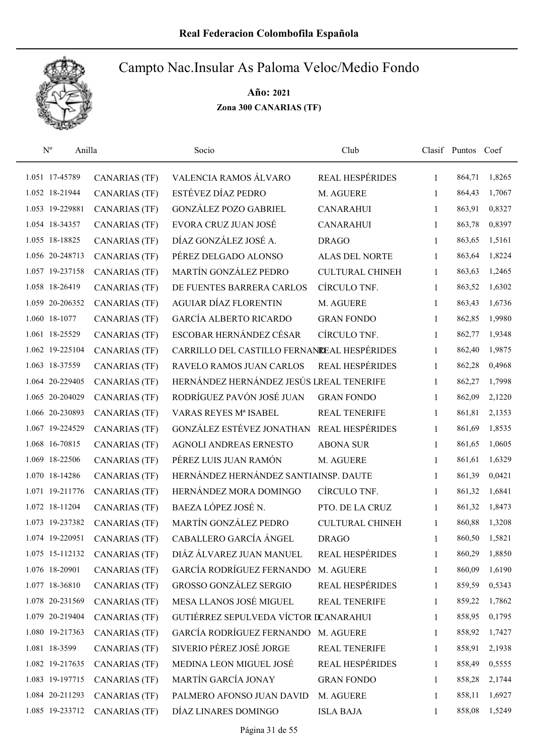

| $N^{o}$<br>Anilla |                      | Socio                                       | Club                   |              | Clasif Puntos Coef |        |
|-------------------|----------------------|---------------------------------------------|------------------------|--------------|--------------------|--------|
| 1.051 17-45789    | <b>CANARIAS (TF)</b> | VALENCIA RAMOS ÁLVARO                       | REAL HESPÉRIDES        | $\mathbf{1}$ | 864,71             | 1,8265 |
| 1.052 18-21944    | <b>CANARIAS (TF)</b> | ESTÉVEZ DÍAZ PEDRO                          | M. AGUERE              | 1            | 864,43             | 1,7067 |
| 1.053 19-229881   | CANARIAS (TF)        | <b>GONZÁLEZ POZO GABRIEL</b>                | <b>CANARAHUI</b>       | $\mathbf{1}$ | 863,91             | 0,8327 |
| 1.054 18-34357    | <b>CANARIAS (TF)</b> | EVORA CRUZ JUAN JOSÉ                        | <b>CANARAHUI</b>       | 1            | 863,78             | 0,8397 |
| 1.055 18-18825    | <b>CANARIAS</b> (TF) | DÍAZ GONZÁLEZ JOSÉ A.                       | <b>DRAGO</b>           | $\mathbf{1}$ | 863,65             | 1,5161 |
| 1.056 20-248713   | <b>CANARIAS (TF)</b> | PÉREZ DELGADO ALONSO                        | <b>ALAS DEL NORTE</b>  | $\mathbf{1}$ | 863,64             | 1,8224 |
| 1.057 19-237158   | <b>CANARIAS (TF)</b> | MARTÍN GONZÁLEZ PEDRO                       | <b>CULTURAL CHINEH</b> | $\mathbf{1}$ | 863,63             | 1,2465 |
| 1.058 18-26419    | <b>CANARIAS (TF)</b> | DE FUENTES BARRERA CARLOS                   | CÍRCULO TNF.           | $\mathbf{1}$ | 863,52             | 1,6302 |
| 1.059 20-206352   | <b>CANARIAS (TF)</b> | <b>AGUIAR DÍAZ FLORENTIN</b>                | M. AGUERE              | $\mathbf{1}$ | 863,43             | 1,6736 |
| 1.060 18-1077     | <b>CANARIAS (TF)</b> | <b>GARCÍA ALBERTO RICARDO</b>               | <b>GRAN FONDO</b>      | 1            | 862,85             | 1,9980 |
| 1.061 18-25529    | <b>CANARIAS (TF)</b> | ESCOBAR HERNÁNDEZ CÉSAR                     | CÍRCULO TNF.           | 1            | 862,77             | 1,9348 |
| 1.062 19-225104   | <b>CANARIAS (TF)</b> | CARRILLO DEL CASTILLO FERNANEEAL HESPÉRIDES |                        | 1            | 862,40             | 1,9875 |
| 1.063 18-37559    | <b>CANARIAS</b> (TF) | RAVELO RAMOS JUAN CARLOS                    | <b>REAL HESPÉRIDES</b> | 1            | 862,28             | 0,4968 |
| 1.064 20-229405   | <b>CANARIAS</b> (TF) | HERNÁNDEZ HERNÁNDEZ JESÚS LREAL TENERIFE    |                        | $\mathbf{1}$ | 862,27             | 1,7998 |
| 1.065 20-204029   | <b>CANARIAS (TF)</b> | RODRÍGUEZ PAVÓN JOSÉ JUAN                   | <b>GRAN FONDO</b>      | 1            | 862,09             | 2,1220 |
| 1.066 20-230893   | <b>CANARIAS (TF)</b> | VARAS REYES Mª ISABEL                       | <b>REAL TENERIFE</b>   | 1            | 861,81             | 2,1353 |
| 1.067 19-224529   | <b>CANARIAS (TF)</b> | GONZÁLEZ ESTÉVEZ JONATHAN                   | REAL HESPÉRIDES        | 1            | 861,69             | 1,8535 |
| 1.068 16-70815    | <b>CANARIAS (TF)</b> | AGNOLI ANDREAS ERNESTO                      | <b>ABONA SUR</b>       | $\mathbf{1}$ | 861,65             | 1,0605 |
| 1.069 18-22506    | <b>CANARIAS (TF)</b> | PÉREZ LUIS JUAN RAMÓN                       | M. AGUERE              | $\mathbf{1}$ | 861,61             | 1,6329 |
| 1.070 18-14286    | <b>CANARIAS (TF)</b> | HERNÁNDEZ HERNÁNDEZ SANTIAINSP. DAUTE       |                        | $\mathbf{1}$ | 861,39             | 0,0421 |
| 1.071 19-211776   | <b>CANARIAS (TF)</b> | HERNÁNDEZ MORA DOMINGO                      | CÍRCULO TNF.           | $\mathbf{1}$ | 861,32             | 1,6841 |
| 1.072 18-11204    | CANARIAS (TF)        | BAEZA LÓPEZ JOSÉ N.                         | PTO. DE LA CRUZ        | 1            | 861,32             | 1,8473 |
| 1.073 19-237382   | <b>CANARIAS (TF)</b> | MARTÍN GONZÁLEZ PEDRO                       | <b>CULTURAL CHINEH</b> | 1            | 860,88             | 1,3208 |
| 1.074 19-220951   | <b>CANARIAS (TF)</b> | CABALLERO GARCÍA ÁNGEL                      | <b>DRAGO</b>           | 1            | 860,50             | 1,5821 |
| 1.075 15-112132   | CANARIAS (TF)        | DIÁZ ÁLVAREZ JUAN MANUEL                    | REAL HESPÉRIDES        | 1            | 860,29             | 1,8850 |
| 1.076 18-20901    | <b>CANARIAS (TF)</b> | GARCÍA RODRÍGUEZ FERNANDO                   | M. AGUERE              | 1            | 860,09             | 1,6190 |
| 1.077 18-36810    | <b>CANARIAS (TF)</b> | GROSSO GONZÁLEZ SERGIO                      | REAL HESPÉRIDES        | 1            | 859,59             | 0,5343 |
| 1.078 20-231569   | <b>CANARIAS (TF)</b> | MESA LLANOS JOSÉ MIGUEL                     | REAL TENERIFE          | 1            | 859,22             | 1,7862 |
| 1.079 20-219404   | <b>CANARIAS (TF)</b> | GUTIÉRREZ SEPULVEDA VÍCTOR DCANARAHUI       |                        | 1            | 858,95             | 0,1795 |
| 1.080 19-217363   | <b>CANARIAS (TF)</b> | <b>GARCÍA RODRÍGUEZ FERNANDO</b>            | M. AGUERE              | 1            | 858,92             | 1,7427 |
| 1.081 18-3599     | <b>CANARIAS (TF)</b> | SIVERIO PÉREZ JOSÉ JORGE                    | REAL TENERIFE          | $\mathbf{1}$ | 858,91             | 2,1938 |
| 1.082 19-217635   | <b>CANARIAS (TF)</b> | MEDINA LEON MIGUEL JOSÉ                     | REAL HESPÉRIDES        | 1            | 858,49             | 0,5555 |
| 1.083 19-197715   | <b>CANARIAS (TF)</b> | MARTÍN GARCÍA JONAY                         | <b>GRAN FONDO</b>      | 1            | 858,28             | 2,1744 |
| 1.084 20-211293   | <b>CANARIAS (TF)</b> | PALMERO AFONSO JUAN DAVID                   | M. AGUERE              | 1            | 858,11             | 1,6927 |
| 1.085 19-233712   | <b>CANARIAS (TF)</b> | DÍAZ LINARES DOMINGO                        | <b>ISLA BAJA</b>       | 1            | 858,08             | 1,5249 |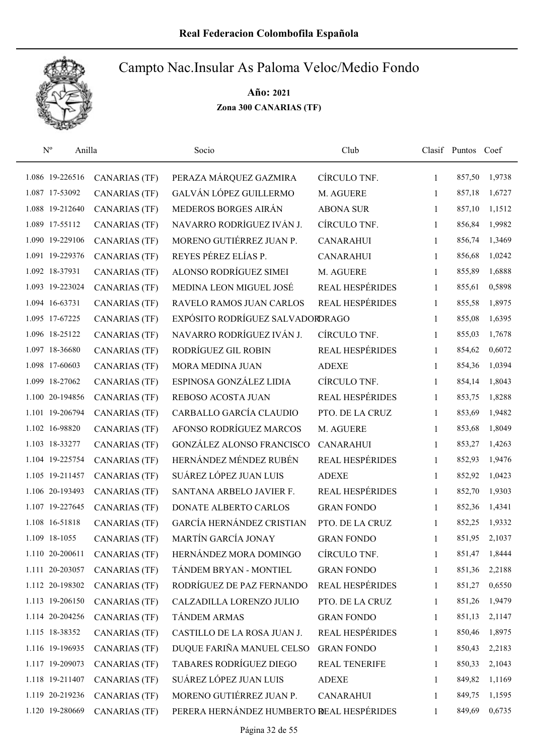

| $\mathbf{N}^{\text{o}}$ | Anilla |                      | Socio                                     | Club                   |              | Clasif Puntos Coef |        |
|-------------------------|--------|----------------------|-------------------------------------------|------------------------|--------------|--------------------|--------|
| 1.086 19-226516         |        | CANARIAS (TF)        | PERAZA MÁRQUEZ GAZMIRA                    | CÍRCULO TNF.           | 1            | 857,50             | 1,9738 |
| 1.087 17-53092          |        | <b>CANARIAS (TF)</b> | GALVÁN LÓPEZ GUILLERMO                    | M. AGUERE              | 1            | 857,18             | 1,6727 |
| 1.088 19-212640         |        | <b>CANARIAS (TF)</b> | MEDEROS BORGES AIRÁN                      | <b>ABONA SUR</b>       | 1            | 857,10             | 1,1512 |
| 1.089 17-55112          |        | <b>CANARIAS (TF)</b> | NAVARRO RODRÍGUEZ IVÁN J.                 | CÍRCULO TNF.           | 1            | 856,84             | 1,9982 |
| 1.090 19-229106         |        | <b>CANARIAS (TF)</b> | MORENO GUTIÉRREZ JUAN P.                  | <b>CANARAHUI</b>       | 1            | 856,74             | 1,3469 |
| 1.091 19-229376         |        | <b>CANARIAS (TF)</b> | REYES PÉREZ ELÍAS P.                      | <b>CANARAHUI</b>       | 1            | 856,68             | 1,0242 |
| 1.092 18-37931          |        | <b>CANARIAS (TF)</b> | ALONSO RODRÍGUEZ SIMEI                    | M. AGUERE              | 1            | 855,89             | 1,6888 |
| 1.093 19-223024         |        | <b>CANARIAS (TF)</b> | MEDINA LEON MIGUEL JOSÉ                   | REAL HESPÉRIDES        | 1            | 855,61             | 0,5898 |
| 1.094 16-63731          |        | <b>CANARIAS (TF)</b> | RAVELO RAMOS JUAN CARLOS                  | <b>REAL HESPÉRIDES</b> | 1            | 855,58             | 1,8975 |
| 1.095 17-67225          |        | <b>CANARIAS (TF)</b> | EXPÓSITO RODRÍGUEZ SALVADORDRAGO          |                        | 1            | 855,08             | 1,6395 |
| 1.096 18-25122          |        | <b>CANARIAS (TF)</b> | NAVARRO RODRÍGUEZ IVÁN J.                 | CÍRCULO TNF.           | 1            | 855,03             | 1,7678 |
| 1.097 18-36680          |        | <b>CANARIAS (TF)</b> | RODRÍGUEZ GIL ROBIN                       | REAL HESPÉRIDES        | 1            | 854,62             | 0,6072 |
| 1.098 17-60603          |        | <b>CANARIAS (TF)</b> | <b>MORA MEDINA JUAN</b>                   | <b>ADEXE</b>           | 1            | 854,36             | 1,0394 |
| 1.099 18-27062          |        | <b>CANARIAS (TF)</b> | ESPINOSA GONZÁLEZ LIDIA                   | CÍRCULO TNF.           | 1            | 854,14             | 1,8043 |
| 1.100 20-194856         |        | <b>CANARIAS (TF)</b> | REBOSO ACOSTA JUAN                        | REAL HESPÉRIDES        | 1            | 853,75             | 1,8288 |
| 1.101 19-206794         |        | <b>CANARIAS (TF)</b> | CARBALLO GARCÍA CLAUDIO                   | PTO. DE LA CRUZ        | 1            | 853,69             | 1,9482 |
| 1.102 16-98820          |        | <b>CANARIAS (TF)</b> | AFONSO RODRÍGUEZ MARCOS                   | M. AGUERE              | 1            | 853,68             | 1,8049 |
| 1.103 18-33277          |        | <b>CANARIAS (TF)</b> | GONZÁLEZ ALONSO FRANCISCO                 | <b>CANARAHUI</b>       | $\mathbf{1}$ | 853,27             | 1,4263 |
| 1.104 19-225754         |        | <b>CANARIAS (TF)</b> | HERNÁNDEZ MÉNDEZ RUBÉN                    | <b>REAL HESPÉRIDES</b> | $\mathbf{1}$ | 852,93             | 1,9476 |
| 1.105 19-211457         |        | <b>CANARIAS (TF)</b> | SUÁREZ LÓPEZ JUAN LUIS                    | <b>ADEXE</b>           | 1            | 852,92             | 1,0423 |
| 1.106 20-193493         |        | <b>CANARIAS (TF)</b> | SANTANA ARBELO JAVIER F.                  | REAL HESPÉRIDES        | 1            | 852,70             | 1,9303 |
| 1.107 19-227645         |        | <b>CANARIAS (TF)</b> | DONATE ALBERTO CARLOS                     | <b>GRAN FONDO</b>      | 1            | 852,36             | 1,4341 |
| 1.108 16-51818          |        | <b>CANARIAS (TF)</b> | GARCÍA HERNÁNDEZ CRISTIAN                 | PTO. DE LA CRUZ        | 1            | 852,25             | 1,9332 |
| 1.109 18-1055           |        | <b>CANARIAS (TF)</b> | MARTÍN GARCÍA JONAY                       | <b>GRAN FONDO</b>      | 1            | 851,95             | 2,1037 |
| 1.110 20-200611         |        | <b>CANARIAS (TF)</b> | HERNÁNDEZ MORA DOMINGO                    | CÍRCULO TNF.           | 1            | 851,47             | 1,8444 |
| 1.111 20-203057         |        | <b>CANARIAS (TF)</b> | TÁNDEM BRYAN - MONTIEL                    | <b>GRAN FONDO</b>      | 1            | 851,36             | 2,2188 |
| 1.112 20-198302         |        | <b>CANARIAS (TF)</b> | RODRÍGUEZ DE PAZ FERNANDO                 | REAL HESPÉRIDES        | 1            | 851,27             | 0,6550 |
| 1.113 19-206150         |        | <b>CANARIAS (TF)</b> | CALZADILLA LORENZO JULIO                  | PTO. DE LA CRUZ        | 1            | 851,26             | 1,9479 |
| 1.114 20-204256         |        | <b>CANARIAS (TF)</b> | <b>TÁNDEM ARMAS</b>                       | <b>GRAN FONDO</b>      | 1            | 851,13             | 2,1147 |
| 1.115 18-38352          |        | <b>CANARIAS (TF)</b> | CASTILLO DE LA ROSA JUAN J.               | <b>REAL HESPÉRIDES</b> | 1            | 850,46             | 1,8975 |
| 1.116 19-196935         |        | <b>CANARIAS (TF)</b> | DUQUE FARIÑA MANUEL CELSO                 | <b>GRAN FONDO</b>      | 1            | 850,43             | 2,2183 |
| 1.117 19-209073         |        | <b>CANARIAS (TF)</b> | TABARES RODRÍGUEZ DIEGO                   | <b>REAL TENERIFE</b>   | 1            | 850,33             | 2,1043 |
| 1.118 19-211407         |        | <b>CANARIAS (TF)</b> | SUÁREZ LÓPEZ JUAN LUIS                    | <b>ADEXE</b>           | 1            | 849,82             | 1,1169 |
| 1.119 20-219236         |        | <b>CANARIAS (TF)</b> | MORENO GUTIÉRREZ JUAN P.                  | <b>CANARAHUI</b>       | 1            | 849,75             | 1,1595 |
| 1.120 19-280669         |        | <b>CANARIAS (TF)</b> | PERERA HERNÁNDEZ HUMBERTO REAL HESPÉRIDES |                        | 1            | 849,69             | 0,6735 |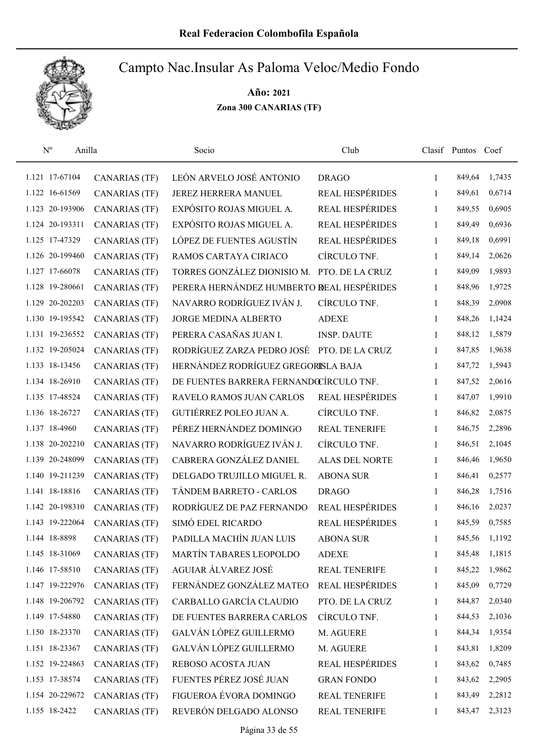

| $\mathbf{N}^{\text{o}}$<br>Anilla |                      | Socio                                     | Club                   |              | Clasif Puntos Coef |        |
|-----------------------------------|----------------------|-------------------------------------------|------------------------|--------------|--------------------|--------|
| 1.121 17-67104                    | <b>CANARIAS (TF)</b> | LEÓN ARVELO JOSÉ ANTONIO                  | <b>DRAGO</b>           | $\mathbf{1}$ | 849,64             | 1,7435 |
| 1.122 16-61569                    | <b>CANARIAS (TF)</b> | JEREZ HERRERA MANUEL                      | REAL HESPÉRIDES        | $\mathbf{1}$ | 849,61             | 0,6714 |
| 1.123 20-193906                   | <b>CANARIAS (TF)</b> | EXPÓSITO ROJAS MIGUEL A.                  | REAL HESPÉRIDES        | $\mathbf{1}$ | 849,55             | 0,6905 |
| 1.124 20-193311                   | <b>CANARIAS (TF)</b> | EXPÓSITO ROJAS MIGUEL A.                  | REAL HESPÉRIDES        | $\mathbf{1}$ | 849,49             | 0,6936 |
| 1.125 17-47329                    | <b>CANARIAS (TF)</b> | LÓPEZ DE FUENTES AGUSTÍN                  | REAL HESPÉRIDES        | $\mathbf{1}$ | 849,18             | 0,6991 |
| 1.126 20-199460                   | <b>CANARIAS (TF)</b> | RAMOS CARTAYA CIRIACO                     | CÍRCULO TNF.           | $\mathbf{1}$ | 849,14             | 2,0626 |
| 1.127 17-66078                    | <b>CANARIAS (TF)</b> | TORRES GONZÁLEZ DIONISIO M.               | PTO. DE LA CRUZ        | $\mathbf{1}$ | 849,09             | 1,9893 |
| 1.128 19-280661                   | <b>CANARIAS (TF)</b> | PERERA HERNÁNDEZ HUMBERTO REAL HESPÉRIDES |                        | 1            | 848,96             | 1,9725 |
| 1.129 20-202203                   | <b>CANARIAS (TF)</b> | NAVARRO RODRÍGUEZ IVÁN J.                 | CÍRCULO TNF.           | 1            | 848,39             | 2,0908 |
| 1.130 19-195542                   | <b>CANARIAS (TF)</b> | JORGE MEDINA ALBERTO                      | <b>ADEXE</b>           | 1            | 848,26             | 1,1424 |
| 1.131 19-236552                   | <b>CANARIAS (TF)</b> | PERERA CASAÑAS JUAN I.                    | <b>INSP. DAUTE</b>     | 1            | 848,12             | 1,5879 |
| 1.132 19-205024                   | CANARIAS (TF)        | RODRÍGUEZ ZARZA PEDRO JOSÉ                | PTO. DE LA CRUZ        | 1            | 847,85             | 1,9638 |
| 1.133 18-13456                    | <b>CANARIAS (TF)</b> | HERNÁNDEZ RODRÍGUEZ GREGORISLA BAJA       |                        | 1            | 847,72             | 1,5943 |
| 1.134 18-26910                    | <b>CANARIAS (TF)</b> | DE FUENTES BARRERA FERNANDŒÍRCULO TNF.    |                        | 1            | 847,52             | 2,0616 |
| 1.135 17-48524                    | <b>CANARIAS (TF)</b> | RAVELO RAMOS JUAN CARLOS                  | REAL HESPÉRIDES        | $\mathbf{1}$ | 847,07             | 1,9910 |
| 1.136 18-26727                    | <b>CANARIAS (TF)</b> | GUTIÉRREZ POLEO JUAN A.                   | CÍRCULO TNF.           | $\mathbf{1}$ | 846,82             | 2,0875 |
| 1.137 18-4960                     | <b>CANARIAS (TF)</b> | PÉREZ HERNÁNDEZ DOMINGO                   | REAL TENERIFE          | 1            | 846,75             | 2,2896 |
| 1.138 20-202210                   | <b>CANARIAS (TF)</b> | NAVARRO RODRÍGUEZ IVÁN J.                 | CÍRCULO TNF.           | $\mathbf{1}$ | 846,51             | 2,1045 |
| 1.139 20-248099                   | <b>CANARIAS (TF)</b> | CABRERA GONZÁLEZ DANIEL                   | <b>ALAS DEL NORTE</b>  | 1            | 846,46             | 1,9650 |
| 1.140 19-211239                   | <b>CANARIAS (TF)</b> | DELGADO TRUJILLO MIGUEL R.                | <b>ABONA SUR</b>       | 1            | 846,41             | 0,2577 |
| 1.141 18-18816                    | <b>CANARIAS (TF)</b> | TÁNDEM BARRETO - CARLOS                   | <b>DRAGO</b>           | $\mathbf{1}$ | 846,28             | 1,7516 |
| 1.142 20-198310                   | CANARIAS (TF)        | RODRÍGUEZ DE PAZ FERNANDO                 | REAL HESPÉRIDES        | 1            | 846,16             | 2,0237 |
| 1.143 19-222064                   | <b>CANARIAS (TF)</b> | SIMÓ EDEL RICARDO                         | REAL HESPÉRIDES        | $\mathbf{1}$ | 845,59             | 0,7585 |
| 1.144 18-8898                     | <b>CANARIAS (TF)</b> | PADILLA MACHÍN JUAN LUIS                  | <b>ABONA SUR</b>       | 1            | 845,56             | 1,1192 |
| 1.145 18-31069                    | <b>CANARIAS (TF)</b> | MARTÍN TABARES LEOPOLDO                   | <b>ADEXE</b>           | 1            | 845,48             | 1,1815 |
| 1.146 17-58510                    | <b>CANARIAS (TF)</b> | AGUIAR ÁLVAREZ JOSÉ                       | <b>REAL TENERIFE</b>   | 1            | 845,22             | 1,9862 |
| 1.147 19-222976                   | CANARIAS (TF)        | FERNÁNDEZ GONZÁLEZ MATEO                  | REAL HESPÉRIDES        | $\mathbf{1}$ | 845,09             | 0,7729 |
| 1.148 19-206792                   | <b>CANARIAS (TF)</b> | CARBALLO GARCÍA CLAUDIO                   | PTO. DE LA CRUZ        | 1            | 844,87             | 2,0340 |
| 1.149 17-54880                    | <b>CANARIAS (TF)</b> | DE FUENTES BARRERA CARLOS                 | CÍRCULO TNF.           | $\mathbf{1}$ | 844,53             | 2,1036 |
| 1.150 18-23370                    | <b>CANARIAS (TF)</b> | GALVÁN LÓPEZ GUILLERMO                    | M. AGUERE              | $\mathbf{1}$ | 844,34             | 1,9354 |
| 1.151 18-23367                    | <b>CANARIAS (TF)</b> | GALVÁN LÓPEZ GUILLERMO                    | M. AGUERE              | 1            | 843,81             | 1,8209 |
| 1.152 19-224863                   | <b>CANARIAS (TF)</b> | REBOSO ACOSTA JUAN                        | <b>REAL HESPÉRIDES</b> | $\mathbf{1}$ | 843,62             | 0,7485 |
| 1.153 17-38574                    | <b>CANARIAS (TF)</b> | FUENTES PÉREZ JOSÉ JUAN                   | <b>GRAN FONDO</b>      | 1            | 843,62             | 2,2905 |
| 1.154 20-229672                   | <b>CANARIAS (TF)</b> | FIGUEROA ÉVORA DOMINGO                    | REAL TENERIFE          | 1            | 843,49             | 2,2812 |
| 1.155 18-2422                     | <b>CANARIAS (TF)</b> | REVERÓN DELGADO ALONSO                    | <b>REAL TENERIFE</b>   | 1            | 843,47             | 2,3123 |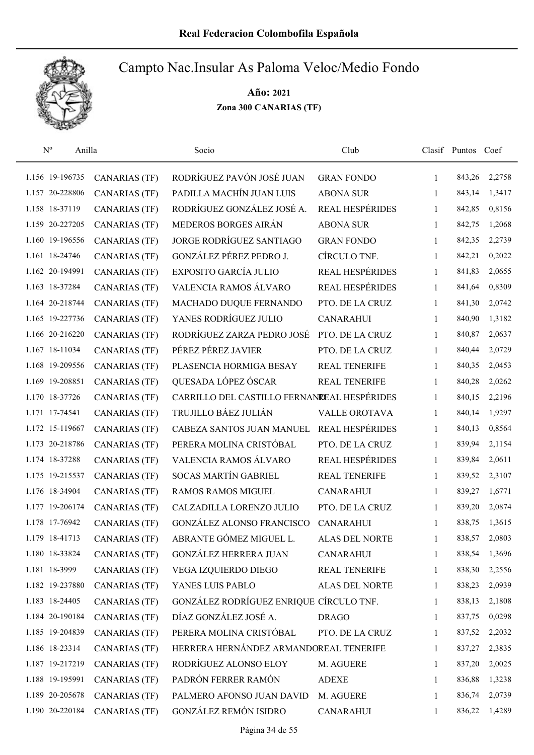

| $\mathbf{N}^{\text{o}}$ | Anilla               | Socio                                       | Club                   |              | Clasif Puntos Coef |        |
|-------------------------|----------------------|---------------------------------------------|------------------------|--------------|--------------------|--------|
| 1.156 19-196735         | <b>CANARIAS</b> (TF) | RODRÍGUEZ PAVÓN JOSÉ JUAN                   | <b>GRAN FONDO</b>      | 1            | 843,26             | 2,2758 |
| 1.157 20-228806         | <b>CANARIAS (TF)</b> | PADILLA MACHÍN JUAN LUIS                    | <b>ABONA SUR</b>       | 1            | 843,14             | 1,3417 |
| 1.158 18-37119          | <b>CANARIAS (TF)</b> | RODRÍGUEZ GONZÁLEZ JOSÉ A.                  | <b>REAL HESPÉRIDES</b> | 1            | 842,85             | 0,8156 |
| 1.159 20-227205         | <b>CANARIAS (TF)</b> | MEDEROS BORGES AIRÁN                        | <b>ABONA SUR</b>       | 1            | 842,75             | 1,2068 |
| 1.160 19-196556         | <b>CANARIAS (TF)</b> | JORGE RODRÍGUEZ SANTIAGO                    | <b>GRAN FONDO</b>      | 1            | 842,35             | 2,2739 |
| 1.161 18-24746          | <b>CANARIAS (TF)</b> | GONZÁLEZ PÉREZ PEDRO J.                     | CÍRCULO TNF.           | 1            | 842,21             | 0,2022 |
| 1.162 20-194991         | <b>CANARIAS (TF)</b> | EXPOSITO GARCÍA JULIO                       | REAL HESPÉRIDES        | $\mathbf{1}$ | 841,83             | 2,0655 |
| 1.163 18-37284          | <b>CANARIAS (TF)</b> | VALENCIA RAMOS ÁLVARO                       | REAL HESPÉRIDES        | 1            | 841,64             | 0,8309 |
| 1.164 20-218744         | <b>CANARIAS (TF)</b> | MACHADO DUQUE FERNANDO                      | PTO. DE LA CRUZ        | 1            | 841,30             | 2,0742 |
| 1.165 19-227736         | <b>CANARIAS (TF)</b> | YANES RODRÍGUEZ JULIO                       | <b>CANARAHUI</b>       | 1            | 840,90             | 1,3182 |
| 1.166 20-216220         | <b>CANARIAS (TF)</b> | RODRÍGUEZ ZARZA PEDRO JOSÉ                  | PTO. DE LA CRUZ        | 1            | 840,87             | 2,0637 |
| 1.167 18-11034          | <b>CANARIAS (TF)</b> | PÉREZ PÉREZ JAVIER                          | PTO. DE LA CRUZ        | 1            | 840,44             | 2,0729 |
| 1.168 19-209556         | <b>CANARIAS (TF)</b> | PLASENCIA HORMIGA BESAY                     | <b>REAL TENERIFE</b>   | 1            | 840,35             | 2,0453 |
| 1.169 19-208851         | <b>CANARIAS (TF)</b> | QUESADA LÓPEZ ÓSCAR                         | <b>REAL TENERIFE</b>   | 1            | 840,28             | 2,0262 |
| 1.170 18-37726          | <b>CANARIAS (TF)</b> | CARRILLO DEL CASTILLO FERNANEEAL HESPÉRIDES |                        | 1            | 840,15             | 2,2196 |
| 1.171 17-74541          | <b>CANARIAS (TF)</b> | TRUJILLO BÁEZ JULIÁN                        | <b>VALLE OROTAVA</b>   | 1            | 840,14             | 1,9297 |
| 1.172 15-119667         | <b>CANARIAS (TF)</b> | CABEZA SANTOS JUAN MANUEL                   | <b>REAL HESPÉRIDES</b> | 1            | 840,13             | 0,8564 |
| 1.173 20-218786         | <b>CANARIAS (TF)</b> | PERERA MOLINA CRISTÓBAL                     | PTO. DE LA CRUZ        | $\mathbf{1}$ | 839,94             | 2,1154 |
| 1.174 18-37288          | <b>CANARIAS (TF)</b> | VALENCIA RAMOS ÁLVARO                       | REAL HESPÉRIDES        | $\mathbf{1}$ | 839,84             | 2,0611 |
| 1.175 19-215537         | <b>CANARIAS (TF)</b> | SOCAS MARTÍN GABRIEL                        | <b>REAL TENERIFE</b>   | $\mathbf{1}$ | 839,52             | 2,3107 |
| 1.176 18-34904          | <b>CANARIAS (TF)</b> | RAMOS RAMOS MIGUEL                          | <b>CANARAHUI</b>       | 1            | 839,27             | 1,6771 |
| 1.177 19-206174         | <b>CANARIAS</b> (TF) | CALZADILLA LORENZO JULIO                    | PTO. DE LA CRUZ        | 1            | 839,20             | 2,0874 |
| 1.178 17-76942          | <b>CANARIAS (TF)</b> | <b>GONZÁLEZ ALONSO FRANCISCO</b>            | <b>CANARAHUI</b>       | 1            | 838,75             | 1,3615 |
| 1.179 18-41713          | <b>CANARIAS (TF)</b> | ABRANTE GÓMEZ MIGUEL L.                     | <b>ALAS DEL NORTE</b>  | 1            | 838,57             | 2,0803 |
| 1.180 18-33824          | <b>CANARIAS (TF)</b> | <b>GONZÁLEZ HERRERA JUAN</b>                | <b>CANARAHUI</b>       | 1            | 838,54             | 1,3696 |
| 1.181 18-3999           | <b>CANARIAS (TF)</b> | VEGA IZQUIERDO DIEGO                        | <b>REAL TENERIFE</b>   | 1            | 838,30             | 2,2556 |
| 1.182 19-237880         | <b>CANARIAS (TF)</b> | YANES LUIS PABLO                            | ALAS DEL NORTE         | 1            | 838,23             | 2,0939 |
| 1.183 18-24405          | <b>CANARIAS (TF)</b> | GONZÁLEZ RODRÍGUEZ ENRIQUE CÍRCULO TNF.     |                        | 1            | 838,13             | 2,1808 |
| 1.184 20-190184         | <b>CANARIAS (TF)</b> | DÍAZ GONZÁLEZ JOSÉ A.                       | <b>DRAGO</b>           | 1            | 837,75             | 0,0298 |
| 1.185 19-204839         | <b>CANARIAS (TF)</b> | PERERA MOLINA CRISTÓBAL                     | PTO. DE LA CRUZ        | 1            | 837,52             | 2,2032 |
| 1.186 18-23314          | <b>CANARIAS (TF)</b> | HERRERA HERNÁNDEZ ARMANDOREAL TENERIFE      |                        | 1            | 837,27             | 2,3835 |
| 1.187 19-217219         | <b>CANARIAS (TF)</b> | RODRÍGUEZ ALONSO ELOY                       | M. AGUERE              | 1            | 837,20             | 2,0025 |
| 1.188 19-195991         | <b>CANARIAS (TF)</b> | PADRÓN FERRER RAMÓN                         | <b>ADEXE</b>           | 1            | 836,88             | 1,3238 |
| 1.189 20-205678         | <b>CANARIAS</b> (TF) | PALMERO AFONSO JUAN DAVID                   | M. AGUERE              | 1            | 836,74             | 2,0739 |
| 1.190 20-220184         | <b>CANARIAS (TF)</b> | <b>GONZÁLEZ REMÓN ISIDRO</b>                | <b>CANARAHUI</b>       | 1            | 836,22             | 1,4289 |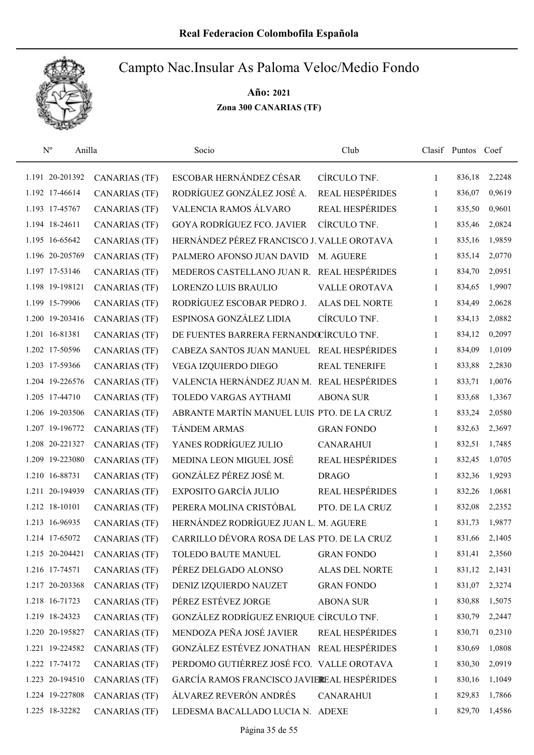

| $\mathbf{N}^{\text{o}}$<br>Anilla |                      | Socio                                       | Club                   |              | Clasif Puntos Coef |        |
|-----------------------------------|----------------------|---------------------------------------------|------------------------|--------------|--------------------|--------|
| 1.191 20-201392                   | <b>CANARIAS (TF)</b> | ESCOBAR HERNÁNDEZ CÉSAR                     | CÍRCULO TNF.           | $\mathbf{1}$ | 836,18             | 2,2248 |
| 1.192 17-46614                    | <b>CANARIAS (TF)</b> | RODRÍGUEZ GONZÁLEZ JOSÉ A.                  | <b>REAL HESPÉRIDES</b> | $\mathbf{1}$ | 836,07             | 0,9619 |
| 1.193 17-45767                    | <b>CANARIAS (TF)</b> | VALENCIA RAMOS ÁLVARO                       | REAL HESPÉRIDES        | $\mathbf{1}$ | 835,50             | 0,9601 |
| 1.194 18-24611                    | <b>CANARIAS (TF)</b> | <b>GOYA RODRÍGUEZ FCO. JAVIER</b>           | CÍRCULO TNF.           | 1            | 835,46             | 2,0824 |
| 1.195 16-65642                    | <b>CANARIAS (TF)</b> | HERNÁNDEZ PÉREZ FRANCISCO J. VALLE OROTAVA  |                        | $\mathbf{1}$ | 835,16             | 1,9859 |
| 1.196 20-205769                   | <b>CANARIAS (TF)</b> | PALMERO AFONSO JUAN DAVID                   | M. AGUERE              | $\mathbf{1}$ | 835,14             | 2,0770 |
| 1.197 17-53146                    | <b>CANARIAS (TF)</b> | MEDEROS CASTELLANO JUAN R. REAL HESPÉRIDES  |                        | $\mathbf{1}$ | 834,70             | 2,0951 |
| 1.198 19-198121                   | <b>CANARIAS (TF)</b> | LORENZO LUIS BRAULIO                        | <b>VALLE OROTAVA</b>   | $\mathbf{1}$ | 834,65             | 1,9907 |
| 1.199 15-79906                    | <b>CANARIAS (TF)</b> | RODRÍGUEZ ESCOBAR PEDRO J.                  | <b>ALAS DEL NORTE</b>  | 1            | 834,49             | 2,0628 |
| 1.200 19-203416                   | <b>CANARIAS (TF)</b> | ESPINOSA GONZÁLEZ LIDIA                     | CÍRCULO TNF.           | 1            | 834,13             | 2,0882 |
| 1.201 16-81381                    | <b>CANARIAS (TF)</b> | DE FUENTES BARRERA FERNANDŒÍRCULO TNF.      |                        | 1            | 834,12             | 0,2097 |
| 1.202 17-50596                    | <b>CANARIAS (TF)</b> | CABEZA SANTOS JUAN MANUEL                   | <b>REAL HESPÉRIDES</b> | 1            | 834,09             | 1,0109 |
| 1.203 17-59366                    | <b>CANARIAS (TF)</b> | VEGA IZQUIERDO DIEGO                        | <b>REAL TENERIFE</b>   | 1            | 833,88             | 2,2830 |
| 1.204 19-226576                   | <b>CANARIAS (TF)</b> | VALENCIA HERNÁNDEZ JUAN M. REAL HESPÉRIDES  |                        | 1            | 833,71             | 1,0076 |
| 1.205 17-44710                    | <b>CANARIAS (TF)</b> | TOLEDO VARGAS AYTHAMI                       | <b>ABONA SUR</b>       | 1            | 833,68             | 1,3367 |
| 1.206 19-203506                   | <b>CANARIAS (TF)</b> | ABRANTE MARTÍN MANUEL LUIS PTO. DE LA CRUZ  |                        | 1            | 833,24             | 2,0580 |
| 1.207 19-196772                   | <b>CANARIAS (TF)</b> | TÁNDEM ARMAS                                | <b>GRAN FONDO</b>      | $\mathbf{1}$ | 832,63             | 2,3697 |
| 1.208 20-221327                   | <b>CANARIAS (TF)</b> | YANES RODRÍGUEZ JULIO                       | <b>CANARAHUI</b>       | $\mathbf{1}$ | 832,51             | 1,7485 |
| 1.209 19-223080                   | <b>CANARIAS (TF)</b> | MEDINA LEON MIGUEL JOSÉ                     | <b>REAL HESPÉRIDES</b> | 1            | 832,45             | 1,0705 |
| 1.210 16-88731                    | <b>CANARIAS (TF)</b> | GONZÁLEZ PÉREZ JOSÉ M.                      | <b>DRAGO</b>           | $\mathbf{1}$ | 832,36             | 1,9293 |
| 1.211 20-194939                   | <b>CANARIAS (TF)</b> | EXPOSITO GARCÍA JULIO                       | REAL HESPÉRIDES        | $\mathbf{1}$ | 832,26             | 1,0681 |
| 1.212 18-10101                    | <b>CANARIAS (TF)</b> | PERERA MOLINA CRISTÓBAL                     | PTO. DE LA CRUZ        | 1            | 832,08             | 2,2352 |
| 1.213 16-96935                    | <b>CANARIAS (TF)</b> | HERNÁNDEZ RODRÍGUEZ JUAN L. M. AGUERE       |                        | 1            | 831,73             | 1,9877 |
| 1.214 17-65072                    | <b>CANARIAS (TF)</b> | CARRILLO DÉVORA ROSA DE LAS PTO. DE LA CRUZ |                        | 1            | 831,66             | 2,1405 |
| 1.215 20-204421                   | CANARIAS (TF)        | TOLEDO BAUTE MANUEL                         | <b>GRAN FONDO</b>      | 1            | 831,41             | 2,3560 |
| 1.216 17-74571                    | <b>CANARIAS (TF)</b> | PÉREZ DELGADO ALONSO                        | <b>ALAS DEL NORTE</b>  | 1            | 831,12             | 2,1431 |
| 1.217 20-203368                   | <b>CANARIAS (TF)</b> | DENIZ IZQUIERDO NAUZET                      | <b>GRAN FONDO</b>      | 1            | 831,07             | 2,3274 |
| 1.218 16-71723                    | <b>CANARIAS (TF)</b> | PÉREZ ESTÉVEZ JORGE                         | <b>ABONA SUR</b>       | 1            | 830,88             | 1,5075 |
| 1.219 18-24323                    | <b>CANARIAS (TF)</b> | GONZÁLEZ RODRÍGUEZ ENRIQUE CÍRCULO TNF.     |                        | 1            | 830,79             | 2,2447 |
| 1.220 20-195827                   | <b>CANARIAS (TF)</b> | MENDOZA PEÑA JOSÉ JAVIER                    | REAL HESPÉRIDES        | $\mathbf{1}$ | 830,71             | 0,2310 |
| 1.221 19-224582                   | <b>CANARIAS (TF)</b> | GONZÁLEZ ESTÉVEZ JONATHAN REAL HESPÉRIDES   |                        | $\mathbf{1}$ | 830,69             | 1,0808 |
| 1.222 17-74172                    | <b>CANARIAS (TF)</b> | PERDOMO GUTIÉRREZ JOSÉ FCO. VALLE OROTAVA   |                        | 1            | 830,30             | 2,0919 |
| 1.223 20-194510                   | <b>CANARIAS (TF)</b> | GARCÍA RAMOS FRANCISCO JAVIEREAL HESPÉRIDES |                        | 1            | 830,16             | 1,1049 |
| 1.224 19-227808                   | <b>CANARIAS (TF)</b> | ÁLVAREZ REVERÓN ANDRÉS                      | <b>CANARAHUI</b>       | 1            | 829,83             | 1,7866 |
| 1.225 18-32282                    | <b>CANARIAS (TF)</b> | LEDESMA BACALLADO LUCIA N. ADEXE            |                        | 1            | 829,70             | 1,4586 |
|                                   |                      |                                             |                        |              |                    |        |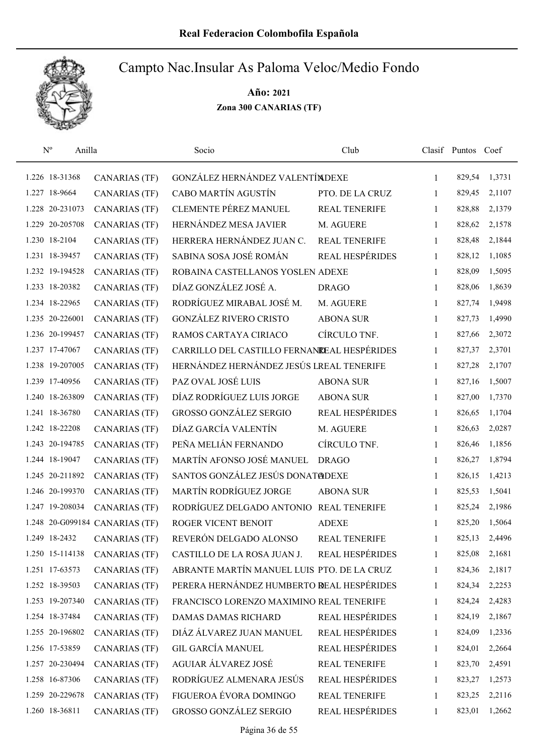

| $\mathbf{N}^{\text{o}}$<br>Anilla |                                | Socio                                       | Club                   |              | Clasif Puntos Coef |        |
|-----------------------------------|--------------------------------|---------------------------------------------|------------------------|--------------|--------------------|--------|
| 1.226 18-31368                    | CANARIAS (TF)                  | GONZÁLEZ HERNÁNDEZ VALENTÍNDEXE             |                        | $\mathbf{1}$ | 829,54             | 1,3731 |
| 1.227 18-9664                     | <b>CANARIAS (TF)</b>           | CABO MARTÍN AGUSTÍN                         | PTO. DE LA CRUZ        | 1            | 829,45             | 2,1107 |
| 1.228 20-231073                   | <b>CANARIAS (TF)</b>           | CLEMENTE PÉREZ MANUEL                       | <b>REAL TENERIFE</b>   | $\mathbf{1}$ | 828,88             | 2,1379 |
| 1.229 20-205708                   | <b>CANARIAS (TF)</b>           | HERNÁNDEZ MESA JAVIER                       | M. AGUERE              | 1            | 828,62             | 2,1578 |
| 1.230 18-2104                     | <b>CANARIAS (TF)</b>           | HERRERA HERNÁNDEZ JUAN C.                   | <b>REAL TENERIFE</b>   | 1            | 828,48             | 2,1844 |
| 1.231 18-39457                    | <b>CANARIAS (TF)</b>           | SABINA SOSA JOSÉ ROMÁN                      | REAL HESPÉRIDES        | 1            | 828,12             | 1,1085 |
| 1.232 19-194528                   | <b>CANARIAS (TF)</b>           | ROBAINA CASTELLANOS YOSLEN ADEXE            |                        | $\mathbf{1}$ | 828,09             | 1,5095 |
| 1.233 18-20382                    | <b>CANARIAS (TF)</b>           | DÍAZ GONZÁLEZ JOSÉ A.                       | <b>DRAGO</b>           | $\mathbf{1}$ | 828,06             | 1,8639 |
| 1.234 18-22965                    | <b>CANARIAS (TF)</b>           | RODRÍGUEZ MIRABAL JOSÉ M.                   | M. AGUERE              | 1            | 827,74             | 1,9498 |
| 1.235 20-226001                   | <b>CANARIAS (TF)</b>           | <b>GONZÁLEZ RIVERO CRISTO</b>               | <b>ABONA SUR</b>       | 1            | 827,73             | 1,4990 |
| 1.236 20-199457                   | <b>CANARIAS (TF)</b>           | RAMOS CARTAYA CIRIACO                       | CÍRCULO TNF.           | 1            | 827,66             | 2,3072 |
| 1.237 17-47067                    | <b>CANARIAS (TF)</b>           | CARRILLO DEL CASTILLO FERNANDEAL HESPÉRIDES |                        | 1            | 827,37             | 2,3701 |
| 1.238 19-207005                   | <b>CANARIAS (TF)</b>           | HERNÁNDEZ HERNÁNDEZ JESÚS LREAL TENERIFE    |                        | 1            | 827,28             | 2,1707 |
| 1.239 17-40956                    | <b>CANARIAS (TF)</b>           | PAZ OVAL JOSÉ LUIS                          | <b>ABONA SUR</b>       | $\mathbf{1}$ | 827,16             | 1,5007 |
| 1.240 18-263809                   | <b>CANARIAS (TF)</b>           | DÍAZ RODRÍGUEZ LUIS JORGE                   | <b>ABONA SUR</b>       | 1            | 827,00             | 1,7370 |
| 1.241 18-36780                    | <b>CANARIAS (TF)</b>           | <b>GROSSO GONZÁLEZ SERGIO</b>               | <b>REAL HESPÉRIDES</b> | 1            | 826,65             | 1,1704 |
| 1.242 18-22208                    | <b>CANARIAS (TF)</b>           | DÍAZ GARCÍA VALENTÍN                        | M. AGUERE              | 1            | 826,63             | 2,0287 |
| 1.243 20-194785                   | <b>CANARIAS (TF)</b>           | PEÑA MELIÁN FERNANDO                        | CÍRCULO TNF.           | $\mathbf{1}$ | 826,46             | 1,1856 |
| 1.244 18-19047                    | <b>CANARIAS (TF)</b>           | MARTÍN AFONSO JOSÉ MANUEL                   | <b>DRAGO</b>           | $\mathbf{1}$ | 826,27             | 1,8794 |
| 1.245 20-211892                   | <b>CANARIAS (TF)</b>           | SANTOS GONZÁLEZ JESÚS DONATØDEXE            |                        | $\mathbf{1}$ | 826,15             | 1,4213 |
| 1.246 20-199370                   | <b>CANARIAS (TF)</b>           | MARTÍN RODRÍGUEZ JORGE                      | <b>ABONA SUR</b>       | $\mathbf{1}$ | 825,53             | 1,5041 |
| 1.247 19-208034                   | <b>CANARIAS (TF)</b>           | RODRÍGUEZ DELGADO ANTONIO REAL TENERIFE     |                        | 1            | 825,24             | 2,1986 |
|                                   | 1.248 20-G099184 CANARIAS (TF) | ROGER VICENT BENOIT                         | <b>ADEXE</b>           | 1            | 825,20             | 1,5064 |
| 1.249 18-2432                     | <b>CANARIAS (TF)</b>           | REVERÓN DELGADO ALONSO                      | <b>REAL TENERIFE</b>   | 1            | 825,13             | 2,4496 |
| 1.250 15-114138                   | <b>CANARIAS (TF)</b>           | CASTILLO DE LA ROSA JUAN J.                 | <b>REAL HESPÉRIDES</b> | 1            | 825,08             | 2,1681 |
| 1.251 17-63573                    | <b>CANARIAS (TF)</b>           | ABRANTE MARTÍN MANUEL LUIS PTO. DE LA CRUZ  |                        | 1            | 824,36             | 2,1817 |
| 1.252 18-39503                    | <b>CANARIAS (TF)</b>           | PERERA HERNÁNDEZ HUMBERTO REAL HESPÉRIDES   |                        | 1            | 824,34             | 2,2253 |
| 1.253 19-207340                   | <b>CANARIAS (TF)</b>           | FRANCISCO LORENZO MAXIMINO REAL TENERIFE    |                        | 1            | 824,24             | 2,4283 |
| 1.254 18-37484                    | <b>CANARIAS (TF)</b>           | DAMAS DAMAS RICHARD                         | REAL HESPÉRIDES        | 1            | 824,19             | 2,1867 |
| 1.255 20-196802                   | <b>CANARIAS (TF)</b>           | DIÁZ ÁLVAREZ JUAN MANUEL                    | <b>REAL HESPÉRIDES</b> | 1            | 824,09             | 1,2336 |
| 1.256 17-53859                    | <b>CANARIAS (TF)</b>           | <b>GIL GARCÍA MANUEL</b>                    | REAL HESPÉRIDES        | $\mathbf{1}$ | 824,01             | 2,2664 |
| 1.257 20-230494                   | <b>CANARIAS (TF)</b>           | AGUIAR ÁLVAREZ JOSÉ                         | <b>REAL TENERIFE</b>   | 1            | 823,70             | 2,4591 |
| 1.258 16-87306                    | <b>CANARIAS (TF)</b>           | RODRÍGUEZ ALMENARA JESÚS                    | REAL HESPÉRIDES        | 1            | 823,27             | 1,2573 |
| 1.259 20-229678                   | <b>CANARIAS (TF)</b>           | FIGUEROA ÉVORA DOMINGO                      | REAL TENERIFE          | 1            | 823,25             | 2,2116 |
| 1.260 18-36811                    | <b>CANARIAS (TF)</b>           | GROSSO GONZÁLEZ SERGIO                      | REAL HESPÉRIDES        | 1            | 823,01             | 1,2662 |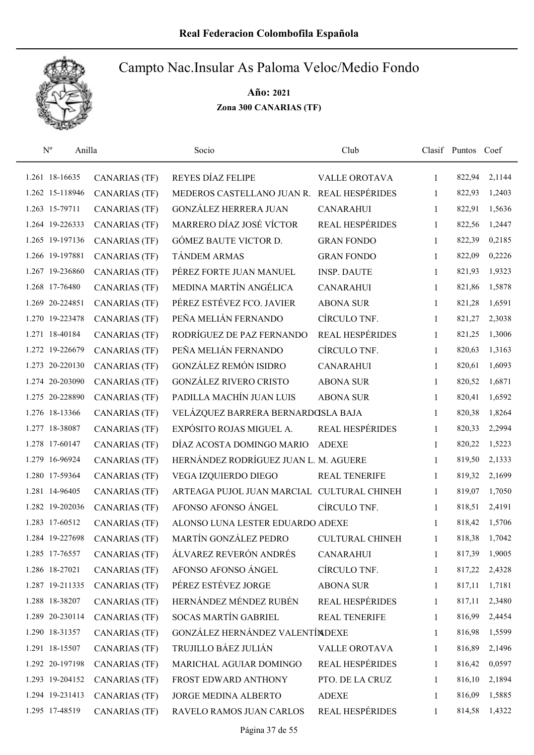

| $\mathbf{N}^{\text{o}}$<br>Anilla |                      | Socio                                      | Club                   |              | Clasif Puntos | Coef   |
|-----------------------------------|----------------------|--------------------------------------------|------------------------|--------------|---------------|--------|
| 1.261 18-16635                    | <b>CANARIAS (TF)</b> | REYES DÍAZ FELIPE                          | <b>VALLE OROTAVA</b>   | 1            | 822,94        | 2,1144 |
| 1.262 15-118946                   | <b>CANARIAS (TF)</b> | MEDEROS CASTELLANO JUAN R.                 | <b>REAL HESPÉRIDES</b> | 1            | 822,93        | 1,2403 |
| 1.263 15-79711                    | <b>CANARIAS (TF)</b> | <b>GONZÁLEZ HERRERA JUAN</b>               | <b>CANARAHUI</b>       | 1            | 822,91        | 1,5636 |
| 1.264 19-226333                   | <b>CANARIAS</b> (TF) | MARRERO DÍAZ JOSÉ VÍCTOR                   | <b>REAL HESPÉRIDES</b> | 1            | 822,56        | 1,2447 |
| 1.265 19-197136                   | <b>CANARIAS (TF)</b> | GÓMEZ BAUTE VICTOR D.                      | <b>GRAN FONDO</b>      | 1            | 822,39        | 0,2185 |
| 1.266 19-197881                   | <b>CANARIAS (TF)</b> | TÁNDEM ARMAS                               | <b>GRAN FONDO</b>      | 1            | 822,09        | 0,2226 |
| 1.267 19-236860                   | <b>CANARIAS (TF)</b> | PÉREZ FORTE JUAN MANUEL                    | <b>INSP. DAUTE</b>     | 1            | 821,93        | 1,9323 |
| 1.268 17-76480                    | <b>CANARIAS (TF)</b> | MEDINA MARTÍN ANGÉLICA                     | <b>CANARAHUI</b>       | $\mathbf{1}$ | 821,86        | 1,5878 |
| 1.269 20-224851                   | <b>CANARIAS (TF)</b> | PÉREZ ESTÉVEZ FCO. JAVIER                  | <b>ABONA SUR</b>       | 1            | 821,28        | 1,6591 |
| 1.270 19-223478                   | <b>CANARIAS (TF)</b> | PEÑA MELIÁN FERNANDO                       | CÍRCULO TNF.           | $\mathbf{1}$ | 821,27        | 2,3038 |
| 1.271 18-40184                    | <b>CANARIAS (TF)</b> | RODRÍGUEZ DE PAZ FERNANDO                  | REAL HESPÉRIDES        | 1            | 821,25        | 1,3006 |
| 1.272 19-226679                   | CANARIAS (TF)        | PEÑA MELIÁN FERNANDO                       | CÍRCULO TNF.           | 1            | 820,63        | 1,3163 |
| 1.273 20-220130                   | <b>CANARIAS (TF)</b> | <b>GONZÁLEZ REMÓN ISIDRO</b>               | <b>CANARAHUI</b>       | 1            | 820,61        | 1,6093 |
| 1.274 20-203090                   | CANARIAS (TF)        | <b>GONZÁLEZ RIVERO CRISTO</b>              | <b>ABONA SUR</b>       | 1            | 820,52        | 1,6871 |
| 1.275 20-228890                   | <b>CANARIAS (TF)</b> | PADILLA MACHÍN JUAN LUIS                   | <b>ABONA SUR</b>       | 1            | 820,41        | 1,6592 |
| 1.276 18-13366                    | <b>CANARIAS (TF)</b> | VELÁZQUEZ BARRERA BERNARDOSLA BAJA         |                        | 1            | 820,38        | 1,8264 |
| 1.277 18-38087                    | <b>CANARIAS (TF)</b> | EXPÓSITO ROJAS MIGUEL A.                   | REAL HESPÉRIDES        | $\mathbf{1}$ | 820,33        | 2,2994 |
| 1.278 17-60147                    | <b>CANARIAS (TF)</b> | DÍAZ ACOSTA DOMINGO MARIO                  | <b>ADEXE</b>           | 1            | 820,22        | 1,5223 |
| 1.279 16-96924                    | <b>CANARIAS (TF)</b> | HERNÁNDEZ RODRÍGUEZ JUAN L. M. AGUERE      |                        | 1            | 819,50        | 2,1333 |
| 1.280 17-59364                    | <b>CANARIAS (TF)</b> | VEGA IZQUIERDO DIEGO                       | REAL TENERIFE          | 1            | 819,32        | 2,1699 |
| 1.281 14-96405                    | <b>CANARIAS (TF)</b> | ARTEAGA PUJOL JUAN MARCIAL CULTURAL CHINEH |                        | 1            | 819,07        | 1,7050 |
| 1.282 19-202036                   | <b>CANARIAS</b> (TF) | AFONSO AFONSO ÁNGEL                        | CÍRCULO TNF.           | 1            | 818,51        | 2,4191 |
| 1.283 17-60512                    | CANARIAS (TF)        | ALONSO LUNA LESTER EDUARDO ADEXE           |                        | 1            | 818,42        | 1,5706 |
| 1.284 19-227698                   | <b>CANARIAS (TF)</b> | MARTÍN GONZÁLEZ PEDRO                      | <b>CULTURAL CHINEH</b> | $\mathbf{1}$ | 818,38        | 1,7042 |
| 1.285 17-76557                    | CANARIAS (TF)        | ÁLVAREZ REVERÓN ANDRÉS                     | <b>CANARAHUI</b>       | 1            | 817,39        | 1,9005 |
| 1.286 18-27021                    | <b>CANARIAS (TF)</b> | AFONSO AFONSO ÁNGEL                        | CÍRCULO TNF.           | 1            | 817,22        | 2,4328 |
| 1.287 19-211335                   | CANARIAS (TF)        | PÉREZ ESTÉVEZ JORGE                        | <b>ABONA SUR</b>       | 1            | 817,11        | 1,7181 |
| 1.288 18-38207                    | <b>CANARIAS (TF)</b> | HERNÁNDEZ MÉNDEZ RUBÉN                     | REAL HESPÉRIDES        | 1            | 817,11        | 2,3480 |
| 1.289 20-230114                   | <b>CANARIAS (TF)</b> | <b>SOCAS MARTÍN GABRIEL</b>                | REAL TENERIFE          | $\mathbf{1}$ | 816,99        | 2,4454 |
| 1.290 18-31357                    | <b>CANARIAS (TF)</b> | GONZÁLEZ HERNÁNDEZ VALENTÍNDEXE            |                        | $\mathbf{1}$ | 816,98        | 1,5599 |
| 1.291 18-15507                    | <b>CANARIAS (TF)</b> | TRUJILLO BÁEZ JULIÁN                       | VALLE OROTAVA          | 1            | 816,89        | 2,1496 |
| 1.292 20-197198                   | <b>CANARIAS (TF)</b> | MARICHAL AGUIAR DOMINGO                    | REAL HESPÉRIDES        | $\mathbf{1}$ | 816,42        | 0,0597 |
| 1.293 19-204152                   | <b>CANARIAS (TF)</b> | FROST EDWARD ANTHONY                       | PTO. DE LA CRUZ        | 1            | 816,10        | 2,1894 |
| 1.294 19-231413                   | <b>CANARIAS (TF)</b> | JORGE MEDINA ALBERTO                       | <b>ADEXE</b>           | 1            | 816,09        | 1,5885 |
| 1.295 17-48519                    | <b>CANARIAS (TF)</b> | RAVELO RAMOS JUAN CARLOS                   | REAL HESPÉRIDES        | 1            | 814,58        | 1,4322 |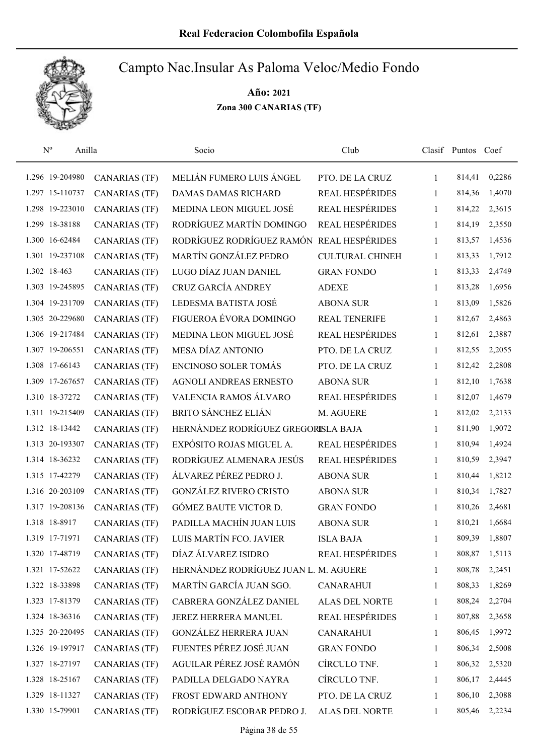

| $N^{o}$<br>Anilla |                      | Socio                                     | Club                   |              | Clasif Puntos Coef |        |
|-------------------|----------------------|-------------------------------------------|------------------------|--------------|--------------------|--------|
| 1.296 19-204980   | CANARIAS (TF)        | MELIÁN FUMERO LUIS ÁNGEL                  | PTO. DE LA CRUZ        | 1            | 814,41             | 0,2286 |
| 1.297 15-110737   | <b>CANARIAS</b> (TF) | <b>DAMAS DAMAS RICHARD</b>                | <b>REAL HESPÉRIDES</b> | $\mathbf{1}$ | 814,36             | 1,4070 |
| 1.298 19-223010   | <b>CANARIAS</b> (TF) | MEDINA LEON MIGUEL JOSÉ                   | REAL HESPÉRIDES        | $\mathbf{1}$ | 814,22             | 2,3615 |
| 1.299 18-38188    | <b>CANARIAS (TF)</b> | RODRÍGUEZ MARTÍN DOMINGO                  | REAL HESPÉRIDES        | 1            | 814,19             | 2,3550 |
| 1.300 16-62484    | <b>CANARIAS</b> (TF) | RODRÍGUEZ RODRÍGUEZ RAMÓN REAL HESPÉRIDES |                        | 1            | 813,57             | 1,4536 |
| 1.301 19-237108   | <b>CANARIAS (TF)</b> | MARTÍN GONZÁLEZ PEDRO                     | <b>CULTURAL CHINEH</b> | $\mathbf{1}$ | 813,33             | 1,7912 |
| 1.302 18-463      | <b>CANARIAS (TF)</b> | LUGO DÍAZ JUAN DANIEL                     | <b>GRAN FONDO</b>      | $\mathbf{1}$ | 813,33             | 2,4749 |
| 1.303 19-245895   | <b>CANARIAS (TF)</b> | CRUZ GARCÍA ANDREY                        | <b>ADEXE</b>           | $\mathbf{1}$ | 813,28             | 1,6956 |
| 1.304 19-231709   | <b>CANARIAS</b> (TF) | LEDESMA BATISTA JOSÉ                      | <b>ABONA SUR</b>       | 1            | 813,09             | 1,5826 |
| 1.305 20-229680   | <b>CANARIAS</b> (TF) | FIGUEROA ÉVORA DOMINGO                    | <b>REAL TENERIFE</b>   | 1            | 812,67             | 2,4863 |
| 1.306 19-217484   | <b>CANARIAS</b> (TF) | MEDINA LEON MIGUEL JOSÉ                   | REAL HESPÉRIDES        | 1            | 812,61             | 2,3887 |
| 1.307 19-206551   | <b>CANARIAS (TF)</b> | MESA DÍAZ ANTONIO                         | PTO. DE LA CRUZ        | 1            | 812,55             | 2,2055 |
| 1.308 17-66143    | <b>CANARIAS (TF)</b> | <b>ENCINOSO SOLER TOMÁS</b>               | PTO. DE LA CRUZ        | 1            | 812,42             | 2,2808 |
| 1.309 17-267657   | <b>CANARIAS (TF)</b> | <b>AGNOLI ANDREAS ERNESTO</b>             | <b>ABONA SUR</b>       | $\mathbf{1}$ | 812,10             | 1,7638 |
| 1.310 18-37272    | <b>CANARIAS</b> (TF) | VALENCIA RAMOS ÁLVARO                     | <b>REAL HESPÉRIDES</b> | $\mathbf{1}$ | 812,07             | 1,4679 |
| 1.311 19-215409   | <b>CANARIAS (TF)</b> | <b>BRITO SÁNCHEZ ELIÁN</b>                | M. AGUERE              | $\mathbf{1}$ | 812,02             | 2,2133 |
| 1.312 18-13442    | <b>CANARIAS (TF)</b> | HERNÁNDEZ RODRÍGUEZ GREGORISLA BAJA       |                        | 1            | 811,90             | 1,9072 |
| 1.313 20-193307   | <b>CANARIAS (TF)</b> | EXPÓSITO ROJAS MIGUEL A.                  | REAL HESPÉRIDES        | $\mathbf{1}$ | 810,94             | 1,4924 |
| 1.314 18-36232    | <b>CANARIAS (TF)</b> | RODRÍGUEZ ALMENARA JESÚS                  | <b>REAL HESPÉRIDES</b> | $\mathbf{1}$ | 810,59             | 2,3947 |
| 1.315 17-42279    | <b>CANARIAS (TF)</b> | ÁLVAREZ PÉREZ PEDRO J.                    | <b>ABONA SUR</b>       | $\mathbf{1}$ | 810,44             | 1,8212 |
| 1.316 20-203109   | <b>CANARIAS (TF)</b> | <b>GONZÁLEZ RIVERO CRISTO</b>             | <b>ABONA SUR</b>       | $\mathbf{1}$ | 810,34             | 1,7827 |
| 1.317 19-208136   | <b>CANARIAS (TF)</b> | GÓMEZ BAUTE VICTOR D.                     | <b>GRAN FONDO</b>      | 1            | 810,26             | 2,4681 |
| 1.318 18-8917     | <b>CANARIAS (TF)</b> | PADILLA MACHÍN JUAN LUIS                  | <b>ABONA SUR</b>       | 1            | 810,21             | 1,6684 |
| 1.319 17-71971    | <b>CANARIAS</b> (TF) | LUIS MARTÍN FCO. JAVIER                   | <b>ISLA BAJA</b>       | 1            | 809,39             | 1,8807 |
| 1.320 17-48719    | <b>CANARIAS (TF)</b> | DÍAZ ÁLVAREZ ISIDRO                       | REAL HESPÉRIDES        | 1            | 808,87             | 1,5113 |
| 1.321 17-52622    | <b>CANARIAS (TF)</b> | HERNÁNDEZ RODRÍGUEZ JUAN L. M. AGUERE     |                        | 1            | 808,78             | 2,2451 |
| 1.322 18-33898    | <b>CANARIAS (TF)</b> | MARTÍN GARCÍA JUAN SGO.                   | <b>CANARAHUI</b>       | 1            | 808,33             | 1,8269 |
| 1.323 17-81379    | <b>CANARIAS (TF)</b> | CABRERA GONZÁLEZ DANIEL                   | ALAS DEL NORTE         | 1            | 808,24             | 2,2704 |
| 1.324 18-36316    | <b>CANARIAS (TF)</b> | JEREZ HERRERA MANUEL                      | REAL HESPÉRIDES        | 1            | 807,88             | 2,3658 |
| 1.325 20-220495   | <b>CANARIAS (TF)</b> | <b>GONZÁLEZ HERRERA JUAN</b>              | <b>CANARAHUI</b>       | 1            | 806,45             | 1,9972 |
| 1.326 19-197917   | <b>CANARIAS (TF)</b> | FUENTES PÉREZ JOSÉ JUAN                   | <b>GRAN FONDO</b>      | 1            | 806,34             | 2,5008 |
| 1.327 18-27197    | <b>CANARIAS (TF)</b> | AGUILAR PÉREZ JOSÉ RAMÓN                  | CÍRCULO TNF.           | 1            | 806,32             | 2,5320 |
| 1.328 18-25167    | <b>CANARIAS (TF)</b> | PADILLA DELGADO NAYRA                     | CÍRCULO TNF.           | 1            | 806,17             | 2,4445 |
| 1.329 18-11327    | <b>CANARIAS (TF)</b> | FROST EDWARD ANTHONY                      | PTO. DE LA CRUZ        | 1            | 806,10             | 2,3088 |
| 1.330 15-79901    | <b>CANARIAS (TF)</b> | RODRÍGUEZ ESCOBAR PEDRO J.                | ALAS DEL NORTE         | 1            | 805,46             | 2,2234 |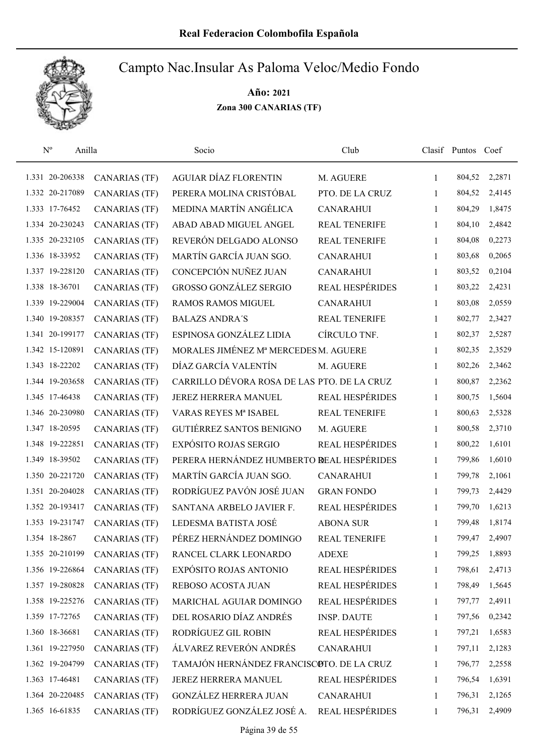

| $N^{o}$<br>Anilla |                      | Socio                                       | Club                   |              | Clasif Puntos Coef |        |
|-------------------|----------------------|---------------------------------------------|------------------------|--------------|--------------------|--------|
| 1.331 20-206338   | <b>CANARIAS</b> (TF) | <b>AGUIAR DÍAZ FLORENTIN</b>                | M. AGUERE              | 1            | 804,52             | 2,2871 |
| 1.332 20-217089   | <b>CANARIAS</b> (TF) | PERERA MOLINA CRISTÓBAL                     | PTO. DE LA CRUZ        | 1            | 804,52             | 2,4145 |
| 1.333 17-76452    | <b>CANARIAS (TF)</b> | MEDINA MARTÍN ANGÉLICA                      | <b>CANARAHUI</b>       | 1            | 804,29             | 1,8475 |
| 1.334 20-230243   | <b>CANARIAS (TF)</b> | ABAD ABAD MIGUEL ANGEL                      | <b>REAL TENERIFE</b>   | $\mathbf{1}$ | 804,10             | 2,4842 |
| 1.335 20-232105   | <b>CANARIAS (TF)</b> | REVERÓN DELGADO ALONSO                      | <b>REAL TENERIFE</b>   | $\mathbf{1}$ | 804,08             | 0,2273 |
| 1.336 18-33952    | <b>CANARIAS (TF)</b> | MARTÍN GARCÍA JUAN SGO.                     | <b>CANARAHUI</b>       | $\mathbf{1}$ | 803,68             | 0,2065 |
| 1.337 19-228120   | <b>CANARIAS (TF)</b> | CONCEPCIÓN NUÑEZ JUAN                       | <b>CANARAHUI</b>       | $\mathbf{1}$ | 803,52             | 0,2104 |
| 1.338 18-36701    | <b>CANARIAS (TF)</b> | <b>GROSSO GONZÁLEZ SERGIO</b>               | REAL HESPÉRIDES        | $\mathbf{1}$ | 803,22             | 2,4231 |
| 1.339 19-229004   | <b>CANARIAS (TF)</b> | <b>RAMOS RAMOS MIGUEL</b>                   | <b>CANARAHUI</b>       | 1            | 803,08             | 2,0559 |
| 1.340 19-208357   | <b>CANARIAS (TF)</b> | <b>BALAZS ANDRA'S</b>                       | <b>REAL TENERIFE</b>   | 1            | 802,77             | 2,3427 |
| 1.341 20-199177   | <b>CANARIAS (TF)</b> | ESPINOSA GONZÁLEZ LIDIA                     | CÍRCULO TNF.           | 1            | 802,37             | 2,5287 |
| 1.342 15-120891   | <b>CANARIAS (TF)</b> | MORALES JIMÉNEZ Mª MERCEDES M. AGUERE       |                        | $\mathbf{1}$ | 802,35             | 2,3529 |
| 1.343 18-22202    | <b>CANARIAS (TF)</b> | DÍAZ GARCÍA VALENTÍN                        | M. AGUERE              | 1            | 802,26             | 2,3462 |
| 1.344 19-203658   | <b>CANARIAS</b> (TF) | CARRILLO DÉVORA ROSA DE LAS PTO. DE LA CRUZ |                        | $\mathbf{1}$ | 800,87             | 2,2362 |
| 1.345 17-46438    | <b>CANARIAS (TF)</b> | JEREZ HERRERA MANUEL                        | REAL HESPÉRIDES        | $\mathbf{1}$ | 800,75             | 1,5604 |
| 1.346 20-230980   | <b>CANARIAS (TF)</b> | VARAS REYES Mª ISABEL                       | <b>REAL TENERIFE</b>   | 1            | 800,63             | 2,5328 |
| 1.347 18-20595    | <b>CANARIAS (TF)</b> | GUTIÉRREZ SANTOS BENIGNO                    | M. AGUERE              | $\mathbf{1}$ | 800,58             | 2,3710 |
| 1.348 19-222851   | <b>CANARIAS (TF)</b> | EXPÓSITO ROJAS SERGIO                       | REAL HESPÉRIDES        | $\mathbf{1}$ | 800,22             | 1,6101 |
| 1.349 18-39502    | <b>CANARIAS (TF)</b> | PERERA HERNÁNDEZ HUMBERTO REAL HESPÉRIDES   |                        | $\mathbf{1}$ | 799,86             | 1,6010 |
| 1.350 20-221720   | <b>CANARIAS (TF)</b> | MARTÍN GARCÍA JUAN SGO.                     | <b>CANARAHUI</b>       | $\mathbf{1}$ | 799,78             | 2,1061 |
| 1.351 20-204028   | <b>CANARIAS (TF)</b> | RODRÍGUEZ PAVÓN JOSÉ JUAN                   | <b>GRAN FONDO</b>      | $\mathbf{1}$ | 799,73             | 2,4429 |
| 1.352 20-193417   | <b>CANARIAS (TF)</b> | SANTANA ARBELO JAVIER F.                    | <b>REAL HESPÉRIDES</b> | 1            | 799,70             | 1,6213 |
| 1.353 19-231747   | <b>CANARIAS (TF)</b> | LEDESMA BATISTA JOSÉ                        | <b>ABONA SUR</b>       | 1            | 799,48             | 1,8174 |
| 1.354 18-2867     | <b>CANARIAS (TF)</b> | PÉREZ HERNÁNDEZ DOMINGO                     | <b>REAL TENERIFE</b>   | 1            | 799,47             | 2,4907 |
| 1.355 20-210199   | <b>CANARIAS (TF)</b> | RANCEL CLARK LEONARDO                       | <b>ADEXE</b>           | 1            | 799,25             | 1,8893 |
| 1.356 19-226864   | <b>CANARIAS (TF)</b> | EXPÓSITO ROJAS ANTONIO                      | REAL HESPÉRIDES        | 1            | 798,61             | 2,4713 |
| 1.357 19-280828   | <b>CANARIAS (TF)</b> | REBOSO ACOSTA JUAN                          | REAL HESPÉRIDES        | 1            | 798,49             | 1,5645 |
| 1.358 19-225276   | <b>CANARIAS (TF)</b> | MARICHAL AGUIAR DOMINGO                     | REAL HESPÉRIDES        | 1            | 797,77             | 2,4911 |
| 1.359 17-72765    | <b>CANARIAS (TF)</b> | DEL ROSARIO DÍAZ ANDRÉS                     | <b>INSP. DAUTE</b>     | 1            | 797,56             | 0,2342 |
| 1.360 18-36681    | <b>CANARIAS (TF)</b> | RODRÍGUEZ GIL ROBIN                         | <b>REAL HESPÉRIDES</b> | 1            | 797,21             | 1,6583 |
| 1.361 19-227950   | <b>CANARIAS (TF)</b> | ÁLVAREZ REVERÓN ANDRÉS                      | <b>CANARAHUI</b>       | 1            | 797,11             | 2,1283 |
| 1.362 19-204799   | <b>CANARIAS (TF)</b> | TAMAJÓN HERNÁNDEZ FRANCISCOTO. DE LA CRUZ   |                        | 1            | 796,77             | 2,2558 |
| 1.363 17-46481    | <b>CANARIAS (TF)</b> | JEREZ HERRERA MANUEL                        | REAL HESPÉRIDES        | 1            | 796,54             | 1,6391 |
| 1.364 20-220485   | <b>CANARIAS (TF)</b> | <b>GONZÁLEZ HERRERA JUAN</b>                | <b>CANARAHUI</b>       | 1            | 796,31             | 2,1265 |
| 1.365 16-61835    | <b>CANARIAS (TF)</b> | RODRÍGUEZ GONZÁLEZ JOSÉ A.                  | REAL HESPÉRIDES        | 1            | 796,31             | 2,4909 |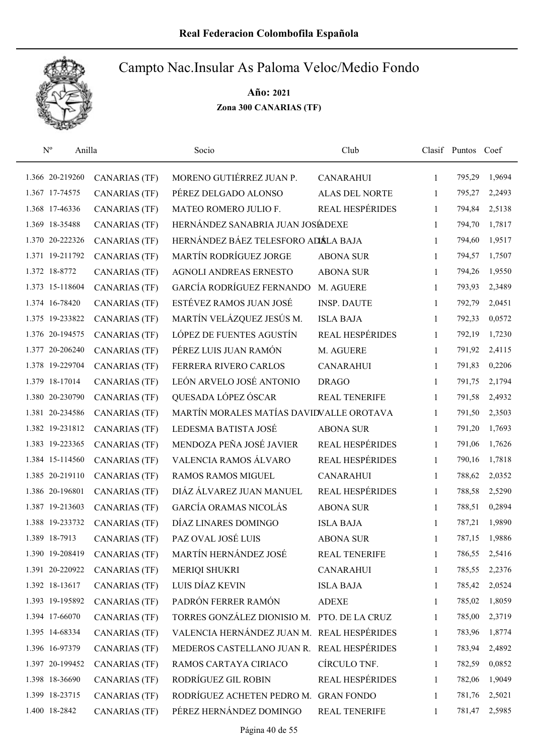

| $\mathbf{N}^{\text{o}}$ | Anilla               | Socio                                       | Club                   |              | Clasif Puntos Coef |        |
|-------------------------|----------------------|---------------------------------------------|------------------------|--------------|--------------------|--------|
| 1.366 20-219260         | <b>CANARIAS (TF)</b> | MORENO GUTIÉRREZ JUAN P.                    | <b>CANARAHUI</b>       | 1            | 795,29             | 1,9694 |
| 1.367 17-74575          | <b>CANARIAS (TF)</b> | PÉREZ DELGADO ALONSO                        | ALAS DEL NORTE         | 1            | 795,27             | 2,2493 |
| 1.368 17-46336          | <b>CANARIAS (TF)</b> | MATEO ROMERO JULIO F.                       | REAL HESPÉRIDES        | 1            | 794,84             | 2,5138 |
| 1.369 18-35488          | <b>CANARIAS (TF)</b> | HERNÁNDEZ SANABRIA JUAN JOSÉADEXE           |                        | 1            | 794,70             | 1,7817 |
| 1.370 20-222326         | <b>CANARIAS (TF)</b> | HERNÁNDEZ BÁEZ TELESFORO ADÁLA BAJA         |                        | $\mathbf{1}$ | 794,60             | 1,9517 |
| 1.371 19-211792         | <b>CANARIAS (TF)</b> | MARTÍN RODRÍGUEZ JORGE                      | <b>ABONA SUR</b>       | 1            | 794,57             | 1,7507 |
| 1.372 18-8772           | <b>CANARIAS (TF)</b> | AGNOLI ANDREAS ERNESTO                      | <b>ABONA SUR</b>       | $\mathbf{1}$ | 794,26             | 1,9550 |
| 1.373 15-118604         | <b>CANARIAS (TF)</b> | GARCÍA RODRÍGUEZ FERNANDO                   | M. AGUERE              | 1            | 793,93             | 2,3489 |
| 1.374 16-78420          | <b>CANARIAS (TF)</b> | ESTÉVEZ RAMOS JUAN JOSÉ                     | <b>INSP. DAUTE</b>     | $\mathbf{1}$ | 792,79             | 2,0451 |
| 1.375 19-233822         | <b>CANARIAS (TF)</b> | MARTÍN VELÁZQUEZ JESÚS M.                   | <b>ISLA BAJA</b>       | 1            | 792,33             | 0,0572 |
| 1.376 20-194575         | <b>CANARIAS (TF)</b> | LÓPEZ DE FUENTES AGUSTÍN                    | <b>REAL HESPÉRIDES</b> | 1            | 792,19             | 1,7230 |
| 1.377 20-206240         | <b>CANARIAS (TF)</b> | PÉREZ LUIS JUAN RAMÓN                       | M. AGUERE              | 1            | 791,92             | 2,4115 |
| 1.378 19-229704         | <b>CANARIAS (TF)</b> | FERRERA RIVERO CARLOS                       | <b>CANARAHUI</b>       | 1            | 791,83             | 0,2206 |
| 1.379 18-17014          | <b>CANARIAS (TF)</b> | LEÓN ARVELO JOSÉ ANTONIO                    | <b>DRAGO</b>           | 1            | 791,75             | 2,1794 |
| 1.380 20-230790         | <b>CANARIAS (TF)</b> | QUESADA LÓPEZ ÓSCAR                         | REAL TENERIFE          | 1            | 791,58             | 2,4932 |
| 1.381 20-234586         | <b>CANARIAS (TF)</b> | MARTÍN MORALES MATÍAS DAVIDVALLE OROTAVA    |                        | 1            | 791,50             | 2,3503 |
| 1.382 19-231812         | <b>CANARIAS (TF)</b> | LEDESMA BATISTA JOSÉ                        | <b>ABONA SUR</b>       | 1            | 791,20             | 1,7693 |
| 1.383 19-223365         | <b>CANARIAS (TF)</b> | MENDOZA PEÑA JOSÉ JAVIER                    | <b>REAL HESPÉRIDES</b> | $\mathbf{1}$ | 791,06             | 1,7626 |
| 1.384 15-114560         | <b>CANARIAS (TF)</b> | VALENCIA RAMOS ÁLVARO                       | REAL HESPÉRIDES        | $\mathbf{1}$ | 790,16             | 1,7818 |
| 1.385 20-219110         | <b>CANARIAS (TF)</b> | <b>RAMOS RAMOS MIGUEL</b>                   | <b>CANARAHUI</b>       | $\mathbf{1}$ | 788,62             | 2,0352 |
| 1.386 20-196801         | <b>CANARIAS (TF)</b> | DIÁZ ÁLVAREZ JUAN MANUEL                    | REAL HESPÉRIDES        | 1            | 788,58             | 2,5290 |
| 1.387 19-213603         | <b>CANARIAS (TF)</b> | GARCÍA ORAMAS NICOLÁS                       | <b>ABONA SUR</b>       | 1            | 788,51             | 0,2894 |
| 1.388 19-233732         | <b>CANARIAS (TF)</b> | DÍAZ LINARES DOMINGO                        | <b>ISLA BAJA</b>       | 1            | 787,21             | 1,9890 |
| 1.389 18-7913           | <b>CANARIAS (TF)</b> | PAZ OVAL JOSÉ LUIS                          | <b>ABONA SUR</b>       | 1            | 787,15             | 1,9886 |
| 1.390 19-208419         | <b>CANARIAS (TF)</b> | MARTÍN HERNÁNDEZ JOSÉ                       | <b>REAL TENERIFE</b>   | 1            | 786,55             | 2,5416 |
| 1.391 20-220922         | <b>CANARIAS (TF)</b> | <b>MERIQI SHUKRI</b>                        | <b>CANARAHUI</b>       | 1            | 785,55             | 2,2376 |
| 1.392 18-13617          | <b>CANARIAS (TF)</b> | LUIS DÍAZ KEVIN                             | <b>ISLA BAJA</b>       | 1            | 785,42             | 2,0524 |
| 1.393 19-195892         | <b>CANARIAS (TF)</b> | PADRÓN FERRER RAMÓN                         | <b>ADEXE</b>           | 1            | 785,02             | 1,8059 |
| 1.394 17-66070          | <b>CANARIAS (TF)</b> | TORRES GONZÁLEZ DIONISIO M. PTO. DE LA CRUZ |                        | 1            | 785,00             | 2,3719 |
| 1.395 14-68334          | <b>CANARIAS (TF)</b> | VALENCIA HERNÁNDEZ JUAN M. REAL HESPÉRIDES  |                        | 1            | 783,96             | 1,8774 |
| 1.396 16-97379          | <b>CANARIAS (TF)</b> | MEDEROS CASTELLANO JUAN R. REAL HESPÉRIDES  |                        | 1            | 783,94             | 2,4892 |
| 1.397 20-199452         | <b>CANARIAS (TF)</b> | RAMOS CARTAYA CIRIACO                       | CÍRCULO TNF.           | 1            | 782,59             | 0,0852 |
| 1.398 18-36690          | <b>CANARIAS (TF)</b> | RODRÍGUEZ GIL ROBIN                         | REAL HESPÉRIDES        | 1            | 782,06             | 1,9049 |
| 1.399 18-23715          | <b>CANARIAS (TF)</b> | RODRÍGUEZ ACHETEN PEDRO M. GRAN FONDO       |                        | 1            | 781,76             | 2,5021 |
| 1.400 18-2842           | <b>CANARIAS (TF)</b> | PÉREZ HERNÁNDEZ DOMINGO                     | <b>REAL TENERIFE</b>   | 1            | 781,47             | 2,5985 |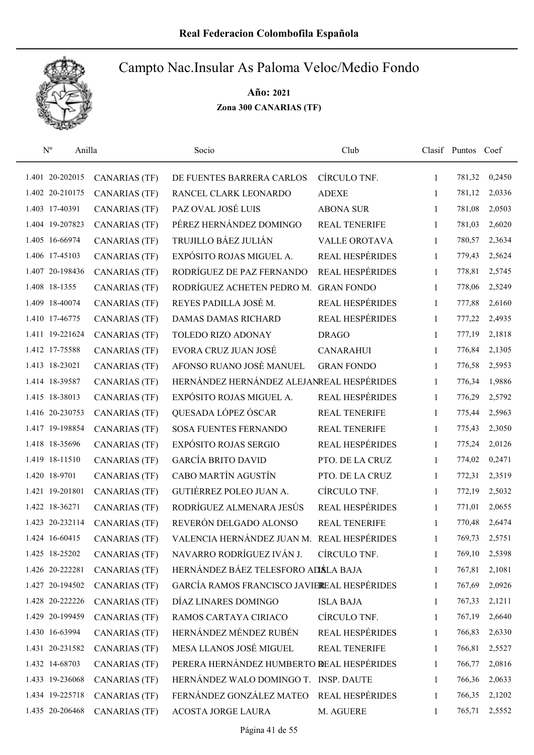

| $N^{o}$<br>Anilla |                      | Socio                                       | Club                   |              | Clasif Puntos Coef |        |
|-------------------|----------------------|---------------------------------------------|------------------------|--------------|--------------------|--------|
| 1.401 20-202015   | <b>CANARIAS</b> (TF) | DE FUENTES BARRERA CARLOS                   | CÍRCULO TNF.           | 1            | 781,32             | 0,2450 |
| 1.402 20-210175   | <b>CANARIAS</b> (TF) | RANCEL CLARK LEONARDO                       | <b>ADEXE</b>           | 1            | 781,12             | 2,0336 |
| 1.403 17-40391    | <b>CANARIAS (TF)</b> | PAZ OVAL JOSÉ LUIS                          | <b>ABONA SUR</b>       | $\mathbf{1}$ | 781,08             | 2,0503 |
| 1.404 19-207823   | <b>CANARIAS (TF)</b> | PÉREZ HERNÁNDEZ DOMINGO                     | <b>REAL TENERIFE</b>   | 1            | 781,03             | 2,6020 |
| 1.405 16-66974    | <b>CANARIAS (TF)</b> | TRUJILLO BÁEZ JULIÁN                        | <b>VALLE OROTAVA</b>   | 1            | 780,57             | 2,3634 |
| 1.406 17-45103    | <b>CANARIAS (TF)</b> | EXPÓSITO ROJAS MIGUEL A.                    | REAL HESPÉRIDES        | $\mathbf{1}$ | 779,43             | 2,5624 |
| 1.407 20-198436   | <b>CANARIAS (TF)</b> | RODRÍGUEZ DE PAZ FERNANDO                   | REAL HESPÉRIDES        | $\mathbf{1}$ | 778,81             | 2,5745 |
| 1.408 18-1355     | <b>CANARIAS (TF)</b> | RODRÍGUEZ ACHETEN PEDRO M.                  | <b>GRAN FONDO</b>      | $\mathbf{1}$ | 778,06             | 2,5249 |
| 1.409 18-40074    | <b>CANARIAS (TF)</b> | REYES PADILLA JOSÉ M.                       | <b>REAL HESPÉRIDES</b> | $\mathbf{1}$ | 777,88             | 2,6160 |
| 1.410 17-46775    | <b>CANARIAS (TF)</b> | DAMAS DAMAS RICHARD                         | REAL HESPÉRIDES        | 1            | 777,22             | 2,4935 |
| 1.411 19-221624   | <b>CANARIAS</b> (TF) | TOLEDO RIZO ADONAY                          | <b>DRAGO</b>           | 1            | 777,19             | 2,1818 |
| 1.412 17-75588    | <b>CANARIAS (TF)</b> | EVORA CRUZ JUAN JOSÉ                        | <b>CANARAHUI</b>       | 1            | 776,84             | 2,1305 |
| 1.413 18-23021    | <b>CANARIAS (TF)</b> | AFONSO RUANO JOSÉ MANUEL                    | <b>GRAN FONDO</b>      | 1            | 776,58             | 2,5953 |
| 1.414 18-39587    | <b>CANARIAS (TF)</b> | HERNÁNDEZ HERNÁNDEZ ALEJANREAL HESPÉRIDES   |                        | $\mathbf{1}$ | 776,34             | 1,9886 |
| 1.415 18-38013    | <b>CANARIAS (TF)</b> | EXPÓSITO ROJAS MIGUEL A.                    | <b>REAL HESPÉRIDES</b> | $\mathbf{1}$ | 776,29             | 2,5792 |
| 1.416 20-230753   | <b>CANARIAS (TF)</b> | QUESADA LÓPEZ ÓSCAR                         | REAL TENERIFE          | 1            | 775,44             | 2,5963 |
| 1.417 19-198854   | <b>CANARIAS (TF)</b> | <b>SOSA FUENTES FERNANDO</b>                | <b>REAL TENERIFE</b>   | $\mathbf{1}$ | 775,43             | 2,3050 |
| 1.418 18-35696    | <b>CANARIAS (TF)</b> | EXPÓSITO ROJAS SERGIO                       | REAL HESPÉRIDES        | $\mathbf{1}$ | 775,24             | 2,0126 |
| 1.419 18-11510    | <b>CANARIAS (TF)</b> | <b>GARCÍA BRITO DAVID</b>                   | PTO. DE LA CRUZ        | $\mathbf{1}$ | 774,02             | 0,2471 |
| 1.420 18-9701     | <b>CANARIAS (TF)</b> | CABO MARTÍN AGUSTÍN                         | PTO. DE LA CRUZ        | $\mathbf{1}$ | 772,31             | 2,3519 |
| 1.421 19-201801   | <b>CANARIAS (TF)</b> | GUTIÉRREZ POLEO JUAN A.                     | CÍRCULO TNF.           | $\mathbf{1}$ | 772,19             | 2,5032 |
| 1.422 18-36271    | <b>CANARIAS (TF)</b> | RODRÍGUEZ ALMENARA JESÚS                    | <b>REAL HESPÉRIDES</b> | $\mathbf{1}$ | 771,01             | 2,0655 |
| 1.423 20-232114   | <b>CANARIAS</b> (TF) | REVERÓN DELGADO ALONSO                      | <b>REAL TENERIFE</b>   | 1            | 770,48             | 2,6474 |
| 1.424 16-60415    | <b>CANARIAS (TF)</b> | VALENCIA HERNÁNDEZ JUAN M. REAL HESPÉRIDES  |                        | 1            | 769,73             | 2,5751 |
| 1.425 18-25202    | <b>CANARIAS (TF)</b> | NAVARRO RODRÍGUEZ IVÁN J.                   | CÍRCULO TNF.           | 1            | 769,10             | 2,5398 |
| 1.426 20-222281   | <b>CANARIAS (TF)</b> | HERNÁNDEZ BÁEZ TELESFORO ADÁLA BAJA         |                        | 1            | 767,81             | 2,1081 |
| 1.427 20-194502   | <b>CANARIAS (TF)</b> | GARCÍA RAMOS FRANCISCO JAVIEREAL HESPÉRIDES |                        | 1            | 767,69             | 2,0926 |
| 1.428 20-222226   | <b>CANARIAS (TF)</b> | DÍAZ LINARES DOMINGO                        | <b>ISLA BAJA</b>       | 1            | 767,33             | 2,1211 |
| 1.429 20-199459   | <b>CANARIAS (TF)</b> | RAMOS CARTAYA CIRIACO                       | CÍRCULO TNF.           | 1            | 767,19             | 2,6640 |
| 1.430 16-63994    | <b>CANARIAS (TF)</b> | HERNÁNDEZ MÉNDEZ RUBÉN                      | REAL HESPÉRIDES        | 1            | 766,83             | 2,6330 |
| 1.431 20-231582   | <b>CANARIAS (TF)</b> | MESA LLANOS JOSÉ MIGUEL                     | <b>REAL TENERIFE</b>   | 1            | 766,81             | 2,5527 |
| 1.432 14-68703    | <b>CANARIAS (TF)</b> | PERERA HERNÁNDEZ HUMBERTO REAL HESPÉRIDES   |                        | 1            | 766,77             | 2,0816 |
| 1.433 19-236068   | <b>CANARIAS (TF)</b> | HERNÁNDEZ WALO DOMINGO T.                   | <b>INSP. DAUTE</b>     | 1            | 766,36             | 2,0633 |
| 1.434 19-225718   | <b>CANARIAS (TF)</b> | FERNÁNDEZ GONZÁLEZ MATEO                    | <b>REAL HESPÉRIDES</b> | 1            | 766,35             | 2,1202 |
| 1.435 20-206468   | <b>CANARIAS (TF)</b> | ACOSTA JORGE LAURA                          | M. AGUERE              | 1            | 765,71             | 2,5552 |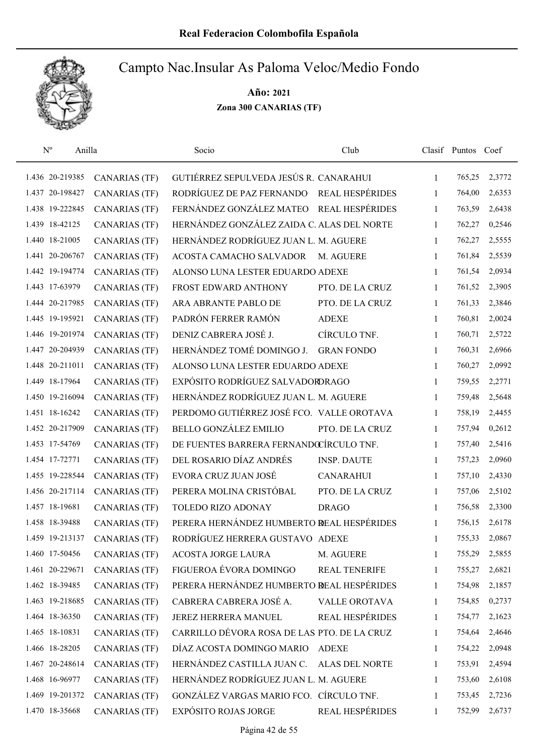

| $N^{o}$ | Anilla          |                      | Socio                                       | Club                   |              | Clasif Puntos Coef |        |
|---------|-----------------|----------------------|---------------------------------------------|------------------------|--------------|--------------------|--------|
|         | 1.436 20-219385 | <b>CANARIAS (TF)</b> | GUTIÉRREZ SEPULVEDA JESÚS R. CANARAHUI      |                        | $\mathbf{1}$ | 765,25             | 2,3772 |
|         | 1.437 20-198427 | <b>CANARIAS (TF)</b> | RODRÍGUEZ DE PAZ FERNANDO REAL HESPÉRIDES   |                        | $\mathbf{1}$ | 764,00             | 2,6353 |
|         | 1.438 19-222845 | <b>CANARIAS (TF)</b> | FERNÁNDEZ GONZÁLEZ MATEO REAL HESPÉRIDES    |                        | $\mathbf{1}$ | 763,59             | 2,6438 |
|         | 1.439 18-42125  | <b>CANARIAS (TF)</b> | HERNÁNDEZ GONZÁLEZ ZAIDA C. ALAS DEL NORTE  |                        | 1            | 762,27             | 0,2546 |
|         | 1.440 18-21005  | <b>CANARIAS (TF)</b> | HERNÁNDEZ RODRÍGUEZ JUAN L. M. AGUERE       |                        | 1            | 762,27             | 2,5555 |
|         | 1.441 20-206767 | <b>CANARIAS (TF)</b> | ACOSTA CAMACHO SALVADOR                     | M. AGUERE              | 1            | 761,84             | 2,5539 |
|         | 1.442 19-194774 | <b>CANARIAS (TF)</b> | ALONSO LUNA LESTER EDUARDO ADEXE            |                        | 1            | 761,54             | 2,0934 |
|         | 1.443 17-63979  | <b>CANARIAS (TF)</b> | FROST EDWARD ANTHONY                        | PTO. DE LA CRUZ        | 1            | 761,52             | 2,3905 |
|         | 1.444 20-217985 | <b>CANARIAS (TF)</b> | ARA ABRANTE PABLO DE                        | PTO. DE LA CRUZ        | 1            | 761,33             | 2,3846 |
|         | 1.445 19-195921 | <b>CANARIAS (TF)</b> | PADRÓN FERRER RAMÓN                         | <b>ADEXE</b>           | 1            | 760,81             | 2,0024 |
|         | 1.446 19-201974 | <b>CANARIAS (TF)</b> | DENIZ CABRERA JOSÉ J.                       | CÍRCULO TNF.           | 1            | 760,71             | 2,5722 |
|         | 1.447 20-204939 | <b>CANARIAS (TF)</b> | HERNÁNDEZ TOMÉ DOMINGO J.                   | <b>GRAN FONDO</b>      | 1            | 760,31             | 2,6966 |
|         | 1.448 20-211011 | <b>CANARIAS (TF)</b> | ALONSO LUNA LESTER EDUARDO ADEXE            |                        | 1            | 760,27             | 2,0992 |
|         | 1.449 18-17964  | <b>CANARIAS (TF)</b> | EXPÓSITO RODRÍGUEZ SALVADORDRAGO            |                        | 1            | 759,55             | 2,2771 |
|         | 1.450 19-216094 | <b>CANARIAS (TF)</b> | HERNÁNDEZ RODRÍGUEZ JUAN L. M. AGUERE       |                        | $\mathbf{1}$ | 759,48             | 2,5648 |
|         | 1.451 18-16242  | <b>CANARIAS (TF)</b> | PERDOMO GUTIÉRREZ JOSÉ FCO. VALLE OROTAVA   |                        | $\mathbf{1}$ | 758,19             | 2,4455 |
|         | 1.452 20-217909 | <b>CANARIAS (TF)</b> | <b>BELLO GONZÁLEZ EMILIO</b>                | PTO. DE LA CRUZ        | 1            | 757,94             | 0,2612 |
|         | 1.453 17-54769  | <b>CANARIAS (TF)</b> | DE FUENTES BARRERA FERNANDOCÍRCULO TNF.     |                        | $\mathbf{1}$ | 757,40             | 2,5416 |
|         | 1.454 17-72771  | <b>CANARIAS (TF)</b> | DEL ROSARIO DÍAZ ANDRÉS                     | <b>INSP. DAUTE</b>     | $\mathbf{1}$ | 757,23             | 2,0960 |
|         | 1.455 19-228544 | <b>CANARIAS (TF)</b> | EVORA CRUZ JUAN JOSÉ                        | <b>CANARAHUI</b>       | $\mathbf{1}$ | 757,10             | 2,4330 |
|         | 1.456 20-217114 | <b>CANARIAS (TF)</b> | PERERA MOLINA CRISTÓBAL                     | PTO. DE LA CRUZ        | $\mathbf{1}$ | 757,06             | 2,5102 |
|         | 1.457 18-19681  | <b>CANARIAS (TF)</b> | TOLEDO RIZO ADONAY                          | <b>DRAGO</b>           | 1            | 756,58             | 2,3300 |
|         | 1.458 18-39488  | <b>CANARIAS (TF)</b> | PERERA HERNÁNDEZ HUMBERTO REAL HESPÉRIDES   |                        | 1            | 756,15             | 2,6178 |
|         | 1.459 19-213137 | <b>CANARIAS</b> (TF) | RODRÍGUEZ HERRERA GUSTAVO ADEXE             |                        | 1            | 755,33             | 2,0867 |
|         | 1.460 17-50456  | <b>CANARIAS (TF)</b> | ACOSTA JORGE LAURA                          | M. AGUERE              | 1            | 755,29             | 2,5855 |
|         | 1.461 20-229671 | <b>CANARIAS (TF)</b> | FIGUEROA ÉVORA DOMINGO                      | REAL TENERIFE          | 1            | 755,27             | 2,6821 |
|         | 1.462 18-39485  | <b>CANARIAS (TF)</b> | PERERA HERNÁNDEZ HUMBERTO REAL HESPÉRIDES   |                        | 1            | 754,98             | 2,1857 |
|         | 1.463 19-218685 | <b>CANARIAS</b> (TF) | CABRERA CABRERA JOSÉ A.                     | VALLE OROTAVA          | $\mathbf{1}$ | 754,85             | 0,2737 |
|         | 1.464 18-36350  | <b>CANARIAS (TF)</b> | JEREZ HERRERA MANUEL                        | <b>REAL HESPÉRIDES</b> | 1            | 754,77             | 2,1623 |
|         | 1.465 18-10831  | <b>CANARIAS (TF)</b> | CARRILLO DÉVORA ROSA DE LAS PTO. DE LA CRUZ |                        | 1            | 754,64             | 2,4646 |
|         | 1.466 18-28205  | <b>CANARIAS (TF)</b> | DÍAZ ACOSTA DOMINGO MARIO                   | <b>ADEXE</b>           | 1            | 754,22             | 2,0948 |
|         | 1.467 20-248614 | <b>CANARIAS (TF)</b> | HERNÁNDEZ CASTILLA JUAN C.                  | <b>ALAS DEL NORTE</b>  | 1            | 753,91             | 2,4594 |
|         | 1.468 16-96977  | <b>CANARIAS (TF)</b> | HERNÁNDEZ RODRÍGUEZ JUAN L. M. AGUERE       |                        | 1            | 753,60             | 2,6108 |
|         | 1.469 19-201372 | CANARIAS (TF)        | GONZÁLEZ VARGAS MARIO FCO. CÍRCULO TNF.     |                        | 1            | 753,45             | 2,7236 |
|         | 1.470 18-35668  | <b>CANARIAS (TF)</b> | <b>EXPÓSITO ROJAS JORGE</b>                 | REAL HESPÉRIDES        | 1            | 752,99             | 2,6737 |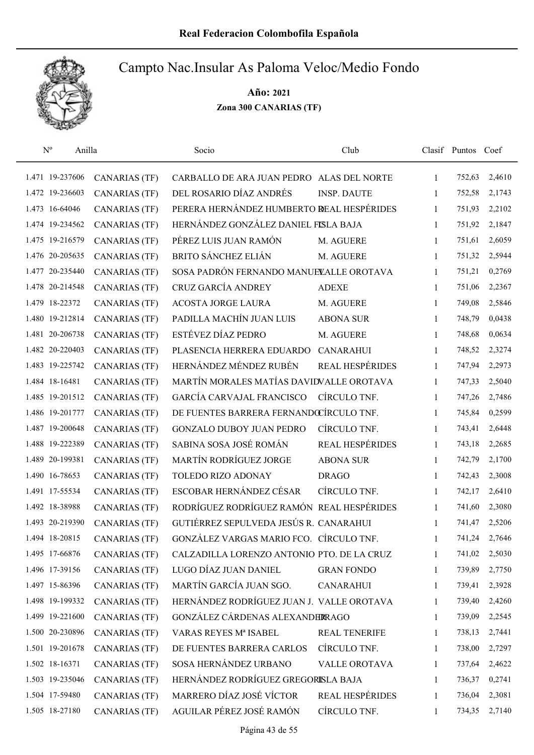

| $\mathrm{N}^{\rm o}$<br>Anilla |                      | Socio                                      | Club                   |              | Clasif Puntos Coef |        |
|--------------------------------|----------------------|--------------------------------------------|------------------------|--------------|--------------------|--------|
| 1.471 19-237606                | CANARIAS (TF)        | CARBALLO DE ARA JUAN PEDRO ALAS DEL NORTE  |                        | 1            | 752,63             | 2,4610 |
| 1.472 19-236603                | <b>CANARIAS</b> (TF) | DEL ROSARIO DÍAZ ANDRÉS                    | <b>INSP. DAUTE</b>     | 1            | 752,58             | 2,1743 |
| 1.473 16-64046                 | <b>CANARIAS (TF)</b> | PERERA HERNÁNDEZ HUMBERTO REAL HESPÉRIDES  |                        | $\mathbf{1}$ | 751,93             | 2,2102 |
| 1.474 19-234562                | <b>CANARIAS (TF)</b> | HERNÁNDEZ GONZÁLEZ DANIEL FISLA BAJA       |                        | 1            | 751,92             | 2,1847 |
| 1.475 19-216579                | <b>CANARIAS (TF)</b> | PÉREZ LUIS JUAN RAMÓN                      | M. AGUERE              | $\mathbf{1}$ | 751,61             | 2,6059 |
| 1.476 20-205635                | <b>CANARIAS (TF)</b> | <b>BRITO SÁNCHEZ ELIÁN</b>                 | M. AGUERE              | $\mathbf{1}$ | 751,32             | 2,5944 |
| 1.477 20-235440                | <b>CANARIAS (TF)</b> | SOSA PADRÓN FERNANDO MANUELALLE OROTAVA    |                        | $\mathbf{1}$ | 751,21             | 0,2769 |
| 1.478 20-214548                | <b>CANARIAS (TF)</b> | CRUZ GARCÍA ANDREY                         | <b>ADEXE</b>           | $\mathbf{1}$ | 751,06             | 2,2367 |
| 1.479 18-22372                 | <b>CANARIAS (TF)</b> | <b>ACOSTA JORGE LAURA</b>                  | M. AGUERE              | $\mathbf{1}$ | 749,08             | 2,5846 |
| 1.480 19-212814                | <b>CANARIAS (TF)</b> | PADILLA MACHÍN JUAN LUIS                   | <b>ABONA SUR</b>       | 1            | 748,79             | 0,0438 |
| 1.481 20-206738                | CANARIAS (TF)        | ESTÉVEZ DÍAZ PEDRO                         | M. AGUERE              | 1            | 748,68             | 0,0634 |
| 1.482 20-220403                | CANARIAS (TF)        | PLASENCIA HERRERA EDUARDO                  | <b>CANARAHUI</b>       | 1            | 748,52             | 2,3274 |
| 1.483 19-225742                | <b>CANARIAS (TF)</b> | HERNÁNDEZ MÉNDEZ RUBÉN                     | <b>REAL HESPÉRIDES</b> | $\mathbf{1}$ | 747,94             | 2,2973 |
| 1.484 18-16481                 | <b>CANARIAS (TF)</b> | MARTÍN MORALES MATÍAS DAVIDVALLE OROTAVA   |                        | $\mathbf{1}$ | 747,33             | 2,5040 |
| 1.485 19-201512                | <b>CANARIAS (TF)</b> | <b>GARCÍA CARVAJAL FRANCISCO</b>           | CÍRCULO TNF.           | $\mathbf{1}$ | 747,26             | 2,7486 |
| 1.486 19-201777                | <b>CANARIAS</b> (TF) | DE FUENTES BARRERA FERNANDŒÍRCULO TNF.     |                        | $\mathbf{1}$ | 745,84             | 0,2599 |
| 1.487 19-200648                | <b>CANARIAS (TF)</b> | <b>GONZALO DUBOY JUAN PEDRO</b>            | CÍRCULO TNF.           | $\mathbf{1}$ | 743,41             | 2,6448 |
| 1.488 19-222389                | <b>CANARIAS (TF)</b> | SABINA SOSA JOSÉ ROMÁN                     | REAL HESPÉRIDES        | $\mathbf{1}$ | 743,18             | 2,2685 |
| 1.489 20-199381                | <b>CANARIAS (TF)</b> | MARTÍN RODRÍGUEZ JORGE                     | <b>ABONA SUR</b>       | $\mathbf{1}$ | 742,79             | 2,1700 |
| 1.490 16-78653                 | <b>CANARIAS (TF)</b> | TOLEDO RIZO ADONAY                         | <b>DRAGO</b>           | $\mathbf{1}$ | 742,43             | 2,3008 |
| 1.491 17-55534                 | <b>CANARIAS (TF)</b> | ESCOBAR HERNÁNDEZ CÉSAR                    | CÍRCULO TNF.           | $\mathbf{1}$ | 742,17             | 2,6410 |
| 1.492 18-38988                 | <b>CANARIAS</b> (TF) | RODRÍGUEZ RODRÍGUEZ RAMÓN REAL HESPÉRIDES  |                        | $\mathbf{1}$ | 741,60             | 2,3080 |
| 1.493 20-219390                | <b>CANARIAS</b> (TF) | GUTIÉRREZ SEPULVEDA JESÚS R. CANARAHUI     |                        | 1            | 741,47             | 2,5206 |
| 1.494 18-20815                 | <b>CANARIAS (TF)</b> | GONZÁLEZ VARGAS MARIO FCO. CÍRCULO TNF.    |                        | 1            | 741,24             | 2,7646 |
| 1.495 17-66876                 | <b>CANARIAS (TF)</b> | CALZADILLA LORENZO ANTONIO PTO. DE LA CRUZ |                        | 1            | 741,02             | 2,5030 |
| 1.496 17-39156                 | <b>CANARIAS (TF)</b> | LUGO DÍAZ JUAN DANIEL                      | <b>GRAN FONDO</b>      | 1            | 739,89             | 2,7750 |
| 1.497 15-86396                 | <b>CANARIAS (TF)</b> | MARTÍN GARCÍA JUAN SGO.                    | <b>CANARAHUI</b>       | 1            | 739,41             | 2,3928 |
| 1.498 19-199332                | <b>CANARIAS (TF)</b> | HERNÁNDEZ RODRÍGUEZ JUAN J. VALLE OROTAVA  |                        | 1            | 739,40             | 2,4260 |
| 1.499 19-221600                | <b>CANARIAS (TF)</b> | GONZÁLEZ CÁRDENAS ALEXANDERRAGO            |                        | 1            | 739,09             | 2,2545 |
| 1.500 20-230896                | <b>CANARIAS (TF)</b> | VARAS REYES Mª ISABEL                      | <b>REAL TENERIFE</b>   | 1            | 738,13             | 2,7441 |
| 1.501 19-201678                | <b>CANARIAS (TF)</b> | DE FUENTES BARRERA CARLOS                  | CÍRCULO TNF.           | 1            | 738,00             | 2,7297 |
| 1.502 18-16371                 | <b>CANARIAS (TF)</b> | SOSA HERNÁNDEZ URBANO                      | VALLE OROTAVA          | 1            | 737,64             | 2,4622 |
| 1.503 19-235046                | <b>CANARIAS (TF)</b> | HERNÁNDEZ RODRÍGUEZ GREGORISLA BAJA        |                        | 1            | 736,37             | 0,2741 |
| 1.504 17-59480                 | <b>CANARIAS (TF)</b> | MARRERO DÍAZ JOSÉ VÍCTOR                   | <b>REAL HESPÉRIDES</b> | 1            | 736,04             | 2,3081 |
| 1.505 18-27180                 | <b>CANARIAS (TF)</b> | AGUILAR PÉREZ JOSÉ RAMÓN                   | CÍRCULO TNF.           | 1            | 734,35             | 2,7140 |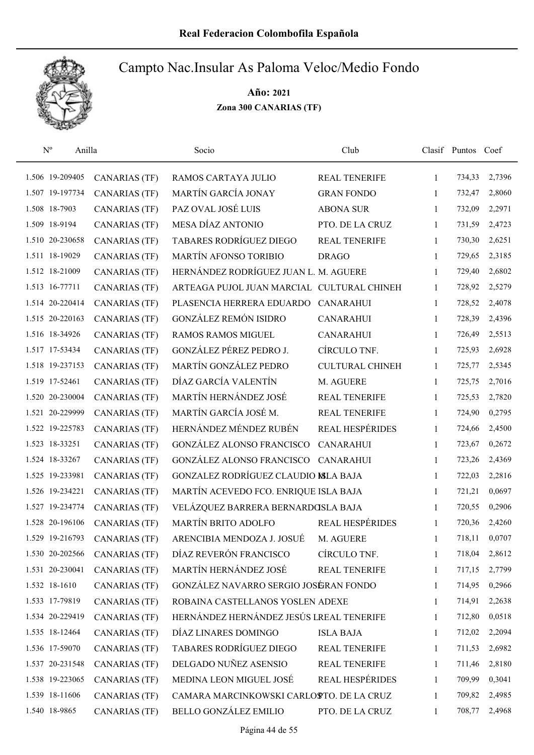

| $\rm N^o$       | Anilla |                      | Socio                                      | Club                   |              | Clasif Puntos Coef |        |
|-----------------|--------|----------------------|--------------------------------------------|------------------------|--------------|--------------------|--------|
| 1.506 19-209405 |        | <b>CANARIAS</b> (TF) | RAMOS CARTAYA JULIO                        | REAL TENERIFE          | 1            | 734,33             | 2,7396 |
| 1.507 19-197734 |        | <b>CANARIAS (TF)</b> | MARTÍN GARCÍA JONAY                        | <b>GRAN FONDO</b>      | 1            | 732,47             | 2,8060 |
| 1.508 18-7903   |        | CANARIAS (TF)        | PAZ OVAL JOSÉ LUIS                         | <b>ABONA SUR</b>       | 1            | 732,09             | 2,2971 |
| 1.509 18-9194   |        | <b>CANARIAS (TF)</b> | MESA DÍAZ ANTONIO                          | PTO. DE LA CRUZ        | 1            | 731,59             | 2,4723 |
| 1.510 20-230658 |        | <b>CANARIAS</b> (TF) | TABARES RODRÍGUEZ DIEGO                    | REAL TENERIFE          | 1            | 730,30             | 2,6251 |
| 1.511 18-19029  |        | <b>CANARIAS (TF)</b> | MARTÍN AFONSO TORIBIO                      | <b>DRAGO</b>           | 1            | 729,65             | 2,3185 |
| 1.512 18-21009  |        | <b>CANARIAS (TF)</b> | HERNÁNDEZ RODRÍGUEZ JUAN L. M. AGUERE      |                        | 1            | 729,40             | 2,6802 |
| 1.513 16-77711  |        | <b>CANARIAS (TF)</b> | ARTEAGA PUJOL JUAN MARCIAL CULTURAL CHINEH |                        | $\mathbf{1}$ | 728,92             | 2,5279 |
| 1.514 20-220414 |        | <b>CANARIAS (TF)</b> | PLASENCIA HERRERA EDUARDO                  | <b>CANARAHUI</b>       | 1            | 728,52             | 2,4078 |
| 1.515 20-220163 |        | <b>CANARIAS (TF)</b> | <b>GONZÁLEZ REMÓN ISIDRO</b>               | <b>CANARAHUI</b>       | 1            | 728,39             | 2,4396 |
| 1.516 18-34926  |        | <b>CANARIAS (TF)</b> | <b>RAMOS RAMOS MIGUEL</b>                  | <b>CANARAHUI</b>       | 1            | 726,49             | 2,5513 |
| 1.517 17-53434  |        | <b>CANARIAS (TF)</b> | GONZÁLEZ PÉREZ PEDRO J.                    | CÍRCULO TNF.           | 1            | 725,93             | 2,6928 |
| 1.518 19-237153 |        | <b>CANARIAS (TF)</b> | MARTÍN GONZÁLEZ PEDRO                      | <b>CULTURAL CHINEH</b> | 1            | 725,77             | 2,5345 |
| 1.519 17-52461  |        | <b>CANARIAS (TF)</b> | DÍAZ GARCÍA VALENTÍN                       | M. AGUERE              | 1            | 725,75             | 2,7016 |
| 1.520 20-230004 |        | <b>CANARIAS (TF)</b> | MARTÍN HERNÁNDEZ JOSÉ                      | REAL TENERIFE          | 1            | 725,53             | 2,7820 |
| 1.521 20-229999 |        | <b>CANARIAS</b> (TF) | MARTÍN GARCÍA JOSÉ M.                      | REAL TENERIFE          | 1            | 724,90             | 0,2795 |
| 1.522 19-225783 |        | <b>CANARIAS</b> (TF) | HERNÁNDEZ MÉNDEZ RUBÉN                     | REAL HESPÉRIDES        | 1            | 724,66             | 2,4500 |
| 1.523 18-33251  |        | <b>CANARIAS (TF)</b> | <b>GONZÁLEZ ALONSO FRANCISCO</b>           | <b>CANARAHUI</b>       | 1            | 723,67             | 0,2672 |
| 1.524 18-33267  |        | <b>CANARIAS (TF)</b> | GONZÁLEZ ALONSO FRANCISCO CANARAHUI        |                        | 1            | 723,26             | 2,4369 |
| 1.525 19-233981 |        | <b>CANARIAS (TF)</b> | GONZALEZ RODRÍGUEZ CLAUDIO MLA BAJA        |                        | $\mathbf{1}$ | 722,03             | 2,2816 |
| 1.526 19-234221 |        | <b>CANARIAS (TF)</b> | MARTÍN ACEVEDO FCO. ENRIQUE ISLA BAJA      |                        | 1            | 721,21             | 0,0697 |
| 1.527 19-234774 |        | <b>CANARIAS</b> (TF) | VELÁZQUEZ BARRERA BERNARDOSLA BAJA         |                        | 1            | 720,55             | 0,2906 |
| 1.528 20-196106 |        | <b>CANARIAS (TF)</b> | <b>MARTÍN BRITO ADOLFO</b>                 | REAL HESPÉRIDES        | 1            | 720,36             | 2,4260 |
| 1.529 19-216793 |        | <b>CANARIAS (TF)</b> | ARENCIBIA MENDOZA J. JOSUÉ                 | M. AGUERE              | 1            | 718,11             | 0,0707 |
| 1.530 20-202566 |        | <b>CANARIAS (TF)</b> | DÍAZ REVERÓN FRANCISCO                     | CÍRCULO TNF.           | 1            | 718,04             | 2,8612 |
| 1.531 20-230041 |        | <b>CANARIAS (TF)</b> | MARTÍN HERNÁNDEZ JOSÉ                      | <b>REAL TENERIFE</b>   | 1            | 717,15             | 2,7799 |
| 1.532 18-1610   |        | <b>CANARIAS (TF)</b> | GONZÁLEZ NAVARRO SERGIO JOSÉRAN FONDO      |                        | 1            | 714,95             | 0,2966 |
| 1.533 17-79819  |        | <b>CANARIAS (TF)</b> | ROBAINA CASTELLANOS YOSLEN ADEXE           |                        | 1            | 714,91             | 2,2638 |
| 1.534 20-229419 |        | <b>CANARIAS (TF)</b> | HERNÁNDEZ HERNÁNDEZ JESÚS LREAL TENERIFE   |                        | 1            | 712,80             | 0,0518 |
| 1.535 18-12464  |        | <b>CANARIAS (TF)</b> | DÍAZ LINARES DOMINGO                       | <b>ISLA BAJA</b>       | $\mathbf{1}$ | 712,02             | 2,2094 |
| 1.536 17-59070  |        | <b>CANARIAS (TF)</b> | <b>TABARES RODRÍGUEZ DIEGO</b>             | <b>REAL TENERIFE</b>   | 1            | 711,53             | 2,6982 |
| 1.537 20-231548 |        | <b>CANARIAS (TF)</b> | DELGADO NUÑEZ ASENSIO                      | <b>REAL TENERIFE</b>   | 1            | 711,46             | 2,8180 |
| 1.538 19-223065 |        | <b>CANARIAS (TF)</b> | MEDINA LEON MIGUEL JOSÉ                    | REAL HESPÉRIDES        | 1            | 709,99             | 0,3041 |
| 1.539 18-11606  |        | <b>CANARIAS (TF)</b> | CAMARA MARCINKOWSKI CARLOSTO. DE LA CRUZ   |                        | 1            | 709,82             | 2,4985 |
| 1.540 18-9865   |        | <b>CANARIAS (TF)</b> | <b>BELLO GONZÁLEZ EMILIO</b>               | PTO. DE LA CRUZ        | 1            | 708,77             | 2,4968 |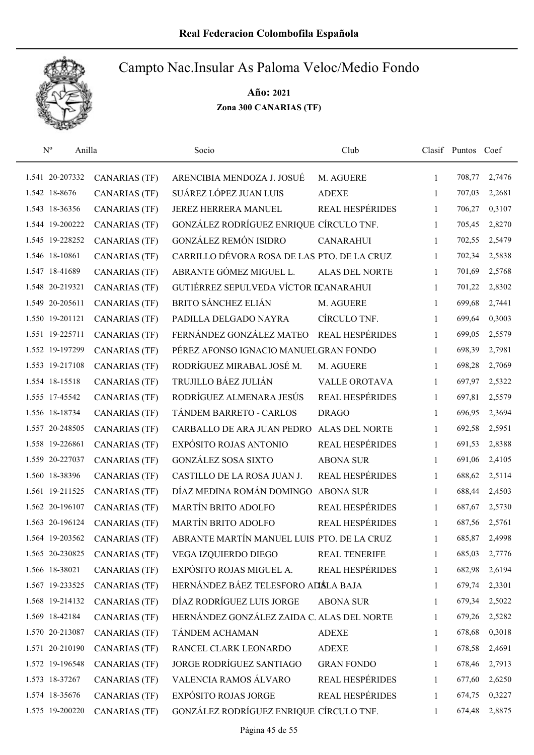

| $\mathbf{N}^{\text{o}}$ | Anilla |                      | Socio                                       | Club                   |              | Clasif Puntos Coef |        |
|-------------------------|--------|----------------------|---------------------------------------------|------------------------|--------------|--------------------|--------|
| 1.541 20-207332         |        | <b>CANARIAS (TF)</b> | ARENCIBIA MENDOZA J. JOSUÉ                  | M. AGUERE              | 1            | 708,77             | 2,7476 |
| 1.542 18-8676           |        | <b>CANARIAS (TF)</b> | SUÁREZ LÓPEZ JUAN LUIS                      | <b>ADEXE</b>           | 1            | 707,03             | 2,2681 |
| 1.543 18-36356          |        | <b>CANARIAS (TF)</b> | JEREZ HERRERA MANUEL                        | <b>REAL HESPÉRIDES</b> | 1            | 706,27             | 0,3107 |
| 1.544 19-200222         |        | <b>CANARIAS (TF)</b> | GONZÁLEZ RODRÍGUEZ ENRIQUE CÍRCULO TNF.     |                        | 1            | 705,45             | 2,8270 |
| 1.545 19-228252         |        | <b>CANARIAS (TF)</b> | <b>GONZÁLEZ REMÓN ISIDRO</b>                | <b>CANARAHUI</b>       | $\mathbf{1}$ | 702,55             | 2,5479 |
| 1.546 18-10861          |        | <b>CANARIAS (TF)</b> | CARRILLO DÉVORA ROSA DE LAS PTO. DE LA CRUZ |                        | 1            | 702,34             | 2,5838 |
| 1.547 18-41689          |        | <b>CANARIAS (TF)</b> | ABRANTE GÓMEZ MIGUEL L.                     | <b>ALAS DEL NORTE</b>  | $\mathbf{1}$ | 701,69             | 2,5768 |
| 1.548 20-219321         |        | <b>CANARIAS (TF)</b> | GUTIÉRREZ SEPULVEDA VÍCTOR DCANARAHUI       |                        | 1            | 701,22             | 2,8302 |
| 1.549 20-205611         |        | <b>CANARIAS (TF)</b> | <b>BRITO SÁNCHEZ ELIÁN</b>                  | M. AGUERE              | 1            | 699,68             | 2,7441 |
| 1.550 19-201121         |        | <b>CANARIAS (TF)</b> | PADILLA DELGADO NAYRA                       | CÍRCULO TNF.           | 1            | 699,64             | 0,3003 |
| 1.551 19-225711         |        | <b>CANARIAS (TF)</b> | FERNÁNDEZ GONZÁLEZ MATEO                    | REAL HESPÉRIDES        | 1            | 699,05             | 2,5579 |
| 1.552 19-197299         |        | <b>CANARIAS (TF)</b> | PÉREZ AFONSO IGNACIO MANUELGRAN FONDO       |                        | 1            | 698,39             | 2,7981 |
| 1.553 19-217108         |        | <b>CANARIAS (TF)</b> | RODRÍGUEZ MIRABAL JOSÉ M.                   | M. AGUERE              | 1            | 698,28             | 2,7069 |
| 1.554 18-15518          |        | <b>CANARIAS (TF)</b> | TRUJILLO BÁEZ JULIÁN                        | <b>VALLE OROTAVA</b>   | 1            | 697,97             | 2,5322 |
| 1.555 17-45542          |        | <b>CANARIAS (TF)</b> | RODRÍGUEZ ALMENARA JESÚS                    | REAL HESPÉRIDES        | $\mathbf{1}$ | 697,81             | 2,5579 |
| 1.556 18-18734          |        | <b>CANARIAS (TF)</b> | TÁNDEM BARRETO - CARLOS                     | <b>DRAGO</b>           | 1            | 696,95             | 2,3694 |
| 1.557 20-248505         |        | <b>CANARIAS (TF)</b> | CARBALLO DE ARA JUAN PEDRO                  | <b>ALAS DEL NORTE</b>  | 1            | 692,58             | 2,5951 |
| 1.558 19-226861         |        | <b>CANARIAS (TF)</b> | EXPÓSITO ROJAS ANTONIO                      | <b>REAL HESPÉRIDES</b> | 1            | 691,53             | 2,8388 |
| 1.559 20-227037         |        | <b>CANARIAS (TF)</b> | <b>GONZÁLEZ SOSA SIXTO</b>                  | <b>ABONA SUR</b>       | 1            | 691,06             | 2,4105 |
| 1.560 18-38396          |        | <b>CANARIAS (TF)</b> | CASTILLO DE LA ROSA JUAN J.                 | REAL HESPÉRIDES        | $\mathbf{1}$ | 688,62             | 2,5114 |
| 1.561 19-211525         |        | <b>CANARIAS (TF)</b> | DÍAZ MEDINA ROMÁN DOMINGO                   | <b>ABONA SUR</b>       | 1            | 688,44             | 2,4503 |
| 1.562 20-196107         |        | <b>CANARIAS (TF)</b> | MARTÍN BRITO ADOLFO                         | REAL HESPÉRIDES        | 1            | 687,67             | 2,5730 |
| 1.563 20-196124         |        | <b>CANARIAS (TF)</b> | MARTÍN BRITO ADOLFO                         | REAL HESPÉRIDES        | 1            | 687,56             | 2,5761 |
| 1.564 19-203562         |        | <b>CANARIAS (TF)</b> | ABRANTE MARTÍN MANUEL LUIS PTO. DE LA CRUZ  |                        | 1            | 685,87             | 2,4998 |
| 1.565 20-230825         |        | <b>CANARIAS (TF)</b> | VEGA IZQUIERDO DIEGO                        | <b>REAL TENERIFE</b>   | 1            | 685,03             | 2,7776 |
| 1.566 18-38021          |        | <b>CANARIAS (TF)</b> | EXPÓSITO ROJAS MIGUEL A.                    | <b>REAL HESPÉRIDES</b> | 1            | 682,98             | 2,6194 |
| 1.567 19-233525         |        | <b>CANARIAS (TF)</b> | HERNÁNDEZ BÁEZ TELESFORO ADÁLA BAJA         |                        | 1            | 679,74             | 2,3301 |
| 1.568 19-214132         |        | <b>CANARIAS (TF)</b> | DÍAZ RODRÍGUEZ LUIS JORGE                   | <b>ABONA SUR</b>       | 1            | 679,34             | 2,5022 |
| 1.569 18-42184          |        | <b>CANARIAS (TF)</b> | HERNÁNDEZ GONZÁLEZ ZAIDA C. ALAS DEL NORTE  |                        | 1            | 679,26             | 2,5282 |
| 1.570 20-213087         |        | <b>CANARIAS (TF)</b> | TÁNDEM ACHAMAN                              | <b>ADEXE</b>           | $\mathbf{1}$ | 678,68             | 0,3018 |
| 1.571 20-210190         |        | <b>CANARIAS (TF)</b> | RANCEL CLARK LEONARDO                       | <b>ADEXE</b>           | 1            | 678,58             | 2,4691 |
| 1.572 19-196548         |        | <b>CANARIAS (TF)</b> | JORGE RODRÍGUEZ SANTIAGO                    | <b>GRAN FONDO</b>      | 1            | 678,46             | 2,7913 |
| 1.573 18-37267          |        | <b>CANARIAS (TF)</b> | VALENCIA RAMOS ÁLVARO                       | REAL HESPÉRIDES        | 1            | 677,60             | 2,6250 |
| 1.574 18-35676          |        | <b>CANARIAS (TF)</b> | <b>EXPÓSITO ROJAS JORGE</b>                 | <b>REAL HESPÉRIDES</b> | 1            | 674,75             | 0,3227 |
| 1.575 19-200220         |        | <b>CANARIAS (TF)</b> | GONZÁLEZ RODRÍGUEZ ENRIQUE CÍRCULO TNF.     |                        | 1            | 674,48             | 2,8875 |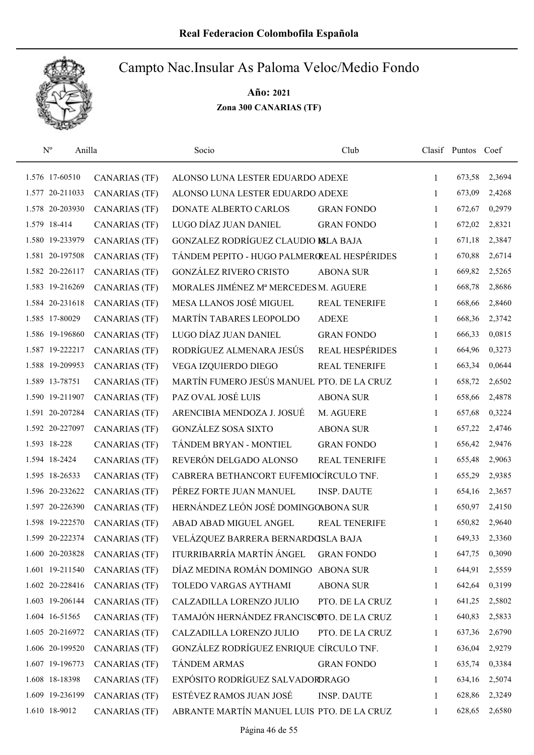

| $\mathbf{N}^{\text{o}}$ | Anilla          |                      | Socio                                       | Club                   |              | Clasif Puntos Coef |        |
|-------------------------|-----------------|----------------------|---------------------------------------------|------------------------|--------------|--------------------|--------|
|                         | 1.576 17-60510  | <b>CANARIAS (TF)</b> | ALONSO LUNA LESTER EDUARDO ADEXE            |                        | $\mathbf{1}$ | 673,58             | 2,3694 |
|                         | 1.577 20-211033 | <b>CANARIAS (TF)</b> | ALONSO LUNA LESTER EDUARDO ADEXE            |                        | 1            | 673,09             | 2,4268 |
|                         | 1.578 20-203930 | <b>CANARIAS (TF)</b> | DONATE ALBERTO CARLOS                       | <b>GRAN FONDO</b>      | 1            | 672,67             | 0,2979 |
|                         | 1.579 18-414    | <b>CANARIAS (TF)</b> | LUGO DÍAZ JUAN DANIEL                       | <b>GRAN FONDO</b>      | 1            | 672,02             | 2,8321 |
|                         | 1.580 19-233979 | <b>CANARIAS (TF)</b> | GONZALEZ RODRÍGUEZ CLAUDIO MLA BAJA         |                        | 1            | 671,18             | 2,3847 |
|                         | 1.581 20-197508 | <b>CANARIAS (TF)</b> | TÁNDEM PEPITO - HUGO PALMEROREAL HESPÉRIDES |                        | 1            | 670,88             | 2,6714 |
|                         | 1.582 20-226117 | <b>CANARIAS (TF)</b> | <b>GONZÁLEZ RIVERO CRISTO</b>               | <b>ABONA SUR</b>       | $\mathbf{1}$ | 669,82             | 2,5265 |
|                         | 1.583 19-216269 | <b>CANARIAS (TF)</b> | MORALES JIMÉNEZ Mª MERCEDES M. AGUERE       |                        | 1            | 668,78             | 2,8686 |
|                         | 1.584 20-231618 | <b>CANARIAS (TF)</b> | MESA LLANOS JOSÉ MIGUEL                     | REAL TENERIFE          | 1            | 668,66             | 2,8460 |
|                         | 1.585 17-80029  | <b>CANARIAS (TF)</b> | MARTÍN TABARES LEOPOLDO                     | <b>ADEXE</b>           | 1            | 668,36             | 2,3742 |
|                         | 1.586 19-196860 | <b>CANARIAS (TF)</b> | LUGO DÍAZ JUAN DANIEL                       | <b>GRAN FONDO</b>      | 1            | 666,33             | 0,0815 |
|                         | 1.587 19-222217 | <b>CANARIAS (TF)</b> | RODRÍGUEZ ALMENARA JESÚS                    | <b>REAL HESPÉRIDES</b> | 1            | 664,96             | 0,3273 |
|                         | 1.588 19-209953 | <b>CANARIAS (TF)</b> | VEGA IZQUIERDO DIEGO                        | REAL TENERIFE          | 1            | 663,34             | 0,0644 |
|                         | 1.589 13-78751  | <b>CANARIAS (TF)</b> | MARTÍN FUMERO JESÚS MANUEL PTO. DE LA CRUZ  |                        | 1            | 658,72             | 2,6502 |
|                         | 1.590 19-211907 | <b>CANARIAS (TF)</b> | PAZ OVAL JOSÉ LUIS                          | <b>ABONA SUR</b>       | $\mathbf{1}$ | 658,66             | 2,4878 |
|                         | 1.591 20-207284 | <b>CANARIAS (TF)</b> | ARENCIBIA MENDOZA J. JOSUÉ                  | M. AGUERE              | $\mathbf{1}$ | 657,68             | 0,3224 |
|                         | 1.592 20-227097 | <b>CANARIAS (TF)</b> | <b>GONZÁLEZ SOSA SIXTO</b>                  | <b>ABONA SUR</b>       | 1            | 657,22             | 2,4746 |
|                         | 1.593 18-228    | <b>CANARIAS (TF)</b> | TÁNDEM BRYAN - MONTIEL                      | <b>GRAN FONDO</b>      | $\mathbf{1}$ | 656,42             | 2,9476 |
|                         | 1.594 18-2424   | <b>CANARIAS (TF)</b> | REVERÓN DELGADO ALONSO                      | <b>REAL TENERIFE</b>   | $\mathbf{1}$ | 655,48             | 2,9063 |
|                         | 1.595 18-26533  | <b>CANARIAS (TF)</b> | CABRERA BETHANCORT EUFEMIOCÍRCULO TNF.      |                        | $\mathbf{1}$ | 655,29             | 2,9385 |
|                         | 1.596 20-232622 | <b>CANARIAS (TF)</b> | PÉREZ FORTE JUAN MANUEL                     | <b>INSP. DAUTE</b>     | $\mathbf{1}$ | 654,16             | 2,3657 |
|                         | 1.597 20-226390 | <b>CANARIAS (TF)</b> | HERNÁNDEZ LEÓN JOSÉ DOMINGOABONA SUR        |                        | 1            | 650,97             | 2,4150 |
|                         | 1.598 19-222570 | <b>CANARIAS</b> (TF) | ABAD ABAD MIGUEL ANGEL                      | <b>REAL TENERIFE</b>   | 1            | 650,82             | 2,9640 |
|                         | 1.599 20-222374 | <b>CANARIAS (TF)</b> | VELÁZQUEZ BARRERA BERNARDOSLA BAJA          |                        | 1            | 649,33             | 2,3360 |
|                         | 1.600 20-203828 | <b>CANARIAS (TF)</b> | ITURRIBARRÍA MARTÍN ÁNGEL                   | <b>GRAN FONDO</b>      | 1            | 647,75             | 0,3090 |
|                         | 1.601 19-211540 | <b>CANARIAS (TF)</b> | DÍAZ MEDINA ROMÁN DOMINGO                   | <b>ABONA SUR</b>       | 1            | 644,91             | 2,5559 |
|                         | 1.602 20-228416 | <b>CANARIAS (TF)</b> | TOLEDO VARGAS AYTHAMI                       | <b>ABONA SUR</b>       | 1            | 642,64             | 0,3199 |
|                         | 1.603 19-206144 | <b>CANARIAS (TF)</b> | CALZADILLA LORENZO JULIO                    | PTO. DE LA CRUZ        | 1            | 641,25             | 2,5802 |
|                         | 1.604 16-51565  | <b>CANARIAS (TF)</b> | TAMAJÓN HERNÁNDEZ FRANCISCOTO. DE LA CRUZ   |                        | 1            | 640,83             | 2,5833 |
|                         | 1.605 20-216972 | <b>CANARIAS (TF)</b> | CALZADILLA LORENZO JULIO                    | PTO. DE LA CRUZ        | 1            | 637,36             | 2,6790 |
|                         | 1.606 20-199520 | <b>CANARIAS (TF)</b> | GONZÁLEZ RODRÍGUEZ ENRIQUE CÍRCULO TNF.     |                        | 1            | 636,04             | 2,9279 |
|                         | 1.607 19-196773 | <b>CANARIAS (TF)</b> | TÁNDEM ARMAS                                | <b>GRAN FONDO</b>      | 1            | 635,74             | 0,3384 |
|                         | 1.608 18-18398  | <b>CANARIAS (TF)</b> | EXPÓSITO RODRÍGUEZ SALVADORDRAGO            |                        | 1            | 634,16             | 2,5074 |
|                         | 1.609 19-236199 | <b>CANARIAS (TF)</b> | ESTÉVEZ RAMOS JUAN JOSÉ                     | <b>INSP. DAUTE</b>     | 1            | 628,86             | 2,3249 |
|                         | 1.610 18-9012   | <b>CANARIAS (TF)</b> | ABRANTE MARTÍN MANUEL LUIS PTO. DE LA CRUZ  |                        | 1            | 628,65             | 2,6580 |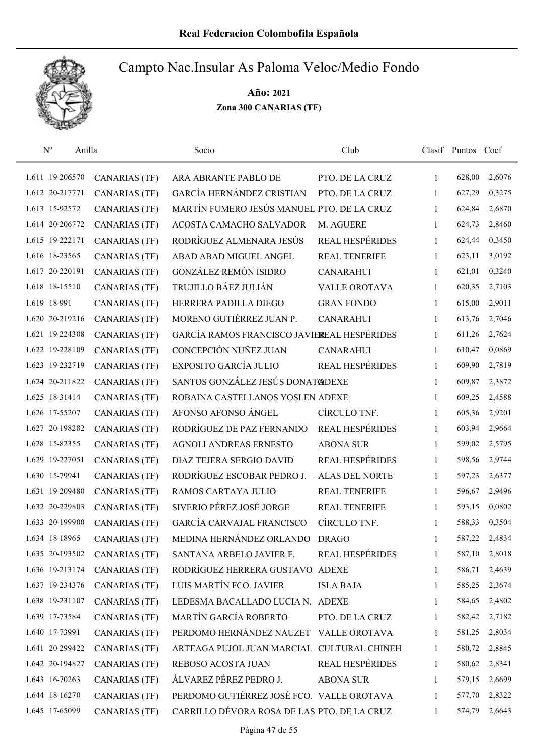

| $N^{o}$         | Anilla               | Socio                                       | Club                   |              | Clasif Puntos Coef |        |
|-----------------|----------------------|---------------------------------------------|------------------------|--------------|--------------------|--------|
| 1.611 19-206570 | <b>CANARIAS (TF)</b> | ARA ABRANTE PABLO DE                        | PTO. DE LA CRUZ        | 1            | 628,00             | 2,6076 |
| 1.612 20-217771 | <b>CANARIAS</b> (TF) | GARCÍA HERNÁNDEZ CRISTIAN                   | PTO. DE LA CRUZ        | 1            | 627,29             | 0,3275 |
| 1.613 15-92572  | <b>CANARIAS (TF)</b> | MARTÍN FUMERO JESÚS MANUEL PTO. DE LA CRUZ  |                        | $\mathbf{1}$ | 624,84             | 2,6870 |
| 1.614 20-206772 | <b>CANARIAS (TF)</b> | ACOSTA CAMACHO SALVADOR                     | M. AGUERE              | 1            | 624,73             | 2,8460 |
| 1.615 19-222171 | <b>CANARIAS (TF)</b> | RODRÍGUEZ ALMENARA JESÚS                    | <b>REAL HESPÉRIDES</b> | $\mathbf{1}$ | 624,44             | 0,3450 |
| 1.616 18-23565  | <b>CANARIAS (TF)</b> | ABAD ABAD MIGUEL ANGEL                      | <b>REAL TENERIFE</b>   | $\mathbf{1}$ | 623,11             | 3,0192 |
| 1.617 20-220191 | <b>CANARIAS (TF)</b> | <b>GONZÁLEZ REMÓN ISIDRO</b>                | <b>CANARAHUI</b>       | $\mathbf{1}$ | 621,01             | 0,3240 |
| 1.618 18-15510  | <b>CANARIAS (TF)</b> | TRUJILLO BÁEZ JULIÁN                        | <b>VALLE OROTAVA</b>   | 1            | 620,35             | 2,7103 |
| 1.619 18-991    | <b>CANARIAS (TF)</b> | HERRERA PADILLA DIEGO                       | <b>GRAN FONDO</b>      | $\mathbf{1}$ | 615,00             | 2,9011 |
| 1.620 20-219216 | <b>CANARIAS (TF)</b> | MORENO GUTIÉRREZ JUAN P.                    | <b>CANARAHUI</b>       | 1            | 613,76             | 2,7046 |
| 1.621 19-224308 | <b>CANARIAS (TF)</b> | GARCÍA RAMOS FRANCISCO JAVIEREAL HESPÉRIDES |                        | 1            | 611,26             | 2,7624 |
| 1.622 19-228109 | <b>CANARIAS</b> (TF) | CONCEPCIÓN NUÑEZ JUAN                       | <b>CANARAHUI</b>       | 1            | 610,47             | 0,0869 |
| 1.623 19-232719 | <b>CANARIAS</b> (TF) | EXPOSITO GARCÍA JULIO                       | <b>REAL HESPÉRIDES</b> | $\mathbf{1}$ | 609,90             | 2,7819 |
| 1.624 20-211822 | <b>CANARIAS</b> (TF) | SANTOS GONZÁLEZ JESÚS DONATØDEXE            |                        | $\mathbf{1}$ | 609,87             | 2,3872 |
| 1.625 18-31414  | <b>CANARIAS (TF)</b> | ROBAINA CASTELLANOS YOSLEN ADEXE            |                        | $\mathbf{1}$ | 609,25             | 2,4588 |
| 1.626 17-55207  | <b>CANARIAS (TF)</b> | AFONSO AFONSO ÁNGEL                         | CÍRCULO TNF.           | $\mathbf{1}$ | 605,36             | 2,9201 |
| 1.627 20-198282 | <b>CANARIAS (TF)</b> | RODRÍGUEZ DE PAZ FERNANDO                   | REAL HESPÉRIDES        | 1            | 603,94             | 2,9664 |
| 1.628 15-82355  | <b>CANARIAS (TF)</b> | AGNOLI ANDREAS ERNESTO                      | <b>ABONA SUR</b>       | $\mathbf{1}$ | 599,02             | 2,5795 |
| 1.629 19-227051 | <b>CANARIAS (TF)</b> | DIAZ TEJERA SERGIO DAVID                    | <b>REAL HESPÉRIDES</b> | 1            | 598,56             | 2,9744 |
| 1.630 15-79941  | <b>CANARIAS (TF)</b> | RODRÍGUEZ ESCOBAR PEDRO J.                  | <b>ALAS DEL NORTE</b>  | $\mathbf{1}$ | 597,23             | 2,6377 |
| 1.631 19-209480 | <b>CANARIAS (TF)</b> | RAMOS CARTAYA JULIO                         | <b>REAL TENERIFE</b>   | $\mathbf{1}$ | 596,67             | 2,9496 |
| 1.632 20-229803 | <b>CANARIAS (TF)</b> | SIVERIO PÉREZ JOSÉ JORGE                    | REAL TENERIFE          | 1            | 593,15             | 0,0802 |
| 1.633 20-199900 | <b>CANARIAS (TF)</b> | <b>GARCÍA CARVAJAL FRANCISCO</b>            | CÍRCULO TNF.           | $\mathbf{1}$ | 588,33             | 0,3504 |
| 1.634 18-18965  | <b>CANARIAS</b> (TF) | MEDINA HERNÁNDEZ ORLANDO                    | <b>DRAGO</b>           | 1            | 587,22             | 2,4834 |
| 1.635 20-193502 | <b>CANARIAS (TF)</b> | SANTANA ARBELO JAVIER F.                    | <b>REAL HESPÉRIDES</b> | 1            | 587,10             | 2,8018 |
| 1.636 19-213174 | <b>CANARIAS</b> (TF) | RODRÍGUEZ HERRERA GUSTAVO ADEXE             |                        | 1            | 586,71             | 2,4639 |
| 1.637 19-234376 | <b>CANARIAS (TF)</b> | LUIS MARTÍN FCO. JAVIER                     | <b>ISLA BAJA</b>       | 1            | 585,25             | 2,3674 |
| 1.638 19-231107 | <b>CANARIAS (TF)</b> | LEDESMA BACALLADO LUCIA N. ADEXE            |                        | 1            | 584,65             | 2,4802 |
| 1.639 17-73584  | <b>CANARIAS (TF)</b> | MARTÍN GARCÍA ROBERTO                       | PTO. DE LA CRUZ        | 1            | 582,42             | 2,7182 |
| 1.640 17-73991  | <b>CANARIAS (TF)</b> | PERDOMO HERNÁNDEZ NAUZET                    | <b>VALLE OROTAVA</b>   | $\mathbf{1}$ | 581,25             | 2,8034 |
| 1.641 20-299422 | <b>CANARIAS (TF)</b> | ARTEAGA PUJOL JUAN MARCIAL CULTURAL CHINEH  |                        | 1            | 580,72             | 2,8845 |
| 1.642 20-194827 | <b>CANARIAS (TF)</b> | REBOSO ACOSTA JUAN                          | <b>REAL HESPÉRIDES</b> | $\mathbf{1}$ | 580,62             | 2,8341 |
| 1.643 16-70263  | <b>CANARIAS (TF)</b> | ÁLVAREZ PÉREZ PEDRO J.                      | <b>ABONA SUR</b>       | 1            | 579,15             | 2,6699 |
| 1.644 18-16270  | <b>CANARIAS (TF)</b> | PERDOMO GUTIÉRREZ JOSÉ FCO. VALLE OROTAVA   |                        | 1            | 577,70             | 2,8322 |
| 1.645 17-65099  | <b>CANARIAS (TF)</b> | CARRILLO DÉVORA ROSA DE LAS PTO. DE LA CRUZ |                        | 1            | 574,79             | 2,6643 |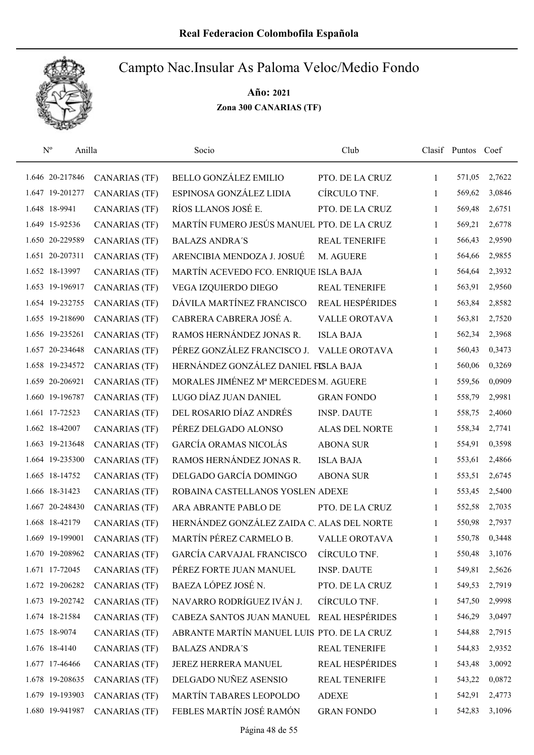

| $\mathrm{N}^{\rm o}$<br>Anilla |                      | Socio                                      | Club                   |              | Clasif Puntos Coef |        |
|--------------------------------|----------------------|--------------------------------------------|------------------------|--------------|--------------------|--------|
| 1.646 20-217846                | <b>CANARIAS</b> (TF) | <b>BELLO GONZÁLEZ EMILIO</b>               | PTO. DE LA CRUZ        | $\mathbf{1}$ | 571,05             | 2,7622 |
| 1.647 19-201277                | <b>CANARIAS</b> (TF) | ESPINOSA GONZÁLEZ LIDIA                    | CÍRCULO TNF.           | $\mathbf{1}$ | 569,62             | 3,0846 |
| 1.648 18-9941                  | <b>CANARIAS (TF)</b> | RÍOS LLANOS JOSÉ E.                        | PTO. DE LA CRUZ        | $\mathbf{1}$ | 569,48             | 2,6751 |
| 1.649 15-92536                 | <b>CANARIAS (TF)</b> | MARTÍN FUMERO JESÚS MANUEL PTO. DE LA CRUZ |                        | 1            | 569,21             | 2,6778 |
| 1.650 20-229589                | <b>CANARIAS (TF)</b> | <b>BALAZS ANDRA'S</b>                      | <b>REAL TENERIFE</b>   | $\mathbf{1}$ | 566,43             | 2,9590 |
| 1.651 20-207311                | <b>CANARIAS (TF)</b> | ARENCIBIA MENDOZA J. JOSUÉ                 | M. AGUERE              | $\mathbf{1}$ | 564,66             | 2,9855 |
| 1.652 18-13997                 | <b>CANARIAS (TF)</b> | MARTÍN ACEVEDO FCO. ENRIQUE ISLA BAJA      |                        | $\mathbf{1}$ | 564,64             | 2,3932 |
| 1.653 19-196917                | <b>CANARIAS (TF)</b> | VEGA IZQUIERDO DIEGO                       | <b>REAL TENERIFE</b>   | $\mathbf{1}$ | 563,91             | 2,9560 |
| 1.654 19-232755                | <b>CANARIAS (TF)</b> | DÁVILA MARTÍNEZ FRANCISCO                  | <b>REAL HESPÉRIDES</b> | $\mathbf{1}$ | 563,84             | 2,8582 |
| 1.655 19-218690                | <b>CANARIAS (TF)</b> | CABRERA CABRERA JOSÉ A.                    | <b>VALLE OROTAVA</b>   | 1            | 563,81             | 2,7520 |
| 1.656 19-235261                | <b>CANARIAS</b> (TF) | RAMOS HERNÁNDEZ JONAS R.                   | <b>ISLA BAJA</b>       | $\mathbf{1}$ | 562,34             | 2,3968 |
| 1.657 20-234648                | <b>CANARIAS</b> (TF) | PÉREZ GONZÁLEZ FRANCISCO J. VALLE OROTAVA  |                        | $\mathbf{1}$ | 560,43             | 0,3473 |
| 1.658 19-234572                | <b>CANARIAS (TF)</b> | HERNÁNDEZ GONZÁLEZ DANIEL FISLA BAJA       |                        | 1            | 560,06             | 0,3269 |
| 1.659 20-206921                | <b>CANARIAS</b> (TF) | MORALES JIMÉNEZ Mª MERCEDES M. AGUERE      |                        | $\mathbf{1}$ | 559,56             | 0,0909 |
| 1.660 19-196787                | <b>CANARIAS (TF)</b> | LUGO DÍAZ JUAN DANIEL                      | <b>GRAN FONDO</b>      | $\mathbf{1}$ | 558,79             | 2,9981 |
| 1.661 17-72523                 | <b>CANARIAS (TF)</b> | DEL ROSARIO DÍAZ ANDRÉS                    | <b>INSP. DAUTE</b>     | $\mathbf{1}$ | 558,75             | 2,4060 |
| 1.662 18-42007                 | <b>CANARIAS (TF)</b> | PÉREZ DELGADO ALONSO                       | <b>ALAS DEL NORTE</b>  | $\mathbf{1}$ | 558,34             | 2,7741 |
| 1.663 19-213648                | <b>CANARIAS (TF)</b> | GARCÍA ORAMAS NICOLÁS                      | <b>ABONA SUR</b>       | $\mathbf{1}$ | 554,91             | 0,3598 |
| 1.664 19-235300                | <b>CANARIAS (TF)</b> | RAMOS HERNÁNDEZ JONAS R.                   | <b>ISLA BAJA</b>       | $\mathbf{1}$ | 553,61             | 2,4866 |
| 1.665 18-14752                 | <b>CANARIAS (TF)</b> | DELGADO GARCÍA DOMINGO                     | <b>ABONA SUR</b>       | $\mathbf{1}$ | 553,51             | 2,6745 |
| 1.666 18-31423                 | <b>CANARIAS (TF)</b> | ROBAINA CASTELLANOS YOSLEN ADEXE           |                        | $\mathbf{1}$ | 553,45             | 2,5400 |
| 1.667 20-248430                | <b>CANARIAS (TF)</b> | ARA ABRANTE PABLO DE                       | PTO. DE LA CRUZ        | $\mathbf{1}$ | 552,58             | 2,7035 |
| 1.668 18-42179                 | <b>CANARIAS (TF)</b> | HERNÁNDEZ GONZÁLEZ ZAIDA C. ALAS DEL NORTE |                        | $\mathbf{1}$ | 550,98             | 2,7937 |
| 1.669 19-199001                | <b>CANARIAS (TF)</b> | MARTÍN PÉREZ CARMELO B.                    | <b>VALLE OROTAVA</b>   | 1            | 550,78             | 0,3448 |
| 1.670 19-208962                | <b>CANARIAS</b> (TF) | <b>GARCÍA CARVAJAL FRANCISCO</b>           | CÍRCULO TNF.           | 1            | 550,48             | 3,1076 |
| 1.671 17-72045                 | <b>CANARIAS (TF)</b> | PÉREZ FORTE JUAN MANUEL                    | <b>INSP. DAUTE</b>     | 1            | 549,81             | 2,5626 |
| 1.672 19-206282                | <b>CANARIAS (TF)</b> | BAEZA LÓPEZ JOSÉ N.                        | PTO. DE LA CRUZ        | 1            | 549,53             | 2,7919 |
| 1.673 19-202742                | <b>CANARIAS (TF)</b> | NAVARRO RODRÍGUEZ IVÁN J.                  | CÍRCULO TNF.           | 1            | 547,50             | 2,9998 |
| 1.674 18-21584                 | <b>CANARIAS (TF)</b> | CABEZA SANTOS JUAN MANUEL                  | <b>REAL HESPÉRIDES</b> | 1            | 546,29             | 3,0497 |
| 1.675 18-9074                  | <b>CANARIAS (TF)</b> | ABRANTE MARTÍN MANUEL LUIS PTO. DE LA CRUZ |                        | 1            | 544,88             | 2,7915 |
| 1.676 18-4140                  | <b>CANARIAS (TF)</b> | <b>BALAZS ANDRA'S</b>                      | <b>REAL TENERIFE</b>   | 1            | 544,83             | 2,9352 |
| 1.677 17-46466                 | <b>CANARIAS (TF)</b> | JEREZ HERRERA MANUEL                       | REAL HESPÉRIDES        | $\mathbf{1}$ | 543,48             | 3,0092 |
| 1.678 19-208635                | <b>CANARIAS (TF)</b> | DELGADO NUÑEZ ASENSIO                      | REAL TENERIFE          | 1            | 543,22             | 0,0872 |
| 1.679 19-193903                | <b>CANARIAS (TF)</b> | MARTÍN TABARES LEOPOLDO                    | <b>ADEXE</b>           | 1            | 542,91             | 2,4773 |
| 1.680 19-941987                | <b>CANARIAS (TF)</b> | FEBLES MARTÍN JOSÉ RAMÓN                   | <b>GRAN FONDO</b>      | 1            | 542,83             | 3,1096 |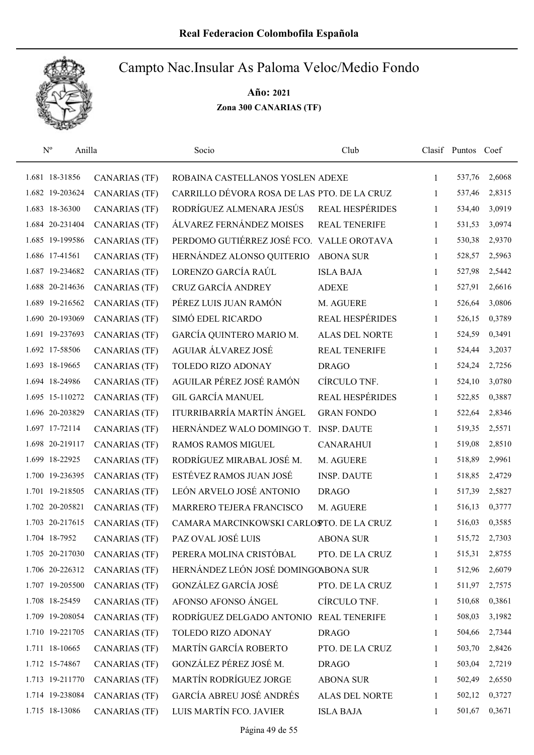

| $\mathbf{N}^{\text{o}}$ | Anilla          |                      | Socio                                       | Club                   |              | Clasif Puntos Coef |        |
|-------------------------|-----------------|----------------------|---------------------------------------------|------------------------|--------------|--------------------|--------|
|                         | 1.681 18-31856  | <b>CANARIAS (TF)</b> | ROBAINA CASTELLANOS YOSLEN ADEXE            |                        | $\mathbf{1}$ | 537,76             | 2,6068 |
|                         | 1.682 19-203624 | <b>CANARIAS (TF)</b> | CARRILLO DÉVORA ROSA DE LAS PTO. DE LA CRUZ |                        | 1            | 537,46             | 2,8315 |
|                         | 1.683 18-36300  | <b>CANARIAS (TF)</b> | RODRÍGUEZ ALMENARA JESÚS                    | <b>REAL HESPÉRIDES</b> | $\mathbf{1}$ | 534,40             | 3,0919 |
|                         | 1.684 20-231404 | <b>CANARIAS (TF)</b> | ÁLVAREZ FERNÁNDEZ MOISES                    | <b>REAL TENERIFE</b>   | 1            | 531,53             | 3,0974 |
|                         | 1.685 19-199586 | <b>CANARIAS (TF)</b> | PERDOMO GUTIÉRREZ JOSÉ FCO. VALLE OROTAVA   |                        | $\mathbf{1}$ | 530,38             | 2,9370 |
|                         | 1.686 17-41561  | <b>CANARIAS (TF)</b> | HERNÁNDEZ ALONSO QUITERIO                   | <b>ABONA SUR</b>       | $\mathbf{1}$ | 528,57             | 2,5963 |
|                         | 1.687 19-234682 | <b>CANARIAS (TF)</b> | LORENZO GARCÍA RAÚL                         | <b>ISLA BAJA</b>       | $\mathbf{1}$ | 527,98             | 2,5442 |
|                         | 1.688 20-214636 | <b>CANARIAS (TF)</b> | CRUZ GARCÍA ANDREY                          | <b>ADEXE</b>           | $\mathbf{1}$ | 527,91             | 2,6616 |
|                         | 1.689 19-216562 | <b>CANARIAS (TF)</b> | PÉREZ LUIS JUAN RAMÓN                       | M. AGUERE              | 1            | 526,64             | 3,0806 |
|                         | 1.690 20-193069 | <b>CANARIAS (TF)</b> | SIMÓ EDEL RICARDO                           | REAL HESPÉRIDES        | 1            | 526,15             | 0,3789 |
|                         | 1.691 19-237693 | <b>CANARIAS (TF)</b> | GARCÍA QUINTERO MARIO M.                    | <b>ALAS DEL NORTE</b>  | 1            | 524,59             | 0,3491 |
|                         | 1.692 17-58506  | <b>CANARIAS (TF)</b> | AGUIAR ÁLVAREZ JOSÉ                         | <b>REAL TENERIFE</b>   | 1            | 524,44             | 3,2037 |
|                         | 1.693 18-19665  | <b>CANARIAS (TF)</b> | TOLEDO RIZO ADONAY                          | <b>DRAGO</b>           | 1            | 524,24             | 2,7256 |
|                         | 1.694 18-24986  | <b>CANARIAS (TF)</b> | AGUILAR PÉREZ JOSÉ RAMÓN                    | CÍRCULO TNF.           | $\mathbf{1}$ | 524,10             | 3,0780 |
|                         | 1.695 15-110272 | <b>CANARIAS (TF)</b> | <b>GIL GARCÍA MANUEL</b>                    | REAL HESPÉRIDES        | $\mathbf{1}$ | 522,85             | 0,3887 |
|                         | 1.696 20-203829 | <b>CANARIAS (TF)</b> | ITURRIBARRÍA MARTÍN ÁNGEL                   | <b>GRAN FONDO</b>      | $\mathbf{1}$ | 522,64             | 2,8346 |
|                         | 1.697 17-72114  | <b>CANARIAS (TF)</b> | HERNÁNDEZ WALO DOMINGO T.                   | <b>INSP. DAUTE</b>     | $\mathbf{1}$ | 519,35             | 2,5571 |
|                         | 1.698 20-219117 | <b>CANARIAS (TF)</b> | RAMOS RAMOS MIGUEL                          | <b>CANARAHUI</b>       | $\mathbf{1}$ | 519,08             | 2,8510 |
|                         | 1.699 18-22925  | <b>CANARIAS (TF)</b> | RODRÍGUEZ MIRABAL JOSÉ M.                   | M. AGUERE              | 1            | 518,89             | 2,9961 |
|                         | 1.700 19-236395 | <b>CANARIAS (TF)</b> | ESTÉVEZ RAMOS JUAN JOSÉ                     | <b>INSP. DAUTE</b>     | $\mathbf{1}$ | 518,85             | 2,4729 |
|                         | 1.701 19-218505 | <b>CANARIAS (TF)</b> | LEÓN ARVELO JOSÉ ANTONIO                    | <b>DRAGO</b>           | $\mathbf{1}$ | 517,39             | 2,5827 |
|                         | 1.702 20-205821 | <b>CANARIAS (TF)</b> | MARRERO TEJERA FRANCISCO                    | M. AGUERE              | 1            | 516,13             | 0,3777 |
|                         | 1.703 20-217615 | <b>CANARIAS (TF)</b> | CAMARA MARCINKOWSKI CARLOSTO. DE LA CRUZ    |                        | $\mathbf{1}$ | 516,03             | 0,3585 |
|                         | 1.704 18-7952   | <b>CANARIAS (TF)</b> | PAZ OVAL JOSÉ LUIS                          | <b>ABONA SUR</b>       | 1            | 515,72             | 2,7303 |
|                         | 1.705 20-217030 | <b>CANARIAS (TF)</b> | PERERA MOLINA CRISTÓBAL                     | PTO. DE LA CRUZ        | 1            | 515,31             | 2,8755 |
|                         | 1.706 20-226312 | <b>CANARIAS (TF)</b> | HERNÁNDEZ LEÓN JOSÉ DOMINGOABONA SUR        |                        | 1            | 512,96             | 2,6079 |
|                         | 1.707 19-205500 | <b>CANARIAS (TF)</b> | GONZÁLEZ GARCÍA JOSÉ                        | PTO. DE LA CRUZ        | 1            | 511,97             | 2,7575 |
|                         | 1.708 18-25459  | <b>CANARIAS (TF)</b> | AFONSO AFONSO ÁNGEL                         | CÍRCULO TNF.           | 1            | 510,68             | 0,3861 |
|                         | 1.709 19-208054 | <b>CANARIAS (TF)</b> | RODRÍGUEZ DELGADO ANTONIO                   | <b>REAL TENERIFE</b>   | 1            | 508,03             | 3,1982 |
|                         | 1.710 19-221705 | <b>CANARIAS (TF)</b> | TOLEDO RIZO ADONAY                          | <b>DRAGO</b>           | 1            | 504,66             | 2,7344 |
|                         | 1.711 18-10665  | <b>CANARIAS (TF)</b> | MARTÍN GARCÍA ROBERTO                       | PTO. DE LA CRUZ        | 1            | 503,70             | 2,8426 |
|                         | 1.712 15-74867  | <b>CANARIAS (TF)</b> | GONZÁLEZ PÉREZ JOSÉ M.                      | <b>DRAGO</b>           | 1            | 503,04             | 2,7219 |
|                         | 1.713 19-211770 | <b>CANARIAS (TF)</b> | MARTÍN RODRÍGUEZ JORGE                      | <b>ABONA SUR</b>       | 1            | 502,49             | 2,6550 |
|                         | 1.714 19-238084 | <b>CANARIAS (TF)</b> | GARCÍA ABREU JOSÉ ANDRÉS                    | ALAS DEL NORTE         | 1            | 502,12             | 0,3727 |
|                         | 1.715 18-13086  | <b>CANARIAS (TF)</b> | LUIS MARTÍN FCO. JAVIER                     | <b>ISLA BAJA</b>       | 1            | 501,67             | 0,3671 |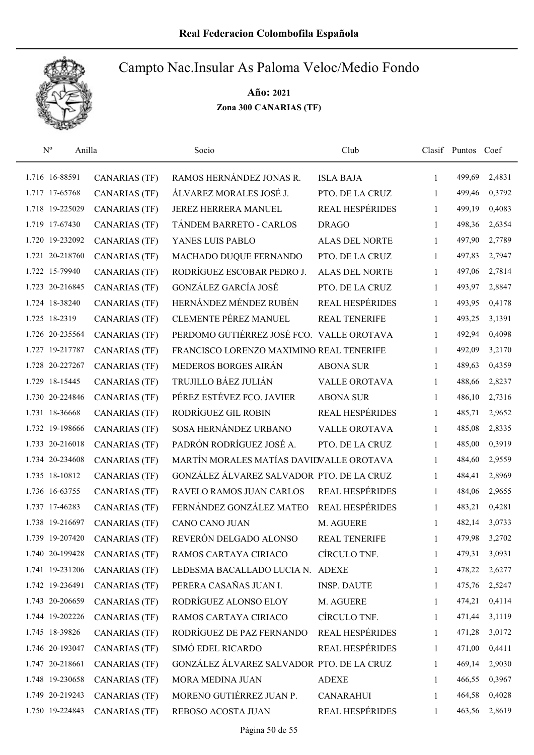

| $N^{o}$<br>Anilla |                      | Socio                                     | Club                   |              | Clasif Puntos Coef |        |
|-------------------|----------------------|-------------------------------------------|------------------------|--------------|--------------------|--------|
| 1.716 16-88591    | <b>CANARIAS</b> (TF) | RAMOS HERNÁNDEZ JONAS R.                  | <b>ISLA BAJA</b>       | $\mathbf{1}$ | 499,69             | 2,4831 |
| 1.717 17-65768    | <b>CANARIAS (TF)</b> | ÁLVAREZ MORALES JOSÉ J.                   | PTO. DE LA CRUZ        | 1            | 499,46             | 0,3792 |
| 1.718 19-225029   | <b>CANARIAS (TF)</b> | JEREZ HERRERA MANUEL                      | REAL HESPÉRIDES        | $\mathbf{1}$ | 499,19             | 0,4083 |
| 1.719 17-67430    | <b>CANARIAS (TF)</b> | TÁNDEM BARRETO - CARLOS                   | <b>DRAGO</b>           | 1            | 498,36             | 2,6354 |
| 1.720 19-232092   | <b>CANARIAS (TF)</b> | YANES LUIS PABLO                          | ALAS DEL NORTE         | 1            | 497,90             | 2,7789 |
| 1.721 20-218760   | <b>CANARIAS (TF)</b> | MACHADO DUQUE FERNANDO                    | PTO. DE LA CRUZ        | $\mathbf{1}$ | 497,83             | 2,7947 |
| 1.722 15-79940    | <b>CANARIAS (TF)</b> | RODRÍGUEZ ESCOBAR PEDRO J.                | <b>ALAS DEL NORTE</b>  | $\mathbf{1}$ | 497,06             | 2,7814 |
| 1.723 20-216845   | <b>CANARIAS (TF)</b> | GONZÁLEZ GARCÍA JOSÉ                      | PTO. DE LA CRUZ        | $\mathbf{1}$ | 493,97             | 2,8847 |
| 1.724 18-38240    | <b>CANARIAS (TF)</b> | HERNÁNDEZ MÉNDEZ RUBÉN                    | REAL HESPÉRIDES        | $\mathbf{1}$ | 493,95             | 0,4178 |
| 1.725 18-2319     | <b>CANARIAS (TF)</b> | <b>CLEMENTE PÉREZ MANUEL</b>              | <b>REAL TENERIFE</b>   | 1            | 493,25             | 3,1391 |
| 1.726 20-235564   | <b>CANARIAS (TF)</b> | PERDOMO GUTIÉRREZ JOSÉ FCO. VALLE OROTAVA |                        | 1            | 492,94             | 0,4098 |
| 1.727 19-217787   | <b>CANARIAS (TF)</b> | FRANCISCO LORENZO MAXIMINO REAL TENERIFE  |                        | 1            | 492,09             | 3,2170 |
| 1.728 20-227267   | <b>CANARIAS</b> (TF) | MEDEROS BORGES AIRÁN                      | <b>ABONA SUR</b>       | 1            | 489,63             | 0,4359 |
| 1.729 18-15445    | <b>CANARIAS (TF)</b> | TRUJILLO BÁEZ JULIÁN                      | <b>VALLE OROTAVA</b>   | $\mathbf{1}$ | 488,66             | 2,8237 |
| 1.730 20-224846   | <b>CANARIAS (TF)</b> | PÉREZ ESTÉVEZ FCO. JAVIER                 | <b>ABONA SUR</b>       | 1            | 486,10             | 2,7316 |
| 1.731 18-36668    | <b>CANARIAS (TF)</b> | RODRÍGUEZ GIL ROBIN                       | <b>REAL HESPÉRIDES</b> | 1            | 485,71             | 2,9652 |
| 1.732 19-198666   | <b>CANARIAS (TF)</b> | SOSA HERNÁNDEZ URBANO                     | <b>VALLE OROTAVA</b>   | $\mathbf{1}$ | 485,08             | 2,8335 |
| 1.733 20-216018   | <b>CANARIAS (TF)</b> | PADRÓN RODRÍGUEZ JOSÉ A.                  | PTO. DE LA CRUZ        | $\mathbf{1}$ | 485,00             | 0,3919 |
| 1.734 20-234608   | <b>CANARIAS (TF)</b> | MARTÍN MORALES MATÍAS DAVIDVALLE OROTAVA  |                        | $\mathbf{1}$ | 484,60             | 2,9559 |
| 1.735 18-10812    | <b>CANARIAS (TF)</b> | GONZÁLEZ ÁLVAREZ SALVADOR PTO. DE LA CRUZ |                        | $\mathbf{1}$ | 484,41             | 2,8969 |
| 1.736 16-63755    | <b>CANARIAS (TF)</b> | RAVELO RAMOS JUAN CARLOS                  | REAL HESPÉRIDES        | $\mathbf{1}$ | 484,06             | 2,9655 |
| 1.737 17-46283    | <b>CANARIAS (TF)</b> | FERNÁNDEZ GONZÁLEZ MATEO                  | <b>REAL HESPÉRIDES</b> | 1            | 483,21             | 0,4281 |
| 1.738 19-216697   | <b>CANARIAS</b> (TF) | CANO CANO JUAN                            | M. AGUERE              | 1            | 482,14             | 3,0733 |
| 1.739 19-207420   | CANARIAS (TF)        | REVERÓN DELGADO ALONSO                    | REAL TENERIFE          | 1            | 479,98             | 3,2702 |
| 1.740 20-199428   | <b>CANARIAS</b> (TF) | RAMOS CARTAYA CIRIACO                     | CÍRCULO TNF.           | 1            | 479,31             | 3,0931 |
| 1.741 19-231206   | <b>CANARIAS</b> (TF) | LEDESMA BACALLADO LUCIA N.                | <b>ADEXE</b>           | 1            | 478,22             | 2,6277 |
| 1.742 19-236491   | <b>CANARIAS (TF)</b> | PERERA CASAÑAS JUAN I.                    | <b>INSP. DAUTE</b>     | 1            | 475,76             | 2,5247 |
| 1.743 20-206659   | <b>CANARIAS (TF)</b> | RODRÍGUEZ ALONSO ELOY                     | M. AGUERE              | 1            | 474,21             | 0,4114 |
| 1.744 19-202226   | <b>CANARIAS (TF)</b> | RAMOS CARTAYA CIRIACO                     | CÍRCULO TNF.           | 1            | 471,44             | 3,1119 |
| 1.745 18-39826    | <b>CANARIAS (TF)</b> | RODRÍGUEZ DE PAZ FERNANDO                 | REAL HESPÉRIDES        | $\mathbf{1}$ | 471,28             | 3,0172 |
| 1.746 20-193047   | <b>CANARIAS (TF)</b> | SIMÓ EDEL RICARDO                         | <b>REAL HESPÉRIDES</b> | $\mathbf{1}$ | 471,00             | 0,4411 |
| 1.747 20-218661   | <b>CANARIAS (TF)</b> | GONZÁLEZ ÁLVAREZ SALVADOR PTO. DE LA CRUZ |                        | 1            | 469,14             | 2,9030 |
| 1.748 19-230658   | <b>CANARIAS (TF)</b> | MORA MEDINA JUAN                          | <b>ADEXE</b>           | 1            | 466,55             | 0,3967 |
| 1.749 20-219243   | <b>CANARIAS (TF)</b> | MORENO GUTIÉRREZ JUAN P.                  | <b>CANARAHUI</b>       | 1            | 464,58             | 0,4028 |
| 1.750 19-224843   | <b>CANARIAS</b> (TF) | REBOSO ACOSTA JUAN                        | REAL HESPÉRIDES        | 1            | 463,56             | 2,8619 |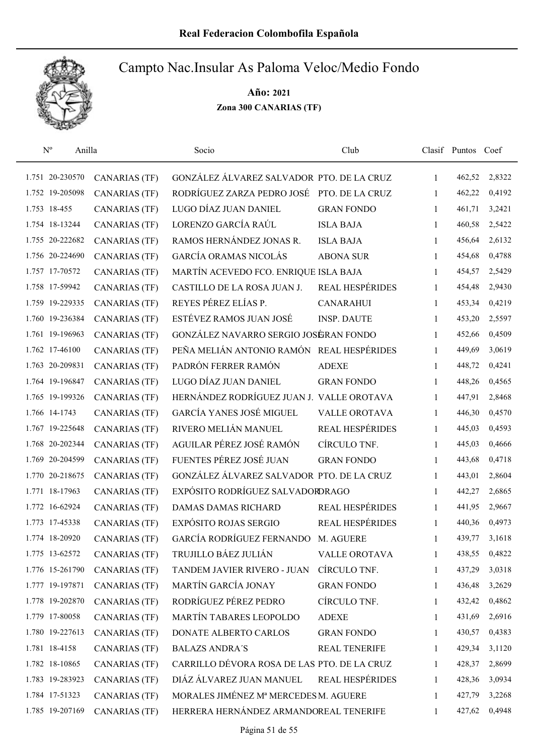

| $N^{o}$         | Anilla               | Socio                                       | Club                   |              | Clasif Puntos Coef |        |
|-----------------|----------------------|---------------------------------------------|------------------------|--------------|--------------------|--------|
| 1.751 20-230570 | <b>CANARIAS (TF)</b> | GONZÁLEZ ÁLVAREZ SALVADOR PTO. DE LA CRUZ   |                        | 1            | 462,52             | 2,8322 |
| 1.752 19-205098 | <b>CANARIAS (TF)</b> | RODRÍGUEZ ZARZA PEDRO JOSÉ PTO. DE LA CRUZ  |                        | 1            | 462,22             | 0,4192 |
| 1.753 18-455    | <b>CANARIAS (TF)</b> | LUGO DÍAZ JUAN DANIEL                       | <b>GRAN FONDO</b>      | 1            | 461,71             | 3,2421 |
| 1.754 18-13244  | <b>CANARIAS (TF)</b> | LORENZO GARCÍA RAÚL                         | <b>ISLA BAJA</b>       | 1            | 460,58             | 2,5422 |
| 1.755 20-222682 | <b>CANARIAS (TF)</b> | RAMOS HERNÁNDEZ JONAS R.                    | <b>ISLA BAJA</b>       | 1            | 456,64             | 2,6132 |
| 1.756 20-224690 | <b>CANARIAS (TF)</b> | GARCÍA ORAMAS NICOLÁS                       | <b>ABONA SUR</b>       | 1            | 454,68             | 0,4788 |
| 1.757 17-70572  | <b>CANARIAS</b> (TF) | MARTÍN ACEVEDO FCO. ENRIQUE ISLA BAJA       |                        | 1            | 454,57             | 2,5429 |
| 1.758 17-59942  | <b>CANARIAS (TF)</b> | CASTILLO DE LA ROSA JUAN J.                 | <b>REAL HESPÉRIDES</b> | 1            | 454,48             | 2,9430 |
| 1.759 19-229335 | <b>CANARIAS (TF)</b> | REYES PÉREZ ELÍAS P.                        | <b>CANARAHUI</b>       | 1            | 453,34             | 0,4219 |
| 1.760 19-236384 | <b>CANARIAS (TF)</b> | ESTÉVEZ RAMOS JUAN JOSÉ                     | <b>INSP. DAUTE</b>     | 1            | 453,20             | 2,5597 |
| 1.761 19-196963 | <b>CANARIAS (TF)</b> | GONZÁLEZ NAVARRO SERGIO JOSÉRAN FONDO       |                        | 1            | 452,66             | 0,4509 |
| 1.762 17-46100  | <b>CANARIAS (TF)</b> | PEÑA MELIÁN ANTONIO RAMÓN REAL HESPÉRIDES   |                        | 1            | 449,69             | 3,0619 |
| 1.763 20-209831 | <b>CANARIAS (TF)</b> | PADRÓN FERRER RAMÓN                         | <b>ADEXE</b>           | 1            | 448,72             | 0,4241 |
| 1.764 19-196847 | <b>CANARIAS (TF)</b> | LUGO DÍAZ JUAN DANIEL                       | <b>GRAN FONDO</b>      | 1            | 448,26             | 0,4565 |
| 1.765 19-199326 | <b>CANARIAS (TF)</b> | HERNÁNDEZ RODRÍGUEZ JUAN J. VALLE OROTAVA   |                        | 1            | 447,91             | 2,8468 |
| 1.766 14-1743   | <b>CANARIAS (TF)</b> | <b>GARCÍA YANES JOSÉ MIGUEL</b>             | <b>VALLE OROTAVA</b>   | 1            | 446,30             | 0,4570 |
| 1.767 19-225648 | <b>CANARIAS (TF)</b> | RIVERO MELIÁN MANUEL                        | REAL HESPÉRIDES        | 1            | 445,03             | 0,4593 |
| 1.768 20-202344 | <b>CANARIAS (TF)</b> | AGUILAR PÉREZ JOSÉ RAMÓN                    | CÍRCULO TNF.           | $\mathbf{1}$ | 445,03             | 0,4666 |
| 1.769 20-204599 | <b>CANARIAS (TF)</b> | FUENTES PÉREZ JOSÉ JUAN                     | <b>GRAN FONDO</b>      | $\mathbf{1}$ | 443,68             | 0,4718 |
| 1.770 20-218675 | CANARIAS (TF)        | GONZÁLEZ ÁLVAREZ SALVADOR PTO. DE LA CRUZ   |                        | 1            | 443,01             | 2,8604 |
| 1.771 18-17963  | <b>CANARIAS (TF)</b> | EXPÓSITO RODRÍGUEZ SALVADORDRAGO            |                        | $\mathbf{1}$ | 442,27             | 2,6865 |
| 1.772 16-62924  | <b>CANARIAS (TF)</b> | <b>DAMAS DAMAS RICHARD</b>                  | REAL HESPÉRIDES        | 1            | 441,95             | 2,9667 |
| 1.773 17-45338  | <b>CANARIAS (TF)</b> | EXPÓSITO ROJAS SERGIO                       | REAL HESPÉRIDES        | 1            | 440,36             | 0,4973 |
| 1.774 18-20920  | CANARIAS (TF)        | GARCÍA RODRÍGUEZ FERNANDO                   | M. AGUERE              | 1            | 439,77             | 3,1618 |
| 1.775 13-62572  | <b>CANARIAS (TF)</b> | TRUJILLO BÁEZ JULIÁN                        | <b>VALLE OROTAVA</b>   | 1            | 438,55             | 0,4822 |
| 1.776 15-261790 | <b>CANARIAS (TF)</b> | TANDEM JAVIER RIVERO - JUAN                 | CÍRCULO TNF.           | 1            | 437,29             | 3,0318 |
| 1.777 19-197871 | <b>CANARIAS (TF)</b> | MARTÍN GARCÍA JONAY                         | <b>GRAN FONDO</b>      | 1            | 436,48             | 3,2629 |
| 1.778 19-202870 | <b>CANARIAS</b> (TF) | RODRÍGUEZ PÉREZ PEDRO                       | CÍRCULO TNF.           | 1            | 432,42             | 0,4862 |
| 1.779 17-80058  | <b>CANARIAS (TF)</b> | MARTÍN TABARES LEOPOLDO                     | <b>ADEXE</b>           | 1            | 431,69             | 2,6916 |
| 1.780 19-227613 | <b>CANARIAS</b> (TF) | DONATE ALBERTO CARLOS                       | <b>GRAN FONDO</b>      | 1            | 430,57             | 0,4383 |
| 1.781 18-4158   | <b>CANARIAS (TF)</b> | <b>BALAZS ANDRA'S</b>                       | <b>REAL TENERIFE</b>   | 1            | 429,34             | 3,1120 |
| 1.782 18-10865  | <b>CANARIAS (TF)</b> | CARRILLO DÉVORA ROSA DE LAS PTO. DE LA CRUZ |                        | 1            | 428,37             | 2,8699 |
| 1.783 19-283923 | <b>CANARIAS (TF)</b> | DIÁZ ÁLVAREZ JUAN MANUEL                    | <b>REAL HESPÉRIDES</b> | 1            | 428,36             | 3,0934 |
| 1.784 17-51323  | CANARIAS (TF)        | MORALES JIMÉNEZ Mª MERCEDES M. AGUERE       |                        | 1            | 427,79             | 3,2268 |
| 1.785 19-207169 | <b>CANARIAS (TF)</b> | HERRERA HERNÁNDEZ ARMANDOREAL TENERIFE      |                        | 1            | 427,62             | 0,4948 |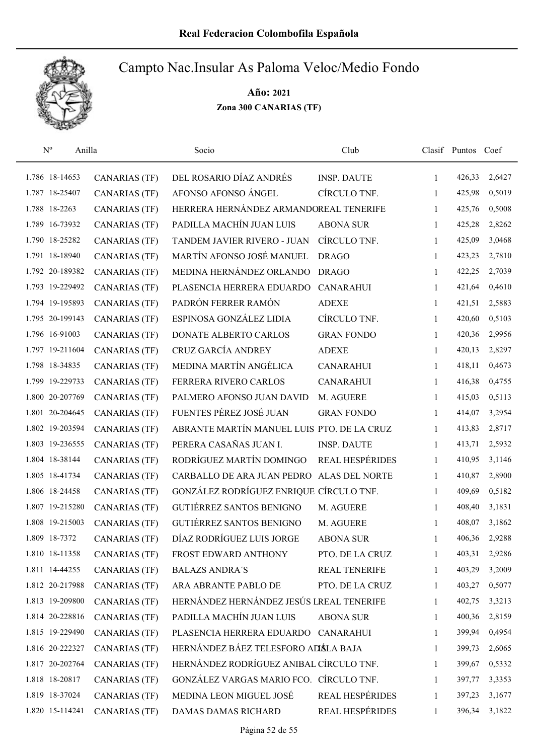

| $\mathbf{N}^{\text{o}}$<br>Anilla |                      | Socio                                      | Club                   |              | Clasif Puntos Coef |        |
|-----------------------------------|----------------------|--------------------------------------------|------------------------|--------------|--------------------|--------|
| 1.786 18-14653                    | <b>CANARIAS (TF)</b> | DEL ROSARIO DÍAZ ANDRÉS                    | <b>INSP. DAUTE</b>     | 1            | 426,33             | 2,6427 |
| 1.787 18-25407                    | <b>CANARIAS (TF)</b> | AFONSO AFONSO ÁNGEL                        | CÍRCULO TNF.           | 1            | 425,98             | 0,5019 |
| 1.788 18-2263                     | <b>CANARIAS (TF)</b> | HERRERA HERNÁNDEZ ARMANDOREAL TENERIFE     |                        | 1            | 425,76             | 0,5008 |
| 1.789 16-73932                    | <b>CANARIAS (TF)</b> | PADILLA MACHÍN JUAN LUIS                   | <b>ABONA SUR</b>       | 1            | 425,28             | 2,8262 |
| 1.790 18-25282                    | <b>CANARIAS (TF)</b> | TANDEM JAVIER RIVERO - JUAN                | CÍRCULO TNF.           | 1            | 425,09             | 3,0468 |
| 1.791 18-18940                    | <b>CANARIAS (TF)</b> | MARTÍN AFONSO JOSÉ MANUEL                  | <b>DRAGO</b>           | 1            | 423,23             | 2,7810 |
| 1.792 20-189382                   | <b>CANARIAS</b> (TF) | MEDINA HERNÁNDEZ ORLANDO                   | <b>DRAGO</b>           | $\mathbf{1}$ | 422,25             | 2,7039 |
| 1.793 19-229492                   | <b>CANARIAS (TF)</b> | PLASENCIA HERRERA EDUARDO                  | <b>CANARAHUI</b>       | 1            | 421,64             | 0,4610 |
| 1.794 19-195893                   | <b>CANARIAS (TF)</b> | PADRÓN FERRER RAMÓN                        | <b>ADEXE</b>           | 1            | 421,51             | 2,5883 |
| 1.795 20-199143                   | <b>CANARIAS (TF)</b> | ESPINOSA GONZÁLEZ LIDIA                    | CÍRCULO TNF.           | 1            | 420,60             | 0,5103 |
| 1.796 16-91003                    | <b>CANARIAS (TF)</b> | DONATE ALBERTO CARLOS                      | <b>GRAN FONDO</b>      | 1            | 420,36             | 2,9956 |
| 1.797 19-211604                   | CANARIAS (TF)        | CRUZ GARCÍA ANDREY                         | <b>ADEXE</b>           | 1            | 420,13             | 2,8297 |
| 1.798 18-34835                    | <b>CANARIAS (TF)</b> | MEDINA MARTÍN ANGÉLICA                     | <b>CANARAHUI</b>       | 1            | 418,11             | 0,4673 |
| 1.799 19-229733                   | <b>CANARIAS (TF)</b> | FERRERA RIVERO CARLOS                      | <b>CANARAHUI</b>       | 1            | 416,38             | 0,4755 |
| 1.800 20-207769                   | <b>CANARIAS (TF)</b> | PALMERO AFONSO JUAN DAVID                  | M. AGUERE              | 1            | 415,03             | 0,5113 |
| 1.801 20-204645                   | <b>CANARIAS</b> (TF) | FUENTES PÉREZ JOSÉ JUAN                    | <b>GRAN FONDO</b>      | 1            | 414,07             | 3,2954 |
| 1.802 19-203594                   | <b>CANARIAS</b> (TF) | ABRANTE MARTÍN MANUEL LUIS PTO. DE LA CRUZ |                        | 1            | 413,83             | 2,8717 |
| 1.803 19-236555                   | <b>CANARIAS</b> (TF) | PERERA CASAÑAS JUAN I.                     | <b>INSP. DAUTE</b>     | 1            | 413,71             | 2,5932 |
| 1.804 18-38144                    | <b>CANARIAS (TF)</b> | RODRÍGUEZ MARTÍN DOMINGO                   | <b>REAL HESPÉRIDES</b> | 1            | 410,95             | 3,1146 |
| 1.805 18-41734                    | <b>CANARIAS (TF)</b> | CARBALLO DE ARA JUAN PEDRO                 | <b>ALAS DEL NORTE</b>  | 1            | 410,87             | 2,8900 |
| 1.806 18-24458                    | <b>CANARIAS (TF)</b> | GONZÁLEZ RODRÍGUEZ ENRIQUE CÍRCULO TNF.    |                        | 1            | 409,69             | 0,5182 |
| 1.807 19-215280                   | <b>CANARIAS (TF)</b> | GUTIÉRREZ SANTOS BENIGNO                   | M. AGUERE              | 1            | 408,40             | 3,1831 |
| 1.808 19-215003                   | <b>CANARIAS (TF)</b> | <b>GUTIÉRREZ SANTOS BENIGNO</b>            | M. AGUERE              | 1            | 408,07             | 3,1862 |
| 1.809 18-7372                     | <b>CANARIAS (TF)</b> | DÍAZ RODRÍGUEZ LUIS JORGE                  | <b>ABONA SUR</b>       | 1            | 406,36             | 2,9288 |
| 1.810 18-11358                    | <b>CANARIAS (TF)</b> | FROST EDWARD ANTHONY                       | PTO. DE LA CRUZ        | 1            | 403,31             | 2,9286 |
| 1.811 14-44255                    | <b>CANARIAS (TF)</b> | <b>BALAZS ANDRA'S</b>                      | REAL TENERIFE          | 1            | 403,29             | 3,2009 |
| 1.812 20-217988                   | <b>CANARIAS (TF)</b> | ARA ABRANTE PABLO DE                       | PTO. DE LA CRUZ        | 1            | 403,27             | 0,5077 |
| 1.813 19-209800                   | <b>CANARIAS (TF)</b> | HERNÁNDEZ HERNÁNDEZ JESÚS LREAL TENERIFE   |                        | 1            | 402,75             | 3,3213 |
| 1.814 20-228816                   | <b>CANARIAS (TF)</b> | PADILLA MACHÍN JUAN LUIS                   | <b>ABONA SUR</b>       | 1            | 400,36             | 2,8159 |
| 1.815 19-229490                   | <b>CANARIAS (TF)</b> | PLASENCIA HERRERA EDUARDO CANARAHUI        |                        | $\mathbf{1}$ | 399,94             | 0,4954 |
| 1.816 20-222327                   | <b>CANARIAS (TF)</b> | HERNÁNDEZ BÁEZ TELESFORO ADÁLA BAJA        |                        | 1            | 399,73             | 2,6065 |
| 1.817 20-202764                   | <b>CANARIAS (TF)</b> | HERNÁNDEZ RODRÍGUEZ ANIBAL CÍRCULO TNF.    |                        | 1            | 399,67             | 0,5332 |
| 1.818 18-20817                    | <b>CANARIAS (TF)</b> | GONZÁLEZ VARGAS MARIO FCO. CÍRCULO TNF.    |                        | 1            | 397,77             | 3,3353 |
| 1.819 18-37024                    | <b>CANARIAS (TF)</b> | MEDINA LEON MIGUEL JOSÉ                    | REAL HESPÉRIDES        | 1            | 397,23             | 3,1677 |
| 1.820 15-114241                   | <b>CANARIAS (TF)</b> | DAMAS DAMAS RICHARD                        | REAL HESPÉRIDES        | 1            | 396,34             | 3,1822 |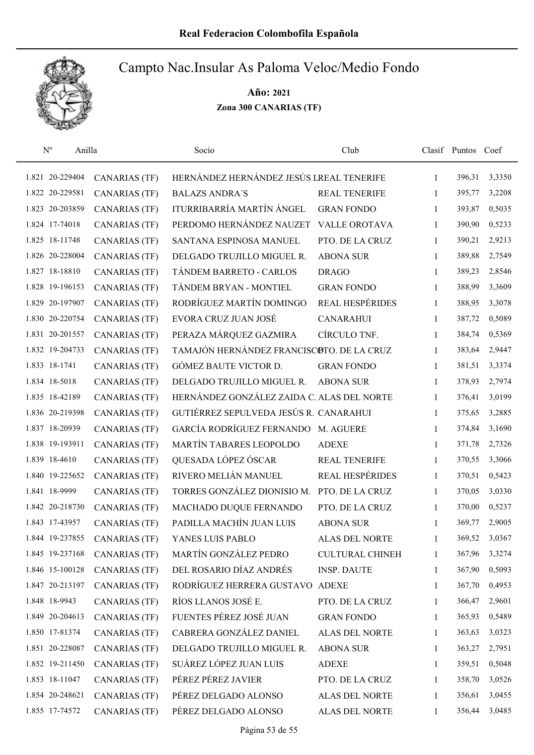

| $\mathbf{N}^{\text{o}}$<br>Anilla |                      | Socio                                      | Club                   |              | Clasif Puntos Coef |        |
|-----------------------------------|----------------------|--------------------------------------------|------------------------|--------------|--------------------|--------|
| 1.821 20-229404                   | <b>CANARIAS</b> (TF) | HERNÁNDEZ HERNÁNDEZ JESÚS LREAL TENERIFE   |                        | $\mathbf{1}$ | 396,31             | 3,3350 |
| 1.822 20-229581                   | <b>CANARIAS</b> (TF) | <b>BALAZS ANDRA'S</b>                      | <b>REAL TENERIFE</b>   | 1            | 395,77             | 3,2208 |
| 1.823 20-203859                   | <b>CANARIAS (TF)</b> | ITURRIBARRÍA MARTÍN ÁNGEL                  | <b>GRAN FONDO</b>      | 1            | 393,87             | 0,5035 |
| 1.824 17-74018                    | <b>CANARIAS (TF)</b> | PERDOMO HERNÁNDEZ NAUZET                   | <b>VALLE OROTAVA</b>   | 1            | 390,90             | 0,5233 |
| 1.825 18-11748                    | <b>CANARIAS (TF)</b> | SANTANA ESPINOSA MANUEL                    | PTO. DE LA CRUZ        | 1            | 390,21             | 2,9213 |
| 1.826 20-228004                   | <b>CANARIAS (TF)</b> | DELGADO TRUJILLO MIGUEL R.                 | <b>ABONA SUR</b>       | 1            | 389,88             | 2,7549 |
| 1.827 18-18810                    | <b>CANARIAS (TF)</b> | TÁNDEM BARRETO - CARLOS                    | <b>DRAGO</b>           | $\mathbf{1}$ | 389,23             | 2,8546 |
| 1.828 19-196153                   | <b>CANARIAS (TF)</b> | TÁNDEM BRYAN - MONTIEL                     | <b>GRAN FONDO</b>      | $\mathbf{1}$ | 388,99             | 3,3609 |
| 1.829 20-197907                   | <b>CANARIAS (TF)</b> | RODRÍGUEZ MARTÍN DOMINGO                   | <b>REAL HESPÉRIDES</b> | 1            | 388,95             | 3,3078 |
| 1.830 20-220754                   | <b>CANARIAS (TF)</b> | EVORA CRUZ JUAN JOSÉ                       | <b>CANARAHUI</b>       | 1            | 387,72             | 0,5089 |
| 1.831 20-201557                   | <b>CANARIAS (TF)</b> | PERAZA MÁRQUEZ GAZMIRA                     | CÍRCULO TNF.           | 1            | 384,74             | 0,5369 |
| 1.832 19-204733                   | <b>CANARIAS (TF)</b> | TAMAJÓN HERNÁNDEZ FRANCISCOTO. DE LA CRUZ  |                        | 1            | 383,64             | 2,9447 |
| 1.833 18-1741                     | <b>CANARIAS (TF)</b> | GÓMEZ BAUTE VICTOR D.                      | <b>GRAN FONDO</b>      | 1            | 381,51             | 3,3374 |
| 1.834 18-5018                     | <b>CANARIAS (TF)</b> | DELGADO TRUJILLO MIGUEL R.                 | <b>ABONA SUR</b>       | 1            | 378,93             | 2,7974 |
| 1.835 18-42189                    | <b>CANARIAS (TF)</b> | HERNÁNDEZ GONZÁLEZ ZAIDA C. ALAS DEL NORTE |                        | $\mathbf{1}$ | 376,41             | 3,0199 |
| 1.836 20-219398                   | <b>CANARIAS (TF)</b> | GUTIÉRREZ SEPULVEDA JESÚS R. CANARAHUI     |                        | 1            | 375,65             | 3,2885 |
| 1.837 18-20939                    | <b>CANARIAS (TF)</b> | GARCÍA RODRÍGUEZ FERNANDO M. AGUERE        |                        | 1            | 374,84             | 3,1690 |
| 1.838 19-193911                   | <b>CANARIAS (TF)</b> | MARTÍN TABARES LEOPOLDO                    | <b>ADEXE</b>           | $\mathbf{1}$ | 371,78             | 2,7326 |
| 1.839 18-4610                     | <b>CANARIAS (TF)</b> | QUESADA LÓPEZ ÓSCAR                        | <b>REAL TENERIFE</b>   | 1            | 370,55             | 3,3066 |
| 1.840 19-225652                   | <b>CANARIAS (TF)</b> | RIVERO MELIÁN MANUEL                       | REAL HESPÉRIDES        | $\mathbf{1}$ | 370,51             | 0,5423 |
| 1.841 18-9999                     | <b>CANARIAS (TF)</b> | TORRES GONZÁLEZ DIONISIO M.                | PTO. DE LA CRUZ        | 1            | 370,05             | 3,0330 |
| 1.842 20-218730                   | <b>CANARIAS</b> (TF) | MACHADO DUQUE FERNANDO                     | PTO. DE LA CRUZ        | 1            | 370,00             | 0,5237 |
| 1.843 17-43957                    | <b>CANARIAS (TF)</b> | PADILLA MACHÍN JUAN LUIS                   | <b>ABONA SUR</b>       | 1            | 369,77             | 2,9005 |
| 1.844 19-237855                   | <b>CANARIAS</b> (TF) | YANES LUIS PABLO                           | ALAS DEL NORTE         | 1            | 369,52             | 3,0367 |
| 1.845 19-237168                   | CANARIAS (TF)        | MARTÍN GONZÁLEZ PEDRO                      | <b>CULTURAL CHINEH</b> | 1            | 367,96             | 3,3274 |
| 1.846 15-100128                   | <b>CANARIAS (TF)</b> | DEL ROSARIO DÍAZ ANDRÉS                    | <b>INSP. DAUTE</b>     | 1            | 367,90             | 0,5093 |
| 1.847 20-213197                   | <b>CANARIAS (TF)</b> | RODRÍGUEZ HERRERA GUSTAVO                  | <b>ADEXE</b>           | 1            | 367,70             | 0,4953 |
| 1.848 18-9943                     | <b>CANARIAS (TF)</b> | RÍOS LLANOS JOSÉ E.                        | PTO. DE LA CRUZ        | 1            | 366,47             | 2,9601 |
| 1.849 20-204613                   | <b>CANARIAS (TF)</b> | FUENTES PÉREZ JOSÉ JUAN                    | <b>GRAN FONDO</b>      | 1            | 365,93             | 0,5489 |
| 1.850 17-81374                    | <b>CANARIAS (TF)</b> | CABRERA GONZÁLEZ DANIEL                    | ALAS DEL NORTE         | 1            | 363,63             | 3,0323 |
| 1.851 20-228087                   | <b>CANARIAS (TF)</b> | DELGADO TRUJILLO MIGUEL R.                 | <b>ABONA SUR</b>       | 1            | 363,27             | 2,7951 |
| 1.852 19-211450                   | <b>CANARIAS (TF)</b> | SUÁREZ LÓPEZ JUAN LUIS                     | <b>ADEXE</b>           | 1            | 359,51             | 0,5048 |
| 1.853 18-11047                    | <b>CANARIAS (TF)</b> | PÉREZ PÉREZ JAVIER                         | PTO. DE LA CRUZ        | 1            | 358,70             | 3,0526 |
| 1.854 20-248621                   | <b>CANARIAS (TF)</b> | PÉREZ DELGADO ALONSO                       | ALAS DEL NORTE         | 1            | 356,61             | 3,0455 |
| 1.855 17-74572                    | <b>CANARIAS (TF)</b> | PÉREZ DELGADO ALONSO                       | ALAS DEL NORTE         | 1            | 356,44             | 3,0485 |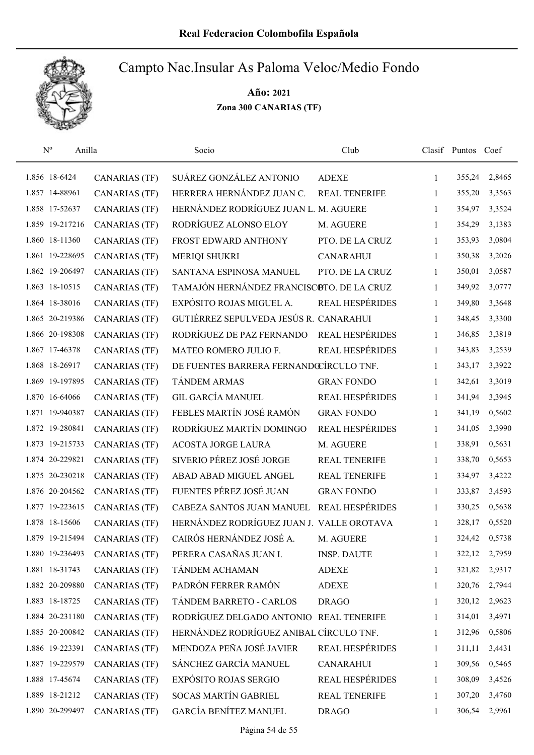

| $N^{o}$<br>Anilla |                      | Socio                                     | Club                   |              | Clasif Puntos Coef |        |
|-------------------|----------------------|-------------------------------------------|------------------------|--------------|--------------------|--------|
| 1.856 18-6424     | <b>CANARIAS (TF)</b> | SUÁREZ GONZÁLEZ ANTONIO                   | <b>ADEXE</b>           | 1            | 355,24             | 2,8465 |
| 1.857 14-88961    | <b>CANARIAS (TF)</b> | HERRERA HERNÁNDEZ JUAN C.                 | <b>REAL TENERIFE</b>   | 1            | 355,20             | 3,3563 |
| 1.858 17-52637    | <b>CANARIAS (TF)</b> | HERNÁNDEZ RODRÍGUEZ JUAN L. M. AGUERE     |                        | $\mathbf{1}$ | 354,97             | 3,3524 |
| 1.859 19-217216   | <b>CANARIAS (TF)</b> | RODRÍGUEZ ALONSO ELOY                     | M. AGUERE              | 1            | 354,29             | 3,1383 |
| 1.860 18-11360    | <b>CANARIAS</b> (TF) | FROST EDWARD ANTHONY                      | PTO. DE LA CRUZ        | $\mathbf{1}$ | 353,93             | 3,0804 |
| 1.861 19-228695   | <b>CANARIAS (TF)</b> | <b>MERIQI SHUKRI</b>                      | <b>CANARAHUI</b>       | 1            | 350,38             | 3,2026 |
| 1.862 19-206497   | <b>CANARIAS (TF)</b> | SANTANA ESPINOSA MANUEL                   | PTO. DE LA CRUZ        | $\mathbf{1}$ | 350,01             | 3,0587 |
| 1.863 18-10515    | <b>CANARIAS (TF)</b> | TAMAJÓN HERNÁNDEZ FRANCISCOTO. DE LA CRUZ |                        | $\mathbf{1}$ | 349,92             | 3,0777 |
| 1.864 18-38016    | <b>CANARIAS (TF)</b> | EXPÓSITO ROJAS MIGUEL A.                  | <b>REAL HESPÉRIDES</b> | $\mathbf{1}$ | 349,80             | 3,3648 |
| 1.865 20-219386   | <b>CANARIAS</b> (TF) | GUTIÉRREZ SEPULVEDA JESÚS R. CANARAHUI    |                        | 1            | 348,45             | 3,3300 |
| 1.866 20-198308   | <b>CANARIAS</b> (TF) | RODRÍGUEZ DE PAZ FERNANDO                 | <b>REAL HESPÉRIDES</b> | 1            | 346,85             | 3,3819 |
| 1.867 17-46378    | <b>CANARIAS (TF)</b> | MATEO ROMERO JULIO F.                     | <b>REAL HESPÉRIDES</b> | 1            | 343,83             | 3,2539 |
| 1.868 18-26917    | <b>CANARIAS (TF)</b> | DE FUENTES BARRERA FERNANDOCÍRCULO TNF.   |                        | 1            | 343,17             | 3,3922 |
| 1.869 19-197895   | <b>CANARIAS</b> (TF) | <b>TÁNDEM ARMAS</b>                       | <b>GRAN FONDO</b>      | 1            | 342,61             | 3,3019 |
| 1.870 16-64066    | <b>CANARIAS (TF)</b> | <b>GIL GARCÍA MANUEL</b>                  | REAL HESPÉRIDES        | $\mathbf{1}$ | 341,94             | 3,3945 |
| 1.871 19-940387   | <b>CANARIAS (TF)</b> | FEBLES MARTÍN JOSÉ RAMÓN                  | <b>GRAN FONDO</b>      | $\mathbf{1}$ | 341,19             | 0,5602 |
| 1.872 19-280841   | <b>CANARIAS (TF)</b> | RODRÍGUEZ MARTÍN DOMINGO                  | REAL HESPÉRIDES        | 1            | 341,05             | 3,3990 |
| 1.873 19-215733   | <b>CANARIAS (TF)</b> | ACOSTA JORGE LAURA                        | M. AGUERE              | $\mathbf{1}$ | 338,91             | 0,5631 |
| 1.874 20-229821   | <b>CANARIAS (TF)</b> | SIVERIO PÉREZ JOSÉ JORGE                  | <b>REAL TENERIFE</b>   | 1            | 338,70             | 0,5653 |
| 1.875 20-230218   | <b>CANARIAS (TF)</b> | ABAD ABAD MIGUEL ANGEL                    | <b>REAL TENERIFE</b>   | $\mathbf{1}$ | 334,97             | 3,4222 |
| 1.876 20-204562   | <b>CANARIAS (TF)</b> | FUENTES PÉREZ JOSÉ JUAN                   | <b>GRAN FONDO</b>      | $\mathbf{1}$ | 333,87             | 3,4593 |
| 1.877 19-223615   | <b>CANARIAS</b> (TF) | CABEZA SANTOS JUAN MANUEL                 | <b>REAL HESPÉRIDES</b> | 1            | 330,25             | 0,5638 |
| 1.878 18-15606    | <b>CANARIAS (TF)</b> | HERNÁNDEZ RODRÍGUEZ JUAN J. VALLE OROTAVA |                        | $\mathbf{1}$ | 328,17             | 0,5520 |
| 1.879 19-215494   | <b>CANARIAS (TF)</b> | CAIRÓS HERNÁNDEZ JOSÉ A.                  | M. AGUERE              | 1            | 324,42             | 0,5738 |
| 1.880 19-236493   | <b>CANARIAS</b> (TF) | PERERA CASAÑAS JUAN I.                    | <b>INSP. DAUTE</b>     | $\mathbf{1}$ | 322,12             | 2,7959 |
| 1.881 18-31743    | <b>CANARIAS (TF)</b> | TÁNDEM ACHAMAN                            | <b>ADEXE</b>           | 1            | 321,82             | 2,9317 |
| 1.882 20-209880   | <b>CANARIAS (TF)</b> | PADRÓN FERRER RAMÓN                       | <b>ADEXE</b>           | 1            | 320,76             | 2,7944 |
| 1.883 18-18725    | <b>CANARIAS (TF)</b> | TÁNDEM BARRETO - CARLOS                   | <b>DRAGO</b>           | 1            | 320,12             | 2,9623 |
| 1.884 20-231180   | <b>CANARIAS (TF)</b> | RODRÍGUEZ DELGADO ANTONIO                 | <b>REAL TENERIFE</b>   | 1            | 314,01             | 3,4971 |
| 1.885 20-200842   | <b>CANARIAS (TF)</b> | HERNÁNDEZ RODRÍGUEZ ANIBAL CÍRCULO TNF.   |                        | $\mathbf{1}$ | 312,96             | 0,5806 |
| 1.886 19-223391   | <b>CANARIAS (TF)</b> | MENDOZA PEÑA JOSÉ JAVIER                  | <b>REAL HESPÉRIDES</b> | $\mathbf{1}$ | 311,11             | 3,4431 |
| 1.887 19-229579   | <b>CANARIAS (TF)</b> | SÁNCHEZ GARCÍA MANUEL                     | <b>CANARAHUI</b>       | 1            | 309,56             | 0,5465 |
| 1.888 17-45674    | <b>CANARIAS (TF)</b> | <b>EXPÓSITO ROJAS SERGIO</b>              | <b>REAL HESPÉRIDES</b> | 1            | 308,09             | 3,4526 |
| 1.889 18-21212    | <b>CANARIAS (TF)</b> | <b>SOCAS MARTÍN GABRIEL</b>               | REAL TENERIFE          | 1            | 307,20             | 3,4760 |
| 1.890 20-299497   | <b>CANARIAS (TF)</b> | <b>GARCÍA BENÍTEZ MANUEL</b>              | <b>DRAGO</b>           | 1            | 306,54             | 2,9961 |